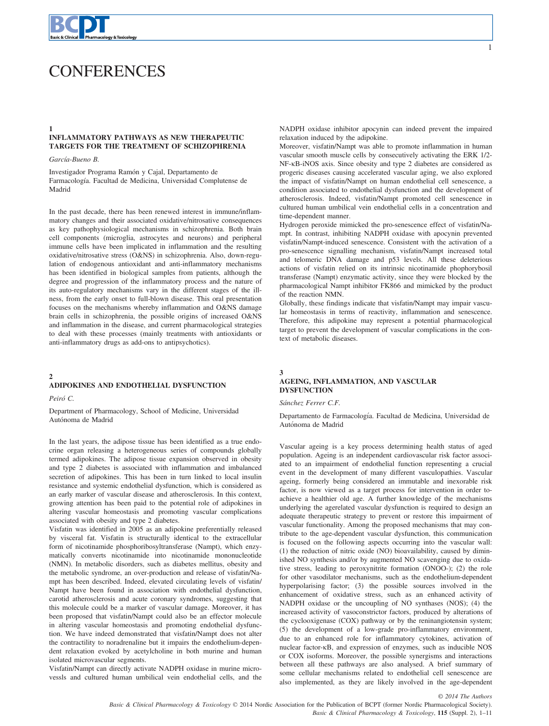

# **CONFERENCES**

# INFLAMMATORY PATHWAYS AS NEW THERAPEUTIC TARGETS FOR THE TREATMENT OF SCHIZOPHRENIA

García-Bueno B.

Investigador Programa Ramón y Cajal, Departamento de Farmacología. Facultad de Medicina, Universidad Complutense de Madrid

In the past decade, there has been renewed interest in immune/inflammatory changes and their associated oxidative/nitrosative consequences as key pathophysiological mechanisms in schizophrenia. Both brain cell components (microglia, astrocytes and neurons) and peripheral immune cells have been implicated in inflammation and the resulting oxidative/nitrosative stress (O&NS) in schizophrenia. Also, down-regulation of endogenous antioxidant and anti-inflammatory mechanisms has been identified in biological samples from patients, although the degree and progression of the inflammatory process and the nature of its auto-regulatory mechanisms vary in the different stages of the illness, from the early onset to full-blown disease. This oral presentation focuses on the mechanisms whereby inflammation and O&NS damage brain cells in schizophrenia, the possible origins of increased O&NS and inflammation in the disease, and current pharmacological strategies to deal with these processes (mainly treatments with antioxidants or anti-inflammatory drugs as add-ons to antipsychotics).

# ADIPOKINES AND ENDOTHELIAL DYSFUNCTION

Peiró C.

 $\mathfrak{D}$ 

Department of Pharmacology, School of Medicine, Universidad Autonoma de Madrid

In the last years, the adipose tissue has been identified as a true endocrine organ releasing a heterogeneous series of compounds globally termed adipokines. The adipose tissue expansion observed in obesity and type 2 diabetes is associated with inflammation and imbalanced secretion of adipokines. This has been in turn linked to local insulin resistance and systemic endothelial dysfunction, which is considered as an early marker of vascular disease and atherosclerosis. In this context, growing attention has been paid to the potential role of adipokines in altering vascular homeostasis and promoting vascular complications associated with obesity and type 2 diabetes.

Visfatin was identified in 2005 as an adipokine preferentially released by visceral fat. Visfatin is structurally identical to the extracellular form of nicotinamide phosphoribosyltransferase (Nampt), which enzymatically converts nicotinamide into nicotinamide mononucleotide (NMN). In metabolic disorders, such as diabetes mellitus, obesity and the metabolic syndrome, an over-production and release of visfatin/Nampt has been described. Indeed, elevated circulating levels of visfatin/ Nampt have been found in association with endothelial dysfunction, carotid atherosclerosis and acute coronary syndromes, suggesting that this molecule could be a marker of vascular damage. Moreover, it has been proposed that visfatin/Nampt could also be an effector molecule in altering vascular homeostasis and promoting endothelial dysfunction. We have indeed demonstrated that visfatin/Nampt does not alter the contractility to noradrenaline but it impairs the endothelium-dependent relaxation evoked by acetylcholine in both murine and human isolated microvascular segments.

Visfatin/Nampt can directly activate NADPH oxidase in murine microvessls and cultured human umbilical vein endothelial cells, and the

1

NADPH oxidase inhibitor apocynin can indeed prevent the impaired relaxation induced by the adipokine.

Moreover, visfatin/Nampt was able to promote inflammation in human vascular smooth muscle cells by consecutively activating the ERK 1/2- NF-KB-iNOS axis. Since obesity and type 2 diabetes are considered as progeric diseases causing accelerated vascular aging, we also explored the impact of visfatin/Nampt on human endothelial cell senescence, a condition associated to endothelial dysfunction and the development of atherosclerosis. Indeed, visfatin/Nampt promoted cell senescence in cultured human umbilical vein endothelial cells in a concentration and time-dependent manner.

Hydrogen peroxide mimicked the pro-senescence effect of visfatin/Nampt. In contrast, inhibiting NADPH oxidase with apocynin prevented visfatin/Nampt-induced senescence. Consistent with the activation of a pro-senescence signalling mechanism, visfatin/Nampt increased total and telomeric DNA damage and p53 levels. All these deleterious actions of visfatin relied on its intrinsic nicotinamide phophorybosil transferase (Nampt) enzymatic activity, since they were blocked by the pharmacological Nampt inhibitor FK866 and mimicked by the product of the reaction NMN.

Globally, these findings indicate that visfatin/Nampt may impair vascular homeostasis in terms of reactivity, inflammation and senescence. Therefore, this adipokine may represent a potential pharmacological target to prevent the development of vascular complications in the context of metabolic diseases.

#### 3

### AGEING, INFLAMMATION, AND VASCULAR **DYSFUNCTION**

Sánchez Ferrer C.F.

Departamento de Farmacologıa. Facultad de Medicina, Universidad de Autonoma de Madrid

Vascular ageing is a key process determining health status of aged population. Ageing is an independent cardiovascular risk factor associated to an impairment of endothelial function representing a crucial event in the development of many different vasculopathies. Vascular ageing, formerly being considered an immutable and inexorable risk factor, is now viewed as a target process for intervention in order toachieve a healthier old age. A further knowledge of the mechanisms underlying the agerelated vascular dysfunction is required to design an adequate therapeutic strategy to prevent or restore this impairment of vascular functionality. Among the proposed mechanisms that may contribute to the age-dependent vascular dysfunction, this communication is focused on the following aspects occurring into the vascular wall: (1) the reduction of nitric oxide (NO) bioavailability, caused by diminished NO synthesis and/or by augmented NO scavenging due to oxidative stress, leading to peroxynitrite formation (ONOO-); (2) the role for other vasodilator mechanisms, such as the endothelium-dependent hyperpolarising factor; (3) the possible sources involved in the enhancement of oxidative stress, such as an enhanced activity of NADPH oxidase or the uncoupling of NO synthases (NOS); (4) the increased activity of vasoconstrictor factors, produced by alterations of the cyclooxigenase (COX) pathway or by the reninangiotensin system; (5) the development of a low-grade pro-inflammatory environment, due to an enhanced role for inflammatory cytokines, activation of nuclear factor- $\kappa$ B, and expression of enzymes, such as inducible NOS or COX isoforms. Moreover, the possible synergisms and interactions between all these pathways are also analysed. A brief summary of some cellular mechanisms related to endothelial cell senescence are also implemented, as they are likely involved in the age-dependent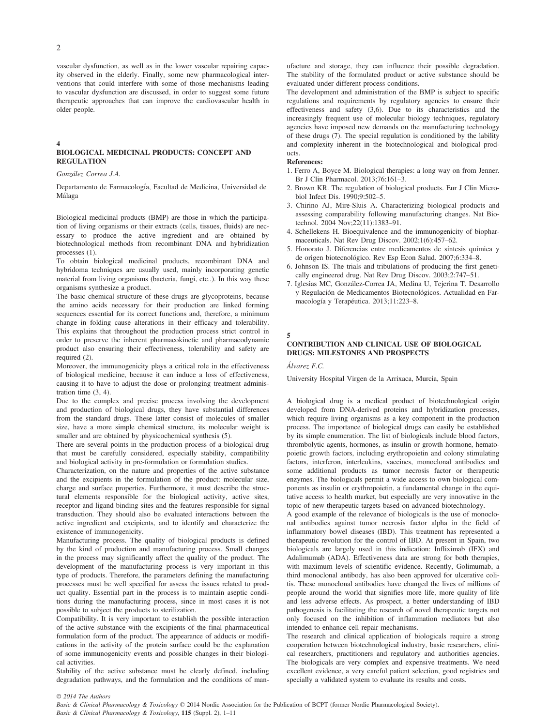vascular dysfunction, as well as in the lower vascular repairing capacity observed in the elderly. Finally, some new pharmacological interventions that could interfere with some of those mechanisms leading to vascular dysfunction are discussed, in order to suggest some future therapeutic approaches that can improve the cardiovascular health in older people.

#### 4

#### BIOLOGICAL MEDICINAL PRODUCTS: CONCEPT AND REGULATION

#### Gonzalez Correa J.A.

Departamento de Farmacología, Facultad de Medicina, Universidad de Malaga

Biological medicinal products (BMP) are those in which the participation of living organisms or their extracts (cells, tissues, fluids) are necessary to produce the active ingredient and are obtained by biotechnological methods from recombinant DNA and hybridization processes (1).

To obtain biological medicinal products, recombinant DNA and hybridoma techniques are usually used, mainly incorporating genetic material from living organisms (bacteria, fungi, etc..). In this way these organisms synthesize a product.

The basic chemical structure of these drugs are glycoproteins, because the amino acids necessary for their production are linked forming sequences essential for its correct functions and, therefore, a minimum change in folding cause alterations in their efficacy and tolerability. This explains that throughout the production process strict control in order to preserve the inherent pharmacokinetic and pharmacodynamic product also ensuring their effectiveness, tolerability and safety are required (2).

Moreover, the immunogenicity plays a critical role in the effectiveness of biological medicine, because it can induce a loss of effectiveness, causing it to have to adjust the dose or prolonging treatment administration time (3, 4).

Due to the complex and precise process involving the development and production of biological drugs, they have substantial differences from the standard drugs. These latter consist of molecules of smaller size, have a more simple chemical structure, its molecular weight is smaller and are obtained by physicochemical synthesis (5).

There are several points in the production process of a biological drug that must be carefully considered, especially stability, compatibility and biological activity in pre-formulation or formulation studies.

Characterization, on the nature and properties of the active substance and the excipients in the formulation of the product: molecular size, charge and surface properties. Furthermore, it must describe the structural elements responsible for the biological activity, active sites, receptor and ligand binding sites and the features responsible for signal transduction. They should also be evaluated interactions between the active ingredient and excipients, and to identify and characterize the existence of immunogenicity.

Manufacturing process. The quality of biological products is defined by the kind of production and manufacturing process. Small changes in the process may significantly affect the quality of the product. The development of the manufacturing process is very important in this type of products. Therefore, the parameters defining the manufacturing processes must be well specified for assess the issues related to product quality. Essential part in the process is to maintain aseptic conditions during the manufacturing process, since in most cases it is not possible to subject the products to sterilization.

Compatibility. It is very important to establish the possible interaction of the active substance with the excipients of the final pharmaceutical formulation form of the product. The appearance of adducts or modifications in the activity of the protein surface could be the explanation of some immunogenicity events and possible changes in their biological activities.

Stability of the active substance must be clearly defined, including degradation pathways, and the formulation and the conditions of manufacture and storage, they can influence their possible degradation. The stability of the formulated product or active substance should be evaluated under different process conditions.

The development and administration of the BMP is subject to specific regulations and requirements by regulatory agencies to ensure their effectiveness and safety (3,6). Due to its characteristics and the increasingly frequent use of molecular biology techniques, regulatory agencies have imposed new demands on the manufacturing technology of these drugs (7). The special regulation is conditioned by the lability and complexity inherent in the biotechnological and biological products.

#### References:

- 1. Ferro A, Boyce M. Biological therapies: a long way on from Jenner. Br J Clin Pharmacol. 2013;76:161–3.
- 2. Brown KR. The regulation of biological products. Eur J Clin Microbiol Infect Dis. 1990;9:502–5.
- 3. Chirino AJ, Mire-Sluis A. Characterizing biological products and assessing comparability following manufacturing changes. Nat Biotechnol. 2004 Nov;22(11):1383–91.
- 4. Schellekens H. Bioequivalence and the immunogenicity of biopharmaceuticals. Nat Rev Drug Discov. 2002;1(6):457–62.
- 5. Honorato J. Diferencias entre medicamentos de síntesis química y de origen biotecnologico. Rev Esp Econ Salud. 2007;6:334–8.
- 6. Johnson IS. The trials and tribulations of producing the first genetically engineered drug. Nat Rev Drug Discov. 2003;2:747–51.
- 7. Iglesias MC, Gonzalez-Correa JA, Medina U, Tejerina T. Desarrollo y Regulación de Medicamentos Biotecnológicos. Actualidad en Farmacología y Terapéutica. 2013;11:223-8.

#### 5

### CONTRIBUTION AND CLINICAL USE OF BIOLOGICAL DRUGS: MILESTONES AND PROSPECTS

Alvarez F.C.

University Hospital Virgen de la Arrixaca, Murcia, Spain

A biological drug is a medical product of biotechnological origin developed from DNA-derived proteins and hybridization processes, which require living organisms as a key component in the production process. The importance of biological drugs can easily be established by its simple enumeration. The list of biologicals include blood factors, thrombolytic agents, hormones, as insulin or growth hormone, hematopoietic growth factors, including erythropoietin and colony stimulating factors, interferon, interleukins, vaccines, monoclonal antibodies and some additional products as tumor necrosis factor or therapeutic enzymes. The biologicals permit a wide access to own biological components as insulin or erythropoietin, a fundamental change in the equitative access to health market, but especially are very innovative in the topic of new therapeutic targets based on advanced biotechnology.

A good example of the relevance of biologicals is the use of monoclonal antibodies against tumor necrosis factor alpha in the field of inflammatory bowel diseases (IBD). This treatment has represented a therapeutic revolution for the control of IBD. At present in Spain, two biologicals are largely used in this indication: Infliximab (IFX) and Adalimumab (ADA). Effectiveness data are strong for both therapies, with maximum levels of scientific evidence. Recently, Golimumab, a third monoclonal antibody, has also been approved for ulcerative colitis. These monoclonal antibodies have changed the lives of millions of people around the world that signifies more life, more quality of life and less adverse effects. As prospect, a better understanding of IBD pathogenesis is facilitating the research of novel therapeutic targets not only focused on the inhibition of inflammation mediators but also intended to enhance cell repair mechanisms.

The research and clinical application of biologicals require a strong cooperation between biotechnological industry, basic researchers, clinical researchers, practitioners and regulatory and authorities agencies. The biologicals are very complex and expensive treatments. We need excellent evidence, a very careful patient selection, good registries and specially a validated system to evaluate its results and costs.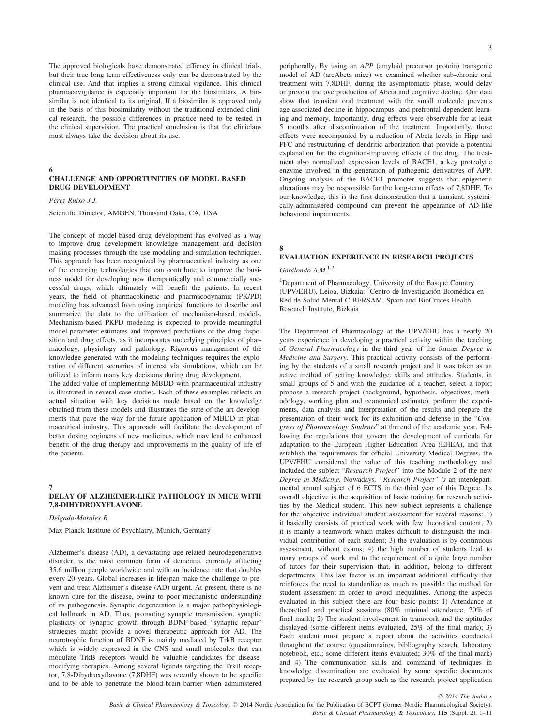The approved biologicals have demonstrated efficacy in clinical trials, but their true long term effectiveness only can be demonstrated by the clinical use. And that implies a strong clinical vigilance. This clinical pharmacovigilance is especially important for the biosimilars. A biosimilar is not identical to its original. If a biosimilar is approved only in the basis of this biosimilarity without the traditional extended clinical research, the possible differences in practice need to be tested in the clinical supervision. The practical conclusion is that the clinicians must always take the decision about its use.

# 6

# CHALLENGE AND OPPORTUNITIES OF MODEL BASED DRUG DEVELOPMENT

Pérez-Ruixo J.J.

Scientific Director, AMGEN, Thousand Oaks, CA, USA

The concept of model-based drug development has evolved as a way to improve drug development knowledge management and decision making processes through the use modeling and simulation techniques. This approach has been recognized by pharmaceutical industry as one of the emerging technologies that can contribute to improve the business model for developing new therapeutically and commercially successful drugs, which ultimately will benefit the patients. In recent years, the field of pharmacokinetic and pharmacodynamic (PK/PD) modeling has advanced from using empirical functions to describe and summarize the data to the utilization of mechanism-based models. Mechanism-based PKPD modeling is expected to provide meaningful model parameter estimates and improved predictions of the drug disposition and drug effects, as it incorporates underlying principles of pharmacology, physiology and pathology. Rigorous management of the knowledge generated with the modeling techniques requires the exploration of different scenarios of interest via simulations, which can be utilized to inform many key decisions during drug development.

The added value of implementing MBDD with pharmaceutical industry is illustrated in several case studies. Each of these examples reflects an actual situation with key decisions made based on the knowledge obtained from these models and illustrates the state-of-the art developments that pave the way for the future application of MBDD in pharmaceutical industry. This approach will facilitate the development of better dosing regimens of new medicines, which may lead to enhanced benefit of the drug therapy and improvements in the quality of life of the patients.

### 7

### DELAY OF ALZHEIMER-LIKE PATHOLOGY IN MICE WITH 7,8-DIHYDROXYFLAVONE

Delgado-Morales R.

Max Planck Institute of Psychiatry, Munich, Germany

Alzheimer's disease (AD), a devastating age-related neurodegenerative disorder, is the most common form of dementia, currently afflicting 35.6 million people worldwide and with an incidence rate that doubles every 20 years. Global increases in lifespan make the challenge to prevent and treat Alzheimer's disease (AD) urgent. At present, there is no known cure for the disease, owing to poor mechanistic understanding of its pathogenesis. Synaptic degeneration is a major pathophysiological hallmark in AD. Thus, promoting synaptic transmission, synaptic plasticity or synaptic growth through BDNF-based "synaptic repair" strategies might provide a novel therapeutic approach for AD. The neurotrophic function of BDNF is mainly mediated by TrkB receptor which is widely expressed in the CNS and small molecules that can modulate TrkB receptors would be valuable candidates for diseasemodifying therapies. Among several ligands targeting the TrkB receptor, 7,8-Dihydroxyflavone (7,8DHF) was recently shown to be specific and to be able to penetrate the blood-brain barrier when administered peripherally. By using an APP (amyloid precursor protein) transgenic model of AD (arcAbeta mice) we examined whether sub-chronic oral treatment with 7,8DHF, during the asymptomatic phase, would delay or prevent the overproduction of Abeta and cognitive decline. Our data show that transient oral treatment with the small molecule prevents age-associated decline in hippocampus- and prefrontal-dependent learning and memory. Importantly, drug effects were observable for at least 5 months after discontinuation of the treatment. Importantly, those effects were accompanied by a reduction of Abeta levels in Hipp and PFC and restructuring of dendritic arborization that provide a potential explanation for the cognition-improving effects of the drug. The treatment also normalized expression levels of BACE1, a key proteolytic enzyme involved in the generation of pathogenic derivatives of APP. Ongoing analysis of the BACE1 promoter suggests that epigenetic alterations may be responsible for the long-term effects of 7,8DHF. To our knowledge, this is the first demonstration that a transient, systemically-administered compound can prevent the appearance of AD-like behavioral impairments.

# EVALUATION EXPERIENCE IN RESEARCH PROJECTS

Gabilondo  $A.M.<sup>1,2</sup>$ 

8

<sup>1</sup>Department of Pharmacology, University of the Basque Country (UPV/EHU), Leioa, Bizkaia; <sup>2</sup>Centro de Investigación Biomédica en Red de Salud Mental CIBERSAM, Spain and BioCruces Health Research Institute, Bizkaia

The Department of Pharmacology at the UPV/EHU has a nearly 20 years experience in developing a practical activity within the teaching of General Pharmacology in the third year of the former Degree in Medicine and Surgery. This practical activity consists of the performing by the students of a small research project and it was taken as an active method of getting knowledge, skills and attitudes. Students, in small groups of 5 and with the guidance of a teacher, select a topic; propose a research project (background, hypothesis, objectives, methodology, working plan and economical estimate), perform the experiments, data analysis and interpretation of the results and prepare the presentation of their work for its exhibition and defense in the "Congress of Pharmacology Students" at the end of the academic year. Following the regulations that govern the development of curricula for adaptation to the European Higher Education Area (EHEA), and that establish the requirements for official University Medical Degrees, the UPV/EHU considered the value of this teaching methodology and included the subject "Research Project" into the Module 2 of the new Degree in Medicine. Nowadays, "Research Project" is an interdepartmental annual subject of 6 ECTS in the third year of this Degree. Its overall objective is the acquisition of basic training for research activities by the Medical student. This new subject represents a challenge for the objective individual student assessment for several reasons: 1) it basically consists of practical work with few theoretical content; 2) it is mainly a teamwork which makes difficult to distinguish the individual contribution of each student; 3) the evaluation is by continuous assessment, without exams; 4) the high number of students lead to many groups of work and to the requirement of a quite large number of tutors for their supervision that, in addition, belong to different departments. This last factor is an important additional difficulty that reinforces the need to standardize as much as possible the method for student assessment in order to avoid inequalities. Among the aspects evaluated in this subject there are four basic points: 1) Attendance at theoretical and practical sessions (80% minimal attendance, 20% of final mark); 2) The student involvement in teamwork and the aptitudes displayed (some different items evaluated, 25% of the final mark); 3) Each student must prepare a report about the activities conducted throughout the course (questionnaires, bibliography search, laboratory notebook, etc.; some different items evaluated; 30% of the final mark) and 4) The communication skills and command of techniques in knowledge dissemination are evaluated by some specific documents prepared by the research group such as the research project application

Basic & Clinical Pharmacology & Toxicology © 2014 Nordic Association for the Publication of BCPT (former Nordic Pharmacological Society). Basic & Clinical Pharmacology & Toxicology, 115 (Suppl. 2), 1–11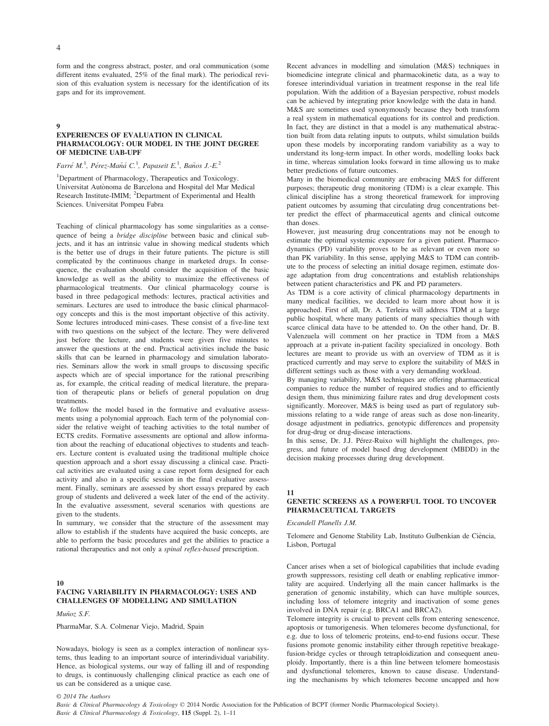form and the congress abstract, poster, and oral communication (some different items evaluated, 25% of the final mark). The periodical revision of this evaluation system is necessary for the identification of its gaps and for its improvement.

### 9

# EXPERIENCES OF EVALUATION IN CLINICAL PHARMACOLOGY: OUR MODEL IN THE JOINT DEGREE OF MEDICINE UAB-UPF

Farré M.<sup>1</sup>, Pérez-Mañá C.<sup>1</sup>, Papaseit E.<sup>1</sup>, Baños J.-E.<sup>2</sup>

1 Department of Pharmacology, Therapeutics and Toxicology. Universitat Autonoma de Barcelona and Hospital del Mar Medical Research Institute-IMIM; <sup>2</sup>Department of Experimental and Health Sciences. Universitat Pompeu Fabra

Teaching of clinical pharmacology has some singularities as a consequence of being a bridge discipline between basic and clinical subjects, and it has an intrinsic value in showing medical students which is the better use of drugs in their future patients. The picture is still complicated by the continuous change in marketed drugs. In consequence, the evaluation should consider the acquisition of the basic knowledge as well as the ability to maximize the effectiveness of pharmacological treatments. Our clinical pharmacology course is based in three pedagogical methods: lectures, practical activities and seminars. Lectures are used to introduce the basic clinical pharmacology concepts and this is the most important objective of this activity. Some lectures introduced mini-cases. These consist of a five-line text with two questions on the subject of the lecture. They were delivered just before the lecture, and students were given five minutes to answer the questions at the end. Practical activities include the basic skills that can be learned in pharmacology and simulation laboratories. Seminars allow the work in small groups to discussing specific aspects which are of special importance for the rational prescribing as, for example, the critical reading of medical literature, the preparation of therapeutic plans or beliefs of general population on drug treatments.

We follow the model based in the formative and evaluative assessments using a polynomial approach. Each term of the polynomial consider the relative weight of teaching activities to the total number of ECTS credits. Formative assessments are optional and allow information about the reaching of educational objectives to students and teachers. Lecture content is evaluated using the traditional multiple choice question approach and a short essay discussing a clinical case. Practical activities are evaluated using a case report form designed for each activity and also in a specific session in the final evaluative assessment. Finally, seminars are assessed by short essays prepared by each group of students and delivered a week later of the end of the activity. In the evaluative assessment, several scenarios with questions are given to the students.

In summary, we consider that the structure of the assessment may allow to establish if the students have acquired the basic concepts, are able to perform the basic procedures and get the abilities to practice a rational therapeutics and not only a spinal reflex-based prescription.

#### 10

# FACING VARIABILITY IN PHARMACOLOGY: USES AND CHALLENGES OF MODELLING AND SIMULATION

Muñoz S.F.

PharmaMar, S.A. Colmenar Viejo, Madrid, Spain

Nowadays, biology is seen as a complex interaction of nonlinear systems, thus leading to an important source of interindividual variability. Hence, as biological systems, our way of falling ill and of responding to drugs, is continuously challenging clinical practice as each one of us can be considered as a unique case.

Recent advances in modelling and simulation (M&S) techniques in biomedicine integrate clinical and pharmacokinetic data, as a way to foresee interindividual variation in treatment response in the real life population. With the addition of a Bayesian perspective, robust models can be achieved by integrating prior knowledge with the data in hand. M&S are sometimes used synonymously because they both transform a real system in mathematical equations for its control and prediction. In fact, they are distinct in that a model is any mathematical abstraction built from data relating inputs to outputs, whilst simulation builds upon these models by incorporating random variability as a way to understand its long-term impact. In other words, modelling looks back in time, whereas simulation looks forward in time allowing us to make better predictions of future outcomes.

Many in the biomedical community are embracing M&S for different purposes; therapeutic drug monitoring (TDM) is a clear example. This clinical discipline has a strong theoretical framework for improving patient outcomes by assuming that circulating drug concentrations better predict the effect of pharmaceutical agents and clinical outcome than doses.

However, just measuring drug concentrations may not be enough to estimate the optimal systemic exposure for a given patient. Pharmacodynamics (PD) variability proves to be as relevant or even more so than PK variability. In this sense, applying M&S to TDM can contribute to the process of selecting an initial dosage regimen, estimate dosage adaptation from drug concentrations and establish relationships between patient characteristics and PK and PD parameters.

As TDM is a core activity of clinical pharmacology departments in many medical facilities, we decided to learn more about how it is approached. First of all, Dr. A. Terleira will address TDM at a large public hospital, where many patients of many specialties though with scarce clinical data have to be attended to. On the other hand, Dr. B. Valenzuela will comment on her practice in TDM from a M&S approach at a private in-patient facility specialized in oncology. Both lectures are meant to provide us with an overview of TDM as it is practiced currently and may serve to explore the suitability of M&S in different settings such as those with a very demanding workload.

By managing variability, M&S techniques are offering pharmaceutical companies to reduce the number of required studies and to efficiently design them, thus minimizing failure rates and drug development costs significantly. Moreover, M&S is being used as part of regulatory submissions relating to a wide range of areas such as dose non-linearity, dosage adjustment in pediatrics, genotypic differences and propensity for drug-drug or drug-disease interactions.

In this sense, Dr. J.J. Pérez-Ruixo will highlight the challenges, progress, and future of model based drug development (MBDD) in the decision making processes during drug development.

#### 11

# GENETIC SCREENS AS A POWERFUL TOOL TO UNCOVER PHARMACEUTICAL TARGETS

Escandell Planells J.M.

Telomere and Genome Stability Lab, Instituto Gulbenkian de Ciência, Lisbon, Portugal

Cancer arises when a set of biological capabilities that include evading growth suppressors, resisting cell death or enabling replicative immortality are acquired. Underlying all the main cancer hallmarks is the generation of genomic instability, which can have multiple sources, including loss of telomere integrity and inactivation of some genes involved in DNA repair (e.g. BRCA1 and BRCA2).

Telomere integrity is crucial to prevent cells from entering senescence, apoptosis or tumorigenesis. When telomeres become dysfunctional, for e.g. due to loss of telomeric proteins, end-to-end fusions occur. These fusions promote genomic instability either through repetitive breakagefusion-bridge cycles or through tetraploidization and consequent aneuploidy. Importantly, there is a thin line between telomere homeostasis and dysfunctional telomeres, known to cause disease. Understanding the mechanisms by which telomeres become uncapped and how

© 2014 The Authors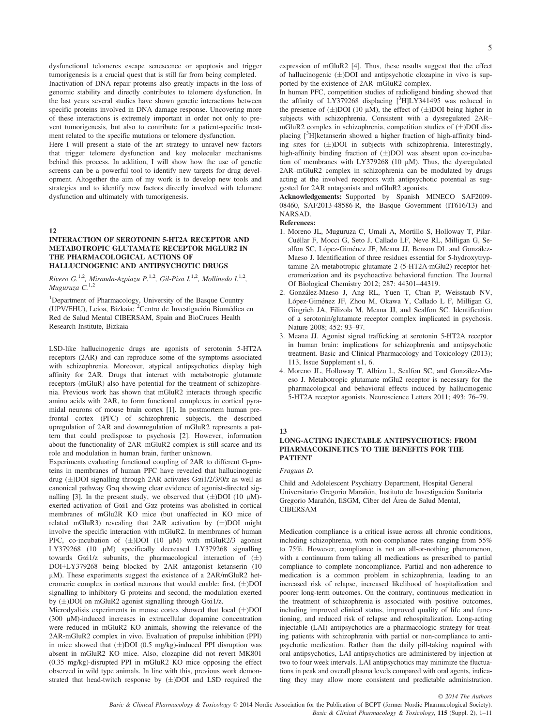dysfunctional telomeres escape senescence or apoptosis and trigger tumorigenesis is a crucial quest that is still far from being completed. Inactivation of DNA repair proteins also greatly impacts in the loss of genomic stability and directly contributes to telomere dysfunction. In the last years several studies have shown genetic interactions between specific proteins involved in DNA damage response. Uncovering more of these interactions is extremely important in order not only to prevent tumorigenesis, but also to contribute for a patient-specific treatment related to the specific mutations or telomere dysfunction.

Here I will present a state of the art strategy to unravel new factors that trigger telomere dysfunction and key molecular mechanisms behind this process. In addition, I will show how the use of genetic screens can be a powerful tool to identify new targets for drug development. Altogether the aim of my work is to develop new tools and strategies and to identify new factors directly involved with telomere dysfunction and ultimately with tumorigenesis.

12

#### INTERACTION OF SEROTONIN 5-HT2A RECEPTOR AND METABOTROPIC GLUTAMATE RECEPTOR MGLUR2 IN THE PHARMACOLOGICAL ACTIONS OF HALLUCINOGENIC AND ANTIPSYCHOTIC DRUGS

Rivero G.<sup>1,2</sup>, Miranda-Azpiazu P.<sup>1,2</sup>, Gil-Pisa I.<sup>1,2</sup>, Mollinedo I.<sup>1,2</sup>, Muguruza  $C^{1,2}$ 

<sup>1</sup>Department of Pharmacology, University of the Basque Country (UPV/EHU), Leioa, Bizkaia; <sup>2</sup>Centro de Investigación Biomédica en Red de Salud Mental CIBERSAM, Spain and BioCruces Health Research Institute, Bizkaia

LSD-like hallucinogenic drugs are agonists of serotonin 5-HT2A receptors (2AR) and can reproduce some of the symptoms associated with schizophrenia. Moreover, atypical antipsychotics display high affinity for 2AR. Drugs that interact with metabotropic glutamate receptors (mGluR) also have potential for the treatment of schizophrenia. Previous work has shown that mGluR2 interacts through specific amino acids with 2AR, to form functional complexes in cortical pyramidal neurons of mouse brain cortex [1]. In postmortem human prefrontal cortex (PFC) of schizophrenic subjects, the described upregulation of 2AR and downregulation of mGluR2 represents a pattern that could predispose to psychosis [2]. However, information about the functionality of 2AR–mGluR2 complex is still scarce and its role and modulation in human brain, further unknown.

Experiments evaluating functional coupling of 2AR to different G-proteins in membranes of human PFC have revealed that hallucinogenic drug ( $\pm$ )DOI signalling through 2AR activates Goi1/2/3/0/z as well as canonical pathway Gaq showing clear evidence of agonist-directed signalling [3]. In the present study, we observed that  $(\pm)$ DOI (10  $\mu$ M)exerted activation of Gai1 and Gaz proteins was abolished in cortical membranes of mGlu2R KO mice (but unaffected in KO mice of related mGluR3) revealing that  $2AR$  activation by  $(\pm)$ DOI might involve the specific interaction with mGluR2. In membranes of human PFC, co-incubation of  $(\pm)$ DOI (10  $\mu$ M) with mGluR2/3 agonist LY379268 (10  $\mu$ M) specifically decreased LY379268 signalling towards Goi1/z subunits, the pharmacological interaction of  $(\pm)$ DOI+LY379268 being blocked by 2AR antagonist ketanserin (10 µM). These experiments suggest the existence of a 2AR/mGluR2 heteromeric complex in cortical neurons that would enable: first,  $(\pm)$ DOI signalling to inhibitory G proteins and second, the modulation exerted by  $(\pm)$ DOI on mGluR2 agonist signalling through Gai1/z.

Microdyalisis experiments in mouse cortex showed that local  $(\pm)$ DOI (300 µM)-induced increases in extracellular dopamine concentration were reduced in mGluR2 KO animals, showing the relevance of the 2AR-mGluR2 complex in vivo. Evaluation of prepulse inhibition (PPI) in mice showed that  $(\pm)$ DOI (0.5 mg/kg)-induced PPI disruption was absent in mGluR2 KO mice. Also, clozapine did not revert MK801 (0.35 mg/kg)-disrupted PPI in mGluR2 KO mice opposing the effect observed in wild type animals. In line with this, previous work demonstrated that head-twitch response by  $(\pm)$ DOI and LSD required the expression of mGluR2 [4]. Thus, these results suggest that the effect of hallucinogenic  $(\pm)$ DOI and antipsychotic clozapine in vivo is supported by the existence of 2AR–mGluR2 complex.

In human PFC, competition studies of radioligand binding showed that the affinity of LY379268 displacing  $[^3$ HJLY341495 was reduced in the presence of  $(\pm)$ DOI (10  $\mu$ M), the effect of  $(\pm)$ DOI being higher in subjects with schizophrenia. Consistent with a dysregulated 2AR– mGluR2 complex in schizophrenia, competition studies of  $(\pm)$ DOI displacing [<sup>3</sup>H]ketanserin showed a higher fraction of high-affinity binding sites for  $(\pm)$ DOI in subjects with schizophrenia. Interestingly, high-affinity binding fraction of  $(\pm)$ DOI was absent upon co-incubation of membranes with LY379268 (10 µM). Thus, the dysregulated 2AR–mGluR2 complex in schizophrenia can be modulated by drugs acting at the involved receptors with antipsychotic potential as suggested for 2AR antagonists and mGluR2 agonists.

Acknowledgements: Supported by Spanish MINECO SAF2009- 08460, SAF2013-48586-R, the Basque Government (IT616/13) and NARSAD.

# References:

- 1. Moreno JL, Muguruza C, Umali A, Mortillo S, Holloway T, Pilar-Cuellar F, Mocci G, Seto J, Callado LF, Neve RL, Milligan G, Sealfon SC, López-Giménez JF, Meana JJ, Benson DL and González-Maeso J. Identification of three residues essential for 5-hydroxytryptamine 2A-metabotropic glutamate 2 (5-HT2A·mGlu2) receptor heteromerization and its psychoactive behavioral function. The Journal Of Biological Chemistry 2012; 287: 44301–44319.
- 2. Gonzalez-Maeso J, Ang RL, Yuen T, Chan P, Weisstaub NV, López-Giménez JF, Zhou M, Okawa Y, Callado L F, Milligan G, Gingrich JA, Filizola M, Meana JJ, and Sealfon SC. Identification of a serotonin/glutamate receptor complex implicated in psychosis. Nature 2008; 452: 93–97.
- 3. Meana JJ. Agonist signal trafficking at serotonin 5-HT2A receptor in human brain: implications for schizophrenia and antipsychotic treatment. Basic and Clinical Pharmacology and Toxicology (2013); 113, Issue Supplement s1, 6.
- 4. Moreno JL, Holloway T, Albizu L, Sealfon SC, and Gonzalez-Maeso J. Metabotropic glutamate mGlu2 receptor is necessary for the pharmacological and behavioral effects induced by hallucinogenic 5-HT2A receptor agonists. Neuroscience Letters 2011; 493: 76–79.

#### 13

# LONG-ACTING INJECTABLE ANTIPSYCHOTICS: FROM PHARMACOKINETICS TO THE BENEFITS FOR THE PATIENT

Fraguas D.

Child and Adolelescent Psychiatry Department, Hospital General Universitario Gregorio Marañón, Instituto de Investigación Sanitaria Gregorio Marañón, IiSGM, Ciber del Área de Salud Mental, CIBERSAM

Medication compliance is a critical issue across all chronic conditions, including schizophrenia, with non-compliance rates ranging from 55% to 75%. However, compliance is not an all-or-nothing phenomenon, with a continuum from taking all medications as prescribed to partial compliance to complete noncompliance. Partial and non-adherence to medication is a common problem in schizophrenia, leading to an increased risk of relapse, increased likelihood of hospitalization and poorer long-term outcomes. On the contrary, continuous medication in the treatment of schizophrenia is associated with positive outcomes, including improved clinical status, improved quality of life and functioning, and reduced risk of relapse and rehospitalization. Long-acting injectable (LAI) antipsychotics are a pharmacologic strategy for treating patients with schizophrenia with partial or non-compliance to antipsychotic medication. Rather than the daily pill-taking required with oral antipsychotics, LAI antipsychotics are administered by injection at two to four week intervals. LAI antipsychotics may minimize the fluctuations in peak and overall plasma levels compared with oral agents, indicating they may allow more consistent and predictable administration.

© 2014 The Authors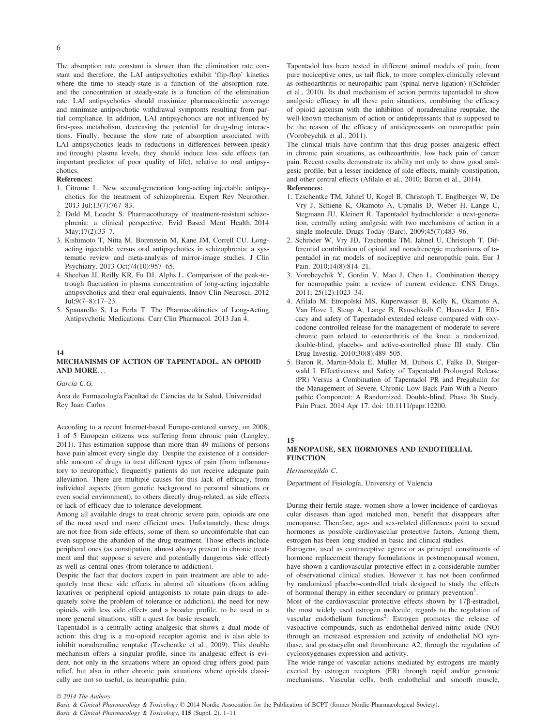The absorption rate constant is slower than the elimination rate constant and therefore, the LAI antipsychotics exhibit 'flip-flop' kinetics where the time to steady-state is a function of the absorption rate, and the concentration at steady-state is a function of the elimination rate. LAI antipsychotics should maximize pharmacokinetic coverage and minimize antipsychotic withdrawal symptoms resulting from partial compliance. In addition, LAI antipsychotics are not influenced by first-pass metabolism, decreasing the potential for drug-drug interactions. Finally, because the slow rate of absorption associated with LAI antipsychotics leads to reductions in differences between (peak) and (trough) plasma levels, they should induce less side effects (an important predictor of poor quality of life), relative to oral antipsychotics.

#### References:

- 1. Citrome L. New second-generation long-acting injectable antipsychotics for the treatment of schizophrenia. Expert Rev Neurother. 2013 Jul;13(7):767–83.
- 2. Dold M, Leucht S. Pharmacotherapy of treatment-resistant schizophrenia: a clinical perspective. Evid Based Ment Health. 2014 May;17(2):33–7.
- 3. Kishimoto T, Nitta M, Borenstein M, Kane JM, Correll CU. Longacting injectable versus oral antipsychotics in schizophrenia: a systematic review and meta-analysis of mirror-image studies. J Clin Psychiatry. 2013 Oct;74(10):957–65.
- 4. Sheehan JJ, Reilly KR, Fu DJ, Alphs L. Comparison of the peak-totrough fluctuation in plasma concentration of long-acting injectable antipsychotics and their oral equivalents. Innov Clin Neurosci. 2012 Jul;9(7–8):17–23.
- 5. Spanarello S, La Ferla T. The Pharmacokinetics of Long-Acting Antipsychotic Medications. Curr Clin Pharmacol. 2013 Jan 4.

#### 14

### MECHANISMS OF ACTION OF TAPENTADOL. AN OPIOID AND MORE...

García C.G.

Área de Farmacología. Facultad de Ciencias de la Salud, Universidad Rey Juan Carlos

According to a recent Internet-based Europe-centered survey, on 2008, 1 of 5 European citizens was suffering from chronic pain (Langley, 2011). This estimation suppose than more than 49 millions of persons have pain almost every single day. Despite the existence of a considerable amount of drugs to treat different types of pain (from inflammatory to neuropathic), frequently patients do not receive adequate pain alleviation. There are multiple causes for this lack of efficacy, from individual aspects (from genetic background to personal situations or even social environment), to others directly drug-related, as side effects or lack of efficacy due to tolerance development.

Among all available drugs to treat chronic severe pain, opioids are one of the most used and more efficient ones. Unfortunately, these drugs are not free from side effects, some of them so uncomfortable that can even suppose the abandon of the drug treatment. Those effects include peripheral ones (as constipation, almost always present in chronic treatment and that suppose a severe and potentially dangerous side effect) as well as central ones (from tolerance to addiction).

Despite the fact that doctors expert in pain treatment are able to adequately treat these side effects in almost all situations (from adding laxatives or peripheral opioid antagonists to rotate pain drugs to adequately solve the problem of tolerance or addiction), the need for new opioids, with less side effects and a broader profile, to be used in a more general situations, still a quest for basic research.

Tapentadol is a centrally acting analgesic that shows a dual mode of action: this drug is a mu-opioid receptor agonist and is also able to inhibit noradrenaline reuptake (Tzschentke et al., 2009). This double mechanism offers a singular profile, since its analgesic effect is evident, not only in the situations where an opioid drug offers good pain relief, but also in other chronic pain situations where opioids classically are not so useful, as neuropathic pain.

Tapentadol has been tested in different animal models of pain, from pure nociceptive ones, as tail flick, to more complex-clinically relevant as ostheoarthritis or neuropathic pain (spinal nerve ligation) ((Schröder et al., 2010). Its dual mechanism of action permits tapentadol to show analgesic efficacy in all these pain situations, combining the efficacy of opioid agonism with the inhibition of noradrenaline reuptake, the well-known mechanism of action or antidepressants that is supposed to be the reason of the efficacy of antidepressants on neuropathic pain (Vorobeychik et al., 2011).

The clinical trials have confirm that this drug posses analgesic effect in chronic pain situations, as ostheoarthritis, low back pain of cancer pain. Recent results demonstrate its ability not only to show good analgesic profile, but a lesser incidence of side effects, mainly constipation, and other central effects (Afilalo et al., 2010; Baron et al., 2014).

#### References:

- 1. Tzschentke TM, Jahnel U, Kogel B, Christoph T, Englberger W, De Vry J, Schiene K, Okamoto A, Upmalis D, Weber H, Lange C, Stegmann JU, Kleinert R. Tapentadol hydrochloride: a next-generation, centrally acting analgesic with two mechanisms of action in a single molecule. Drugs Today (Barc). 2009;45(7):483–96.
- 2. Schröder W, Vry JD, Tzschentke TM, Jahnel U, Christoph T. Differential contribution of opioid and noradrenergic mechanisms of tapentadol in rat models of nociceptive and neuropathic pain. Eur J Pain. 2010;14(8):814–21.
- 3. Vorobeychik Y, Gordin V, Mao J, Chen L. Combination therapy for neuropathic pain: a review of current evidence. CNS Drugs. 2011; 25(12):1023–34.
- 4. Afilalo M, Etropolski MS, Kuperwasser B, Kelly K, Okamoto A, Van Hove I, Steup A, Lange B, Rauschkolb C, Haeussler J. Efficacy and safety of Tapentadol extended release compared with oxycodone controlled release for the management of moderate to severe chronic pain related to osteoarthritis of the knee: a randomized, double-blind, placebo- and active-controlled phase III study. Clin Drug Investig. 2010;30(8):489–505.
- 5. Baron R, Martin-Mola E, Müller M, Dubois C, Falke D, Steigerwald I. Effectiveness and Safety of Tapentadol Prolonged Release (PR) Versus a Combination of Tapentadol PR and Pregabalin for the Management of Severe, Chronic Low Back Pain With a Neuropathic Component: A Randomized, Double-blind, Phase 3b Study. Pain Pract. 2014 Apr 17. doi: 10.1111/papr.12200.

#### 15

#### MENOPAUSE, SEX HORMONES AND ENDOTHELIAL **FUNCTION**

Hermenegildo C.

Department of Fisiología, University of Valencia

During their fertile stage, women show a lower incidence of cardiovascular diseases than aged matched men, benefit that disappears after menopause. Therefore, age- and sex-related differences point to sexual hormones as possible cardiovascular protective factors. Among them, estrogen has been long studied in basic and clinical studies.

Estrogens, used as contraceptive agents or as principal constituents of hormone replacement therapy formulations in postmenopausal women, have shown a cardiovascular protective effect in a considerable number of observational clinical studies. However it has not been confirmed by randomized placebo-controlled trials designed to study the effects of hormonal therapy in either secondary or primary prevention<sup>1</sup>.

Most of the cardiovascular protective effects shown by 17ß-estradiol, the most widely used estrogen molecule, regards to the regulation of vascular endothelium functions<sup>2</sup>. Estrogen promotes the release of vasoactive compounds, such as endothelial-derived nitric oxide (NO) through an increased expression and activity of endothelial NO synthase, and prostacyclin and thromboxane A2, through the regulation of cyclooxygenases expression and activity.

The wide range of vascular actions mediated by estrogens are mainly exerted by estrogen receptors (ER) through rapid and/or genomic mechanisms. Vascular cells, both endothelial and smooth muscle,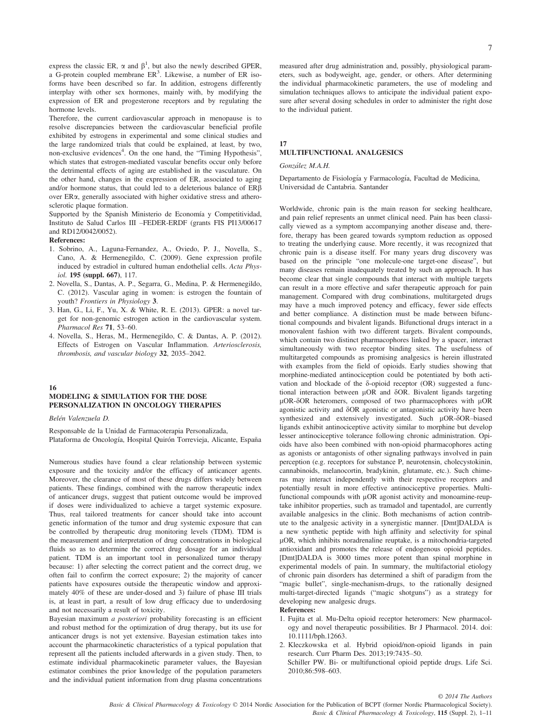express the classic ER,  $\alpha$  and  $\beta^1$ , but also the newly described GPER, a G-protein coupled membrane ER<sup>3</sup>. Likewise, a number of ER isoforms have been described so far. In addition, estrogens differently interplay with other sex hormones, mainly with, by modifying the expression of ER and progesterone receptors and by regulating the hormone levels.

Therefore, the current cardiovascular approach in menopause is to resolve discrepancies between the cardiovascular beneficial profile exhibited by estrogens in experimental and some clinical studies and the large randomized trials that could be explained, at least, by two, non-exclusive evidences<sup>4</sup>. On the one hand, the "Timing Hypothesis", which states that estrogen-mediated vascular benefits occur only before the detrimental effects of aging are established in the vasculature. On the other hand, changes in the expression of ER, associated to aging and/or hormone status, that could led to a deleterious balance of  $ER\beta$ over ERa, generally associated with higher oxidative stress and atherosclerotic plaque formation.

Supported by the Spanish Ministerio de Economía y Competitividad, Instituto de Salud Carlos III –FEDER-ERDF (grants FIS PI13/00617 and RD12/0042/0052).

#### References:

- 1. Sobrino, A., Laguna-Fernandez, A., Oviedo, P. J., Novella, S., Cano, A. & Hermenegildo, C. (2009). Gene expression profile induced by estradiol in cultured human endothelial cells. Acta Physiol. 195 (suppl. 667), 117.
- 2. Novella, S., Dantas, A. P., Segarra, G., Medina, P. & Hermenegildo, C. (2012). Vascular aging in women: is estrogen the fountain of youth? Frontiers in Physiology 3.
- 3. Han, G., Li, F., Yu, X. & White, R. E. (2013). GPER: a novel target for non-genomic estrogen action in the cardiovascular system. Pharmacol Res 71, 53–60.
- 4. Novella, S., Heras, M., Hermenegildo, C. & Dantas, A. P. (2012). Effects of Estrogen on Vascular Inflammation. Arteriosclerosis, thrombosis, and vascular biology 32, 2035–2042.

#### 16

# MODELING & SIMULATION FOR THE DOSE PERSONALIZATION IN ONCOLOGY THERAPIES

Belén Valenzuela D.

Responsable de la Unidad de Farmacoterapia Personalizada, Plataforma de Oncología, Hospital Quirón Torrevieja, Alicante, España

Numerous studies have found a clear relationship between systemic exposure and the toxicity and/or the efficacy of anticancer agents. Moreover, the clearance of most of these drugs differs widely between patients. These findings, combined with the narrow therapeutic index of anticancer drugs, suggest that patient outcome would be improved if doses were individualized to achieve a target systemic exposure. Thus, real tailored treatments for cancer should take into account genetic information of the tumor and drug systemic exposure that can be controlled by therapeutic drug monitoring levels (TDM). TDM is the measurement and interpretation of drug concentrations in biological fluids so as to determine the correct drug dosage for an individual patient. TDM is an important tool in personalized tumor therapy because: 1) after selecting the correct patient and the correct drug, we often fail to confirm the correct exposure; 2) the majority of cancer patients have exposures outside the therapeutic window and approximately 40% of these are under-dosed and 3) failure of phase III trials is, at least in part, a result of low drug efficacy due to underdosing and not necessarily a result of toxicity.

Bayesian maximum a posteriori probability forecasting is an efficient and robust method for the optimization of drug therapy, but its use for anticancer drugs is not yet extensive. Bayesian estimation takes into account the pharmacokinetic characteristics of a typical population that represent all the patients included afterwards in a given study. Then, to estimate individual pharmacokinetic parameter values, the Bayesian estimator combines the prior knowledge of the population parameters and the individual patient information from drug plasma concentrations

measured after drug administration and, possibly, physiological parameters, such as bodyweight, age, gender, or others. After determining the individual pharmacokinetic parameters, the use of modeling and simulation techniques allows to anticipate the individual patient exposure after several dosing schedules in order to administer the right dose to the individual patient.

#### 17 MULTIFUNCTIONAL ANALGESICS

Gonzalez M.A.H.

Departamento de Fisiología y Farmacología, Facultad de Medicina, Universidad de Cantabria. Santander

Worldwide, chronic pain is the main reason for seeking healthcare, and pain relief represents an unmet clinical need. Pain has been classically viewed as a symptom accompanying another disease and, therefore, therapy has been geared towards symptom reduction as opposed to treating the underlying cause. More recently, it was recognized that chronic pain is a disease itself. For many years drug discovery was based on the principle "one molecule-one target-one disease", but many diseases remain inadequately treated by such an approach. It has become clear that single compounds that interact with multiple targets can result in a more effective and safer therapeutic approach for pain management. Compared with drug combinations, multitargeted drugs may have a much improved potency and efficacy, fewer side effects and better compliance. A distinction must be made between bifunctional compounds and bivalent ligands. Bifunctional drugs interact in a monovalent fashion with two different targets. Bivalent compounds, which contain two distinct pharmacophores linked by a spacer, interact simultaneously with two receptor binding sites. The usefulness of multitargeted compounds as promising analgesics is herein illustrated with examples from the field of opioids. Early studies showing that morphine-mediated antinociception could be potentiated by both activation and blockade of the  $\delta$ -opioid receptor (OR) suggested a functional interaction between  $\mu$ OR and  $\delta$ OR. Bivalent ligands targeting  $\mu$ OR- $\delta$ OR heteromers, composed of two pharmacophores with  $\mu$ OR agonistic activity and  $\delta$ OR agonistic or antagonistic activity have been synthesized and extensively investigated. Such µOR- $\delta$ OR–biased ligands exhibit antinociceptive activity similar to morphine but develop lesser antinociceptive tolerance following chronic administration. Opioids have also been combined with non-opioid pharmacophores acting as agonists or antagonists of other signaling pathways involved in pain perception (e.g. receptors for substance P, neurotensin, cholecystokinin, cannabinoids, melanocortin, bradykinin, glutamate, etc.). Such chimeras may interact independently with their respective receptors and potentially result in more effective antinociceptive properties. Multifunctional compounds with µOR agonist activity and monoamine-reuptake inhibitor properties, such as tramadol and tapentadol, are currently available analgesics in the clinic. Both mechanisms of action contribute to the analgesic activity in a synergistic manner. [Dmt]DALDA is a new synthetic peptide with high affinity and selectivity for spinal lOR, which inhibits noradrenaline reuptake, is a mitochondria-targeted antioxidant and promotes the release of endogenous opioid peptides. [Dmt]DALDA is 3000 times more potent than spinal morphine in experimental models of pain. In summary, the multifactorial etiology of chronic pain disorders has determined a shift of paradigm from the "magic bullet", single-mechanism-drugs, to the rationally designed multi-target-directed ligands ("magic shotguns") as a strategy for developing new analgesic drugs.

#### References:

- 1. Fujita et al. Mu-Delta opioid receptor heteromers: New pharmacology and novel therapeutic possibilities. Br J Pharmacol. 2014. doi: 10.1111/bph.12663.
- 2. Kleczkowska et al. Hybrid opioid/non-opioid ligands in pain research. Curr Pharm Des. 2013;19:7435–50.
- Schiller PW. Bi- or multifunctional opioid peptide drugs. Life Sci. 2010;86:598–603.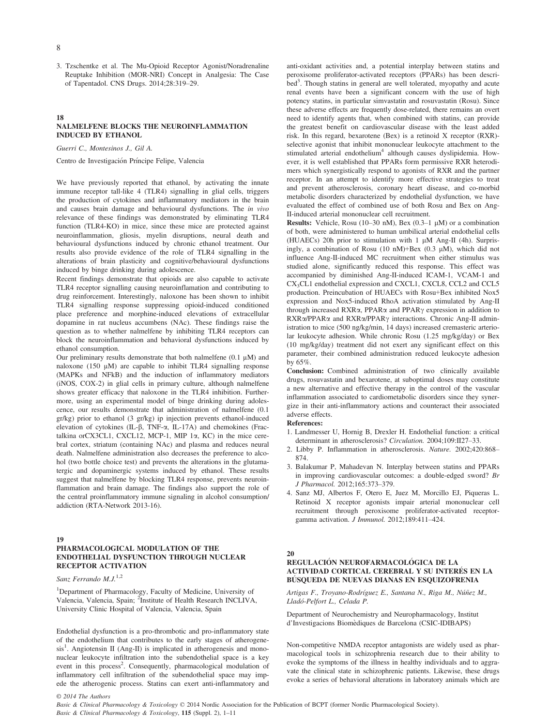3. Tzschentke et al. The Mu-Opioid Receptor Agonist/Noradrenaline Reuptake Inhibition (MOR-NRI) Concept in Analgesia: The Case of Tapentadol. CNS Drugs. 2014;28:319–29.

#### 18 NALMELFENE BLOCKS THE NEUROINFLAMMATION INDUCED BY ETHANOL

Guerri C., Montesinos J., Gil A.

Centro de Investigación Príncipe Felipe, Valencia

We have previously reported that ethanol, by activating the innate immune receptor tall-like 4 (TLR4) signalling in glial cells, triggers the production of cytokines and inflammatory mediators in the brain and causes brain damage and behavioural dysfunctions. The in vivo relevance of these findings was demonstrated by eliminating TLR4 function (TLR4-KO) in mice, since these mice are protected against neuroinflammation, gliosis, myelin disruptions, neural death and behavioural dysfunctions induced by chronic ethanol treatment. Our results also provide evidence of the role of TLR4 signalling in the alterations of brain plasticity and cognitive/behavioural dysfunctions induced by binge drinking during adolescence.

Recent findings demonstrate that opioids are also capable to activate TLR4 receptor signalling causing neuroinflamation and contributing to drug reinforcement. Interestingly, naloxone has been shown to inhibit TLR4 signalling response suppressing opioid-induced conditioned place preference and morphine-induced elevations of extracellular dopamine in rat nucleus accumbens (NAc). These findings raise the question as to whether nalmelfene by inhibiting TLR4 receptors can block the neuroinflammation and behavioral dysfunctions induced by ethanol consumption.

Our preliminary results demonstrate that both nalmelfene  $(0.1 \mu M)$  and naloxone (150  $\mu$ M) are capable to inhibit TLR4 signalling response (MAPKs and NFkB) and the induction of inflammatory mediators (iNOS, COX-2) in glial cells in primary culture, although nalmelfene shows greater efficacy that naloxone in the TLR4 inhibition. Furthermore, using an experimental model of binge drinking during adolescence, our results demonstrate that administration of nalmelfene (0.1 gr/kg) prior to ethanol (3 gr/kg) ip injection prevents ethanol-induced elevation of cytokines (IL- $\beta$ , TNF- $\alpha$ , IL-17A) and chemokines (Fractalkina orCX3CL1, CXCL12, MCP-1, MIP  $1\alpha$ , KC) in the mice cerebral cortex, striatum (containing NAc) and plasma and reduces neural death. Nalmelfene administration also decreases the preference to alcohol (two bottle choice test) and prevents the alterations in the glutamatergic and dopaminergic systems induced by ethanol. These results suggest that nalmelfene by blocking TLR4 response, prevents neuroinflammation and brain damage. The findings also support the role of the central proinflammatory immune signaling in alcohol consumption/ addiction (RTA-Network 2013-16).

#### 19

# PHARMACOLOGICAL MODULATION OF THE ENDOTHELIAL DYSFUNCTION THROUGH NUCLEAR RECEPTOR ACTIVATION

Sanz Ferrando M.J.<sup>1,2</sup>

<sup>1</sup>Department of Pharmacology, Faculty of Medicine, University of Valencia, Valencia, Spain; <sup>2</sup>Institute of Health Research INCLIVA, University Clinic Hospital of Valencia, Valencia, Spain

Endothelial dysfunction is a pro-thrombotic and pro-inflammatory state of the endothelium that contributes to the early stages of atherogenesis<sup>1</sup>. Angiotensin II (Ang-II) is implicated in atherogenesis and mononuclear leukocyte infiltration into the subendothelial space is a key event in this process<sup>2</sup>. Consequently, pharmacological modulation of inflammatory cell infiltration of the subendothelial space may impede the atherogenic process. Statins can exert anti-inflammatory and anti-oxidant activities and, a potential interplay between statins and peroxisome proliferator-activated receptors (PPARs) has been described<sup>3</sup>. Though statins in general are well tolerated, myopathy and acute renal events have been a significant concern with the use of high potency statins, in particular simvastatin and rosuvastatin (Rosu). Since these adverse effects are frequently dose-related, there remains an overt need to identify agents that, when combined with statins, can provide the greatest benefit on cardiovascular disease with the least added risk. In this regard, bexarotene (Bex) is a retinoid X receptor (RXR) selective agonist that inhibit mononuclear leukocyte attachment to the stimulated arterial endothelium<sup>4</sup> although causes dyslipidemia. However, it is well established that PPARs form permissive RXR heterodimers which synergistically respond to agonists of RXR and the partner receptor. In an attempt to identify more effective strategies to treat and prevent atherosclerosis, coronary heart disease, and co-morbid metabolic disorders characterized by endothelial dysfunction, we have evaluated the effect of combined use of both Rosu and Bex on Ang-II-induced arterial mononuclear cell recruitment.

**Results:** Vehicle, Rosu (10–30 nM), Bex (0.3–1  $\mu$ M) or a combination of both, were administered to human umbilical arterial endothelial cells (HUAECs) 20h prior to stimulation with  $1 \mu M$  Ang-II (4h). Surprisingly, a combination of Rosu (10 nM)+Bex (0.3  $\mu$ M), which did not influence Ang-II-induced MC recruitment when either stimulus was studied alone, significantly reduced this response. This effect was accompanied by diminished Ang-II-induced ICAM-1, VCAM-1 and CX3CL1 endothelial expression and CXCL1, CXCL8, CCL2 and CCL5 production. Preincubation of HUAECs with Rosu+Bex inhibited Nox5 expression and Nox5-induced RhoA activation stimulated by Ang-II through increased RXR $\alpha$ , PPAR $\alpha$  and PPAR $\gamma$  expression in addition to RXRa/PPARa and RXRa/PPAR $\gamma$  interactions. Chronic Ang-II administration to mice (500 ng/kg/min, 14 days) increased cremasteric arteriolar leukocyte adhesion. While chronic Rosu (1.25 mg/kg/day) or Bex (10 mg/kg/day) treatment did not exert any significant effect on this parameter, their combined administration reduced leukocyte adhesion by 65%.

Conclusion: Combined administration of two clinically available drugs, rosuvastatin and bexarotene, at suboptimal doses may constitute a new alternative and effective therapy in the control of the vascular inflammation associated to cardiometabolic disorders since they synergize in their anti-inflammatory actions and counteract their associated adverse effects.

References:

- 1. Landmesser U, Hornig B, Drexler H. Endothelial function: a critical determinant in atherosclerosis? Circulation. 2004;109:II27–33.
- 2. Libby P. Inflammation in atherosclerosis. Nature. 2002;420:868– 874.
- 3. Balakumar P, Mahadevan N. Interplay between statins and PPARs in improving cardiovascular outcomes: a double-edged sword? Br J Pharmacol. 2012;165:373–379.
- 4. Sanz MJ, Albertos F, Otero E, Juez M, Morcillo EJ, Piqueras L. Retinoid X receptor agonists impair arterial mononuclear cell recruitment through peroxisome proliferator-activated receptorgamma activation. J Immunol. 2012;189:411–424.

#### 20

# REGULACIÓN NEUROFARMACOLÓGICA DE LA ACTIVIDAD CORTICAL CEREBRAL Y SU INTERES EN LA BUSQUEDA DE NUEVAS DIANAS EN ESQUIZOFRENIA

Artigas F., Troyano-Rodríguez E., Santana N., Riga M., Núñez M., Llado-Pelfort L., Celada P.

Department of Neurochemistry and Neuropharmacology, Institut d'Investigacions Biomediques de Barcelona (CSIC-IDIBAPS)

Non-competitive NMDA receptor antagonists are widely used as pharmacological tools in schizophrenia research due to their ability to evoke the symptoms of the illness in healthy individuals and to aggravate the clinical state in schizophrenic patients. Likewise, these drugs evoke a series of behavioral alterations in laboratory animals which are

© 2014 The Authors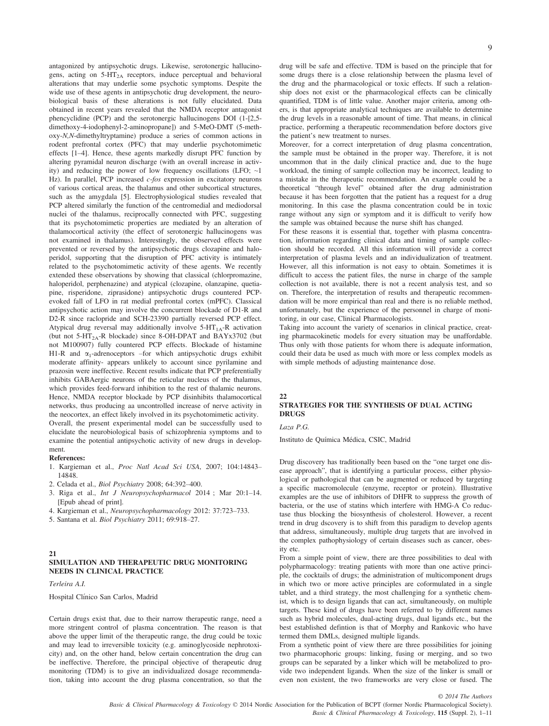antagonized by antipsychotic drugs. Likewise, serotonergic hallucinogens, acting on  $5-HT_{2A}$  receptors, induce perceptual and behavioral alterations that may underlie some psychotic symptoms. Despite the wide use of these agents in antipsychotic drug development, the neurobiological basis of these alterations is not fully elucidated. Data obtained in recent years revealed that the NMDA receptor antagonist phencyclidine (PCP) and the serotonergic hallucinogens DOI (1-[2,5 dimethoxy-4-iodophenyl-2-aminopropane]) and 5-MeO-DMT (5-methoxy-N,N-dimethyltryptamine) produce a series of common actions in rodent prefrontal cortex (PFC) that may underlie psychotomimetic effects [1–4]. Hence, these agents markedly disrupt PFC function by altering pyramidal neuron discharge (with an overall increase in activity) and reducing the power of low frequency oscillations (LFO;  $\sim$ 1 Hz). In parallel, PCP increased  $c$ -fos expression in excitatory neurons of various cortical areas, the thalamus and other subcortical structures, such as the amygdala [5]. Electrophysiological studies revealed that PCP altered similarly the function of the centromedial and mediodorsal nuclei of the thalamus, reciprocally connected with PFC, suggesting that its psychotomimetic properties are mediated by an alteration of thalamocortical activity (the effect of serotonergic hallucinogens was not examined in thalamus). Interestingly, the observed effects were prevented or reversed by the antipsychotic drugs clozapine and haloperidol, supporting that the disruption of PFC activity is intimately related to the psychotomimetic activity of these agents. We recently extended these observations by showing that classical (chlorpromazine, haloperidol, perphenazine) and atypical (clozapine, olanzapine, quetiapine, risperidone, ziprasidone) antipsychotic drugs countered PCPevoked fall of LFO in rat medial prefrontal cortex (mPFC). Classical antipsychotic action may involve the concurrent blockade of D1-R and D2-R since raclopride and SCH-23390 partially reversed PCP effect. Atypical drug reversal may additionally involve  $5-HT<sub>1A</sub>-R$  activation (but not  $5-HT_{2A}$ -R blockade) since 8-OH-DPAT and BAYx3702 (but not M100907) fully countered PCP effects. Blockade of histamine H1-R and  $\alpha_1$ -adrenoceptors –for which antipsychotic drugs exhibit moderate affinity- appears unlikely to account since pyrilamine and prazosin were ineffective. Recent results indicate that PCP preferentially inhibits GABAergic neurons of the reticular nucleus of the thalamus, which provides feed-forward inhibition to the rest of thalamic neurons. Hence, NMDA receptor blockade by PCP disinhibits thalamocortical networks, thus producing aa uncontrolled increase of nerve activity in the neocortex, an effect likely involved in its psychotomimetic activity. Overall, the present experimental model can be successfully used to elucidate the neurobiological basis of schizophrenia symptoms and to examine the potential antipsychotic activity of new drugs in development.

#### References:

- 1. Kargieman et al., Proc Natl Acad Sci USA, 2007; 104:14843– 14848.
- 2. Celada et al., Biol Psychiatry 2008; 64:392–400.
- 3. Riga et al., Int J Neuropsychopharmacol 2014 ; Mar 20:1–14. [Epub ahead of print].
- 4. Kargieman et al., Neuropsychopharmacology 2012: 37:723–733.
- 5. Santana et al. Biol Psychiatry 2011; 69:918–27.

# SIMULATION AND THERAPEUTIC DRUG MONITORING NEEDS IN CLINICAL PRACTICE

Terleira A.I.

21

Hospital Clínico San Carlos, Madrid

Certain drugs exist that, due to their narrow therapeutic range, need a more stringent control of plasma concentration. The reason is that above the upper limit of the therapeutic range, the drug could be toxic and may lead to irreversible toxicity (e.g. aminoglycoside nephrotoxicity) and, on the other hand, below certain concentration the drug can be ineffective. Therefore, the principal objective of therapeutic drug monitoring (TDM) is to give an individualized dosage recommendation, taking into account the drug plasma concentration, so that the 9

drug will be safe and effective. TDM is based on the principle that for some drugs there is a close relationship between the plasma level of the drug and the pharmacological or toxic effects. If such a relationship does not exist or the pharmacological effects can be clinically quantified, TDM is of little value. Another major criteria, among others, is that appropriate analytical techniques are available to determine the drug levels in a reasonable amount of time. That means, in clinical practice, performing a therapeutic recommendation before doctors give the patient's new treatment to nurses.

Moreover, for a correct interpretation of drug plasma concentration, the sample must be obtained in the proper way. Therefore, it is not uncommon that in the daily clinical practice and, due to the huge workload, the timing of sample collection may be incorrect, leading to a mistake in the therapeutic recommendation. An example could be a theoretical "through level" obtained after the drug administration because it has been forgotten that the patient has a request for a drug monitoring. In this case the plasma concentration could be in toxic range without any sign or symptom and it is difficult to verify how the sample was obtained because the nurse shift has changed.

For these reasons it is essential that, together with plasma concentration, information regarding clinical data and timing of sample collection should be recorded. All this information will provide a correct interpretation of plasma levels and an individualization of treatment. However, all this information is not easy to obtain. Sometimes it is difficult to access the patient files, the nurse in charge of the sample collection is not available, there is not a recent analysis test, and so on. Therefore, the interpretation of results and therapeutic recommendation will be more empirical than real and there is no reliable method, unfortunately, but the experience of the personnel in charge of monitoring, in our case, Clinical Pharmacologists.

Taking into account the variety of scenarios in clinical practice, creating pharmacokinetic models for every situation may be unaffordable. Thus only with those patients for whom there is adequate information, could their data be used as much with more or less complex models as with simple methods of adjusting maintenance dose.

#### 22 STRATEGIES FOR THE SYNTHESIS OF DUAL ACTING DRUGS

Laza P.G.

Instituto de Quımica Medica, CSIC, Madrid

Drug discovery has traditionally been based on the "one target one disease approach", that is identifying a particular process, either physiological or pathological that can be augmented or reduced by targeting a specific macromolecule (enzyme, receptor or protein). Illustrative examples are the use of inhibitors of DHFR to suppress the growth of bacteria, or the use of statins which interfere with HMG-A Co reductase thus blocking the biosynthesis of cholesterol. However, a recent trend in drug dscovery is to shift from this paradigm to develop agents that address, simultaneously, multiple drug targets that are involved in the complex pathophysiology of certain diseases such as cancer, obesity etc.

From a simple point of view, there are three possibilities to deal with polypharmacology: treating patients with more than one active principle, the cocktails of drugs; the administration of multicomponent drugs in which two or more active principles are coformulated in a single tablet, and a third strategy, the most challenging for a synthetic chemist, which is to design ligands that can act, simultaneously, on multiple targets. These kind of drugs have been referred to by different names such as hybrid molecules, dual-acting drugs, dual ligands etc., but the best established defintion is that of Morphy and Rankovic who have termed them DMLs, designed multiple ligands.

From a synthetic point of view there are three possibilities for joining two pharmacophoric groups: linking, fusing or merging, and so two groups can be separated by a linker which will be metabolized to provide two independent ligands. When the size of the linker is small or even non existent, the two frameworks are very close or fused. The

Basic & Clinical Pharmacology & Toxicology, 115 (Suppl. 2), 1–11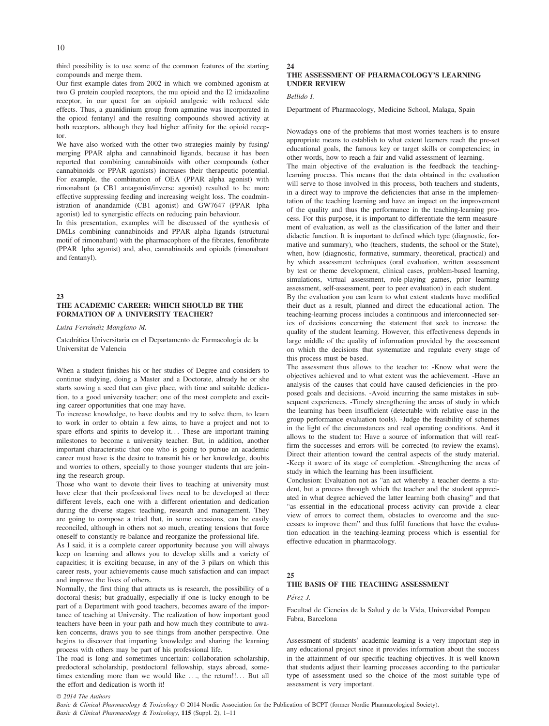10

third possibility is to use some of the common features of the starting compounds and merge them.

Our first example dates from 2002 in which we combined agonism at two G protein coupled receptors, the mu opioid and the I2 imidazoline receptor, in our quest for an oipioid analgesic with reduced side effects. Thus, a guanidinium group from agmatine was incorporated in the opioid fentanyl and the resulting compounds showed activity at both receptors, although they had higher affinity for the opioid receptor.

We have also worked with the other two strategies mainly by fusing/ merging PPAR alpha and cannabinoid ligands, because it has been reported that combining cannabinoids with other compounds (other cannabinoids or PPAR agonists) increases their therapeutic potential. For example, the combination of OEA (PPAR alpha agonist) with rimonabant (a CB1 antagonist/inverse agonist) resulted to be more effective suppressing feeding and increasing weight loss. The coadministration of anandamide (CB1 agonist) and GW7647 (PPAR lpha agonist) led to synergistic effects on reducing pain behaviour.

In this presentation, examples will be discussed of the synthesis of DMLs combining cannabinoids and PPAR alpha ligands (structural motif of rimonabant) with the pharmacophore of the fibrates, fenofibrate (PPAR lpha agonist) and, also, cannabinoids and opioids (rimonabant and fentanyl).

#### $23$ THE ACADEMIC CAREER: WHICH SHOULD BE THE FORMATION OF A UNIVERSITY TEACHER?

Luisa Ferrándiz Manglano M.

Catedrática Universitaria en el Departamento de Farmacología de la Universitat de Valencia

When a student finishes his or her studies of Degree and considers to continue studying, doing a Master and a Doctorate, already he or she starts sowing a seed that can give place, with time and suitable dedication, to a good university teacher; one of the most complete and exciting career opportunities that one may have.

To increase knowledge, to have doubts and try to solve them, to learn to work in order to obtain a few aims, to have a project and not to spare efforts and spirits to develop it... These are important training milestones to become a university teacher. But, in addition, another important characteristic that one who is going to pursue an academic career must have is the desire to transmit his or her knowledge, doubts and worries to others, specially to those younger students that are joining the research group.

Those who want to devote their lives to teaching at university must have clear that their professional lives need to be developed at three different levels, each one with a different orientation and dedication during the diverse stages: teaching, research and management. They are going to compose a triad that, in some occasions, can be easily reconciled, although in others not so much, creating tensions that force oneself to constantly re-balance and reorganize the professional life.

As I said, it is a complete career opportunity because you will always keep on learning and allows you to develop skills and a variety of capacities; it is exciting because, in any of the 3 pilars on which this career rests, your achievements cause much satisfaction and can impact and improve the lives of others.

Normally, the first thing that attracts us is research, the possibility of a doctoral thesis; but gradually, especially if one is lucky enough to be part of a Department with good teachers, becomes aware of the importance of teaching at University. The realization of how important good teachers have been in your path and how much they contribute to awaken concerns, draws you to see things from another perspective. One begins to discover that imparting knowledge and sharing the learning process with others may be part of his professional life.

The road is long and sometimes uncertain: collaboration scholarship, predoctoral scholarship, postdoctoral fellowship, stays abroad, sometimes extending more than we would like ..., the return!!... But all the effort and dedication is worth it!

# THE ASSESSMENT OF PHARMACOLOGY'S LEARNING UNDER REVIEW

Bellido I.

 $24$ 

Department of Pharmacology, Medicine School, Malaga, Spain

Nowadays one of the problems that most worries teachers is to ensure appropriate means to establish to what extent learners reach the pre-set educational goals, the famous key or target skills or competencies; in other words, how to reach a fair and valid assessment of learning. The main objective of the evaluation is the feedback the teachinglearning process. This means that the data obtained in the evaluation will serve to those involved in this process, both teachers and students,

in a direct way to improve the deficiencies that arise in the implementation of the teaching learning and have an impact on the improvement of the quality and thus the performance in the teaching-learning process. For this purpose, it is important to differentiate the term measurement of evaluation, as well as the classification of the latter and their didactic function. It is important to defined which type (diagnostic, formative and summary), who (teachers, students, the school or the State), when, how (diagnostic, formative, summary, theoretical, practical) and by which assessment techniques (oral evaluation, written assessment by test or theme development, clinical cases, problem-based learning, simulations, virtual assessment, role-playing games, prior learning assessment, self-assessment, peer to peer evaluation) in each student.

By the evaluation you can learn to what extent students have modified their duct as a result, planned and direct the educational action. The teaching-learning process includes a continuous and interconnected series of decisions concerning the statement that seek to increase the quality of the student learning. However, this effectiveness depends in large middle of the quality of information provided by the assessment on which the decisions that systematize and regulate every stage of this process must be based.

The assessment thus allows to the teacher to: -Know what were the objectives achieved and to what extent was the achievement. -Have an analysis of the causes that could have caused deficiencies in the proposed goals and decisions. -Avoid incurring the same mistakes in subsequent experiences. -Timely strengthening the areas of study in which the learning has been insufficient (detectable with relative ease in the group performance evaluation tools). -Judge the feasibility of schemes in the light of the circumstances and real operating conditions. And it allows to the student to: Have a source of information that will reaffirm the successes and errors will be corrected (to review the exams). Direct their attention toward the central aspects of the study material. -Keep it aware of its stage of completion. -Strengthening the areas of study in which the learning has been insufficient.

Conclusion: Evaluation not as "an act whereby a teacher deems a student, but a process through which the teacher and the student appreciated in what degree achieved the latter learning both chasing" and that "as essential in the educational process activity can provide a clear view of errors to correct them, obstacles to overcome and the successes to improve them" and thus fulfil functions that have the evaluation education in the teaching-learning process which is essential for effective education in pharmacology.

# 25

## THE BASIS OF THE TEACHING ASSESSMENT

Perez J.

Facultad de Ciencias de la Salud y de la Vida, Universidad Pompeu Fabra, Barcelona

Assessment of students' academic learning is a very important step in any educational project since it provides information about the success in the attainment of our specific teaching objectives. It is well known that students adjust their learning processes according to the particular type of assessment used so the choice of the most suitable type of assessment is very important.

#### © 2014 The Authors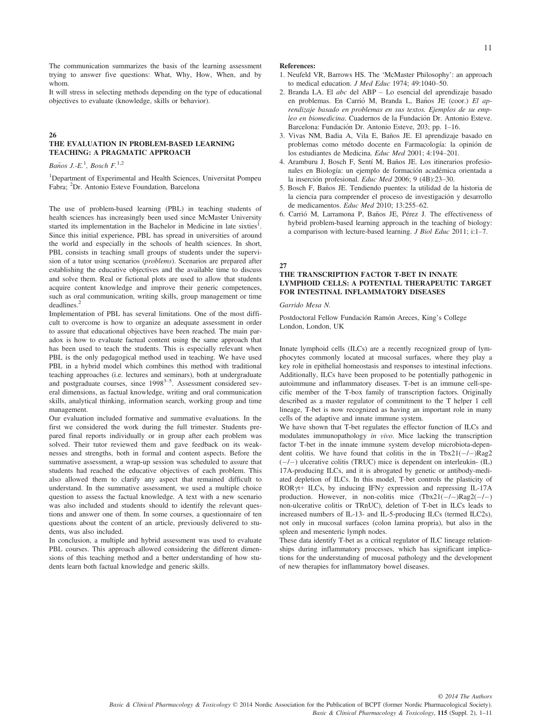The communication summarizes the basis of the learning assessment trying to answer five questions: What, Why, How, When, and by whom.

It will stress in selecting methods depending on the type of educational objectives to evaluate (knowledge, skills or behavior).

#### 26

#### THE EVALUATION IN PROBLEM-BASED LEARNING TEACHING: A PRAGMATIC APPROACH

Baños J.-E.<sup>1</sup>, Bosch F.<sup>1,2</sup>

<sup>1</sup>Department of Experimental and Health Sciences, Universitat Pompeu Fabra; <sup>2</sup>Dr. Antonio Esteve Foundation, Barcelona

The use of problem-based learning (PBL) in teaching students of health sciences has increasingly been used since McMaster University started its implementation in the Bachelor in Medicine in late sixties<sup>1</sup>. Since this initial experience, PBL has spread in universities of around the world and especially in the schools of health sciences. In short, PBL consists in teaching small groups of students under the supervision of a tutor using scenarios (problems). Scenarios are prepared after establishing the educative objectives and the available time to discuss and solve them. Real or fictional plots are used to allow that students acquire content knowledge and improve their generic competences, such as oral communication, writing skills, group management or time deadlines.<sup>2</sup>

Implementation of PBL has several limitations. One of the most difficult to overcome is how to organize an adequate assessment in order to assure that educational objectives have been reached. The main paradox is how to evaluate factual content using the same approach that has been used to teach the students. This is especially relevant when PBL is the only pedagogical method used in teaching. We have used PBL in a hybrid model which combines this method with traditional teaching approaches (i.e. lectures and seminars), both at undergraduate and postgraduate courses, since 1998<sup>3-5</sup>. Assessment considered several dimensions, as factual knowledge, writing and oral communication skills, analytical thinking, information search, working group and time management.

Our evaluation included formative and summative evaluations. In the first we considered the work during the full trimester. Students prepared final reports individually or in group after each problem was solved. Their tutor reviewed them and gave feedback on its weaknesses and strengths, both in formal and content aspects. Before the summative assessment, a wrap-up session was scheduled to assure that students had reached the educative objectives of each problem. This also allowed them to clarify any aspect that remained difficult to understand. In the summative assessment, we used a multiple choice question to assess the factual knowledge. A text with a new scenario was also included and students should to identify the relevant questions and answer one of them. In some courses, a questionnaire of ten questions about the content of an article, previously delivered to students, was also included.

In conclusion, a multiple and hybrid assessment was used to evaluate PBL courses. This approach allowed considering the different dimensions of this teaching method and a better understanding of how students learn both factual knowledge and generic skills.

#### References:

- 1. Neufeld VR, Barrows HS. The 'McMaster Philosophy': an approach to medical education. J Med Educ 1974; 49:1040–50.
- 2. Branda LA. El abc del ABP Lo esencial del aprendizaje basado en problemas. En Carrió M, Branda L, Baños JE (coor.) El aprendizaje basado en problemas en sus textos. Ejemplos de su empleo en biomedicina. Cuadernos de la Fundación Dr. Antonio Esteve. Barcelona: Fundacion Dr. Antonio Esteve, 203; pp. 1–16.
- 3. Vivas NM, Badia A, Vila E, Baños JE. El aprendizaje basado en problemas como método docente en Farmacología: la opinión de los estudiantes de Medicina. Educ Med 2001; 4:194–201.
- 4. Aramburu J, Bosch F, Sentí M, Baños JE. Los itinerarios profesionales en Biología: un ejemplo de formación académica orientada a la inserción profesional. Educ Med 2006; 9 (4B):23-30.
- 5. Bosch F, Baños JE. Tendiendo puentes: la utilidad de la historia de la ciencia para comprender el proceso de investigación y desarrollo de medicamentos. Educ Med 2010; 13:255–62.
- 6. Carrió M, Larramona P, Baños JE, Pérez J. The effectiveness of hybrid problem-based learning approach in the teaching of biology: a comparison with lecture-based learning. J Biol Educ 2011; i:1–7.

# 27

# THE TRANSCRIPTION FACTOR T-BET IN INNATE LYMPHOID CELLS: A POTENTIAL THERAPEUTIC TARGET FOR INTESTINAL INFLAMMATORY DISEASES

Garrido Mesa N.

Postdoctoral Fellow Fundación Ramón Areces, King's College London, London, UK

Innate lymphoid cells (ILCs) are a recently recognized group of lymphocytes commonly located at mucosal surfaces, where they play a key role in epithelial homeostasis and responses to intestinal infections. Additionally, ILCs have been proposed to be potentially pathogenic in autoimmune and inflammatory diseases. T-bet is an immune cell-specific member of the T-box family of transcription factors. Originally described as a master regulator of commitment to the T helper 1 cell lineage, T-bet is now recognized as having an important role in many cells of the adaptive and innate immune system.

We have shown that T-bet regulates the effector function of ILCs and modulates immunopathology in vivo. Mice lacking the transcription factor T-bet in the innate immune system develop microbiota-dependent colitis. We have found that colitis in the in  $Tbx21(-/-)Rag2$  $(-/-)$  ulcerative colitis (TRUC) mice is dependent on interleukin- (IL) 17A-producing ILCs, and it is abrogated by genetic or antibody-mediated depletion of ILCs. In this model, T-bet controls the plasticity of ROR $\gamma t$ + ILCs, by inducing IFN $\gamma$  expression and repressing IL-17A production. However, in non-colitis mice  $(Tbx21(-/-)Rag2(-/-))$ non-ulcerative colitis or TRnUC), deletion of T-bet in ILCs leads to increased numbers of IL-13- and IL-5-producing ILCs (termed ILC2s), not only in mucosal surfaces (colon lamina propria), but also in the spleen and mesenteric lymph nodes.

These data identify T-bet as a critical regulator of ILC lineage relationships during inflammatory processes, which has significant implications for the understanding of mucosal pathology and the development of new therapies for inflammatory bowel diseases.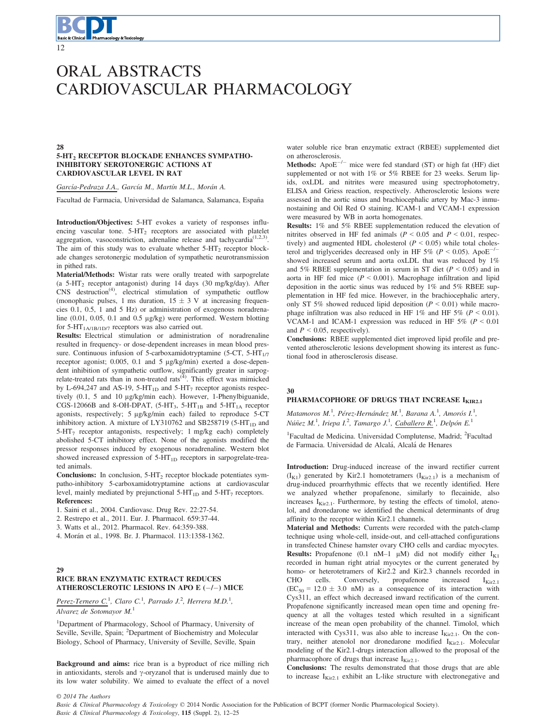# ORAL ABSTRACTS CARDIOVASCULAR PHARMACOLOGY

#### 28 5-HT2 RECEPTOR BLOCKADE ENHANCES SYMPATHO-INHIBITORY SEROTONERGIC ACTIONS AT CARDIOVASCULAR LEVEL IN RAT

García-Pedraza J.A., García M., Martín M.L., Morán A.

Facultad de Farmacia, Universidad de Salamanca, Salamanca, España

Introduction/Objectives: 5-HT evokes a variety of responses influencing vascular tone. 5-HT<sub>2</sub> receptors are associated with platelet aggregation, vasoconstriction, adrenaline release and tachycardia<sup> $(1,2,3)$ </sup>. The aim of this study was to evaluate whether  $5-HT_2$  receptor blockade changes serotonergic modulation of sympathetic neurotransmission in pithed rats.

Material/Methods: Wistar rats were orally treated with sarpogrelate (a  $5-\text{HT}_2$  receptor antagonist) during 14 days (30 mg/kg/day). After CNS destruction<sup>(4)</sup>, electrical stimulation of sympathetic outflow (monophasic pulses, 1 ms duration,  $15 \pm 3$  V at increasing frequencies 0.1, 0.5, 1 and 5 Hz) or administration of exogenous noradrenaline (0.01, 0.05, 0.1 and 0.5 μg/kg) were performed. Western blotting for  $5-HT<sub>1A/1B/1D/7</sub>$  receptors was also carried out.

Results: Electrical stimulation or administration of noradrenaline resulted in frequency- or dose-dependent increases in mean blood pressure. Continuous infusion of 5-carboxamidotryptamine (5-CT, 5-HT $_{1/7}$ ) receptor agonist; 0.005, 0.1 and 5 μg/kg/min) exerted a dose-dependent inhibition of sympathetic outflow, significantly greater in sarpogrelate-treated rats than in non-treated rats $(4)$ . This effect was mimicked by L-694,247 and AS-19, 5-HT<sub>1D</sub> and 5-HT<sub>7</sub> receptor agonists respectively (0.1, 5 and 10 μg/kg/min each). However, 1-Phenylbiguanide, CGS-12066B and 8-OH-DPAT,  $(5-HT_3, 5-HT_{1B})$  and  $5-HT_{1A}$  receptor agonists, respectively; 5 μg/kg/min each) failed to reproduce 5-CT inhibitory action. A mixture of LY310762 and SB258719 (5-HT<sub>1D</sub> and  $5-HT<sub>7</sub>$  receptor antagonists, respectively; 1 mg/kg each) completely abolished 5-CT inhibitory effect. None of the agonists modified the pressor responses induced by exogenous noradrenaline. Western blot showed increased expression of 5-HT<sub>1D</sub> receptors in sarpogrelate-treated animals.

Conclusions: In conclusion,  $5-HT_2$  receptor blockade potentiates sympatho-inhibitory 5-carboxamidotryptamine actions at cardiovascular level, mainly mediated by prejunctional  $5-HT_{1D}$  and  $5-HT_{7}$  receptors. References:

- 1. Saini et al., 2004. Cardiovasc. Drug Rev. 22:27-54.
- 2. Restrepo et al., 2011. Eur. J. Pharmacol. 659:37-44.
- 3. Watts et al., 2012. Pharmacol. Rev. 64:359-388.
- 4. Morán et al., 1998. Br. J. Pharmacol. 113:1358-1362.

### 29 RICE BRAN ENZYMATIC EXTRACT REDUCES ATHEROSCLEROTIC LESIONS IN APO E  $(-/-)$  MICE

Perez-Ternero C.<sup>1</sup>, Claro C.<sup>1</sup>, Parrado J.<sup>2</sup>, Herrera M.D.<sup>1</sup>,

Alvarez de Sotomayor  $M<sup>1</sup>$ 

<sup>1</sup>Department of Pharmacology, School of Pharmacy, University of Seville, Seville, Spain; <sup>2</sup>Department of Biochemistry and Molecular Biology, School of Pharmacy, University of Seville, Seville, Spain

Background and aims: rice bran is a byproduct of rice milling rich in antioxidants, sterols and  $\gamma$ -oryzanol that is underused mainly due to its low water solubility. We aimed to evaluate the effect of a novel water soluble rice bran enzymatic extract (RBEE) supplemented diet on atherosclerosis.

Methods: Apo $E^{-/-}$  mice were fed standard (ST) or high fat (HF) diet supplemented or not with 1% or 5% RBEE for 23 weeks. Serum lipids, oxLDL and nitrites were measured using spectrophotometry, ELISA and Griess reaction, respectively. Atherosclerotic lesions were assessed in the aortic sinus and brachiocephalic artery by Mac-3 inmunostaining and Oil Red O staining. ICAM-1 and VCAM-1 expression were measured by WB in aorta homogenates.

Results: 1% and 5% RBEE supplementation reduced the elevation of nitrites observed in HF fed animals ( $P < 0.05$  and  $P < 0.01$ , respectively) and augmented HDL cholesterol  $(P < 0.05)$  while total cholesterol and triglycerides decreased only in HF 5% ( $P \le 0.05$ ). ApoE<sup>-/</sup> showed increased serum and aorta oxLDL that was reduced by 1% and 5% RBEE supplementation in serum in ST diet ( $P < 0.05$ ) and in aorta in HF fed mice ( $P < 0.001$ ). Macrophage infiltration and lipid deposition in the aortic sinus was reduced by 1% and 5% RBEE supplementation in HF fed mice. However, in the brachiocephalic artery, only ST 5% showed reduced lipid deposition ( $P < 0.01$ ) while macrophage infiltration was also reduced in HF 1% and HF 5% ( $P < 0.01$ ). VCAM-1 and ICAM-1 expression was reduced in HF 5% ( $P < 0.01$ ) and  $P < 0.05$ , respectively).

Conclusions: RBEE supplemented diet improved lipid profile and prevented atherosclerotic lesions development showing its interest as functional food in atherosclerosis disease.

### 30

# PHARMACOPHORE OF DRUGS THAT INCREASE I<sub>KIR2.1</sub>

Matamoros M.<sup>1</sup>, Pérez-Hernández M.<sup>1</sup>, Barana A.<sup>1</sup>, Amorós I.<sup>1</sup>, Núñez M.<sup>1</sup>, Iriepa I.<sup>2</sup>, Tamargo J.<sup>1</sup>, Caballero R.<sup>1</sup>, Delpón E.<sup>1</sup>

<sup>1</sup>Facultad de Medicina. Universidad Complutense, Madrid; <sup>2</sup>Facultad de Farmacia. Universidad de Alcalá, Alcalá de Henares

Introduction: Drug-induced increase of the inward rectifier current  $(I_{K1})$  generated by Kir2.1 homotetramers  $(I_{Kir2.1})$  is a mechanism of drug-induced proarrhythmic effects that we recently identified. Here we analyzed whether propafenone, similarly to flecainide, also increases  $I_{\text{Kir2.1}}$ . Furthermore, by testing the effects of timolol, atenolol, and dronedarone we identified the chemical determinants of drug affinity to the receptor within Kir2.1 channels.

Material and Methods: Currents were recorded with the patch-clamp technique using whole-cell, inside-out, and cell-attached configurations in transfected Chinese hamster ovary CHO cells and cardiac myocytes. **Results:** Propafenone (0.1 nM–1  $\mu$ M) did not modify either  $I_{K1}$ recorded in human right atrial myocytes or the current generated by homo- or heterotetramers of Kir2.2 and Kir2.3 channels recorded in CHO cells. Conversely, propafenone increased  $I_{\text{Kir2.1}}$  $(EC_{50} = 12.0 \pm 3.0 \text{ nM})$  as a consequence of its interaction with Cys311, an effect which decreased inward rectification of the current. Propafenone significantly increased mean open time and opening frequency at all the voltages tested which resulted in a significant increase of the mean open probability of the channel. Timolol, which interacted with Cys311, was also able to increase  $I_{\text{Kir2.1}}$ . On the contrary, neither atenolol nor dronedarone modified IKir2.1. Molecular modeling of the Kir2.1-drugs interaction allowed to the proposal of the pharmacophore of drugs that increase  $I_{\text{Ki}r2.1}$ .

Conclusions: The results demonstrated that those drugs that are able to increase  $I_{\text{Kir2.1}}$  exhibit an L-like structure with electronegative and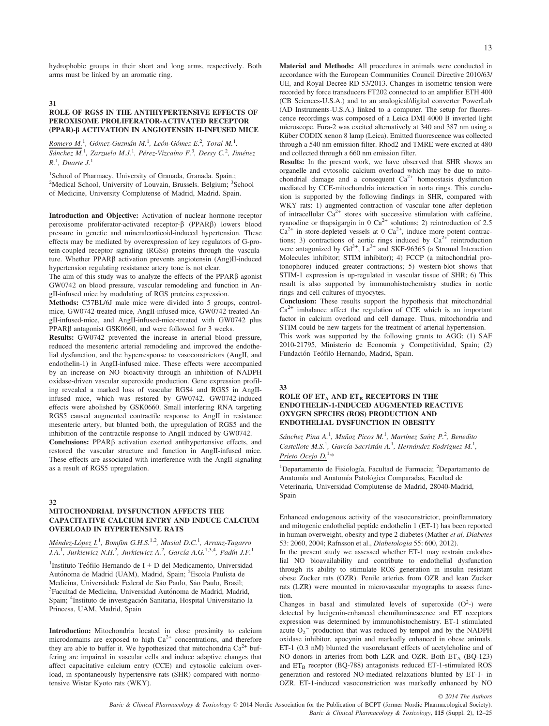hydrophobic groups in their short and long arms, respectively. Both arms must be linked by an aromatic ring.

#### 31

#### ROLE OF RGS5 IN THE ANTIHYPERTENSIVE EFFECTS OF PEROXISOME PROLIFERATOR-ACTIVATED RECEPTOR (PPAR)-b ACTIVATION IN ANGIOTENSIN II-INFUSED MICE

Romero M.<sup>1</sup>, Gómez-Guzmán M.<sup>1</sup>, León-Gómez E.<sup>2</sup>, Toral M.<sup>1</sup>, Sánchez M.<sup>1</sup>, Zarzuelo M.J.<sup>1</sup>, Pérez-Vizcaíno F.<sup>3</sup>, Dessy C.<sup>2</sup>, Jiménez  $R<sup>1</sup>$ , Duarte J.<sup>1</sup>

<sup>1</sup>School of Pharmacy, University of Granada, Granada. Spain.; <sup>2</sup>Medical School, University of Louvain, Brussels. Belgium; <sup>3</sup>School of Medicine, University Complutense of Madrid, Madrid. Spain.

Introduction and Objective: Activation of nuclear hormone receptor peroxisome proliferator-activated receptor- $\beta$  (PPAR $\beta$ ) lowers blood pressure in genetic and mineralcorticoid-induced hypertension. These effects may be mediated by overexpression of key regulators of G-protein-coupled receptor signaling (RGSs) proteins through the vasculature. Whether PPAR $\beta$  activation prevents angiotensin (Ang)II-induced hypertension regulating resistance artery tone is not clear.

The aim of this study was to analyze the effects of the PPAR $\beta$  agonist GW0742 on blood pressure, vascular remodeling and function in AngII-infused mice by modulating of RGS proteins expression.

Methods: C57BL/6J male mice were divided into 5 groups, controlmice, GW0742-treated-mice, AngII-infused-mice, GW0742-treated-AngII-infused-mice, and AngII-infused-mice-treated with GW0742 plus PPAR $\beta$  antagonist GSK0660, and were followed for 3 weeks.

Results: GW0742 prevented the increase in arterial blood pressure, reduced the mesenteric arterial remodeling and improved the endothelial dysfunction, and the hyperresponse to vasoconstrictors (AngII, and endothelin-1) in AngII-infused mice. These effects were accompanied by an increase on NO bioactivity through an inhibition of NADPH oxidase-driven vascular superoxide production. Gene expression profiling revealed a marked loss of vascular RGS4 and RGS5 in AngIIinfused mice, which was restored by GW0742. GW0742-induced effects were abolished by GSK0660. Small interfering RNA targeting RGS5 caused augmented contractile response to AngII in resistance mesenteric artery, but blunted both, the upregulation of RGS5 and the inhibition of the contractile response to AngII induced by GW0742.

Conclusions: PPAR $\beta$  activation exerted antihypertensive effects, and restored the vascular structure and function in AngII-infused mice. These effects are associated with interference with the AngII signaling as a result of RGS5 upregulation.

#### 32

### MITOCHONDRIAL DYSFUNCTION AFFECTS THE CAPACITATIVE CALCIUM ENTRY AND INDUCE CALCIUM OVERLOAD IN HYPERTENSIVE RATS

# Méndez-López I.<sup>1</sup>, Bomfim G.H.S.<sup>1,2</sup>, Musial D.C.<sup>1</sup>, Arranz-Tagarro  $\overline{J.A.}$ <sup>1</sup>, Jurkiewicz N.H.<sup>2</sup>, Jurkiewicz A.<sup>2</sup>, García A.G.<sup>1,3,4</sup>, Padín J.F.<sup>1</sup>

<sup>1</sup>Instituto Teófilo Hernando de I + D del Medicamento, Universidad Autónoma de Madrid (UAM), Madrid, Spain; <sup>2</sup>Escola Paulista de Medicina, Universidade Federal de São Paulo, São Paulo, Brasil; Facultad de Medicina, Universidad Autónoma de Madrid, Madrid, Spain; <sup>4</sup>Instituto de investigación Sanitaria, Hospital Universitario la Princesa, UAM, Madrid, Spain

Introduction: Mitochondria located in close proximity to calcium microdomains are exposed to high Ca<sup>2+</sup> concentrations, and therefore they are able to buffer it. We hypothesized that mitochondria  $Ca^{2+}$  buffering are impaired in vascular cells and induce adaptive changes that affect capacitative calcium entry (CCE) and cytosolic calcium overload, in spontaneously hypertensive rats (SHR) compared with normotensive Wistar Kyoto rats (WKY).

Material and Methods: All procedures in animals were conducted in accordance with the European Communities Council Directive 2010/63/ UE, and Royal Decree RD 53/2013. Changes in isometric tension were recorded by force transducers FT202 connected to an amplifier ETH 400 (CB Sciences-U.S.A.) and to an analogical/digital converter PowerLab (AD Instruments-U.S.A.) linked to a computer. The setup for fluorescence recordings was composed of a Leica DMI 4000 B inverted light microscope. Fura-2 was excited alternatively at 340 and 387 nm using a Küber CODIX xenon 8 lamp (Leica). Emitted fluorescence was collected through a 540 nm emission filter. Rhod2 and TMRE were excited at 480 and collected through a 660 nm emission filter.

Results: In the present work, we have observed that SHR shows an organelle and cytosolic calcium overload which may be due to mito-chondrial damage and a consequent  $Ca<sup>2+</sup>$  homeostasis dysfunction mediated by CCE-mitochondria interaction in aorta rings. This conclusion is supported by the following findings in SHR, compared with WKY rats: 1) augmented contraction of vascular tone after depletion of intracellular  $Ca^{2+}$  stores with successive stimulation with caffeine, ryanodine or thapsigargin in 0  $Ca^{2+}$  solutions; 2) reintroduction of 2.5  $Ca^{2+}$  in store-depleted vessels at 0  $Ca^{2+}$ , induce more potent contractions; 3) contractions of aortic rings induced by  $Ca^{2+}$  reintroduction were antagonized by  $Gd^{3+}$ ,  $La^{3+}$  and SKF-96365 (a Stromal Interaction Molecules inhibitor; STIM inhibitor); 4) FCCP (a mitochondrial protonophore) induced greater contractions; 5) western-blot shows that STIM-1 expression is up-regulated in vascular tissue of SHR; 6) This result is also supported by immunohistochemistry studies in aortic rings and cell cultures of myocytes.

Conclusion: These results support the hypothesis that mitochondrial  $Ca<sup>2+</sup>$  imbalance affect the regulation of CCE which is an important factor in calcium overload and cell damage. Thus, mitochondria and STIM could be new targets for the treatment of arterial hypertension. This work was supported by the following grants to AGG: (1) SAF 2010-21795, Ministerio de Economía y Competitividad, Spain; (2) Fundación Teófilo Hernando, Madrid, Spain.

33

#### ROLE OF  $ET_A$  and  $ET_B$  receptors in the ENDOTHELIN-1-INDUCED AUGMENTED REACTIVE OXYGEN SPECIES (ROS) PRODUCTION AND ENDOTHELIAL DYSFUNCTION IN OBESITY

Sánchez Pina A.<sup>1</sup>, Muñoz Picos M.<sup>1</sup>, Martínez Saínz P.<sup>2</sup>, Benedito Castellote M.S.<sup>1</sup>, García-Sacristán A.<sup>1</sup>, Hernández Rodriguez M.<sup>1</sup>, Prieto Ocejo  $D^{1,*}$ 

<sup>1</sup>Departamento de Fisiología, Facultad de Farmacia; <sup>2</sup>Departamento de Anatomía and Anatomía Patológica Comparadas, Facultad de Veterinaria, Universidad Complutense de Madrid, 28040-Madrid, Spain

Enhanced endogenous activity of the vasoconstrictor, proinflammatory and mitogenic endothelial peptide endothelin 1 (ET-1) has been reported in human overweight, obesity and type 2 diabetes (Mather et al, Diabetes 53: 2060, 2004; Rafnsson et al., Diabetologia 55: 600, 2012).

In the present study we assessed whether ET-1 may restrain endothelial NO bioavailability and contribute to endothelial dysfunction through its ability to stimulate ROS generation in insulin resistant obese Zucker rats (OZR). Penile arteries from OZR and lean Zucker rats (LZR) were mounted in microvascular myographs to assess function.

Changes in basal and stimulated levels of superoxide  $(O<sup>2</sup>-)$  were detected by lucigenin-enhanced chemiluminescence and ET receptors expression was determined by immunohistochemistry. ET-1 stimulated acute  $O_2$ <sup>-</sup> production that was reduced by tempol and by the NADPH oxidase inhibitor, apocynin and markedly enhanced in obese animals. ET-1 (0.3 nM) blunted the vasorelaxant effects of acetylcholine and of NO donors in arteries from both LZR and OZR. Both  $ET_A$  (BQ-123) and  $ET_B$  receptor (BQ-788) antagonists reduced ET-1-stimulated ROS generation and restored NO-mediated relaxations blunted by ET-1- in OZR. ET-1-induced vasoconstriction was markedly enhanced by NO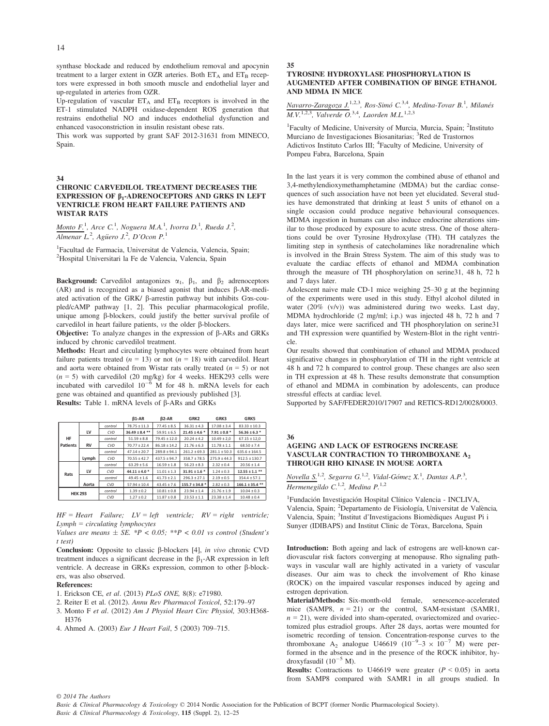synthase blockade and reduced by endothelium removal and apocynin treatment to a larger extent in OZR arteries. Both  $ET_A$  and  $ET_B$  receptors were expressed in both smooth muscle and endothelial layer and up-regulated in arteries from OZR.

Up-regulation of vascular  $ET_A$  and  $ET_B$  receptors is involved in the ET-1 stimulated NADPH oxidase-dependent ROS generation that restrains endothelial NO and induces endothelial dysfunction and enhanced vasoconstriction in insulin resistant obese rats.

This work was supported by grant SAF 2012-31631 from MINECO, Spain.

#### 34

#### CHRONIC CARVEDILOL TREATMENT DECREASES THE EXPRESSION OF  $\beta_1$ -ADRENOCEPTORS AND GRKS IN LEFT VENTRICLE FROM HEART FAILURE PATIENTS AND WISTAR RATS

Monto F.<sup>1</sup>, Arce C.<sup>1</sup>, Noguera M.A.<sup>1</sup>, Ivorra D.<sup>1</sup>, Rueda J.<sup>2</sup>, Almenar L.<sup>2</sup>, Agüero J.<sup>2</sup>, D'Ocon P.<sup>1</sup>

<sup>1</sup>Facultad de Farmacia, Universitat de Valencia, Valencia, Spain; 2 Hospital Universitari la Fe de Valencia, Valencia, Spain

**Background:** Carvedilol antagonizes  $\alpha_1$ ,  $\beta_1$ , and  $\beta_2$  adrenoceptors  $(AR)$  and is recognized as a biased agonist that induces  $\beta$ -AR-mediated activation of the GRK/  $\beta$ -arrestin pathway but inhibits Gos-coupled/cAMP pathway [1, 2]. This peculiar pharmacological profile, unique among  $\beta$ -blockers, could justify the better survival profile of carvedilol in heart failure patients,  $\nu s$  the older  $\beta$ -blockers.

**Objective:** To analyze changes in the expression of  $\beta$ -ARs and GRKs induced by chronic carvedilol treatment.

Methods: Heart and circulating lymphocytes were obtained from heart failure patients treated ( $n = 13$ ) or not ( $n = 18$ ) with carvedilol. Heart and aorta were obtained from Wistar rats orally treated  $(n = 5)$  or not  $(n = 5)$  with carvedilol (20 mg/kg) for 4 weeks. HEK293 cells were incubated with carvedilol  $10^{-6}$  M for 48 h. mRNA levels for each gene was obtained and quantified as previously published [3]. Results: Table 1. mRNA levels of  $\beta$ -ARs and GRKs

|                |           |         | $B1-AR$            | <b>B2-AR</b>     | GRK2               | GRK3             | GRK5                |
|----------------|-----------|---------|--------------------|------------------|--------------------|------------------|---------------------|
|                |           | control | $78.75 \pm 11.3$   | $77.45 \pm 8.5$  | $36.31 \pm 4.3$    | $17.08 \pm 3.4$  | $83.33 \pm 10.3$    |
| HF<br>Patients | LV        | CVD     | $36.49 \pm 8.4$ ** | $59.91 \pm 6.5$  | $21.45 \pm 4.6$ *  | $7.91 \pm 0.8$ * | $56.36 \pm 6.3$ *   |
|                |           | control | $51.59 \pm 8.8$    | $79.45 \pm 12.0$ | $20.24 \pm 4.2$    | $10.49 \pm 2.0$  | $67.15 \pm 12.0$    |
|                | <b>RV</b> | CVD     | $70.77 \pm 22.4$   | $86.18 \pm 14.2$ | $21.76 \pm 6.3$    | $11.78 \pm 1.1$  | $68.50 \pm 7.4$     |
|                |           | control | $47.14 \pm 20.7$   | $289.8 \pm 94.1$ | $261.2 \pm 69.3$   | $281.1 \pm 50.3$ | $635.6 \pm 164.5$   |
|                | Lymph     | CVD     | $70.55 \pm 42.7$   | $437.5 \pm 94.7$ | $358.7 \pm 78.5$   | $275.9 \pm 44.3$ | $912.5 \pm 130.7$   |
| Rats           |           | control | $63.29 \pm 5.6$    | $16.59 \pm 1.8$  | $56.23 \pm 8.3$    | $2.32 \pm 0.4$   | $20.56 \pm 1.4$     |
|                | LV        | CVD     | $44.11 \pm 4.0$ *  | $11.01 \pm 1.3$  | $31.91 \pm 1.6$ *  | $1.24 \pm 0.3$   | $12.55 \pm 1.1$ **  |
|                |           | control | $49.45 \pm 1.6$    | $41.73 \pm 2.1$  | $296.3 \pm 27.1$   | $2.19 \pm 0.5$   | $354.4 \pm 57.1$    |
|                | Aorta     | CVD     | $57.94 \pm 10.4$   | $43.45 \pm 7.6$  | $155.7 \pm 34.8$ * | $2.82 \pm 0.3$   | $166.1 \pm 35.4$ ** |
| <b>HEK 293</b> |           | control | $1.39 \pm 0.2$     | $10.81 \pm 0.8$  | $23.94 \pm 1.4$    | $21.76 \pm 1.9$  | $10.04 \pm 0.3$     |
|                |           | CVD     | $1.27 \pm 0.2$     | $11.87 \pm 0.8$  | $23.53 \pm 1.1$    | $23.38 \pm 1.4$  | $10.48 \pm 0.4$     |

 $HF = Heart$  Failure;  $LV = left$  ventricle;  $RV = right$  ventricle;  $Lymph = circulating \; lymphocytes$ 

Values are means  $\pm$  SE. \*P < 0.05; \*\*P < 0.01 vs control (Student's t test)

Conclusion: Opposite to classic  $\beta$ -blockers [4], in vivo chronic CVD treatment induces a significant decrease in the  $\beta_1$ -AR expression in left ventricle. A decrease in GRKs expression, common to other  $\beta$ -blockers, was also observed.

#### References:

- 1. Erickson CE, et al. (2013) PLoS ONE, 8(8): e71980.
- 2. Reiter E et al. (2012). Annu Rev Pharmacol Toxicol, 52:179–97
- 3. Monto F et al. (2012) Am J Physiol Heart Circ Physiol, 303:H368- H376
- 4. Ahmed A. (2003) Eur J Heart Fail, 5 (2003) 709–715.

# 35

### TYROSINE HYDROXYLASE PHOSPHORYLATION IS AUGMENTED AFTER COMBINATION OF BINGE ETHANOL AND MDMA IN MICE

Navarro-Zaragoza J.<sup>1,2,3</sup>, Ros-Simó C.<sup>3,4</sup>, Medina-Tovar B.<sup>1</sup>, Milanés  $M.V.^{1,2,3}$ , Valverde O.<sup>3,4</sup>, Laorden M.L.<sup>1,2,3</sup>

<sup>1</sup>Faculty of Medicine, University of Murcia, Murcia, Spain; <sup>2</sup>Instituto Murciano de Investigaciones Biosanitarias; <sup>3</sup>Red de Trastornos Adictivos Instituto Carlos III; <sup>4</sup> Faculty of Medicine, University of Pompeu Fabra, Barcelona, Spain

In the last years it is very common the combined abuse of ethanol and 3,4-methylendioxymethamphetamine (MDMA) but the cardiac consequences of such association have not been yet elucidated. Several studies have demonstrated that drinking at least 5 units of ethanol on a single occasion could produce negative behavioural consequences. MDMA ingestion in humans can also induce endocrine alterations similar to those produced by exposure to acute stress. One of those alterations could be over Tyrosine Hydroxylase (TH). TH catalyzes the limiting step in synthesis of catecholamines like noradrenaline which is involved in the Brain Stress System. The aim of this study was to evaluate the cardiac effects of ethanol and MDMA combination through the measure of TH phosphorylation on serine31, 48 h, 72 h and 7 days later.

Adolescent naive male CD-1 mice weighing 25–30 g at the beginning of the experiments were used in this study. Ethyl alcohol diluted in water (20% (v/v)) was administered during two weeks. Last day, MDMA hydrochloride (2 mg/ml; i.p.) was injected 48 h, 72 h and 7 days later, mice were sacrificed and TH phosphorylation on serine31 and TH expression were quantified by Western-Blot in the right ventricle.

Our results showed that combination of ethanol and MDMA produced significative changes in phosphorylation of TH in the right ventricle at 48 h and 72 h compared to control group. These changes are also seen in TH expression at 48 h. These results demonstrate that consumption of ethanol and MDMA in combination by adolescents, can produce stressful effects at cardiac level.

Supported by SAF/FEDER2010/17907 and RETICS-RD12/0028/0003.

#### 36

# AGEING AND LACK OF ESTROGENS INCREASE VASCULAR CONTRACTION TO THROMBOXANE A2 THROUGH RHO KINASE IN MOUSE AORTA

Novella  $S^{1,2}$ , Segarra G.<sup>1,2</sup>, Vidal-Gómez X.<sup>1</sup>, Dantas A.P.<sup>3</sup>, Hermenegildo  $C^{1,2}$ , Medina P.<sup>1,2</sup>

<sup>1</sup>Fundación Investigación Hospital Clínico Valencia - INCLIVA, Valencia, Spain; <sup>2</sup>Departamento de Fisiología, Universitat de València, Valencia, Spain; <sup>3</sup>Institut d'Investigacions Biomèdiques August Pi i Sunyer (IDIBAPS) and Institut Clinic de Torax, Barcelona, Spain

Introduction: Both ageing and lack of estrogens are well-known cardiovascular risk factors converging at menopause. Rho signaling pathways in vascular wall are highly activated in a variety of vascular diseases. Our aim was to check the involvement of Rho kinase (ROCK) on the impaired vascular responses induced by ageing and estrogen deprivation.

Material/Methods: Six-month-old female, senescence-accelerated mice (SAMP8,  $n = 21$ ) or the control, SAM-resistant (SAMR1,  $n = 21$ , were divided into sham-operated, ovariectomized and ovariectomized plus estradiol groups. After 28 days, aortas were mounted for isometric recording of tension. Concentration-response curves to the thromboxane A<sub>2</sub> analogue U46619 ( $10^{-9}$ –3  $\times$   $10^{-7}$  M) were performed in the absence and in the presence of the ROCK inhibitor, hydroxyfasudil  $(10^{-5}$  M).

**Results:** Contractions to U46619 were greater  $(P < 0.05)$  in aorta from SAMP8 compared with SAMR1 in all groups studied. In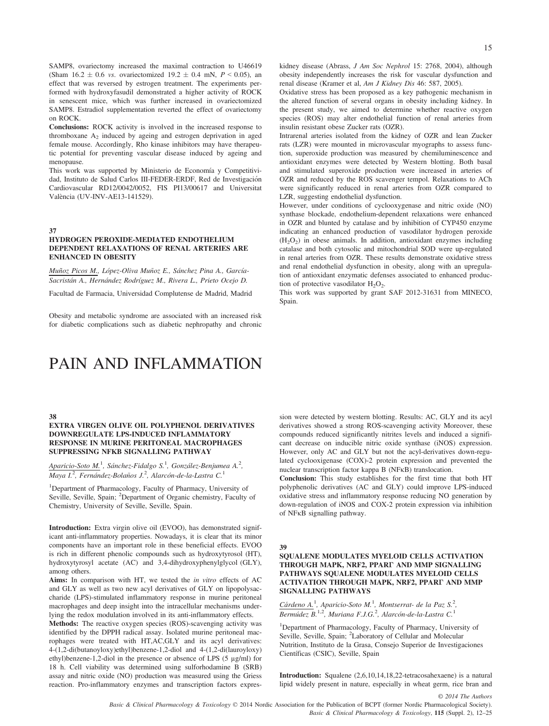SAMP8, ovariectomy increased the maximal contraction to U46619 (Sham 16.2  $\pm$  0.6 *vs.* ovariectomized 19.2  $\pm$  0.4 mN, *P* < 0.05), an effect that was reversed by estrogen treatment. The experiments performed with hydroxyfasudil demonstrated a higher activity of ROCK in senescent mice, which was further increased in ovariectomized SAMP8. Estradiol supplementation reverted the effect of ovariectomy on ROCK.

Conclusions: ROCK activity is involved in the increased response to thromboxane  $A_2$  induced by ageing and estrogen deprivation in aged female mouse. Accordingly, Rho kinase inhibitors may have therapeutic potential for preventing vascular disease induced by ageing and menopause.

This work was supported by Ministerio de Economía y Competitividad, Instituto de Salud Carlos III-FEDER-ERDF, Red de Investigación Cardiovascular RD12/0042/0052, FIS PI13/00617 and Universitat València (UV-INV-AE13-141529).

37

#### HYDROGEN PEROXIDE-MEDIATED ENDOTHELIUM DEPENDENT RELAXATIONS OF RENAL ARTERIES ARE ENHANCED IN OBESITY

Muñoz Picos M., López-Oliva Muñoz E., Sánchez Pina A., García-Sacristán A., Hernández Rodríguez M., Rivera L., Prieto Ocejo D.

Facultad de Farmacia, Universidad Complutense de Madrid, Madrid

Obesity and metabolic syndrome are associated with an increased risk for diabetic complications such as diabetic nephropathy and chronic

# PAIN AND INFLAMMATION

15

kidney disease (Abrass, J Am Soc Nephrol 15: 2768, 2004), although obesity independently increases the risk for vascular dysfunction and renal disease (Kramer et al, Am J Kidney Dis 46: 587, 2005).

Oxidative stress has been proposed as a key pathogenic mechanism in the altered function of several organs in obesity including kidney. In the present study, we aimed to determine whether reactive oxygen species (ROS) may alter endothelial function of renal arteries from insulin resistant obese Zucker rats (OZR).

Intrarenal arteries isolated from the kidney of OZR and lean Zucker rats (LZR) were mounted in microvascular myographs to assess function, superoxide production was measured by chemiluminescence and antioxidant enzymes were detected by Western blotting. Both basal and stimulated superoxide production were increased in arteries of OZR and reduced by the ROS scavenger tempol. Relaxations to ACh were significantly reduced in renal arteries from OZR compared to LZR, suggesting endothelial dysfunction.

However, under conditions of cyclooxygenase and nitric oxide (NO) synthase blockade, endothelium-dependent relaxations were enhanced in OZR and blunted by catalase and by inhibition of CYP450 enzyme indicating an enhanced production of vasodilator hydrogen peroxide  $(H<sub>2</sub>O<sub>2</sub>)$  in obese animals. In addition, antioxidant enzymes including catalase and both cytosolic and mitochondrial SOD were up-regulated in renal arteries from OZR. These results demonstrate oxidative stress and renal endothelial dysfunction in obesity, along with an upregulation of antioxidant enzymatic defenses associated to enhanced production of protective vasodilator  $H_2O_2$ .

This work was supported by grant SAF 2012-31631 from MINECO, Spain.

#### 38

# EXTRA VIRGEN OLIVE OIL POLYPHENOL DERIVATIVES DOWNREGULATE LPS-INDUCED INFLAMMATORY RESPONSE IN MURINE PERITONEAL MACROPHAGES SUPPRESSING NFΚB SIGNALLING PATHWAY

# Aparicio-Soto M.<sup>1</sup>, Sánchez-Fidalgo S.<sup>1</sup>, González-Benjumea A.<sup>2</sup>, Maya I.<sup>2</sup>, Fernández-Bolaños J.<sup>2</sup>, Alarcón-de-la-Lastra C.<sup>1</sup>

<sup>1</sup>Department of Pharmacology, Faculty of Pharmacy, University of Seville, Seville, Spain; <sup>2</sup>Department of Organic chemistry, Faculty of Chemistry, University of Seville, Seville, Spain.

Introduction: Extra virgin olive oil (EVOO), has demonstrated significant anti-inflammatory properties. Nowadays, it is clear that its minor components have an important role in these beneficial effects. EVOO is rich in different phenolic compounds such as hydroxytyrosol (HT), hydroxytyrosyl acetate (AC) and 3,4-dihydroxyphenylglycol (GLY), among others.

Aims: In comparison with HT, we tested the *in vitro* effects of AC and GLY as well as two new acyl derivatives of GLY on lipopolysaccharide (LPS)-stimulated inflammatory response in murine peritoneal macrophages and deep insight into the intracellular mechanisms underlying the redox modulation involved in its anti-inflammatory effects.

Methods: The reactive oxygen species (ROS)-scavenging activity was identified by the DPPH radical assay. Isolated murine peritoneal macrophages were treated with HT,AC,GLY and its acyl derivatives: 4-(1,2-di(butanoyloxy)ethyl)benzene-1,2-diol and 4-(1,2-di(lauroyloxy) ethyl)benzene-1,2-diol in the presence or absence of LPS (5 μg/ml) for 18 h. Cell viability was determined using sulforhodamine B (SRB) assay and nitric oxide (NO) production was measured using the Griess reaction. Pro-inflammatory enzymes and transcription factors expres-

sion were detected by western blotting. Results: AC, GLY and its acyl derivatives showed a strong ROS-scavenging activity Moreover, these compounds reduced significantly nitrites levels and induced a significant decrease on inducible nitric oxide synthase (iNOS) expression. However, only AC and GLY but not the acyl-derivatives down-regulated cyclooxigenase (COX)-2 protein expression and prevented the nuclear transcription factor kappa B ( $NFKB$ ) translocation.

Conclusion: This study establishes for the first time that both HT polyphenolic derivatives (AC and GLY) could improve LPS-induced oxidative stress and inflammatory response reducing NO generation by down-regulation of iNOS and COX-2 protein expression via inhibition of NF<sub>K</sub>B signalling pathway.

39

#### SQUALENE MODULATES MYELOID CELLS ACTIVATION THROUGH MAPK, NRF2, PPARΓ AND MMP SIGNALLING PATHWAYS SQUALENE MODULATES MYELOID CELLS ACTIVATION THROUGH MAPK, NRF2, PPARΓ AND MMP SIGNALLING PATHWAYS

Cárdeno A.<sup>1</sup>, Aparicio-Soto M.<sup>1</sup>, Montserrat- de la Paz S.<sup>2</sup>,  $\overline{Bernidez}$  B.<sup>1,2</sup>, Muriana F.J.G.<sup>2</sup>, Alarcón-de-la-Lastra C.<sup>1</sup>

<sup>1</sup>Department of Pharmacology, Faculty of Pharmacy, University of Seville, Seville, Spain; <sup>2</sup>Laboratory of Cellular and Molecular Nutrition, Instituto de la Grasa, Consejo Superior de Investigaciones Científicas (CSIC), Seville, Spain

Introduction: Squalene (2,6,10,14,18,22-tetracosahexaene) is a natural lipid widely present in nature, especially in wheat germ, rice bran and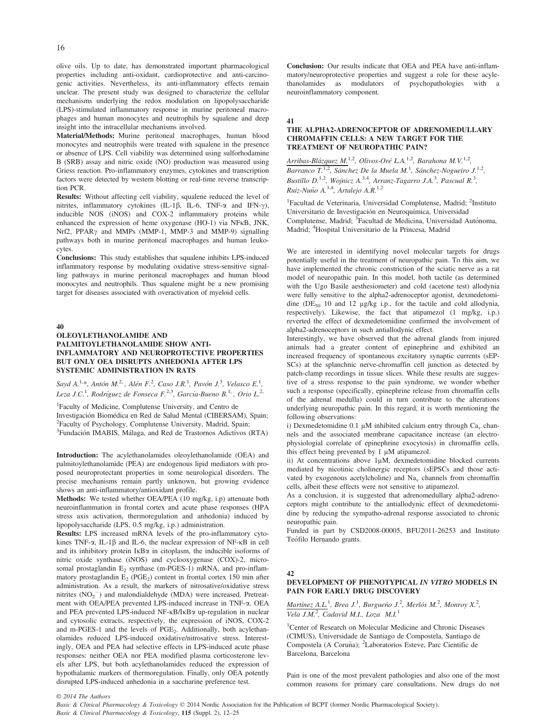olive oils. Up to date, has demonstrated important pharmacological properties including anti-oxidant, cardioprotective and anti-carcinogenic activities. Nevertheless, its anti-inflammatory effects remain unclear. The present study was designed to characterize the cellular mechanisms underlying the redox modulation on lipopolysaccharide (LPS)-stimulated inflammatory response in murine peritoneal macrophages and human monocytes and neutrophils by squalene and deep insight into the intracellular mechanisms involved.

Material/Methods: Murine peritoneal macrophages, human blood monocytes and neutrophils were treated with squalene in the presence or absence of LPS. Cell viability was determined using sulforhodamine B (SRB) assay and nitric oxide (NO) production was measured using Griess reaction. Pro-inflammatory enzymes, cytokines and transcription factors were detected by western blotting or real-time reverse transcription PCR.

Results: Without affecting cell viability, squalene reduced the level of nitrites, inflammatory cytokines (IL-1 $\beta$ , IL-6, TNF- $\alpha$  and IFN- $\gamma$ ), inducible NOS (iNOS) and COX-2 inflammatory proteins while enhanced the expression of heme oxygenase (HO-1) via NFKB, JNK, Nrf2, PPAR $\gamma$  and MMPs (MMP-1, MMP-3 and MMP-9) signalling pathways both in murine peritoneal macrophages and human leukocytes.

Conclusions: This study establishes that squalene inhibits LPS-induced inflammatory response by modulating oxidative stress-sensitive signalling pathways in murine peritoneal macrophages and human blood monocytes and neutrophils. Thus squalene might be a new promising target for diseases associated with overactivation of myeloid cells.

#### 40

#### OLEOYLETHANOLAMIDE AND PALMITOYLETHANOLAMIDE SHOW ANTI-INFLAMMATORY AND NEUROPROTECTIVE PROPERTIES BUT ONLY OEA DISRUPTS ANHEDONIA AFTER LPS SYSTEMIC ADMINISTRATION IN RATS

Sayd A.<sup>1</sup><sup>,\*</sup>, Antón M.<sup>2</sup><sup>,</sup>, Alén F.<sup>2</sup>, Caso J.R.<sup>1</sup>, Pavón J.<sup>3</sup>, Velasco E.<sup>1</sup>, Leza J.C.<sup>1</sup>, Rodríguez de Fonseca F.<sup>2,3</sup>, García-Bueno B.<sup>1,</sup> , Orio L.<sup>2,</sup>

1 Faculty of Medicine, Complutense University, and Centro de Investigación Biomédica en Red de Salud Mental (CIBERSAM), Spain;<br><sup>2</sup>Eaculty of Psychology, Complutence University, Madrid, Spain; <sup>2</sup>Faculty of Psychology, Complutense University, Madrid, Spain; <sup>3</sup>Fundación IMABIS, Málaga, and Red de Trastornos Adictivos (RTA)

Introduction: The acylethanolamides oleoylethanolamide (OEA) and palmitoylethanolamide (PEA) are endogenous lipid mediators with proposed neuroprotectant properties in some neurological disorders. The precise mechanisms remain partly unknown, but growing evidence shows an anti-inflammatory/antioxidant profile.

Methods: We tested whether OEA/PEA (10 mg/kg, i.p) attenuate both neuroinflammation in frontal cortex and acute phase responses (HPA stress axis activation, thermoregulation and anhedonia) induced by lipopolysaccharide (LPS, 0.5 mg/kg, i.p.) administration.

Results: LPS increased mRNA levels of the pro-inflammatory cytokines TNF- $\alpha$ , IL-1 $\beta$  and IL-6, the nuclear expression of NF- $\kappa$ B in cell and its inhibitory protein  $I \kappa B\alpha$  in citoplasm, the inducible isoforms of nitric oxide synthase (iNOS) and cyclooxygenase (COX)-2, microsomal prostaglandin  $E_2$  synthase (m-PGES-1) mRNA, and pro-inflammatory prostaglandin  $E_2$  (PGE<sub>2</sub>) content in frontal cortex 150 min after administration. As a result, the markers of nitrosative/oxidative stress mitrites  $(NO<sub>2</sub><sup>-</sup>)$  and malondialdehyde (MDA) were increased. Pretreatment with OEA/PEA prevented LPS-induced increase in TNF-a. OEA and PEA prevented LPS-induced NF-KB/IKBa up-regulation in nuclear and cytosolic extracts, respectively, the expression of iNOS, COX-2 and m-PGES-1 and the levels of  $PGE_2$ . Additionally, both acylethanolamides reduced LPS-induced oxidative/nitrosative stress. Interestingly, OEA and PEA had selective effects in LPS-induced acute phase responses: neither OEA nor PEA modified plasma corticosterone levels after LPS, but both acylethanolamides reduced the expression of hypothalamic markers of thermoregulation. Finally, only OEA potently disrupted LPS-induced anhedonia in a saccharine preference test.

Conclusion: Our results indicate that OEA and PEA have anti-inflammatory/neuroprotective properties and suggest a role for these acylethanolamides as modulators of psychopathologies with a neuroinflammatory component.

#### 41

#### THE ALPHA2-ADRENOCEPTOR OF ADRENOMEDULLARY CHROMAFFIN CELLS: A NEW TARGET FOR THE TREATMENT OF NEUROPATHIC PAIN?

Arribas-Blázquez M.<sup>1,2</sup>, Olivos-Oré L.A.<sup>1,2</sup>, Barahona M.V.<sup>1,2</sup>, Barranco T.<sup>1,2</sup>, Sánchez De la Muela M.<sup>1</sup>, Sánchez-Nogueiro J.<sup>1,2</sup>, Bustillo D.<sup>1,2</sup>, Wojnicz A.<sup>3,4</sup>, Arranz-Tagarro J.A.<sup>3</sup>, Pascual R.<sup>3</sup>, Ruiz-Nuño A.<sup>3,4</sup>, Artalejo A.R.<sup>1,2</sup>

<sup>1</sup>Facultad de Veterinaria, Universidad Complutense, Madrid; <sup>2</sup>Instituto Universitario de Investigación en Neuroquímica, Universidad Complutense, Madrid; <sup>3</sup>Facultad de Medicina, Universidad Autónoma, Madrid; <sup>4</sup> Hospital Universitario de la Princesa, Madrid

We are interested in identifying novel molecular targets for drugs potentially useful in the treatment of neuropathic pain. To this aim, we have implemented the chronic constriction of the sciatic nerve as a rat model of neuropathic pain. In this model, both tactile (as determined with the Ugo Basile aesthesiometer) and cold (acetone test) allodynia were fully sensitive to the alpha2-adrenoceptor agonist, dexmedetomidine ( $DE_{50}$  10 and 12 μg/kg i.p., for the tactile and cold allodynia, respectively). Likewise, the fact that atipamezol (1 mg/kg, i.p.) reverted the effect of dexmedetomidine confirmed the involvement of alpha2-adrenoceptors in such antiallodynic effect.

Interestingly, we have observed that the adrenal glands from injured animals had a greater content of epinephrine and exhibited an increased frequency of spontaneous excitatory synaptic currents (sEP-SCs) at the splanchnic nerve-chromaffin cell junction as detected by patch-clamp recordings in tissue slices. While these results are suggestive of a stress response to the pain syndrome, we wonder whether such a response (specifically, epinephrine release from chromaffin cells of the adrenal medulla) could in turn contribute to the alterations underlying neuropathic pain. In this regard, it is worth mentioning the following observations:

i) Dexmedetomidine 0.1  $\mu$ M inhibited calcium entry through Ca<sub>v</sub> channels and the associated membrane capacitance increase (an electrophysiologial correlate of epinephrine exocytosis) in chromaffin cells, this effect being prevented by 1 μM atipamezol.

ii) At concentrations above 1μM, dexmedetomidine blocked currents mediated by nicotinic cholinergic receptors (sEPSCs and those activated by exogenous acetylcholine) and  $Na<sub>v</sub>$  channels from chromaffin cells, albeit these effects were not sensitive to atipamezol.

As a conclusion, it is suggested that adrenomedullary alpha2-adrenoceptors might contribute to the antiallodynic effect of dexmedetomidine by reducing the sympatho-adrenal response associated to chronic neuropathic pain.

Funded in part by CSD2008-00005, BFU2011-26253 and Instituto Teófilo Hernando grants.

#### 42

### DEVELOPMENT OF PHENOTYPICAL IN VITRO MODELS IN PAIN FOR EARLY DRUG DISCOVERY

Martínez A.L.<sup>1</sup>, Brea J.<sup>1</sup>, Burgueño J.<sup>2</sup>, Merlós M.<sup>2</sup>, Monroy X.<sup>2</sup>, Vela J.M.<sup>2</sup>, Cadavid M.I., Loza M.I.<sup>1</sup>

<sup>1</sup>Center of Research on Molecular Medicine and Chronic Diseases (CIMUS), Universidade de Santiago de Compostela, Santiago de Compostela (A Coruña); <sup>2</sup>Laboratorios Esteve, Parc Científic de Barcelona, Barcelona

Pain is one of the most prevalent pathologies and also one of the most common reasons for primary care consultations. New drugs do not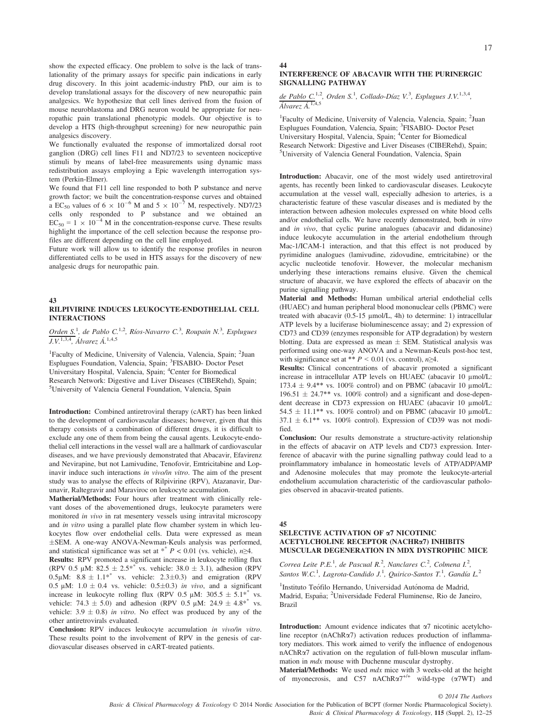show the expected efficacy. One problem to solve is the lack of translationality of the primary assays for specific pain indications in early drug discovery. In this joint academic-industry PhD, our aim is to develop translational assays for the discovery of new neuropathic pain analgesics. We hypothesize that cell lines derived from the fusion of mouse neuroblastoma and DRG neuron would be appropriate for neuropathic pain translational phenotypic models. Our objective is to develop a HTS (high-throughput screening) for new neuropathic pain analgesics discovery.

We functionally evaluated the response of immortalized dorsal root ganglion (DRG) cell lines F11 and ND7/23 to seventeen nociceptive stimuli by means of label-free measurements using dynamic mass redistribution assays employing a Epic wavelength interrogation system (Perkin-Elmer).

We found that F11 cell line responded to both P substance and nerve growth factor; we built the concentration-response curves and obtained a EC<sub>50</sub> values of 6  $\times$  10<sup>-6</sup> M and 5  $\times$  10<sup>-7</sup> M, respectively. ND7/23 cells only responded to P substance and we obtained an  $EC_{50} = 1 \times 10^{-4}$  M in the concentration-response curve. These results highlight the importance of the cell selection because the response profiles are different depending on the cell line employed.

Future work will allow us to identify the response profiles in neuron differentiated cells to be used in HTS assays for the discovery of new analgesic drugs for neuropathic pain.

#### 43 RILPIVIRINE INDUCES LEUKOCYTE-ENDOTHELIAL CELL INTERACTIONS

Orden S.<sup>1</sup>, de Pablo C.<sup>1,2</sup>, Ríos-Navarro C.<sup>3</sup>, Roupain N.<sup>3</sup>, Esplugues  $J.V.^{1,3,4}$ , Álvarez Á.<sup>1,4,5</sup>

<sup>1</sup>Faculty of Medicine, University of Valencia, Valencia, Spain; <sup>2</sup>Juan Esplugues Foundation, Valencia, Spain; <sup>3</sup>FISABIO- Doctor Peset<br>Universitary Hospital, Valencia, Spain; <sup>4</sup>Center for Biomedical Research Network: Digestive and Liver Diseases (CIBERehd), Spain; 5 University of Valencia General Foundation, Valencia, Spain

Introduction: Combined antiretroviral therapy (cART) has been linked to the development of cardiovascular diseases; however, given that this therapy consists of a combination of different drugs, it is difficult to exclude any one of them from being the causal agents. Leukocyte-endothelial cell interactions in the vessel wall are a hallmark of cardiovascular diseases, and we have previously demonstrated that Abacavir, Efavirenz and Nevirapine, but not Lamivudine, Tenofovir, Emtricitabine and Lopinavir induce such interactions in vivo/in vitro. The aim of the present study was to analyse the effects of Rilpivirine (RPV), Atazanavir, Darunavir, Raltegravir and Maraviroc on leukocyte accumulation.

Matherial/Methods: Four hours after treatment with clinically relevant doses of the abovementioned drugs, leukocyte parameters were monitored in vivo in rat mesentery vessels using intravital microscopy and in vitro using a parallel plate flow chamber system in which leukocytes flow over endothelial cells. Data were expressed as mean SEM. A one-way ANOVA-Newman-Keuls analysis was performed, and statistical significance was set at \*\*  $P < 0.01$  (vs. vehicle),  $n \ge 4$ .

Results: RPV promoted a significant increase in leukocyte rolling flux (RPV 0.5  $\mu$ M: 82.5  $\pm$  2.5<sup>\*</sup> vs. vehicle: 38.0  $\pm$  3.1), adhesion (RPV 0.5μM:  $8.8 \pm 1.1^{*}$  vs. vehicle:  $2.3 \pm 0.3$ ) and emigration (RPV 0.5 μM:  $1.0 \pm 0.4$  vs. vehicle:  $0.5 \pm 0.3$ ) in vivo, and a significant increase in leukocyte rolling flux (RPV 0.5 μM: 305.5 + 5.1<sup>\*</sup> vs. increase in leukocyte rolling flux (RPV 0.5  $\mu$ M: 305.5  $\pm$  5.1\* vehicle: 74.3  $\pm$  5.0) and adhesion (RPV 0.5  $\mu$ M: 24.9  $\pm$  4.8<sup>\*\*</sup> vs. vehicle:  $3.9 \pm 0.8$ ) in vitro. No effect was produced by any of the other antiretrovirals evaluated.

Conclusion: RPV induces leukocyte accumulation in vivo/in vitro. These results point to the involvement of RPV in the genesis of cardiovascular diseases observed in cART-treated patients.

# 44

#### INTERFERENCE OF ABACAVIR WITH THE PURINERGIC SIGNALLING PATHWAY

de Pablo C.<sup>1,2</sup>, Orden S.<sup>1</sup>, Collado-Díaz V.<sup>3</sup>, Esplugues J.V.<sup>1,3,4</sup>,  $\overline{\acute{A}lvarez\ \acute{A}.^{1,4,5}}$ 

<sup>1</sup>Faculty of Medicine, University of Valencia, Valencia, Spain; <sup>2</sup>Juan Esplugues Foundation, Valencia, Spain; <sup>3</sup>FISABIO- Doctor Peset Universitary Hospital, Valencia, Spain; <sup>4</sup>Center for Biomedical Research Network: Digestive and Liver Diseases (CIBERehd), Spain; 5 University of Valencia General Foundation, Valencia, Spain

Introduction: Abacavir, one of the most widely used antiretroviral agents, has recently been linked to cardiovascular diseases. Leukocyte accumulation at the vessel wall, especially adhesion to arteries, is a characteristic feature of these vascular diseases and is mediated by the interaction between adhesion molecules expressed on white blood cells and/or endothelial cells. We have recently demonstrated, both in vitro and in vivo, that cyclic purine analogues (abacavir and didanosine) induce leukocyte accumulation in the arterial endothelium through Mac-1/ICAM-1 interaction, and that this effect is not produced by pyrimidine analogues (lamivudine, zidovudine, emtricitabine) or the acyclic nucleotide tenofovir. However, the molecular mechanism underlying these interactions remains elusive. Given the chemical structure of abacavir, we have explored the effects of abacavir on the purine signalling pathway.

Material and Methods: Human umbilical arterial endothelial cells (HUAEC) and human peripheral blood mononuclear cells (PBMC) were treated with abacavir (0.5-15 μmol/L, 4h) to determine: 1) intracellular ATP levels by a luciferase bioluminescence assay; and 2) expression of CD73 and CD39 (enzymes responsible for ATP degradation) by western blotting. Data are expressed as mean  $\pm$  SEM. Statistical analysis was performed using one-way ANOVA and a Newman-Keuls post-hoc test, with significance set at \*\*  $P < 0.01$  (vs. control),  $n \ge 4$ .

Results: Clinical concentrations of abacavir promoted a significant increase in intracellular ATP levels on HUAEC (abacavir 10 μmol/L: 173.4  $\pm$  9.4\*\* vs. 100% control) and on PBMC (abacavir 10 µmol/L:  $196.51 \pm 24.7$ <sup>\*\*</sup> vs.  $100\%$  control) and a significant and dose-dependent decrease in CD73 expression on HUAEC (abacavir 10 μmol/L:  $54.5 \pm 11.1$ <sup>\*\*</sup> vs. 100% control) and on PBMC (abacavir 10 µmol/L:  $37.1 \pm 6.1^{**}$  vs. 100% control). Expression of CD39 was not modified.

Conclusion: Our results demonstrate a structure-activity relationship in the effects of abacavir on ATP levels and CD73 expression. Interference of abacavir with the purine signalling pathway could lead to a proinflammatory imbalance in homeostatic levels of ATP/ADP/AMP and Adenosine molecules that may promote the leukocyte-arterial endothelium accumulation characteristic of the cardiovascular pathologies observed in abacavir-treated patients.

45

#### SELECTIVE ACTIVATION OF  $\alpha$ 7 NICOTINIC ACETYLCHOLINE RECEPTOR (NACHRa7) INHIBITS MUSCULAR DEGENERATION IN MDX DYSTROPHIC MICE

Correa Leite P.E.<sup>1</sup>, de Pascual R.<sup>2</sup>, Nanclares C.<sup>2</sup>, Colmena I.<sup>2</sup>, Santos W.C.<sup>1</sup>, Lagrota-Candido J.<sup>1</sup>, Quirico-Santos T.<sup>1</sup>, Gandía L.<sup>2</sup>

<sup>1</sup>Instituto Teófilo Hernando, Universidad Autónoma de Madrid, Madrid, España; <sup>2</sup>Universidade Federal Fluminense, Rio de Janeiro, Brazil

**Introduction:** Amount evidence indicates that  $\alpha$ 7 nicotinic acetylcholine receptor ( $nAChR\alpha$ 7) activation reduces production of inflammatory mediators. This work aimed to verify the influence of endogenous nAChRa7 activation on the regulation of full-blown muscular inflammation in mdx mouse with Duchenne muscular dystrophy.

Material/Methods: We used  $mdx$  mice with 3 weeks-old at the height of myonecrosis, and C57 nAChR $\alpha$ 7<sup>+/+</sup> wild-type ( $\alpha$ 7WT) and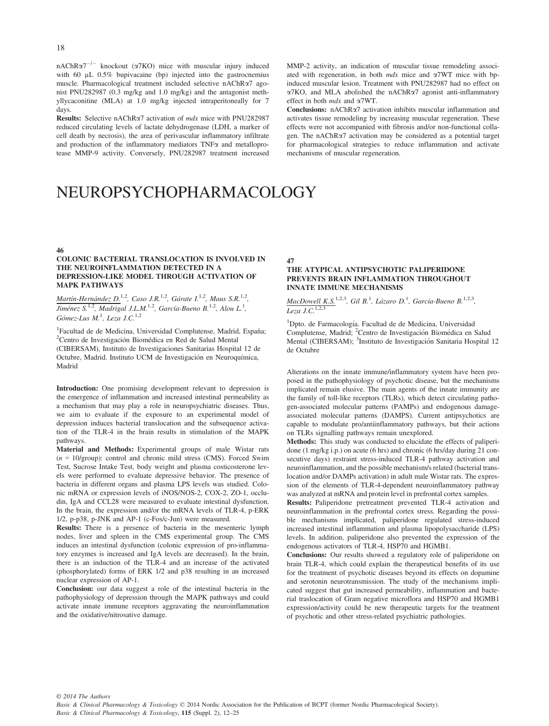$nAChR\alpha7^{-/-}$  knockout ( $\alpha$ 7KO) mice with muscular injury induced with 60 μL 0.5% bupivacaine (bp) injected into the gastrocnemius muscle. Pharmacological treatment included selective nAChRa7 agonist PNU282987 (0.3 mg/kg and 1.0 mg/kg) and the antagonist methyllycaconitine (MLA) at 1.0 mg/kg injected intraperitoneally for 7 days.

Results: Selective nAChRa7 activation of mdx mice with PNU282987 reduced circulating levels of lactate dehydrogenase (LDH, a marker of cell death by necrosis), the area of perivascular inflammatory infiltrate and production of the inflammatory mediators  $TNF\alpha$  and metalloprotease MMP-9 activity. Conversely, PNU282987 treatment increased

MMP-2 activity, an indication of muscular tissue remodeling associated with regeneration, in both  $mdx$  mice and  $\alpha$ 7WT mice with bpinduced muscular lesion. Treatment with PNU282987 had no effect on  $\alpha$ 7KO, and MLA abolished the nAChR $\alpha$ 7 agonist anti-inflammatory effect in both mdx and a7WT.

Conclusions: nAChRa7 activation inhibits muscular inflammation and activates tissue remodeling by increasing muscular regeneration. These effects were not accompanied with fibrosis and/or non-functional collagen. The nAChRa7 activation may be considered as a potential target for pharmacological strategies to reduce inflammation and activate mechanisms of muscular regeneration.

# NEUROPSYCHOPHARMACOLOGY

#### 46

#### COLONIC BACTERIAL TRANSLOCATION IS INVOLVED IN THE NEUROINFLAMMATION DETECTED IN A DEPRESSION-LIKE MODEL THROUGH ACTIVATION OF MAPK PATHWAYS

Martín-Hernández D.<sup>1,2</sup>, Caso J.R.<sup>1,2</sup>, Gárate I.<sup>1,2</sup>, Maus S.R.<sup>1,2</sup>, Jiménez S.<sup>1,2</sup>, Madrigal J.L.M.<sup>1,2</sup>, García-Bueno B.<sup>1,2</sup>, Alou L.<sup>1</sup>, Gómez-Lus M.<sup>1</sup>, Leza J.C.<sup>1,2</sup>

<sup>1</sup> Facultad de de Medicina, Universidad Complutense, Madrid, España;<br><sup>2</sup> Centro de Investigación Biomédica en Red de Salud Mental Centro de Investigación Biomédica en Red de Salud Mental (CIBERSAM), Instituto de Investigaciones Sanitarias Hospital 12 de Octubre, Madrid. Instituto UCM de Investigación en Neuroquímica, Madrid

Introduction: One promising development relevant to depression is the emergence of inflammation and increased intestinal permeability as a mechanism that may play a role in neuropsychiatric diseases. Thus, we aim to evaluate if the exposure to an experimental model of depression induces bacterial translocation and the subsequence activation of the TLR-4 in the brain results in stimulation of the MAPK pathways.

Material and Methods: Experimental groups of male Wistar rats  $(n = 10$ /group): control and chronic mild stress (CMS). Forced Swim Test, Sucrose Intake Test, body weight and plasma costicosterone levels were performed to evaluate depressive behavior. The presence of bacteria in different organs and plasma LPS levels was studied. Colonic mRNA or expression levels of iNOS/NOS-2, COX-2, ZO-1, occludin, IgA and CCL28 were measured to evaluate intestinal dysfunction. In the brain, the expression and/or the mRNA levels of TLR-4, p-ERK 1/2, p-p38, p-JNK and AP-1 (c-Fos/c-Jun) were measured.

Results: There is a presence of bacteria in the mesenteric lymph nodes, liver and spleen in the CMS experimental group. The CMS induces an intestinal dysfunction (colonic expression of pro-inflammatory enzymes is increased and IgA levels are decreased). In the brain, there is an induction of the TLR-4 and an increase of the activated (phosphorylated) forms of ERK 1/2 and p38 resulting in an increased nuclear expression of AP-1.

Conclusion: our data suggest a role of the intestinal bacteria in the pathophysiology of depression through the MAPK pathways and could activate innate immune receptors aggravating the neuroinflammation and the oxidative/nitrosative damage.

47

# THE ATYPICAL ANTIPSYCHOTIC PALIPERIDONE PREVENTS BRAIN INFLAMMATION THROUGHOUT INNATE IMMUNE MECHANISMS

 $MacDowell K.S.<sup>1,2,3</sup>, Gil B.<sup>1</sup>, Lázaro D.<sup>1</sup>, García-Bueno B.<sup>1,2,3</sup>,$ </u> Leza  $\overline{J.C.}^{1,2,3}$ 

<sup>1</sup>Dpto. de Farmacología. Facultad de de Medicina, Universidad Complutense, Madrid; <sup>2</sup>Centro de Investigación Biomédica en Salud Mental (CIBERSAM); <sup>3</sup>Instituto de Investigación Sanitaria Hospital 12 de Octubre

Alterations on the innate immune/inflammatory system have been proposed in the pathophysiology of psychotic disease, but the mechanisms implicated remain elusive. The main agents of the innate immunity are the family of toll-like receptors (TLRs), which detect circulating pathogen-associated molecular patterns (PAMPs) and endogenous damageassociated molecular patterns (DAMPS). Current antipsychotics are capable to modulate pro/antiinflammatory pathways, but their actions on TLRs signalling pathways remain unexplored.

Methods: This study was conducted to elucidate the effects of paliperidone (1 mg/kg i.p.) on acute (6 hrs) and chronic (6 hrs/day during 21 consecutive days) restraint stress-induced TLR-4 pathway activation and neuroinflammation, and the possible mechanism/s related (bacterial translocation and/or DAMPs activation) in adult male Wistar rats. The expression of the elements of TLR-4-dependent neuroinflammatory pathway was analyzed at mRNA and protein level in prefrontal cortex samples.

Results: Paliperidone pretreatment prevented TLR-4 activation and neuroinflammation in the prefrontal cortex stress. Regarding the possible mechanisms implicated, paliperidone regulated stress-induced increased intestinal inflammation and plasma lipopolysaccharide (LPS) levels. In addition, paliperidone also prevented the expression of the endogenous activators of TLR-4, HSP70 and HGMB1.

Conclusions: Our results showed a regulatory role of paliperidone on brain TLR-4, which could explain the therapeutical benefits of its use for the treatment of psychotic diseases beyond its effects on dopamine and serotonin neurotransmission. The study of the mechanisms implicated suggest that gut increased permeability, inflammation and bacterial traslocation of Gram negative microflora and HSP70 and HGMB1 expression/activity could be new therapeutic targets for the treatment of psychotic and other stress-related psychiatric pathologies.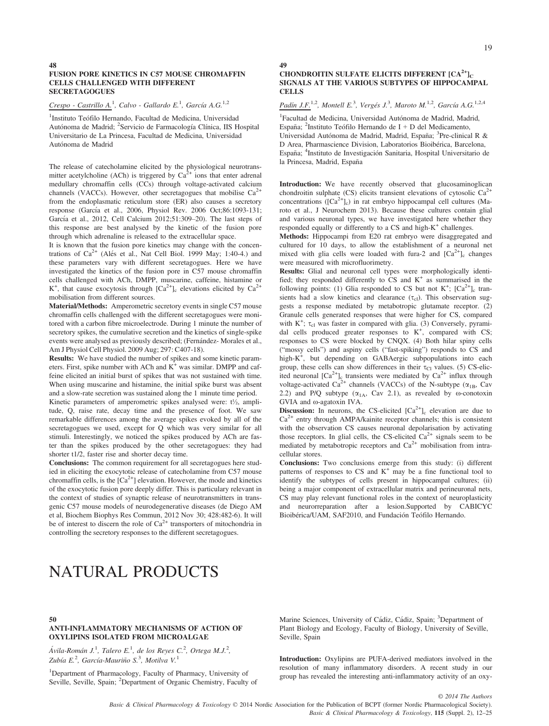#### FUSION PORE KINETICS IN C57 MOUSE CHROMAFFIN CELLS CHALLENGED WITH DIFFERENT **SECRETAGOGUES**

 $Crespo - Castrillo A<sup>1</sup>, Calvo - Gallardo E<sup>1</sup>, García A.G<sup>1,2</sup>$ 

<sup>1</sup>Instituto Teófilo Hernando, Facultad de Medicina, Universidad Autónoma de Madrid; <sup>2</sup>Servicio de Farmacología Clínica, IIS Hospital Universitario de La Princesa, Facultad de Medicina, Universidad Autónoma de Madrid

The release of catecholamine elicited by the physiological neurotransmitter acetylcholine (ACh) is triggered by  $Ca^{2+}$  ions that enter adrenal medullary chromaffin cells (CCs) through voltage-activated calcium channels (VACCs). However, other secretagogues that mobilise  $Ca^{2+}$ from the endoplasmatic reticulum store (ER) also causes a secretory response (García et al., 2006, Physiol Rev. 2006 Oct;86:1093-131; García et al., 2012, Cell Calcium 2012;51:309-20). The last steps of this response are best analysed by the kinetic of the fusion pore through which adrenaline is released to the extracellular space.

It is known that the fusion pore kinetics may change with the concentrations of  $Ca^{2+}$  (Alés et al., Nat Cell Biol. 1999 May; 1:40-4.) and these parameters vary with different secretagogues. Here we have investigated the kinetics of the fusion pore in C57 mouse chromaffin cells challenged with ACh, DMPP, muscarine, caffeine, histamine or K<sup>+</sup>, that cause exocytosis through  $[Ca^{2+}]_c$  elevations elicited by  $Ca^{2+}$ mobilisation from different sources.

Material/Methods: Amperometric secretory events in single C57 mouse chromaffin cells challenged with the different secretagogues were monitored with a carbon fibre microelectrode. During 1 minute the number of secretory spikes, the cumulative secretion and the kinetics of single-spike events were analysed as previously described; (Fernández-Morales et al., Am J Physiol Cell Physiol. 2009 Aug; 297: C407-18).

Results: We have studied the number of spikes and some kinetic parameters. First, spike number with ACh and  $K^+$  was similar. DMPP and caffeine elicited an initial burst of spikes that was not sustained with time. When using muscarine and histamine, the initial spike burst was absent and a slow-rate secretion was sustained along the 1 minute time period.

Kinetic parameters of amperometric spikes analysed were:  $t\frac{1}{2}$ , amplitude, Q, raise rate, decay time and the presence of foot. We saw remarkable differences among the average spikes evoked by all of the secretagogues we used, except for Q which was very similar for all stimuli. Interestingly, we noticed the spikes produced by ACh are faster than the spikes produced by the other secretagogues: they had shorter t1/2, faster rise and shorter decay time.

Conclusions: The common requirement for all secretagogues here studied in eliciting the exocytotic release of catecholamine from C57 mouse chromaffin cells, is the  $[Ca<sup>2+</sup>]$  elevation. However, the mode and kinetics of the exocytotic fusion pore deeply differ. This is particulary relevant in the context of studies of synaptic release of neurotransmitters in transgenic C57 mouse models of neurodegenerative diseases (de Diego AM et al, Biochem Biophys Res Commun, 2012 Nov 30; 428:482-6). It will be of interest to discern the role of  $Ca^{2+}$  transporters of mitochondria in controlling the secretory responses to the different secretagogues.

# 49

# CHONDROITIN SULFATE ELICITS DIFFERENT  $[CA^{2+}]_C$ SIGNALS AT THE VARIOUS SUBTYPES OF HIPPOCAMPAL **CELLS**

Padín J.F.<sup>1,2</sup>, Montell E.<sup>3</sup>, Vergés J.<sup>3</sup>, Maroto M.<sup>1,2</sup>, García A.G.<sup>1,2,4</sup>

<sup>1</sup>Facultad de Medicina, Universidad Autónoma de Madrid, Madrid, España; <sup>2</sup>Instituto Teófilo Hernando de I + D del Medicamento, Universidad Autónoma de Madrid, Madrid, España; <sup>3</sup>Pre-clinical R & D Area, Pharmascience Division, Laboratorios Bioibérica, Barcelona, España; <sup>4</sup>Instituto de Investigación Sanitaria, Hospital Universitario de la Princesa, Madrid, España

Introduction: We have recently observed that glucosaminoglican chondroitin sulphate (CS) elicits transient elevations of cytosolic  $Ca^{2+}$ concentrations  $(Ca^{2+}]_c$ ) in rat embryo hippocampal cell cultures (Maroto et al., J Neurochem 2013). Because these cultures contain glial and various neuronal types, we have investigated here whether they responded equally or differently to a CS and high-K<sup>+</sup> challenges.

Methods: Hippocampi from E20 rat embryo were disaggregated and cultured for 10 days, to allow the establishment of a neuronal net mixed with glia cells were loaded with fura-2 and  $[Ca<sup>2+</sup>]_{c}$  changes were measured with microfluorimetry.

Results: Glial and neuronal cell types were morphologically identified; they responded differently to CS and  $K^+$  as summarised in the following points: (1) Glia responded to CS but not  $K^+$ ;  $[Ca^{2+}]_c$  transients had a slow kinetics and clearance  $(\tau_{cl})$ . This observation suggests a response mediated by metabotropic glutamate receptor. (2) Granule cells generated responses that were higher for CS, compared with  $K^+$ ;  $\tau_{cl}$  was faster in compared with glia. (3) Conversely, pyramidal cells produced greater responses to K<sup>+</sup>, compared with CS; responses to CS were blocked by CNQX. (4) Both hilar spiny cells ("mossy cells") and aspiny cells ("fast-spiking") responds to CS and high-K+ , but depending on GABAergic subpopulations into each group, these cells can show differences in their  $\tau_{\text{Cl}}$  values. (5) CS-elicited neuronal  $\left[\text{Ca}^{2+}\right]_{c}$  transients were mediated by  $\text{Ca}^{2+}$  influx through voltage-activated Ca<sup>2+</sup> channels (VACCs) of the N-subtype ( $\alpha_{1B}$ , Cav 2.2) and P/Q subtype  $(\alpha_{1A}, \text{Cav } 2.1)$ , as revealed by  $\omega$ -conotoxin GVIA and  $\omega$ -agatoxin IVA.

**Discussion:** In neurons, the CS-elicited  $[Ca^{2+}]_c$  elevation are due to  $Ca<sup>2+</sup>$  entry through AMPA/kainite receptor channels; this is consistent with the observation CS causes neuronal depolarisation by activating those receptors. In glial cells, the CS-elicited  $Ca<sup>2+</sup>$  signals seem to be mediated by metabotropic receptors and  $Ca<sup>2+</sup>$  mobilisation from intracellular stores.

Conclusions: Two conclusions emerge from this study: (i) different patterns of responses to  $CS$  and  $K^+$  may be a fine functional tool to identify the subtypes of cells present in hippocampal cultures; (ii) being a major component of extracellular matrix and perineuronal nets, CS may play relevant functional roles in the context of neuroplasticity and neurorreparation after a lesion.Supported by CABICYC Bioibérica/UAM, SAF2010, and Fundación Teófilo Hernando.

# NATURAL PRODUCTS

#### 50

#### ANTI-INFLAMMATORY MECHANISMS OF ACTION OF OXYLIPINS ISOLATED FROM MICROALGAE

Ávila-Román J.<sup>1</sup>, Talero E.<sup>1</sup>, de los Reyes C.<sup>2</sup>, Ortega M.J.<sup>2</sup>, Zubía E.<sup>2</sup>, García-Mauriño S.<sup>3</sup>, Motilva V.<sup>1</sup>

<sup>1</sup>Department of Pharmacology, Faculty of Pharmacy, University of Seville, Seville, Spain; <sup>2</sup>Department of Organic Chemistry, Faculty of

Marine Sciences, University of Cádiz, Cádiz, Spain; <sup>3</sup>Department of Plant Biology and Ecology, Faculty of Biology, University of Seville, Seville, Spain

Introduction: Oxylipins are PUFA-derived mediators involved in the resolution of many inflammatory disorders. A recent study in our group has revealed the interesting anti-inflammatory activity of an oxy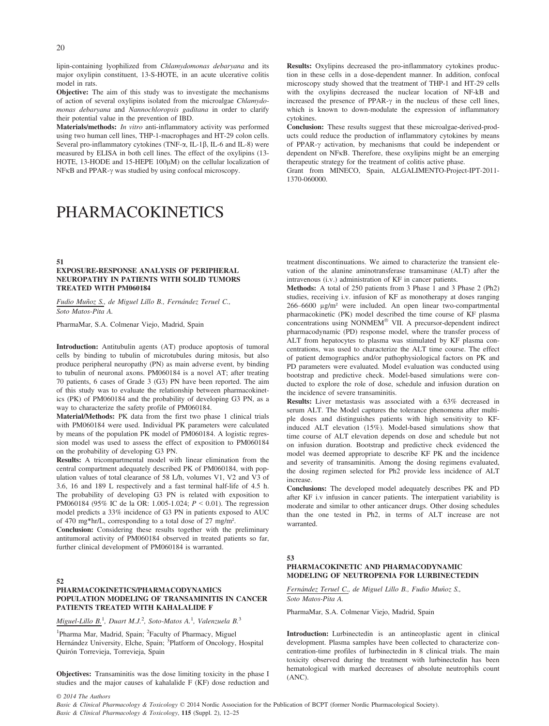lipin-containing lyophilized from Chlamydomonas debaryana and its major oxylipin constituent, 13-S-HOTE, in an acute ulcerative colitis model in rats.

Objective: The aim of this study was to investigate the mechanisms of action of several oxylipins isolated from the microalgae Chlamydomonas debaryana and Nannochloropsis gaditana in order to clarify their potential value in the prevention of IBD.

Materials/methods: In vitro anti-inflammatory activity was performed using two human cell lines, THP-1-macrophages and HT-29 colon cells. Several pro-inflammatory cytokines (TNF- $\alpha$ , IL-1 $\beta$ , IL-6 and IL-8) were measured by ELISA in both cell lines. The effect of the oxylipins (13- HOTE, 13-HODE and 15-HEPE 100µM) on the cellular localization of NFKB and PPAR- $\gamma$  was studied by using confocal microscopy.

# PHARMACOKINETICS

#### 51

#### EXPOSURE-RESPONSE ANALYSIS OF PERIPHERAL NEUROPATHY IN PATIENTS WITH SOLID TUMORS TREATED WITH PM060184

Fudio Muñoz S., de Miguel Lillo B., Fernández Teruel C., Soto Matos-Pita A.

PharmaMar, S.A. Colmenar Viejo, Madrid, Spain

Introduction: Antitubulin agents (AT) produce apoptosis of tumoral cells by binding to tubulin of microtubules during mitosis, but also produce peripheral neuropathy (PN) as main adverse event, by binding to tubulin of neuronal axons. PM060184 is a novel AT; after treating 70 patients, 6 cases of Grade 3 (G3) PN have been reported. The aim of this study was to evaluate the relationship between pharmacokinetics (PK) of PM060184 and the probability of developing G3 PN, as a way to characterize the safety profile of PM060184.

Material/Methods: PK data from the first two phase 1 clinical trials with PM060184 were used. Individual PK parameters were calculated by means of the population PK model of PM060184. A logistic regression model was used to assess the effect of exposition to PM060184 on the probability of developing G3 PN.

Results: A tricompartmental model with linear elimination from the central compartment adequately described PK of PM060184, with population values of total clearance of 58 L/h, volumes V1, V2 and V3 of 3.6, 16 and 189 L respectively and a fast terminal half-life of 4.5 h. The probability of developing G3 PN is related with exposition to PM060184 (95% IC de la OR: 1.005-1.024;  $P < 0.01$ ). The regression model predicts a 33% incidence of G3 PN in patients exposed to AUC of 470 mg\*hr/L, corresponding to a total dose of 27 mg/m².

Conclusion: Considering these results together with the preliminary antitumoral activity of PM060184 observed in treated patients so far, further clinical development of PM060184 is warranted.

#### 52

#### PHARMACOKINETICS/PHARMACODYNAMICS POPULATION MODELING OF TRANSAMINITIS IN CANCER PATIENTS TREATED WITH KAHALALIDE F

Miguel-Lillo B.<sup>1</sup>, Duart M.J.<sup>2</sup>, Soto-Matos A.<sup>1</sup>, Valenzuela B.<sup>3</sup>

<sup>1</sup>Pharma Mar, Madrid, Spain; <sup>2</sup>Faculty of Pharmacy, Miguel Hernández University, Elche, Spain; <sup>3</sup>Platform of Oncology, Hospital Quirón Torrevieja, Torrevieja, Spain

Objectives: Transaminitis was the dose limiting toxicity in the phase I studies and the major causes of kahalalide F (KF) dose reduction and Results: Oxylipins decreased the pro-inflammatory cytokines production in these cells in a dose-dependent manner. In addition, confocal microscopy study showed that the treatment of THP-1 and HT-29 cells with the oxylipins decreased the nuclear location of NF-kB and increased the presence of PPAR- $\gamma$  in the nucleus of these cell lines, which is known to down-modulate the expression of inflammatory cytokines.

Conclusion: These results suggest that these microalgae-derived-products could reduce the production of inflammatory cytokines by means of PPAR- $\gamma$  activation, by mechanisms that could be independent or dependent on NF<sub>K</sub>B. Therefore, these oxylipins might be an emerging therapeutic strategy for the treatment of colitis active phase.

Grant from MINECO, Spain, ALGALIMENTO-Project-IPT-2011- 1370-060000.

treatment discontinuations. We aimed to characterize the transient elevation of the alanine aminotransferase transaminase (ALT) after the intravenous (i.v.) administration of KF in cancer patients.

Methods: A total of 250 patients from 3 Phase 1 and 3 Phase 2 (Ph2) studies, receiving i.v. infusion of KF as monotherapy at doses ranging 266–6600 μg/m² were included. An open linear two-compartmental pharmacokinetic (PK) model described the time course of KF plasma concentrations using NONMEM<sup>®</sup> VII. A precursor-dependent indirect pharmacodynamic (PD) response model, where the transfer process of ALT from hepatocytes to plasma was stimulated by KF plasma concentrations, was used to characterize the ALT time course. The effect of patient demographics and/or pathophysiological factors on PK and PD parameters were evaluated. Model evaluation was conducted using bootstrap and predictive check. Model-based simulations were conducted to explore the role of dose, schedule and infusion duration on the incidence of severe transaminitis.

Results: Liver metastasis was associated with a 63% decreased in serum ALT. The Model captures the tolerance phenomena after multiple doses and distinguishes patients with high sensitivity to KFinduced ALT elevation (15%). Model-based simulations show that time course of ALT elevation depends on dose and schedule but not on infusion duration. Bootstrap and predictive check evidenced the model was deemed appropriate to describe KF PK and the incidence and severity of transaminitis. Among the dosing regimens evaluated, the dosing regimen selected for Ph2 provide less incidence of ALT increase.

Conclusions: The developed model adequately describes PK and PD after KF i.v infusion in cancer patients. The interpatient variability is moderate and similar to other anticancer drugs. Other dosing schedules than the one tested in Ph2, in terms of ALT increase are not warranted.

#### 53

# PHARMACOKINETIC AND PHARMACODYNAMIC MODELING OF NEUTROPENIA FOR LURBINECTEDIN

Fernández Teruel C., de Miguel Lillo B., Fudio Muñoz S., Soto Matos-Pita A.

PharmaMar, S.A. Colmenar Viejo, Madrid, Spain

Introduction: Lurbinectedin is an antineoplastic agent in clinical development. Plasma samples have been collected to characterize concentration-time profiles of lurbinectedin in 8 clinical trials. The main toxicity observed during the treatment with lurbinectedin has been hematological with marked decreases of absolute neutrophils count (ANC).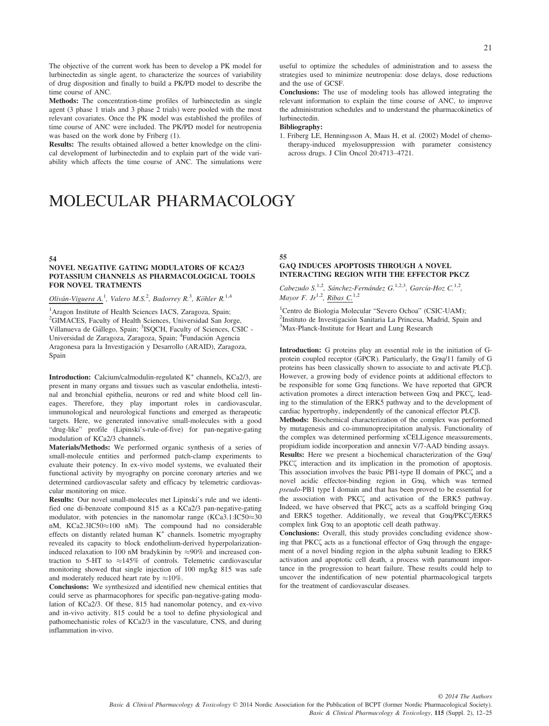The objective of the current work has been to develop a PK model for lurbinectedin as single agent, to characterize the sources of variability of drug disposition and finally to build a PK/PD model to describe the time course of ANC.

Methods: The concentration-time profiles of lurbinectedin as single agent (3 phase 1 trials and 3 phase 2 trials) were pooled with the most relevant covariates. Once the PK model was established the profiles of time course of ANC were included. The PK/PD model for neutropenia was based on the work done by Friberg (1).

Results: The results obtained allowed a better knowledge on the clinical development of lurbinectedin and to explain part of the wide variability which affects the time course of ANC. The simulations were

# MOLECULAR PHARMACOLOGY

#### 54

#### NOVEL NEGATIVE GATING MODULATORS OF KCA2/3 POTASSIUM CHANNELS AS PHARMACOLOGICAL TOOLS FOR NOVEL TRATMENTS

# $Oliván-Viguera A.<sup>1</sup>$ , Valero M.S.<sup>2</sup>, Badorrey R.<sup>3</sup>, Köhler R.<sup>1,4</sup>

<sup>1</sup> Aragon Institute of Health Sciences IACS, Zaragoza, Spain; 2 GIMACES, Faculty of Health Sciences, Universidad San Jorge, Villanueva de Gállego, Spain; <sup>3</sup>ISQCH, Faculty of Sciences, CSIC -Universidad de Zaragoza, Zaragoza, Spain; <sup>4</sup>Fundación Agencia Aragonesa para la Investigación y Desarrollo (ARAID), Zaragoza, Spain

**Introduction:** Calcium/calmodulin-regulated  $K^+$  channels,  $KCa2/3$ , are present in many organs and tissues such as vascular endothelia, intestinal and bronchial epithelia, neurons or red and white blood cell lineages. Therefore, they play important roles in cardiovascular, immunological and neurological functions and emerged as therapeutic targets. Here, we generated innovative small-molecules with a good "drug-like" profile (Lipinski's-rule-of-five) for pan-negative-gating modulation of KCa2/3 channels.

Materials/Methods: We performed organic synthesis of a series of small-molecule entities and performed patch-clamp experiments to evaluate their potency. In ex-vivo model systems, we evaluated their functional activity by myography on porcine coronary arteries and we determined cardiovascular safety and efficacy by telemetric cardiovascular monitoring on mice.

Results: Our novel small-molecules met Lipinski's rule and we identified one di-benzoate compound 815 as a KCa2/3 pan-negative-gating modulator, with potencies in the nanomolar range (KCa3.1:IC50 $\approx$ 30 nM, KCa2.3IC50 $\approx$ 100 nM). The compound had no considerable effects on distantly related human K<sup>+</sup> channels. Isometric myography revealed its capacity to block endothelium-derived hyperpolarizationinduced relaxation to 100 nM bradykinin by  $\approx 90\%$  and increased contraction to 5-HT to  $\approx$  145% of controls. Telemetric cardiovascular monitoring showed that single injection of 100 mg/kg 815 was safe and moderately reduced heart rate by  $\approx 10\%$ .

Conclusions: We synthesized and identified new chemical entities that could serve as pharmacophores for specific pan-negative-gating modulation of KCa2/3. Of these, 815 had nanomolar potency, and ex-vivo and in-vivo activity. 815 could be a tool to define physiological and pathomechanistic roles of KCa2/3 in the vasculature, CNS, and during inflammation in-vivo.

useful to optimize the schedules of administration and to assess the strategies used to minimize neutropenia: dose delays, dose reductions and the use of GCSF.

Conclusions: The use of modeling tools has allowed integrating the relevant information to explain the time course of ANC, to improve the administration schedules and to understand the pharmacokinetics of lurbinectedin.

#### Bibliography:

1. Friberg LE, Henningsson A, Maas H, et al. (2002) Model of chemotherapy-induced myelosuppression with parameter consistency across drugs. J Clin Oncol 20:4713–4721.

#### 55 GΑQ INDUCES APOPTOSIS THROUGH A NOVEL INTERACTING REGION WITH THE EFFECTOR PKCΖ

Cabezudo S.<sup>1,2</sup>, Sánchez-Fernández G.<sup>1,2,3</sup>, García-Hoz C.<sup>1,2</sup>, Mayor F. Jr<sup>1,2</sup>, Ribas C.<sup>1,2</sup>

<sup>1</sup>Centro de Biologia Molecular "Severo Ochoa" (CSIC-UAM);<br><sup>2</sup>Instituto de Investigación Sanitaria I a Princesa Madrid Spai <sup>2</sup>Instituto de Investigación Sanitaria La Princesa, Madrid, Spain and<br><sup>3</sup>Max-Planck-Institute for Heart and Lung Research <sup>3</sup>Max-Planck-Institute for Heart and Lung Research

Introduction: G proteins play an essential role in the initiation of Gprotein coupled receptor (GPCR). Particularly, the Gaq/11 family of G proteins has been classically shown to associate to and activate PLCb. However, a growing body of evidence points at additional effectors to be responsible for some Gaq functions. We have reported that GPCR activation promotes a direct interaction between Goq and PKC $\zeta$ , leading to the stimulation of the ERK5 pathway and to the development of cardiac hypertrophy, independently of the canonical effector PLCb. Methods: Biochemical characterization of the complex was performed by mutagenesis and co-immunoprecipitation analysis. Functionality of the complex was determined performing xCELLigence meassurements, propidium iodide incorporation and annexin V/7-AAD binding assays. Results: Here we present a biochemical characterization of the Gaq/ PKC $\zeta$  interaction and its implication in the promotion of apoptosis. This association involves the basic PB1-type II domain of PKC $\zeta$  and a novel acidic effector-binding region in Gaq, which was termed pseudo-PB1 type I domain and that has been proved to be essential for the association with PKC $\zeta$  and activation of the ERK5 pathway. Indeed, we have observed that PKC $\zeta$  acts as a scaffold bringing Goq and ERK5 together. Additionally, we reveal that Gog/PKCC/ERK5 complex link Gaq to an apoptotic cell death pathway.

Conclusions: Overall, this study provides concluding evidence showing that PKC $\zeta$  acts as a functional effector of Goa through the engagement of a novel binding region in the alpha subunit leading to ERK5 activation and apoptotic cell death, a process with paramount importance in the progression to heart failure. These results could help to uncover the indentification of new potential pharmacological targets for the treatment of cardiovascular diseases.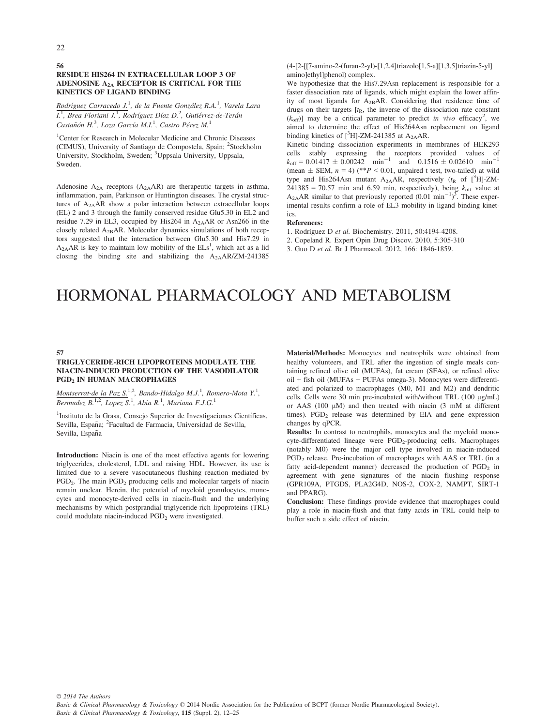### RESIDUE HIS264 IN EXTRACELLULAR LOOP 3 OF ADENOSINE A2A RECEPTOR IS CRITICAL FOR THE KINETICS OF LIGAND BINDING

Rodríguez Carracedo J.<sup>1</sup>, de la Fuente González R.A.<sup>1</sup>, Varela Lara I.<sup>1</sup>, Brea Floriani J.<sup>1</sup>, Rodríguez Díaz D.<sup>2</sup>, Gutiérrez-de-Terán Castañón H.<sup>3</sup>, Loza García M.I.<sup>1</sup>, Castro Pérez M.<sup>1</sup>

<sup>1</sup>Center for Research in Molecular Medicine and Chronic Diseases (CIMUS), University of Santiago de Compostela, Spain; <sup>2</sup>Stockholm University, Stockholm, Sweden; <sup>3</sup>Uppsala University, Uppsala, Sweden.

Adenosine  $A_{2A}$  receptors  $(A_{2A}AR)$  are therapeutic targets in asthma, inflammation, pain, Parkinson or Huntington diseases. The crystal structures of  $A_{2A}AR$  show a polar interaction between extracellular loops (EL) 2 and 3 through the family conserved residue Glu5.30 in EL2 and residue 7.29 in EL3, occupied by His264 in A2AAR or Asn266 in the closely related  $A_{2B}AR$ . Molecular dynamics simulations of both receptors suggested that the interaction between Glu5.30 and His7.29 in  $A_{2A}AR$  is key to maintain low mobility of the  $E Ls<sup>1</sup>$ , which act as a lid closing the binding site and stabilizing the  $A_{2A}AR/ZM-241385$ 

(4-[2-[[7-amino-2-(furan-2-yl)-[1,2,4]triazolo[1,5-a][1,3,5]triazin-5-yl] amino]ethyl]phenol) complex.

We hypothesize that the His7.29Asn replacement is responsible for a faster dissociation rate of ligands, which might explain the lower affinity of most ligands for A2BAR. Considering that residence time of drugs on their targets  $[t<sub>R</sub>]$ , the inverse of the dissociation rate constant  $(k<sub>off</sub>)$ ] may be a critical parameter to predict *in vivo* efficacy<sup>2</sup>, we aimed to determine the effect of His264Asn replacement on ligand binding kinetics of  $[^3H]$ -ZM-241385 at A<sub>2A</sub>AR.

Kinetic binding dissociation experiments in membranes of HEK293 cells stably expressing the receptors provided values of  $k_{\text{off}} = 0.01417 \pm 0.00242$  min<sup>-1</sup> and 0.1516  $\pm 0.02610$  min<sup>-1</sup> (mean  $\pm$  SEM,  $n = 4$ ) (\*\* $P < 0.01$ , unpaired t test, two-tailed) at wild type and His264Asn mutant  $A_{2A}AR$ , respectively ( $t_R$  of [<sup>3</sup>H]-ZM- $241385 = 70.57$  min and 6.59 min, respectively), being  $k_{\text{off}}$  value at  $A_{2A}AR$  similar to that previously reported  $(0.01 \text{ min}^{-1})^3$ . These experimental results confirm a role of EL3 mobility in ligand binding kinetics.

#### References:

1. Rodríguez D et al. Biochemistry. 2011, 50:4194-4208.

2. Copeland R. Expert Opin Drug Discov. 2010, 5:305-310

3. Guo D et al. Br J Pharmacol. 2012, 166: 1846-1859.

# HORMONAL PHARMACOLOGY AND METABOLISM

#### 57

#### TRIGLYCERIDE-RICH LIPOPROTEINS MODULATE THE NIACIN-INDUCED PRODUCTION OF THE VASODILATOR PGD2 IN HUMAN MACROPHAGES

Montserrat-de la Paz  $S^{1,2}$ , Bando-Hidalgo M.J.<sup>1</sup>, Romero-Mota Y.<sup>1</sup>, Bermudez B.<sup>1,2</sup>, Lopez S.<sup>1</sup>, Abia R.<sup>1</sup>, Muriana F.J.G.<sup>1</sup>

<sup>1</sup>Instituto de la Grasa, Consejo Superior de Investigaciones Científicas, Sevilla, España; <sup>2</sup>Facultad de Farmacia, Universidad de Sevilla, Sevilla, España

Introduction: Niacin is one of the most effective agents for lowering triglycerides, cholesterol, LDL and raising HDL. However, its use is limited due to a severe vasocutaneous flushing reaction mediated by  $PGD<sub>2</sub>$ . The main  $PGD<sub>2</sub>$  producing cells and molecular targets of niacin remain unclear. Herein, the potential of myeloid granulocytes, monocytes and monocyte-derived cells in niacin-flush and the underlying mechanisms by which postprandial triglyceride-rich lipoproteins (TRL) could modulate niacin-induced PGD<sub>2</sub> were investigated.

Material/Methods: Monocytes and neutrophils were obtained from healthy volunteers, and TRL after the ingestion of single meals containing refined olive oil (MUFAs), fat cream (SFAs), or refined olive oil + fish oil (MUFAs + PUFAs omega-3). Monocytes were differentiated and polarized to macrophages (M0, M1 and M2) and dendritic cells. Cells were 30 min pre-incubated with/without TRL  $(100 \mu g/mL)$ or AAS  $(100 \mu M)$  and then treated with niacin  $(3 \mu M)$  at different times).  $PGD<sub>2</sub>$  release was determined by EIA and gene expression changes by qPCR.

Results: In contrast to neutrophils, monocytes and the myeloid monocyte-differentiated lineage were  $PGD<sub>2</sub>-producing$  cells. Macrophages (notably M0) were the major cell type involved in niacin-induced PGD<sub>2</sub> release. Pre-incubation of macrophages with AAS or TRL (in a fatty acid-dependent manner) decreased the production of  $PGD<sub>2</sub>$  in agreement with gene signatures of the niacin flushing response (GPR109A, PTGDS, PLA2G4D, NOS-2, COX-2, NAMPT, SIRT-1 and PPARG).

Conclusion: These findings provide evidence that macrophages could play a role in niacin-flush and that fatty acids in TRL could help to buffer such a side effect of niacin.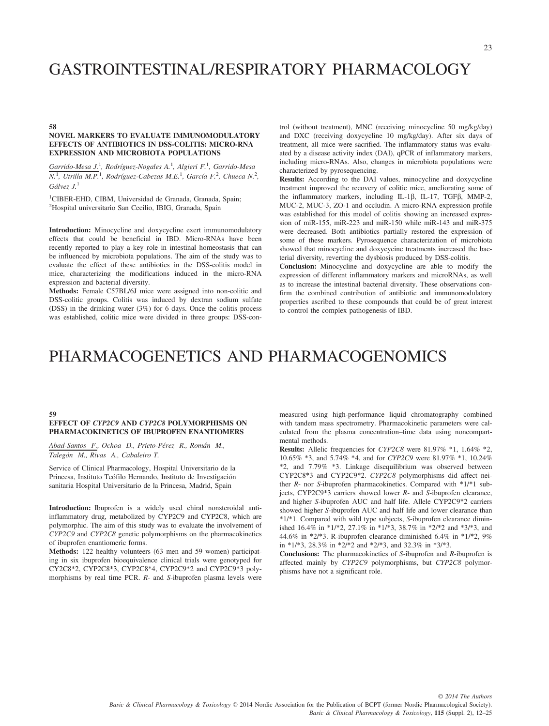# GASTROINTESTINAL/RESPIRATORY PHARMACOLOGY

#### 58

## NOVEL MARKERS TO EVALUATE IMMUNOMODULATORY EFFECTS OF ANTIBIOTICS IN DSS-COLITIS: MICRO-RNA EXPRESSION AND MICROBIOTA POPULATIONS

Garrido-Mesa J.<sup>1</sup>, Rodríguez-Nogales A.<sup>1</sup>, Algieri F.<sup>1</sup>, Garrido-Mesa  $N<sup>1</sup>$ , Utrilla M.P.<sup>1</sup>, Rodríguez-Cabezas M.E.<sup>1</sup>, García F.<sup>2</sup>, Chueca N.<sup>2</sup>, Gálvez  $J<sup>1</sup>$ 

1 CIBER-EHD, CIBM, Universidad de Granada, Granada, Spain; 2 Hospital universitario San Cecilio, IBIG, Granada, Spain

Introduction: Minocycline and doxycycline exert immunomodulatory effects that could be beneficial in IBD. Micro-RNAs have been recently reported to play a key role in intestinal homeostasis that can be influenced by microbiota populations. The aim of the study was to evaluate the effect of these antibiotics in the DSS-colitis model in mice, characterizing the modifications induced in the micro-RNA expression and bacterial diversity.

Methods: Female C57BL/6J mice were assigned into non-colitic and DSS-colitic groups. Colitis was induced by dextran sodium sulfate (DSS) in the drinking water (3%) for 6 days. Once the colitis process was established, colitic mice were divided in three groups: DSS-con-

trol (without treatment), MNC (receiving minocycline 50 mg/kg/day) and DXC (receiving doxycycline 10 mg/kg/day). After six days of treatment, all mice were sacrified. The inflammatory status was evaluated by a disease activity index (DAI), qPCR of inflammatory markers, including micro-RNAs. Also, changes in microbiota populations were characterized by pyrosequencing.

Results: According to the DAI values, minocycline and doxycycline treatment improved the recovery of colitic mice, ameliorating some of the inflammatory markers, including IL-1 $\beta$ , IL-17, TGF $\beta$ , MMP-2, MUC-2, MUC-3, ZO-1 and occludin. A micro-RNA expression profile was established for this model of colitis showing an increased expression of miR-155, miR-223 and miR-150 while miR-143 and miR-375 were decreased. Both antibiotics partially restored the expression of some of these markers. Pyrosequence characterization of microbiota showed that minocycline and doxycycine treatments increased the bacterial diversity, reverting the dysbiosis produced by DSS-colitis.

Conclusion: Minocycline and doxycycline are able to modify the expression of different inflammatory markers and microRNAs, as well as to increase the intestinal bacterial diversity. These observations confirm the combined contribution of antibiotic and immunomodulatory properties ascribed to these compounds that could be of great interest to control the complex pathogenesis of IBD.

# PHARMACOGENETICS AND PHARMACOGENOMICS

#### 59

# EFFECT OF CYP2C9 AND CYP2C8 POLYMORPHISMS ON PHARMACOKINETICS OF IBUPROFEN ENANTIOMERS

Abad-Santos F., Ochoa D., Prieto-Pérez R., Román M., Talegón M., Rivas A., Cabaleiro T.

Service of Clinical Pharmacology, Hospital Universitario de la Princesa, Instituto Teófilo Hernando, Instituto de Investigación sanitaria Hospital Universitario de la Princesa, Madrid, Spain

Introduction: Ibuprofen is a widely used chiral nonsteroidal antiinflammatory drug, metabolized by CYP2C9 and CYP2C8, which are polymorphic. The aim of this study was to evaluate the involvement of CYP2C9 and CYP2C8 genetic polymorphisms on the pharmacokinetics of ibuprofen enantiomeric forms.

Methods: 122 healthy volunteers (63 men and 59 women) participating in six ibuprofen bioequivalence clinical trials were genotyped for CY2C8\*2, CYP2C8\*3, CYP2C8\*4, CYP2C9\*2 and CYP2C9\*3 polymorphisms by real time PCR. R- and S-ibuprofen plasma levels were measured using high-performance liquid chromatography combined with tandem mass spectrometry. Pharmacokinetic parameters were calculated from the plasma concentration–time data using noncompartmental methods.

Results: Allelic frequencies for CYP2C8 were 81.97% \*1, 1.64% \*2, 10.65% \*3, and 5.74% \*4, and for CYP2C9 were 81.97% \*1, 10.24% \*2, and 7.79% \*3. Linkage disequilibrium was observed between CYP2C8\*3 and CYP2C9\*2. CYP2C8 polymorphisms did affect neither R- nor S-ibuprofen pharmacokinetics. Compared with \*1/\*1 subjects, CYP2C9\*3 carriers showed lower R- and S-ibuprofen clearance, and higher S-ibuprofen AUC and half life. Allele CYP2C9\*2 carriers showed higher S-ibuprofen AUC and half life and lower clearance than \*1/\*1. Compared with wild type subjects, S-ibuprofen clearance diminished 16.4% in \*1/\*2, 27.1% in \*1/\*3, 38.7% in \*2/\*2 and \*3/\*3, and 44.6% in \*2/\*3. R-ibuprofen clearance diminished 6.4% in \*1/\*2, 9% in \*1/\*3, 28.3% in \*2/\*2 and \*2/\*3, and 32.3% in \*3/\*3.

Conclusions: The pharmacokinetics of S-ibuprofen and R-ibuprofen is affected mainly by CYP2C9 polymorphisms, but CYP2C8 polymorphisms have not a significant role.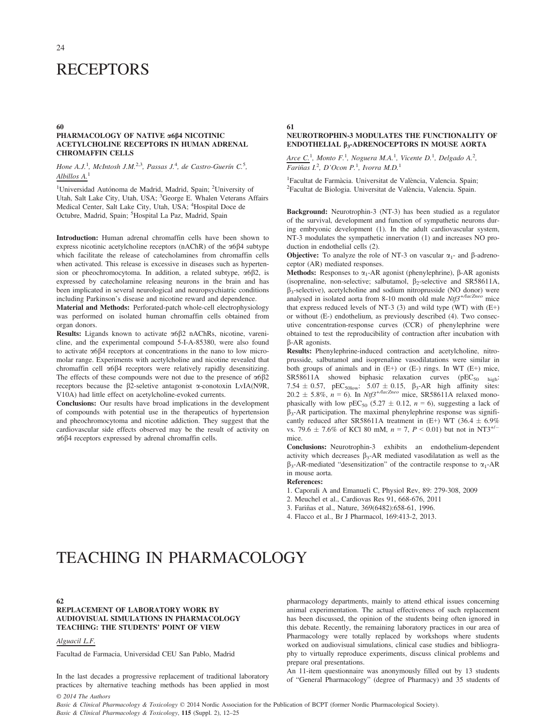# **RECEPTORS**

#### 60

#### PHARMACOLOGY OF NATIVE α6β4 NICOTINIC ACETYLCHOLINE RECEPTORS IN HUMAN ADRENAL CHROMAFFIN CELLS

#### Hone A.J.<sup>1</sup>, McIntosh J.M.<sup>2,3</sup>, Passas J.<sup>4</sup>, de Castro-Guerín C.<sup>5</sup>, Albillos A.<sup>1</sup>

<sup>1</sup>Universidad Autónoma de Madrid, Madrid, Spain; <sup>2</sup>University of Utah, Salt Lake City, Utah, USA; <sup>3</sup>George E. Whalen Veterans Affairs Medical Center, Salt Lake City, Utah, USA; <sup>4</sup>Hospital Doce de Octubre, Madrid, Spain; <sup>5</sup>Hospital La Paz, Madrid, Spain

Introduction: Human adrenal chromaffin cells have been shown to express nicotinic acetylcholine receptors (nAChR) of the  $\alpha$ 6 $\beta$ 4 subtype which facilitate the release of catecholamines from chromaffin cells when activated. This release is excessive in diseases such as hypertension or pheochromocytoma. In addition, a related subtype,  $\alpha$ 6 $\beta$ 2, is expressed by catecholamine releasing neurons in the brain and has been implicated in several neurological and neuropsychiatric conditions including Parkinson's disease and nicotine reward and dependence.

Material and Methods: Perforated-patch whole-cell electrophysiology was performed on isolated human chromaffin cells obtained from organ donors.

Results: Ligands known to activate  $\alpha$ 6 $\beta$ 2 nAChRs, nicotine, varenicline, and the experimental compound 5-I-A-85380, were also found to activate  $\alpha$ 6 $\beta$ 4 receptors at concentrations in the nano to low micromolar range. Experiments with acetylcholine and nicotine revealed that chromaffin cell  $\alpha$ 6 $\beta$ 4 receptors were relatively rapidly desensitizing. The effects of these compounds were not due to the presence of  $\alpha 6\beta 2$ receptors because the  $\beta$ 2-seletive antagonist  $\alpha$ -conotoxin LvIA(N9R, V10A) had little effect on acetylcholine-evoked currents.

Conclusions: Our results have broad implications in the development of compounds with potential use in the therapeutics of hypertension and pheochromocytoma and nicotine addiction. They suggest that the cardiovascular side effects observed may be the result of activity on  $\alpha$ 6 $\beta$ 4 receptors expressed by adrenal chromaffin cells.

61

# NEUROTROPHIN-3 MODULATES THE FUNCTIONALITY OF ENDOTHELIAL  $\beta_3$ -ADRENOCEPTORS IN MOUSE AORTA

 $\text{Arce~}C^{1}$ , Monto F.<sup>1</sup>, Noguera M.A.<sup>1</sup>, Vicente D.<sup>1</sup>, Delgado A.<sup>2</sup>, Fariñas  $L^2$ , D'Ocon P.<sup>1</sup>, Ivorra M.D.<sup>1</sup>

<sup>1</sup>Facultat de Farmàcia. Universitat de València, Valencia. Spain; 'Facultat de Farmàcia. Universitat de València, Valencia. Spain;<br><sup>2</sup>Facultat de Biologia. Universitat de València, Valencia. Spain.

Background: Neurotrophin-3 (NT-3) has been studied as a regulator of the survival, development and function of sympathetic neurons during embryonic development (1). In the adult cardiovascular system, NT-3 modulates the sympathetic innervation (1) and increases NO production in endothelial cells (2).

**Objective:** To analyze the role of NT-3 on vascular  $\alpha_1$ - and  $\beta$ -adrenoceptor (AR) mediated responses.

Methods: Responses to  $\alpha_1$ -AR agonist (phenylephrine),  $\beta$ -AR agonists (isoprenaline, non-selective; salbutamol,  $\beta_2$ -selective and SR58611A,  $\beta_3$ -selective), acetylcholine and sodium nitroprusside (NO donor) were analysed in isolated aorta from 8-10 month old male  $Ntf3^{+/lacZneo}$  mice that express reduced levels of NT-3 (3) and wild type (WT) with (E+) or without (E-) endothelium, as previously described (4). Two consecutive concentration-response curves (CCR) of phenylephrine were obtained to test the reproducibility of contraction after incubation with b-AR agonists.

Results: Phenylephrine-induced contraction and acetylcholine, nitroprusside, salbutamol and isoprenaline vasodilatations were similar in both groups of animals and in  $(E+)$  or  $(E-)$  rings. In WT  $(E+)$  mice,  $SR58611A$  showed biphasic relaxation curves ( $pEC_{50}$  high: 7.54  $\pm$  0.57, pEC<sub>50low</sub>: 5.07  $\pm$  0.15,  $\beta_3$ -AR high affinity sites:  $20.2 \pm 5.8\%$ ,  $n = 6$ ). In Ntf3<sup>+/lacZneo</sup> mice, SR58611A relaxed monophasically with low pEC<sub>50</sub> (5.27  $\pm$  0.12, n = 6), suggesting a lack of  $\beta_3$ -AR participation. The maximal phenylephrine response was significantly reduced after SR58611A treatment in  $(E+)$  WT (36.4  $\pm$  6.9%) vs. 79.6  $\pm$  7.6% of KCl 80 mM,  $n = 7$ ,  $P < 0.01$ ) but not in NT3<sup>+/-</sup> mice.

Conclusions: Neurotrophin-3 exhibits an endothelium-dependent activity which decreases  $\beta_3$ -AR mediated vasodilatation as well as the  $\beta_3$ -AR-mediated "desensitization" of the contractile response to  $\alpha_1$ -AR in mouse aorta.

References:

- 1. Caporali A and Emanueli C, Physiol Rev, 89: 279-308, 2009
- 2. Meuchel et al., Cardiovas Res 91, 668-676, 2011

3. Fariñas et al., Nature, 369(6482):658-61, 1996.

4. Flacco et al., Br J Pharmacol, 169:413-2, 2013.

# TEACHING IN PHARMACOLOGY

#### 62

# REPLACEMENT OF LABORATORY WORK BY AUDIOVISUAL SIMULATIONS IN PHARMACOLOGY TEACHING: THE STUDENTS' POINT OF VIEW

#### Alguacil L.F.

Facultad de Farmacia, Universidad CEU San Pablo, Madrid

In the last decades a progressive replacement of traditional laboratory practices by alternative teaching methods has been applied in most pharmacology departments, mainly to attend ethical issues concerning animal experimentation. The actual effectiveness of such replacement has been discussed, the opinion of the students being often ignored in this debate. Recently, the remaining laboratory practices in our area of Pharmacology were totally replaced by workshops where students worked on audiovisual simulations, clinical case studies and bibliography to virtually reproduce experiments, discuss clinical problems and prepare oral presentations.

An 11-item questionnaire was anonymously filled out by 13 students of "General Pharmacology" (degree of Pharmacy) and 35 students of

© 2014 The Authors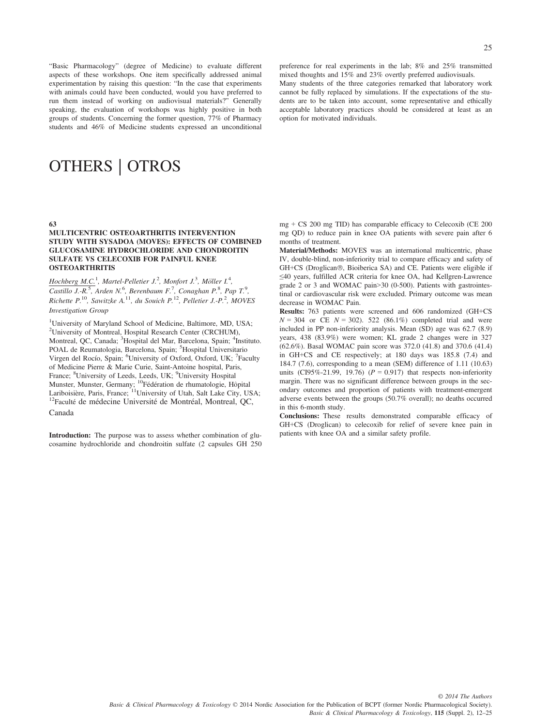"Basic Pharmacology" (degree of Medicine) to evaluate different aspects of these workshops. One item specifically addressed animal experimentation by raising this question: "In the case that experiments with animals could have been conducted, would you have preferred to run them instead of working on audiovisual materials?" Generally speaking, the evaluation of workshops was highly positive in both groups of students. Concerning the former question, 77% of Pharmacy students and 46% of Medicine students expressed an unconditional

# OTHERS | OTROS

#### 63

#### MULTICENTRIC OSTEOARTHRITIS INTERVENTION STUDY WITH SYSADOA (MOVES): EFFECTS OF COMBINED GLUCOSAMINE HYDROCHLORIDE AND CHONDROITIN SULFATE VS CELECOXIB FOR PAINFUL KNEE **OSTEOARTHRITIS**

Hochberg M.C.<sup>1</sup>, Martel-Pelletier J.<sup>2</sup>, Monfort J.<sup>3</sup>, Möller I.<sup>4</sup>, Castillo J.-R.<sup>5</sup>, Arden N.<sup>6</sup>, Berenbaum F.<sup>7</sup>, Conaghan P.<sup>8</sup>, Pap T.<sup>9</sup>, Richette  $P^{10}$ , Sawitzke A.<sup>11</sup>, du Souich  $P^{12}$ , Pelletier J.- $P^{2}$ , MOVES Investigation Group

<sup>1</sup>University of Maryland School of Medicine, Baltimore, MD, USA; 2 University of Montreal, Hospital Research Center (CRCHUM), Montreal, QC, Canada; <sup>3</sup>Hospital del Mar, Barcelona, Spain; <sup>4</sup>Instituto. POAL de Reumatologia, Barcelona, Spain; <sup>5</sup>Hospital Universitario Virgen del Rocío, Spain; <sup>6</sup>University of Oxford, Oxford, UK; <sup>7</sup>Faculty of Medicine Pierre & Marie Curie, Saint-Antoine hospital, Paris, France; <sup>8</sup>University of Leeds, Leeds, UK; <sup>9</sup>University Hospital Munster, Munster, Germany; <sup>10</sup>Fédération de rhumatologie, Hôpital<br>Lariboisière, Paris, France; <sup>11</sup>University of Utah, Salt Lake City, USA; <sup>12</sup>Faculté de médecine Université de Montréal, Montreal, QC, é de médecine Université de Montréal, Montreal, QC, Canada

Introduction: The purpose was to assess whether combination of glucosamine hydrochloride and chondroitin sulfate (2 capsules GH 250

preference for real experiments in the lab; 8% and 25% transmitted mixed thoughts and 15% and 23% overtly preferred audiovisuals.

Many students of the three categories remarked that laboratory work cannot be fully replaced by simulations. If the expectations of the students are to be taken into account, some representative and ethically acceptable laboratory practices should be considered at least as an option for motivated individuals.

mg + CS 200 mg TID) has comparable efficacy to Celecoxib (CE 200 mg QD) to reduce pain in knee OA patients with severe pain after 6 months of treatment.

Material/Methods: MOVES was an international multicentric, phase IV, double-blind, non-inferiority trial to compare efficacy and safety of GH+CS (Droglican®, Bioiberica SA) and CE. Patients were eligible if ≤40 years, fulfilled ACR criteria for knee OA, had Kellgren-Lawrence grade 2 or 3 and WOMAC pain>30 (0-500). Patients with gastrointestinal or cardiovascular risk were excluded. Primary outcome was mean decrease in WOMAC Pain.

Results: 763 patients were screened and 606 randomized (GH+CS  $N = 304$  or CE  $N = 302$ ). 522 (86.1%) completed trial and were included in PP non-inferiority analysis. Mean (SD) age was 62.7 (8.9) years, 438 (83.9%) were women; KL grade 2 changes were in 327 (62.6%). Basal WOMAC pain score was 372.0 (41.8) and 370.6 (41.4) in GH+CS and CE respectively; at 180 days was 185.8 (7.4) and 184.7 (7.6), corresponding to a mean (SEM) difference of 1.11 (10.63) units (CI95%-21.99, 19.76) ( $P = 0.917$ ) that respects non-inferiority margin. There was no significant difference between groups in the secondary outcomes and proportion of patients with treatment-emergent adverse events between the groups (50.7% overall); no deaths occurred in this 6-month study.

Conclusions: These results demonstrated comparable efficacy of GH+CS (Droglican) to celecoxib for relief of severe knee pain in patients with knee OA and a similar safety profile.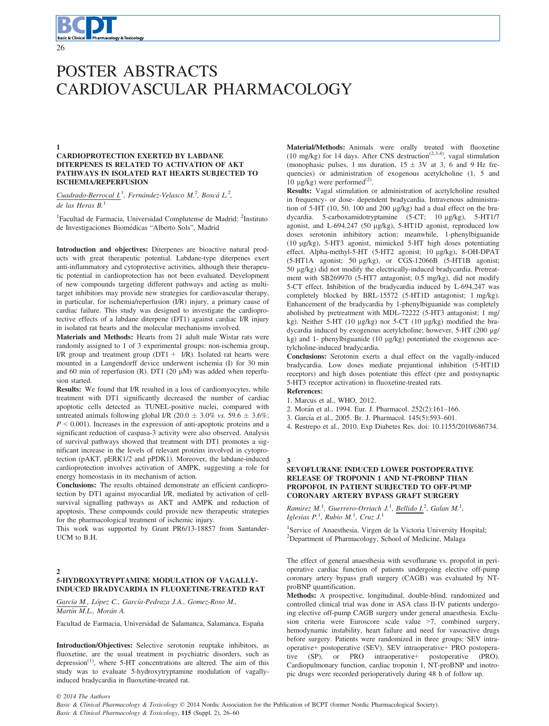# POSTER ABSTRACTS CARDIOVASCULAR PHARMACOLOGY

#### 1 CARDIOPROTECTION EXERTED BY LABDANE DITERPENES IS RELATED TO ACTIVATION OF AKT PATHWAYS IN ISOLATED RAT HEARTS SUBJECTED TO ISCHEMIA/REPERFUSION

Cuadrado-Berrocal I.<sup>1</sup>, Fernández-Velasco M.<sup>2</sup>, Boscá L.<sup>2</sup>, de las Heras  $B<sup>1</sup>$ 

<sup>1</sup>Facultad de Farmacia, Universidad Complutense de Madrid; <sup>2</sup>Instituto de Investigaciones Biomedicas "Alberto Sols", Madrid

Introduction and objectives: Diterpenes are bioactive natural products with great therapeutic potential. Labdane-type diterpenes exert anti-inflammatory and cytoprotective activities, although their therapeutic potential in cardioprotection has not been evaluated. Development of new compounds targeting different pathways and acting as multitarget inhibitors may provide new strategies for cardiovascular therapy, in particular, for ischemia/reperfusion (I/R) injury, a primary cause of cardiac failure. This study was designed to investigate the cardioprotective effects of a labdane diterpene (DT1) against cardiac I/R injury in isolated rat hearts and the molecular mechanisms involved.

Materials and Methods: Hearts from 21 adult male Wistar rats were randomly assigned to 1 of 3 experimental groups: non-ischemia group, I/R group and treatment group  $(DT1 + I/R)$ . Isolated rat hearts were mounted in a Langendorff device underwent ischemia (I) for 30 min and 60 min of reperfusion (R). DT1 (20  $\mu$ M) was added when reperfusion started.

Results: We found that I/R resulted in a loss of cardiomyocytes, while treatment with DT1 significantly decreased the number of cardiac apoptotic cells detected as TUNEL-positive nuclei, compared with untreated animals following global I/R (20.0  $\pm$  3.0% vs. 59.6  $\pm$  3.6%;  $P < 0.001$ ). Increases in the expression of anti-apoptotic proteins and a significant reduction of caspasa-3 activity were also observed. Analysis of survival pathways showed that treatment with DT1 promotes a significant increase in the levels of relevant proteins involved in cytoprotection (pAKT, pERK1/2 and pPDK1). Moreover, the labdane-induced cardioprotection involves activation of AMPK, suggesting a role for energy homeostasis in its mechanism of action.

Conclusions: The results obtained demonstrate an efficient cardioprotection by DT1 against myocardial I/R, mediated by activation of cellsurvival signalling pathways as AKT and AMPK and reduction of apoptosis. These compounds could provide new therapeutic strategies for the pharmacological treatment of ischemic injury.

This work was supported by Grant PR6/13-18857 from Santander-UCM to B.H.

#### $\overline{2}$

# 5-HYDROXYTRYPTAMINE MODULATION OF VAGALLY-INDUCED BRADYCARDIA IN FLUOXETINE-TREATED RAT

García M., López C., García-Pedraza J.A., Gomez-Roso M., Martín M.L., Morán A.

Facultad de Farmacia, Universidad de Salamanca, Salamanca, España

Introduction/Objectives: Selective serotonin reuptake inhibitors, as fluoxetine, are the usual treatment in psychiatric disorders, such as depression<sup> $(1)$ </sup>, where 5-HT concentrations are altered. The aim of this study was to evaluate 5-hydroxytryptamine modulation of vagallyinduced bradycardia in fluoxetine-treated rat.

Material/Methods: Animals were orally treated with fluoxetine (10 mg/kg) for 14 days. After CNS destruction<sup>(2,3,4)</sup>, vagal stimulation (monophasic pulses, 1 ms duration,  $15 \pm 3V$  at 3, 6 and 9 Hz frequencies) or administration of exogenous acetylcholine (1, 5 and 10 μg/kg) were performed<sup>(2)</sup>.

Results: Vagal stimulation or administration of acetylcholine resulted in frequency- or dose- dependent bradycardia. Intravenous administration of  $5-HT$  (10, 50, 100 and 200  $\mu$ g/kg) had a dual effect on the bradycardia. 5-carboxamidotryptamine (5-CT; 10 µg/kg), 5-HT1/7 agonist, and L-694,247 (50 µg/kg), 5-HT1D agonist, reproduced low doses serotonin inhibitory action; meanwhile, 1-phenylbiguanide (10 lg/kg), 5-HT3 agonist, mimicked 5-HT high doses potentiating effect. Alpha-methyl-5-HT (5-HT2 agonist; 10 µg/kg), 8-OH-DPAT (5-HT1A agonist; 50 lg/kg), or CGS-12066B (5-HT1B agonist; 50 lg/kg) did not modify the electrically-induced bradycardia. Pretreatment with SB269970 (5-HT7 antagonist; 0.5 mg/kg), did not modify 5-CT effect. Inhibition of the bradycardia induced by L-694,247 was completely blocked by BRL-15572 (5-HT1D antagonist; 1 mg/kg). Enhancement of the bradycardia by 1-phenylbiguanide was completely abolished by pretreatment with MDL-72222 (5-HT3 antagonist; 1 mg/ kg). Neither 5-HT (10 μg/kg) nor 5-CT (10 μg/kg) modified the bradycardia induced by exogenous acetylcholine; however, 5-HT (200 µg/ kg) and 1- phenylbiguanide (10 µg/kg) potentiated the exogenous acetylcholine-induced bradycardia.

Conclusions: Serotonin exerts a dual effect on the vagally-induced bradycardia. Low doses mediate prejuntional inhibition (5-HT1D receptors) and high doses potentiate this effect (pre and postsynaptic 5-HT3 receptor activation) in fluoxetine-treated rats.

References:

1. Marcus et al., WHO, 2012.

- 2. Moran et al., 1994. Eur. J. Pharmacol. 252(2):161–166.
- 3. García et al., 2005. Br. J. Pharmacol. 145(5):593-601.

4. Restrepo et al., 2010. Exp Diabetes Res. doi: 10.1155/2010/686734.

# 3

### SEVOFLURANE INDUCED LOWER POSTOPERATIVE RELEASE OF TROPONIN 1 AND NT-PROBNP THAN PROPOFOL IN PATIENT SUBJECTED TO OFF-PUMP CORONARY ARTERY BYPASS GRAFT SURGERY

Ramirez M.<sup>1</sup>, Guerrero-Orriach J.<sup>1</sup>, <u>Bellido I.</u><sup>2</sup>, Galan M.<sup>1</sup>, Iglesias  $P^1$ , Rubio M.<sup>1</sup>, Cruz J.<sup>1</sup>

<sup>1</sup>Service of Anaesthesia, Virgen de la Victoria University Hospital; <sup>2</sup>Department of Pharmacology, School of Medicine, Malaga

The effect of general anaesthesia with sevoflurane vs. propofol in perioperative cardiac function of patients undergoing elective off-pump coronary artery bypass graft surgery (CAGB) was evaluated by NTproBNP quantification.

Methods: A prospective, longitudinal, double-blind, randomized and controlled clinical trial was done in ASA class II-IV patients undergoing elective off-pump CAGB surgery under general anaesthesia. Exclusion criteria were Euroscore scale value >7, combined surgery, hemodynamic instability, heart failure and need for vasoactive drugs before surgery. Patients were randomized in three groups: SEV intraoperative+ postoperative (SEV), SEV intraoperative+ PRO postoperative (SP), or PRO intraoperative+ postoperative (PRO). Cardiopulmonary function, cardiac troponin 1, NT-proBNP and inotropic drugs were recorded perioperatively during 48 h of follow up.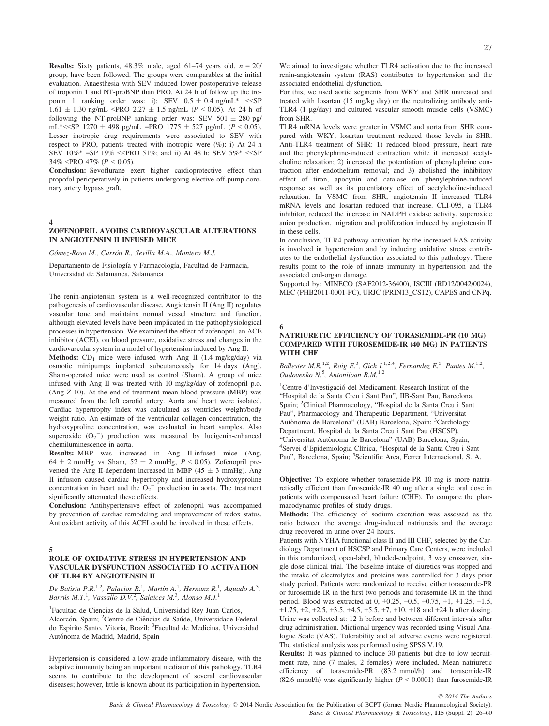**Results:** Sixty patients,  $48.3\%$  male, aged  $61-74$  years old,  $n = 20/$ group, have been followed. The groups were comparables at the initial evaluation. Anaesthesia with SEV induced lower postoperative release of troponin 1 and NT-proBNP than PRO. At 24 h of follow up the troponin 1 ranking order was: i): SEV  $0.5 \pm 0.4$  ng/mL\*  $\ll$ SP  $1.61 \pm 1.30$  ng/mL <PRO 2.27  $\pm$  1.5 ng/mL (P < 0.05). At 24 h of following the NT-proBNP ranking order was: SEV  $501 \pm 280$  pg/ mL\*<<SP 1270  $\pm$  498 pg/mL =PRO 1775  $\pm$  527 pg/mL (P < 0.05). Lesser inotropic drug requirements were associated to SEV with respect to PRO, patients treated with inotropic were (%): i) At 24 h SEV  $10\%$ \* =SP  $19\%$  <<PRO 51%; and ii) At 48 h: SEV  $5\%$ \* <<SP 34% <PRO 47% ( $P < 0.05$ ).

Conclusion: Sevoflurane exert higher cardioprotective effect than propofol perioperatively in patients undergoing elective off-pump coronary artery bypass graft.

4

# ZOFENOPRIL AVOIDS CARDIOVASCULAR ALTERATIONS IN ANGIOTENSIN II INFUSED MICE

Gómez-Roso M., Carrón R., Sevilla M.A., Montero M.J.

Departamento de Fisiología y Farmacología, Facultad de Farmacia, Universidad de Salamanca, Salamanca

The renin-angiotensin system is a well-recognized contributor to the pathogenesis of cardiovascular disease. Angiotensin II (Ang II) regulates vascular tone and maintains normal vessel structure and function, although elevated levels have been implicated in the pathophysiological processes in hypertension. We examined the effect of zofenopril, an ACE inhibitor (ACEI), on blood pressure, oxidative stress and changes in the cardiovascular system in a model of hypertension induced by Ang II.

**Methods:**  $CD_1$  mice were infused with Ang II (1.4 mg/kg/day) via osmotic minipumps implanted subcutaneously for 14 days (Ang). Sham-operated mice were used as control (Sham). A group of mice infused with Ang II was treated with 10 mg/kg/day of zofenopril p.o. (Ang Z-10). At the end of treatment mean blood pressure (MBP) was measured from the left carotid artery. Aorta and heart were isolated. Cardiac hypertrophy index was calculated as ventricles weight/body weight ratio. An estimate of the ventricular collagen concentration, the hydroxyproline concentration, was evaluated in heart samples. Also superoxide  $(O_2^-)$  production was measured by lucigenin-enhanced chemiluminescence in aorta.

Results: MBP was increased in Ang II-infused mice (Ang, 64  $\pm$  2 mmHg vs Sham, 52  $\pm$  2 mmHg, P < 0.05). Zofenopril prevented the Ang II-dependent increased in MBP (45  $\pm$  3 mmHg). Ang II infusion caused cardiac hypertrophy and increased hydroxyproline concentration in heart and the  $O_2$ <sup>-</sup> production in aorta. The treatment significantly attenuated these effects.

Conclusion: Antihypertensive effect of zofenopril was accompanied by prevention of cardiac remodeling and improvement of redox status. Antioxidant activity of this ACEI could be involved in these effects.

5

#### ROLE OF OXIDATIVE STRESS IN HYPERTENSION AND VASCULAR DYSFUNCTION ASSOCIATED TO ACTIVATION OF TLR4 BY ANGIOTENSIN II

De Batista P.R.<sup>1,2</sup>, Palacios R.<sup>1</sup>, Martín A.<sup>1</sup>, Hernanz R.<sup>1</sup>, Aguado A.<sup>3</sup>, Barrús M.T.<sup>1</sup>, Vassallo D.V.<sup>2</sup>, Salaices M.<sup>3</sup>, Alonso M.J.<sup>1</sup>

1 Facultad de Ciencias de la Salud, Universidad Rey Juan Carlos, Alcorcón, Spain; <sup>2</sup>Centro de Ciências da Saúde, Universidade Federal do Espirito Santo, Vitoria, Brazil; <sup>3</sup> Facultad de Medicina, Universidad Autónoma de Madrid, Madrid, Spain

Hypertension is considered a low-grade inflammatory disease, with the adaptive immunity being an important mediator of this pathology. TLR4 seems to contribute to the development of several cardiovascular diseases; however, little is known about its participation in hypertension.

We aimed to investigate whether TLR4 activation due to the increased renin-angiotensin system (RAS) contributes to hypertension and the associated endothelial dysfunction.

For this, we used aortic segments from WKY and SHR untreated and treated with losartan (15 mg/kg day) or the neutralizing antibody anti-TLR4 (1 µg/day) and cultured vascular smooth muscle cells (VSMC) from SHR.

TLR4 mRNA levels were greater in VSMC and aorta from SHR compared with WKY; losartan treatment reduced those levels in SHR. Anti-TLR4 treatment of SHR: 1) reduced blood pressure, heart rate and the phenylephrine-induced contraction while it increased acetylcholine relaxation; 2) increased the potentiation of phenylephrine contraction after endothelium removal; and 3) abolished the inhibitory effect of tiron, apocynin and catalase on phenylephrine-induced response as well as its potentiatory effect of acetylcholine-induced relaxation. In VSMC from SHR, angiotensin II increased TLR4 mRNA levels and losartan reduced that increase. CLI-095, a TLR4 inhibitor, reduced the increase in NADPH oxidase activity, superoxide anion production, migration and proliferation induced by angiotensin II in these cells.

In conclusion, TLR4 pathway activation by the increased RAS activity is involved in hypertension and by inducing oxidative stress contributes to the endothelial dysfunction associated to this pathology. These results point to the role of innate immunity in hypertension and the associated end-organ damage.

Supported by: MINECO (SAF2012-36400), ISCIII (RD12/0042/0024), MEC (PHB2011-0001-PC), URJC (PRIN13\_CS12), CAPES and CNPq.

6

#### NATRIURETIC EFFICIENCY OF TORASEMIDE-PR (10 MG) COMPARED WITH FUROSEMIDE-IR (40 MG) IN PATIENTS WITH CHF

Ballester M.R.<sup>1,2</sup>, Roig E.<sup>3</sup>, Gich I.<sup>1,2,4</sup>, Fernandez E.<sup>5</sup>, Puntes M.<sup>1,2</sup>, Oudovenko N.<sup>5</sup>, Antonijoan R.M.<sup>1,2</sup>

1 Centre d'Investigacio del Medicament, Research Institut of the "Hospital de la Santa Creu i Sant Pau", IIB-Sant Pau, Barcelona, Spain; <sup>2</sup>Clinical Pharmacology, "Hospital de la Santa Creu i Sant Pau", Pharmacology and Therapeutic Department, "Universitat Autònoma de Barcelona" (UAB) Barcelona, Spain; <sup>3</sup>Cardiology Department, Hospital de la Santa Creu i Sant Pau (HSCSP), "Universitat Autònoma de Barcelona" (UAB) Barcelona, Spain; <sup>4</sup>Servei d'Epidemiologia Clínica, "Hospital de la Santa Creu i Sant Pau", Barcelona, Spain; <sup>5</sup>Scientific Area, Ferrer Internacional, S. A.

Objective: To explore whether torasemide-PR 10 mg is more natriuretically efficient than furosemide-IR 40 mg after a single oral dose in patients with compensated heart failure (CHF). To compare the pharmacodynamic profiles of study drugs.

Methods: The efficiency of sodium excretion was assessed as the ratio between the average drug-induced natriuresis and the average drug recovered in urine over 24 hours.

Patients with NYHA functional class II and III CHF, selected by the Cardiology Department of HSCSP and Primary Care Centers, were included in this randomized, open-label, blinded-endpoint, 3 way crossover, single dose clinical trial. The baseline intake of diuretics was stopped and the intake of electrolytes and proteins was controlled for 3 days prior study period. Patients were randomized to receive either torasemide-PR or furosemide-IR in the first two periods and torasemide-IR in the third period. Blood was extracted at 0, +0.25, +0.5, +0.75, +1, +1.25, +1.5,  $+1.75, +2, +2.5, +3.5, +4.5, +5.5, +7, +10, +18$  and  $+24$  h after dosing. Urine was collected at: 12 h before and between different intervals after drug administration. Mictional urgency was recorded using Visual Analogue Scale (VAS). Tolerability and all adverse events were registered. The statistical analysis was performed using SPSS V.19.

Results: It was planned to include 30 patients but due to low recruitment rate, nine (7 males, 2 females) were included. Mean natriuretic efficiency of torasemide-PR (83.2 mmol/h) and torasemide-IR (82.6 mmol/h) was significantly higher ( $P \le 0.0001$ ) than furosemide-IR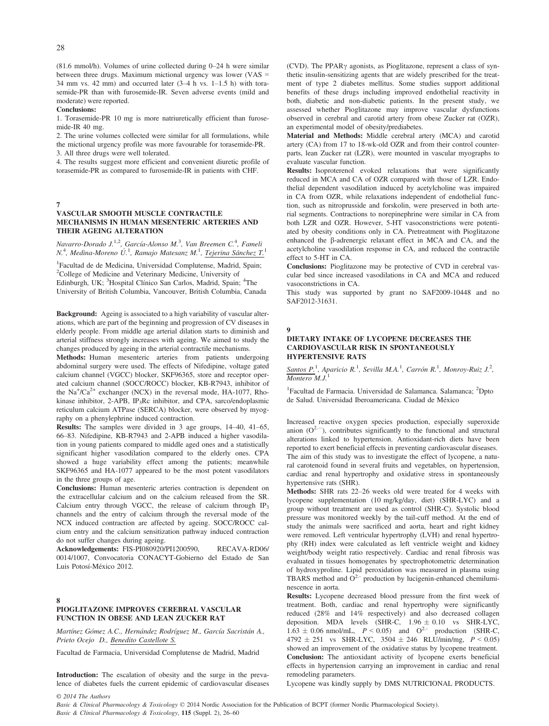(81.6 mmol/h). Volumes of urine collected during 0–24 h were similar between three drugs. Maximum mictional urgency was lower (VAS = 34 mm vs. 42 mm) and occurred later (3–4 h vs. 1–1.5 h) with torasemide-PR than with furosemide-IR. Seven adverse events (mild and moderate) were reported.

#### Conclusions:

1. Torasemide-PR 10 mg is more natriuretically efficient than furosemide-IR 40 mg.

2. The urine volumes collected were similar for all formulations, while the mictional urgency profile was more favourable for torasemide-PR. 3. All three drugs were well tolerated.

4. The results suggest more efficient and convenient diuretic profile of torasemide-PR as compared to furosemide-IR in patients with CHF.

#### 7

## VASCULAR SMOOTH MUSCLE CONTRACTILE MECHANISMS IN HUMAN MESENTERIC ARTERIES AND THEIR AGEING ALTERATION

Navarro-Dorado J.<sup>1,2</sup>, García-Alonso M.<sup>3</sup>, Van Breemen C.<sup>4</sup>, Fameli N.<sup>4</sup>, Medina-Moreno Ú.<sup>1</sup>, Ramajo Matesanz M.<sup>1</sup>, <u>Tejerina Sánchez T.</u><sup>1</sup>

<sup>1</sup>Facultad de de Medicina, Universidad Complutense, Madrid, Spain; 2 College of Medicine and Veterinary Medicine, University of Edinburgh, UK; <sup>3</sup>Hospital Clínico San Carlos, Madrid, Spain; <sup>4</sup>The University of British Columbia, Vancouver, British Columbia, Canada

Background: Ageing is associated to a high variability of vascular alterations, which are part of the beginning and progression of CV diseases in elderly people. From middle age arterial dilation starts to diminish and arterial stiffness strongly increases with ageing. We aimed to study the changes produced by ageing in the arterial contractile mechanisms.

Methods: Human mesenteric arteries from patients undergoing abdominal surgery were used. The effects of Nifedipine, voltage gated calcium channel (VGCC) blocker, SKF96365, store and receptor operated calcium channel (SOCC/ROCC) blocker, KB-R7943, inhibitor of the  $Na^{+}/Ca^{2+}$  exchanger (NCX) in the reversal mode, HA-1077, Rhokinase inhibitor, 2-APB, IP<sub>3</sub>Rc inhibitor, and CPA, sarco/endoplasmic reticulum calcium ATPase (SERCA) blocker, were observed by myography on a phenylephrine induced contraction.

Results: The samples were divided in 3 age groups, 14–40, 41–65, 66–83. Nifedipine, KB-R7943 and 2-APB induced a higher vasodilation in young patients compared to middle aged ones and a statistically significant higher vasodilation compared to the elderly ones. CPA showed a huge variability effect among the patients; meanwhile SKF96365 and HA-1077 appeared to be the most potent vasodilators in the three groups of age.

Conclusions: Human mesenteric arteries contraction is dependent on the extracellular calcium and on the calcium released from the SR. Calcium entry through VGCC, the release of calcium through  $IP<sub>3</sub>$ channels and the entry of calcium through the reversal mode of the NCX induced contraction are affected by ageing. SOCC/ROCC calcium entry and the calcium sensitization pathway induced contraction do not suffer changes during ageing.

Acknowledgements: FIS-PI080920/PI1200590, RECAVA-RD06/ 0014/1007, Convocatoria CONACYT-Gobierno del Estado de San Luis Potosí-México 2012.

#### 8 PIOGLITAZONE IMPROVES CEREBRAL VASCULAR FUNCTION IN OBESE AND LEAN ZUCKER RAT

© 2014 The Authors

Martínez Gómez A.C., Hernández Rodríguez M., García Sacristán A., Prieto Ocejo D., Benedito Castellote S.

Facultad de Farmacia, Universidad Complutense de Madrid, Madrid

Introduction: The escalation of obesity and the surge in the prevalence of diabetes fuels the current epidemic of cardiovascular diseases (CVD). The PPAR $\gamma$  agonists, as Pioglitazone, represent a class of synthetic insulin-sensitizing agents that are widely prescribed for the treatment of type 2 diabetes mellitus. Some studies support additional benefits of these drugs including improved endothelial reactivity in both, diabetic and non-diabetic patients. In the present study, we assessed whether Pioglitazone may improve vascular dysfunctions observed in cerebral and carotid artery from obese Zucker rat (OZR), an experimental model of obesity/prediabetes.

Material and Methods: Middle cerebral artery (MCA) and carotid artery (CA) from 17 to 18-wk-old OZR and from their control counterparts, lean Zucker rat (LZR), were mounted in vascular myographs to evaluate vascular function.

Results: Isoproterenol evoked relaxations that were significantly reduced in MCA and CA of OZR compared with those of LZR. Endothelial dependent vasodilation induced by acetylcholine was impaired in CA from OZR, while relaxations independent of endothelial function, such as nitroprusside and forskolin, were preserved in both arterial segments. Contractions to norepinephrine were similar in CA from both LZR and OZR. However, 5-HT vasoconstrictions were potentiated by obesity conditions only in CA. Pretreatment with Pioglitazone enhanced the  $\beta$ -adrenergic relaxant effect in MCA and CA, and the acetylcholine vasodilation response in CA, and reduced the contractile effect to 5-HT in CA.

Conclusions: Pioglitazone may be protective of CVD in cerebral vascular bed since increased vasodilations in CA and MCA and reduced vasoconstrictions in CA.

This study was supported by grant no SAF2009-10448 and no SAF2012-31631.

#### $\ddot{\mathbf{Q}}$

#### DIETARY INTAKE OF LYCOPENE DECREASES THE CARDIOVASCULAR RISK IN SPONTANEOUSLY HYPERTENSIVE RATS

Santos P.<sup>1</sup>, Aparicio R.<sup>1</sup>, Sevilla M.A.<sup>1</sup>, Carrón R.<sup>1</sup>, Monroy-Ruiz J.<sup>2</sup>, Montero M.J.

<sup>1</sup>Facultad de Farmacia. Universidad de Salamanca. Salamanca; <sup>2</sup>Dpto de Salud. Universidad Iberoamericana. Ciudad de México

Increased reactive oxygen species production, especially superoxide anion  $(O^{2,-})$ , contributes significantly to the functional and structural alterations linked to hypertension. Antioxidant-rich diets have been reported to exert beneficial effects in preventing cardiovascular diseases. The aim of this study was to investigate the effect of lycopene, a natural carotenoid found in several fruits and vegetables, on hypertension, cardiac and renal hypertrophy and oxidative stress in spontaneously hypertensive rats (SHR).

Methods: SHR rats 22–26 weeks old were treated for 4 weeks with lycopene supplementation (10 mg/kg/day, diet) (SHR-LYC) and a group without treatment are used as control (SHR-C). Systolic blood pressure was monitored weekly by the tail-cuff method. At the end of study the animals were sacrificed and aorta, heart and right kidney were removed. Left ventricular hypertrophy (LVH) and renal hypertrophy (RH) index were calculated as left ventricle weight and kidney weight/body weight ratio respectively. Cardiac and renal fibrosis was evaluated in tissues homogenates by spectrophotometric determination of hydroxyproline. Lipid peroxidation was measured in plasma using TBARS method and  $O^{2-}$  production by lucigenin-enhanced chemiluminescence in aorta.

Results: Lycopene decreased blood pressure from the first week of treatment. Both, cardiac and renal hypertrophy were significantly reduced (28% and 14% respectively) and also decreased collagen deposition. MDA levels (SHR-C,  $1.96 \pm 0.10$  vs SHR-LYC,  $1.63 \pm 0.06$  nmol/mL,  $P < 0.05$ ) and  $Q^{2}$ - production (SHR-C,  $4792 \pm 251$  vs SHR-LYC,  $3504 \pm 246$  RLU/min/mg,  $P < 0.05$ ) showed an improvement of the oxidative status by lycopene treatment. Conclusion: The antioxidant activity of lycopene exerts beneficial effects in hypertension carrying an improvement in cardiac and renal remodeling parameters.

Lycopene was kindly supply by DMS NUTRICIONAL PRODUCTS.

28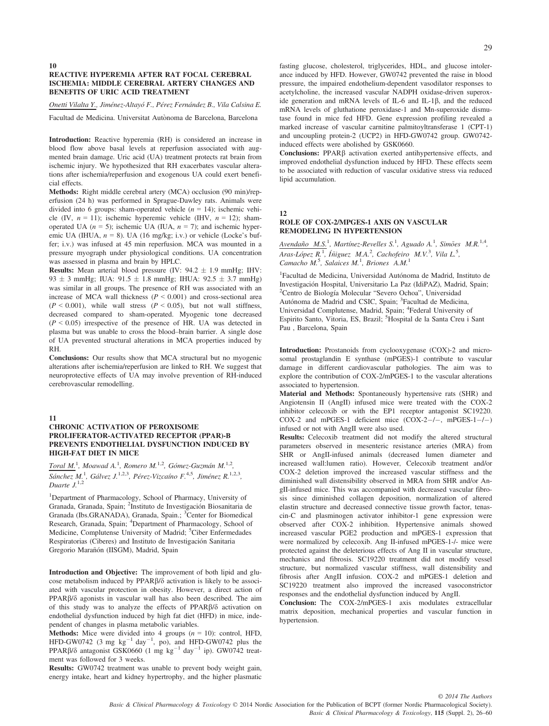#### 10 REACTIVE HYPEREMIA AFTER RAT FOCAL CEREBRAL ISCHEMIA: MIDDLE CEREBRAL ARTERY CHANGES AND BENEFITS OF URIC ACID TREATMENT

Onetti Vilalta Y., Jiménez-Altayó F., Pérez Fernández B., Vila Calsina E.

Facultad de Medicina. Universitat Autònoma de Barcelona, Barcelona

Introduction: Reactive hyperemia (RH) is considered an increase in blood flow above basal levels at reperfusion associated with augmented brain damage. Uric acid (UA) treatment protects rat brain from ischemic injury. We hypothesized that RH exacerbates vascular alterations after ischemia/reperfusion and exogenous UA could exert beneficial effects.

Methods: Right middle cerebral artery (MCA) occlusion (90 min)/reperfusion (24 h) was performed in Sprague-Dawley rats. Animals were divided into 6 groups: sham-operated vehicle  $(n = 14)$ ; ischemic vehicle (IV,  $n = 11$ ); ischemic hyperemic vehicle (IHV,  $n = 12$ ); shamoperated UA ( $n = 5$ ); ischemic UA (IUA,  $n = 7$ ); and ischemic hyperemic UA (IHUA,  $n = 8$ ). UA (16 mg/kg; i.v.) or vehicle (Locke's buffer; i.v.) was infused at 45 min reperfusion. MCA was mounted in a pressure myograph under physiological conditions. UA concentration was assessed in plasma and brain by HPLC.

**Results:** Mean arterial blood pressure (IV:  $94.2 \pm 1.9$  mmHg; IHV: 93  $\pm$  3 mmHg; IUA: 91.5  $\pm$  1.8 mmHg; IHUA: 92.5  $\pm$  3.7 mmHg) was similar in all groups. The presence of RH was associated with an increase of MCA wall thickness  $(P < 0.001)$  and cross-sectional area  $(P < 0.001)$ , while wall stress  $(P < 0.05)$ , but not wall stiffness, decreased compared to sham-operated. Myogenic tone decreased  $(P < 0.05)$  irrespective of the presence of HR. UA was detected in plasma but was unable to cross the blood–brain barrier. A single dose of UA prevented structural alterations in MCA properties induced by RH.

Conclusions: Our results show that MCA structural but no myogenic alterations after ischemia/reperfusion are linked to RH. We suggest that neuroprotective effects of UA may involve prevention of RH-induced cerebrovascular remodelling.

#### 11

#### CHRONIC ACTIVATION OF PEROXISOME PROLIFERATOR-ACTIVATED RECEPTOR (PPAR)-Β PREVENTS ENDOTHELIAL DYSFUNCTION INDUCED BY HIGH-FAT DIET IN MICE

 $Total M<sup>1</sup>$ , Moawad A.<sup>1</sup>, Romero M.<sup>1,2</sup>, Gómez-Guzmán M.<sup>1,2</sup>, Sánchez M.<sup>1</sup>, Gálvez J.<sup>1,2,3</sup>, Pérez-Vizcaíno F.<sup>4,5</sup>, Jiménez R.<sup>1,2,3</sup>, Duarte  $J^{1,2}$ 

1 Department of Pharmacology, School of Pharmacy, University of Granada, Granada, Spain; <sup>2</sup>Instituto de Investigación Biosanitaria de Granada (Ibs.GRANADA), Granada, Spain.; <sup>3</sup>Center for Biomedical Research, Granada, Spain; <sup>4</sup>Department of Pharmacology, School of Medicine, Complutense University of Madrid; <sup>5</sup>Ciber Enfermedades Respiratorias (Ciberes) and Instituto de Investigacion Sanitaria Gregorio Marañón (IISGM), Madrid, Spain

Introduction and Objective: The improvement of both lipid and glucose metabolism induced by  $PPAR\beta/\delta$  activation is likely to be associated with vascular protection in obesity. However, a direct action of  $PPAR\beta/\delta$  agonists in vascular wall has also been described. The aim of this study was to analyze the effects of PPAR $\beta/\delta$  activation on endothelial dysfunction induced by high fat diet (HFD) in mice, independent of changes in plasma metabolic variables.

**Methods:** Mice were divided into 4 groups  $(n = 10)$ : control, HFD, HFD-GW0742 (3 mg  $kg^{-1}$  day<sup>-1</sup>, po), and HFD-GW0742 plus the PPAR $\beta$ / $\delta$  antagonist GSK0660 (1 mg kg<sup>-1</sup> day<sup>-1</sup> ip). GW0742 treatment was followed for 3 weeks.

Results: GW0742 treatment was unable to prevent body weight gain, energy intake, heart and kidney hypertrophy, and the higher plasmatic

fasting glucose, cholesterol, triglycerides, HDL, and glucose intolerance induced by HFD. However, GW0742 prevented the raise in blood pressure, the impaired endothelium-dependent vasodilator responses to acetylcholine, the increased vascular NADPH oxidase-driven superoxide generation and mRNA levels of IL-6 and IL-1 $\beta$ , and the reduced mRNA levels of gluthatione peroxidase-1 and Mn-superoxide dismutase found in mice fed HFD. Gene expression profiling revealed a marked increase of vascular carnitine palmitoyltransferase 1 (CPT-1) and uncoupling protein-2 (UCP2) in HFD-GW0742 group. GW0742 induced effects were abolished by GSK0660.

Conclusions: PPAR $\beta$  activation exerted antihypertensive effects, and improved endothelial dysfunction induced by HFD. These effects seem to be associated with reduction of vascular oxidative stress via reduced lipid accumulation.

12

#### ROLE OF COX-2/MPGES-1 AXIS ON VASCULAR REMODELING IN HYPERTENSION

 $Avendaño$   $M.S.^1$ , Martínez-Revelles S.<sup>1</sup>, Aguado A.<sup>1</sup>, Simões  $M.R.^{1,4}$ , Aras-López R.<sup>1</sup>, Íñiguez M.A.<sup>2</sup>, Cachofeiro M.V.<sup>3</sup>, Vila L.<sup>5</sup>, Camacho M.<sup>5</sup>, Salaices M.<sup>1</sup>, Briones A.M.<sup>1</sup>

<sup>1</sup>Facultad de Medicina, Universidad Autónoma de Madrid, Instituto de Investigacion Hospital, Universitario La Paz (IdiPAZ), Madrid, Spain; <sup>2</sup> <sup>2</sup>Centro de Biología Molecular "Severo Ochoa", Universidad Autónoma de Madrid and CSIC, Spain; <sup>3</sup>Facultad de Medicina, Universidad Complutense, Madrid, Spain; <sup>4</sup>Federal University of Espirito Santo, Vitoria, ES, Brazil; <sup>5</sup>Hospital de la Santa Creu i Sant Pau , Barcelona, Spain

Introduction: Prostanoids from cyclooxygenase (COX)-2 and microsomal prostaglandin E synthase (mPGES)-1 contribute to vascular damage in different cardiovascular pathologies. The aim was to explore the contribution of COX-2/mPGES-1 to the vascular alterations associated to hypertension.

Material and Methods: Spontaneously hypertensive rats (SHR) and Angiotensin II (AngII) infused mice were treated with the COX-2 inhibitor celecoxib or with the EP1 receptor antagonist SC19220. COX-2 and mPGES-1 deficient mice  $(COX-2-/-, mPGES-1-/-)$ infused or not with AngII were also used.

Results: Celecoxib treatment did not modify the altered structural parameters observed in mesenteric resistance arteries (MRA) from SHR or AngII-infused animals (decreased lumen diameter and increased wall:lumen ratio). However, Celecoxib treatment and/or COX-2 deletion improved the increased vascular stiffness and the diminished wall distensibility observed in MRA from SHR and/or AngII-infused mice. This was accompanied with decreased vascular fibrosis since diminished collagen deposition, normalization of altered elastin structure and decreased connective tissue growth factor, tenascin-C and plasminogen activator inhibitor-1 gene expression were observed after COX-2 inhibition. Hypertensive animals showed increased vascular PGE2 production and mPGES-1 expression that were normalized by celecoxib. Ang II-infused mPGES-1-/- mice were protected against the deleterious effects of Ang II in vascular structure, mechanics and fibrosis. SC19220 treatment did not modify vessel structure, but normalized vascular stiffness, wall distensibility and fibrosis after AngII infusion. COX-2 and mPGES-1 deletion and SC19220 treatment also improved the increased vasoconstrictor responses and the endothelial dysfunction induced by AngII.

Conclusion: The COX-2/mPGES-1 axis modulates extracellular matrix deposition, mechanical properties and vascular function in hypertension.

Basic & Clinical Pharmacology & Toxicology © 2014 Nordic Association for the Publication of BCPT (former Nordic Pharmacological Society). Basic & Clinical Pharmacology & Toxicology, 115 (Suppl. 2), 26–60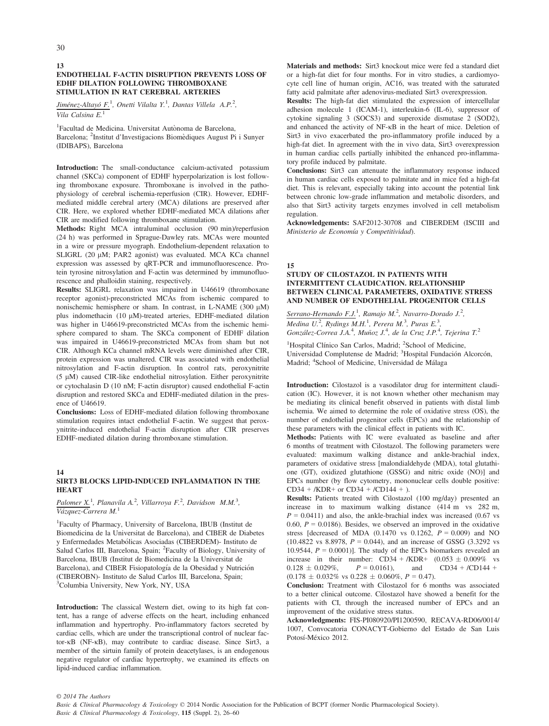# ENDOTHELIAL F-ACTIN DISRUPTION PREVENTS LOSS OF EDHF DILATION FOLLOWING THROMBOXANE STIMULATION IN RAT CEREBRAL ARTERIES

Jiménez-Altayó F.<sup>1</sup>, Onetti Vilalta Y.<sup>1</sup>, Dantas Villela A.P.<sup>2</sup>, Vila Calsina  $E<sup>1</sup>$ 

<sup>1</sup>Facultad de Medicina. Universitat Autònoma de Barcelona, Barcelona; <sup>2</sup>Institut d'Investigacions Biomèdiques August Pi i Sunyer (IDIBAPS), Barcelona

Introduction: The small-conductance calcium-activated potassium channel (SKCa) component of EDHF hyperpolarization is lost following thromboxane exposure. Thromboxane is involved in the pathophysiology of cerebral ischemia-reperfusion (CIR). However, EDHFmediated middle cerebral artery (MCA) dilations are preserved after CIR. Here, we explored whether EDHF-mediated MCA dilations after CIR are modified following thromboxane stimulation.

Methods: Right MCA intraluminal occlusion (90 min)/reperfusion (24 h) was performed in Sprague-Dawley rats. MCAs were mounted in a wire or pressure myograph. Endothelium-dependent relaxation to SLIGRL (20 µM; PAR2 agonist) was evaluated. MCA KCa channel expression was assessed by qRT-PCR and immunofluorescence. Protein tyrosine nitrosylation and F-actin was determined by immunofluorescence and phalloidin staining, respectively.

Results: SLIGRL relaxation was impaired in U46619 (thromboxane receptor agonist)-preconstricted MCAs from ischemic compared to nonischemic hemisphere or sham. In contrast, in L-NAME (300  $\mu$ M) plus indomethacin (10  $\mu$ M)-treated arteries, EDHF-mediated dilation was higher in U46619-preconstricted MCAs from the ischemic hemisphere compared to sham. The SKCa component of EDHF dilation was impaired in U46619-preconstricted MCAs from sham but not CIR. Although KCa channel mRNA levels were diminished after CIR, protein expression was unaltered. CIR was associated with endothelial nitrosylation and F-actin disruption. In control rats, peroxynitrite  $(5 \mu M)$  caused CIR-like endothelial nitrosylation. Either peroxynitrite or cytochalasin D (10 nM; F-actin disruptor) caused endothelial F-actin disruption and restored SKCa and EDHF-mediated dilation in the presence of U46619.

Conclusions: Loss of EDHF-mediated dilation following thromboxane stimulation requires intact endothelial F-actin. We suggest that peroxynitrite-induced endothelial F-actin disruption after CIR preserves EDHF-mediated dilation during thromboxane stimulation.

#### 14 SIRT3 BLOCKS LIPID-INDUCED INFLAMMATION IN THE **HEART**

#### Palomer  $X<sup>1</sup>$ , Planavila A.<sup>2</sup>, Villarroya F.<sup>2</sup>, Davidson M.M.<sup>3</sup>, Vázquez-Carrera M.<sup>1</sup>

1 Faculty of Pharmacy, University of Barcelona, IBUB (Institut de Biomedicina de la Universitat de Barcelona), and CIBER de Diabetes y Enfermedades Metabolicas Asociadas (CIBERDEM)- Instituto de Salud Carlos III, Barcelona, Spain; <sup>2</sup>Faculty of Biology, University of Barcelona, IBUB (Institut de Biomedicina de la Universitat de Barcelona), and CIBER Fisiopatología de la Obesidad y Nutrición (CIBEROBN)- Instituto de Salud Carlos III, Barcelona, Spain; 3 Columbia University, New York, NY, USA

Introduction: The classical Western diet, owing to its high fat content, has a range of adverse effects on the heart, including enhanced inflammation and hypertrophy. Pro-inflammatory factors secreted by cardiac cells, which are under the transcriptional control of nuclear factor- $\kappa$ B (NF- $\kappa$ B), may contribute to cardiac disease. Since Sirt3, a member of the sirtuin family of protein deacetylases, is an endogenous negative regulator of cardiac hypertrophy, we examined its effects on lipid-induced cardiac inflammation.

Materials and methods: Sirt3 knockout mice were fed a standard diet or a high-fat diet for four months. For in vitro studies, a cardiomyocyte cell line of human origin, AC16, was treated with the saturated fatty acid palmitate after adenovirus-mediated Sirt3 overexpression.

Results: The high-fat diet stimulated the expression of intercellular adhesion molecule 1 (ICAM-1), interleukin-6 (IL-6), suppressor of cytokine signaling 3 (SOCS3) and superoxide dismutase 2 (SOD2), and enhanced the activity of NF-KB in the heart of mice. Deletion of Sirt3 in vivo exacerbated the pro-inflammatory profile induced by a high-fat diet. In agreement with the in vivo data, Sirt3 overexpression in human cardiac cells partially inhibited the enhanced pro-inflammatory profile induced by palmitate.

Conclusions: Sirt3 can attenuate the inflammatory response induced in human cardiac cells exposed to palmitate and in mice fed a high-fat diet. This is relevant, especially taking into account the potential link between chronic low-grade inflammation and metabolic disorders, and also that Sirt3 activity targets enzymes involved in cell metabolism regulation.

Acknowledgements: SAF2012-30708 and CIBERDEM (ISCIII and Ministerio de Economía y Competitividad).

15

# STUDY OF CILOSTAZOL IN PATIENTS WITH INTERMITTENT CLAUDICATION. RELATIONSHIP BETWEEN CLINICAL PARAMETERS, OXIDATIVE STRESS AND NUMBER OF ENDOTHELIAL PROGENITOR CELLS

Serrano-Hernando F.J.<sup>1</sup>, Ramajo M.<sup>2</sup>, Navarro-Dorado J.<sup>2</sup>, Medina U.<sup>2</sup>, Rydings M.H.<sup>1</sup>, Perera M.<sup>3</sup>, Puras E.<sup>3</sup>,  $G$ onzález-Correa J.A.<sup>4</sup>, Muñoz J.<sup>4</sup>, de la Cruz J.P.<sup>4</sup>, Tejerina T.<sup>2</sup>

<sup>1</sup>Hospital Clínico San Carlos, Madrid; <sup>2</sup>School of Medicine, Universidad Complutense de Madrid; <sup>3</sup>Hospital Fundación Alcorcón, Madrid; <sup>4</sup>School of Medicine, Universidad de Málaga

Introduction: Cilostazol is a vasodilator drug for intermittent claudication (IC). However, it is not known whether other mechanism may be mediating its clinical benefit observed in patients with distal limb ischemia. We aimed to determine the role of oxidative stress (OS), the number of endothelial progenitor cells (EPCs) and the relationship of these parameters with the clinical effect in patients with IC.

Methods: Patients with IC were evaluated as baseline and after 6 months of treatment with Cilostazol. The following parameters were evaluated: maximum walking distance and ankle-brachial index, parameters of oxidative stress [malondialdehyde (MDA), total glutathione (GT), oxidized glutathione (GSSG) and nitric oxide (NO)] and EPCs number (by flow cytometry, mononuclear cells double positive:  $CD34 + / KDR +$  or  $CD34 + / CD144 +$ ).

Results: Patients treated with Cilostazol (100 mg/day) presented an increase in to maximum walking distance (414 m vs 282 m,  $P = 0.0411$ ) and also, the ankle-brachial index was increased (0.67 vs 0.60,  $P = 0.0186$ ). Besides, we observed an improved in the oxidative stress [decreased of MDA  $(0.1470 \text{ vs } 0.1262, P = 0.009)$  and NO  $(10.4822 \text{ vs } 8.8978, P = 0.044)$ , and an increase of GSSG  $(3.3292 \text{ vs } 8.8978)$ 10.9544,  $P = 0.0001$ ]. The study of the EPCs biomarkers revealed an increase in their number: CD34 + /KDR+  $(0.053 \pm 0.009\% \text{ vs } 0.128 \pm 0.029\% \text{ , } P = 0.0161)$ , and CD34 + /CD144 +  $0.128 \pm 0.029\%, \qquad P = 0.0161, \qquad \text{and} \qquad CD34 + /CD144 +$  $(0.178 \pm 0.032\% \text{ vs } 0.228 \pm 0.060\%, P = 0.47).$ 

Conclusion: Treatment with Cilostazol for 6 months was associated to a better clinical outcome. Cilostazol have showed a benefit for the patients with CI, through the increased number of EPCs and an improvement of the oxidative stress status.

Acknowledgments: FIS-PI080920/PI1200590, RECAVA-RD06/0014/ 1007, Convocatoria CONACYT-Gobierno del Estado de San Luis Potosí-México 2012.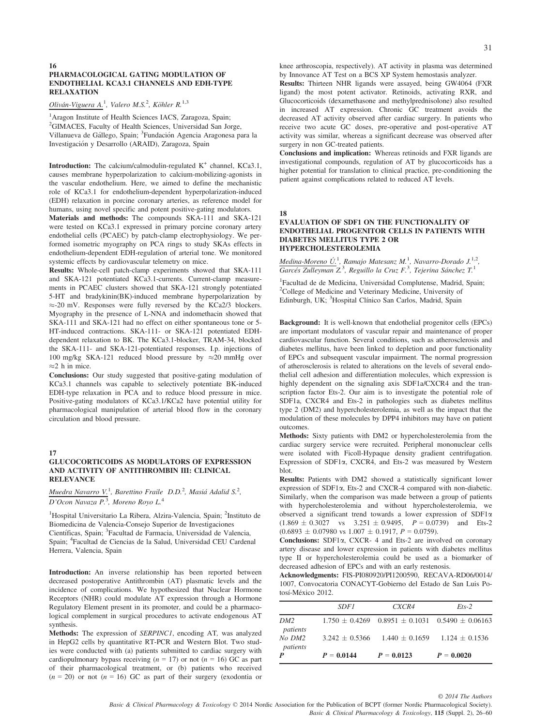#### 16 PHARMACOLOGICAL GATING MODULATION OF ENDOTHELIAL KCA3.1 CHANNELS AND EDH-TYPE RELAXATION

Oliván-Viguera A.<sup>1</sup>, Valero M.S.<sup>2</sup>, Köhler R.<sup>1,3</sup>

<sup>1</sup>Aragon Institute of Health Sciences IACS, Zaragoza, Spain; <sup>2</sup>GIMACES, Faculty of Health Sciences, Universidad San Jorge, Villanueva de Gállego, Spain; <sup>3</sup>Fundación Agencia Aragonesa para la Investigacion y Desarrollo (ARAID), Zaragoza, Spain

**Introduction:** The calcium/calmodulin-regulated  $K^+$  channel, KCa3.1, causes membrane hyperpolarization to calcium-mobilizing-agonists in the vascular endothelium. Here, we aimed to define the mechanistic role of KCa3.1 for endothelium-dependent hyperpolarization-induced (EDH) relaxation in porcine coronary arteries, as reference model for humans, using novel specific and potent positive-gating modulators.

Materials and methods: The compounds SKA-111 and SKA-121 were tested on KCa3.1 expressed in primary porcine coronary artery endothelial cells (PCAEC) by patch-clamp electrophysiology. We performed isometric myography on PCA rings to study SKAs effects in endothelium-dependent EDH-regulation of arterial tone. We monitored systemic effects by cardiovascular telemetry on mice.

Results: Whole-cell patch-clamp experiments showed that SKA-111 and SKA-121 potentiated KCa3.1-currents. Current-clamp measurements in PCAEC clusters showed that SKA-121 strongly potentiated 5-HT and bradykinin(BK)-induced membrane hyperpolarization by  $\approx$ -20 mV. Responses were fully reversed by the KCa2/3 blockers. Myography in the presence of L-NNA and indomethacin showed that SKA-111 and SKA-121 had no effect on either spontaneous tone or 5- HT-induced contractions. SKA-111- or SKA-121 potentiated EDHdependent relaxation to BK. The KCa3.1-blocker, TRAM-34, blocked the SKA-111- and SKA-121-potentiated responses. I.p. injections of 100 mg/kg SKA-121 reduced blood pressure by  $\approx$  20 mmHg over  $\approx$ 2 h in mice.

Conclusions: Our study suggested that positive-gating modulation of KCa3.1 channels was capable to selectively potentiate BK-induced EDH-type relaxation in PCA and to reduce blood pressure in mice. Positive-gating modulators of KCa3.1/KCa2 have potential utility for pharmacological manipulation of arterial blood flow in the coronary circulation and blood pressure.

# 17

#### GLUCOCORTICOIDS AS MODULATORS OF EXPRESSION AND ACTIVITY OF ANTITHROMBIN III: CLINICAL RELEVANCE

Muedra Navarro V.<sup>1</sup>, Barettino Fraile D.D.<sup>2</sup>, Masiá Adalid S.<sup>2</sup>, D'Ocon Navaza P.<sup>3</sup>, Moreno Royo L.<sup>4</sup>

<sup>1</sup>Hospital Universitario La Ribera, Alzira-Valencia, Spain; <sup>2</sup>Instituto de Biomedicina de Valencia-Consejo Superior de Investigaciones Científicas, Spain; <sup>3</sup> Facultad de Farmacia, Universidad de Valencia, Spain; <sup>4</sup> Facultad de Ciencias de la Salud, Universidad CEU Cardenal Herrera, Valencia, Spain

Introduction: An inverse relationship has been reported between decreased postoperative Antithrombin (AT) plasmatic levels and the incidence of complications. We hypothesized that Nuclear Hormone Receptors (NHR) could modulate AT expression through a Hormone Regulatory Element present in its promoter, and could be a pharmacological complement in surgical procedures to activate endogenous AT synthesis.

Methods: The expression of SERPINC1, encoding AT, was analyzed in HepG2 cells by quantitative RT-PCR and Western Blot. Two studies were conducted with (a) patients submitted to cardiac surgery with cardiopulmonary bypass receiving  $(n = 17)$  or not  $(n = 16)$  GC as part of their pharmacological treatment, or (b) patients who received  $(n = 20)$  or not  $(n = 16)$  GC as part of their surgery (exodontia or knee arthroscopia, respectively). AT activity in plasma was determined by Innovance AT Test on a BCS XP System hemostasis analyzer.

Results: Thirteen NHR ligands were assayed, being GW4064 (FXR ligand) the most potent activator. Retinoids, activating RXR, and Glucocorticoids (dexamethasone and methylprednisolone) also resulted in increased AT expression. Chronic GC treatment avoids the decreased AT activity observed after cardiac surgery. In patients who receive two acute GC doses, pre-operative and post-operative AT activity was similar, whereas a significant decrease was observed after surgery in non GC-treated patients.

Conclusions and implication: Whereas retinoids and FXR ligands are investigational compounds, regulation of AT by glucocorticoids has a higher potential for translation to clinical practice, pre-conditioning the patient against complications related to reduced AT levels.

# 18

#### EVALUATION OF SDF1 ON THE FUNCTIONALITY OF ENDOTHELIAL PROGENITOR CELLS IN PATIENTS WITH DIABETES MELLITUS TYPE 2 OR HYPERCHOLESTEROLEMIA

 $Mediana-Moreno U.<sup>1</sup>, Ramajo Matesanz M.<sup>1</sup>, Navarro-Dorado J.<sup>1,2</sup>,$ </u>  $\overline{Garcés}$  Zulleyman Z<sup>3</sup>, Reguillo la Cruz F.<sup>3</sup>, Tejerina Sánchez T.<sup>1</sup>

1 Facultad de de Medicina, Universidad Complutense, Madrid, Spain; 2 College of Medicine and Veterinary Medicine, University of Edinburgh, UK; <sup>3</sup>Hospital Clínico San Carlos, Madrid, Spain

Background: It is well-known that endothelial progenitor cells (EPCs) are important modulators of vascular repair and maintenance of proper cardiovascular function. Several conditions, such as atherosclerosis and diabetes mellitus, have been linked to depletion and poor functionality of EPCs and subsequent vascular impairment. The normal progression of atherosclerosis is related to alterations on the levels of several endothelial cell adhesion and differentiation molecules, which expression is highly dependent on the signaling axis SDF1a/CXCR4 and the transcription factor Ets-2. Our aim is to investigate the potential role of SDF1a, CXCR4 and Ets-2 in pathologies such as diabetes mellitus type 2 (DM2) and hypercholesterolemia, as well as the impact that the modulation of these molecules by DPP4 inhibitors may have on patient outcomes.

Methods: Sixty patients with DM2 or hypercholesterolemia from the cardiac surgery service were recruited. Peripheral mononuclear cells were isolated with Ficoll-Hypaque density gradient centrifugation. Expression of SDF1a, CXCR4, and Ets-2 was measured by Western blot.

Results: Patients with DM2 showed a statistically significant lower expression of SDF1a, Ets-2 and CXCR-4 compared with non-diabetic. Similarly, when the comparison was made between a group of patients with hypercholesterolemia and without hypercholesterolemia, we observed a significant trend towards a lower expression of SDF1a  $(1.869 \pm 0.3027 \text{ vs } 3.251 \pm 0.9495, P = 0.0739)$  and Ets-2  $(0.6893 \pm 0.07980 \text{ vs } 1.007 \pm 0.1917, P = 0.0759).$ 

Conclusions: SDF1a, CXCR- 4 and Ets-2 are involved on coronary artery disease and lower expression in patients with diabetes mellitus type II or hypercholesterolemia could be used as a biomarker of decreased adhesion of EPCs and with an early restenosis.

Acknowledgments: FIS-PI080920/PI1200590, RECAVA-RD06/0014/ 1007, Convocatoria CONACYT-Gobierno del Estado de San Luis Potosí-México 2012.

|                        | <i>SDF1</i>      | CXCR4                                 | $Ets-2$                                                     |
|------------------------|------------------|---------------------------------------|-------------------------------------------------------------|
| DM2<br>patients        |                  |                                       | $1.750 \pm 0.4269$ $0.8951 \pm 0.1031$ $0.5490 \pm 0.06163$ |
| $No$ $DM2$<br>patients | $3.242 + 0.5366$ | $1.440 \pm 0.1659$ $1.124 \pm 0.1536$ |                                                             |
| $\boldsymbol{P}$       | $P = 0.0144$     | $P = 0.0123$                          | $P = 0.0020$                                                |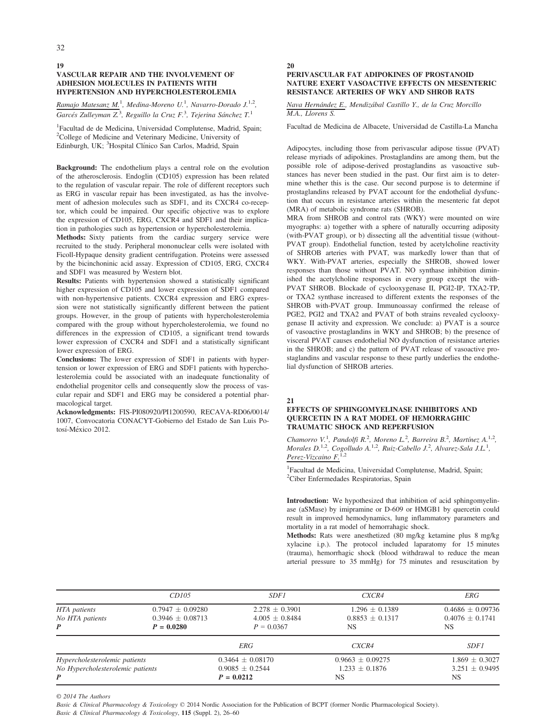19 32

# VASCULAR REPAIR AND THE INVOLVEMENT OF ADHESION MOLECULES IN PATIENTS WITH HYPERTENSION AND HYPERCHOLESTEROLEMIA

Ramajo Matesanz M.<sup>1</sup>, Medina-Moreno U.<sup>1</sup>, Navarro-Dorado J.<sup>1,2</sup>, Garcés Zulleyman Z.<sup>3</sup>, Reguillo la Cruz F.<sup>3</sup>, Tejerina Sánchez T.<sup>1</sup>

1 Facultad de de Medicina, Universidad Complutense, Madrid, Spain; <sup>2</sup>College of Medicine and Veterinary Medicine, University of Edinburgh, UK; <sup>3</sup>Hospital Clínico San Carlos, Madrid, Spain

Background: The endothelium plays a central role on the evolution of the atherosclerosis. Endoglin (CD105) expression has been related to the regulation of vascular repair. The role of different receptors such as ERG in vascular repair has been investigated, as has the involvement of adhesion molecules such as SDF1, and its CXCR4 co-receptor, which could be impaired. Our specific objective was to explore the expression of CD105, ERG, CXCR4 and SDF1 and their implication in pathologies such as hypertension or hypercholesterolemia.

Methods: Sixty patients from the cardiac surgery service were recruited to the study. Peripheral mononuclear cells were isolated with Ficoll-Hypaque density gradient centrifugation. Proteins were assessed by the bicinchoninic acid assay. Expression of CD105, ERG, CXCR4 and SDF1 was measured by Western blot.

Results: Patients with hypertension showed a statistically significant higher expression of CD105 and lower expression of SDF1 compared with non-hypertensive patients. CXCR4 expression and ERG expression were not statistically significantly different between the patient groups. However, in the group of patients with hypercholesterolemia compared with the group without hypercholesterolemia, we found no differences in the expression of CD105, a significant trend towards lower expression of CXCR4 and SDF1 and a statistically significant lower expression of ERG.

Conclusions: The lower expression of SDF1 in patients with hypertension or lower expression of ERG and SDF1 patients with hypercholesterolemia could be associated with an inadequate functionality of endothelial progenitor cells and consequently slow the process of vascular repair and SDF1 and ERG may be considered a potential pharmacological target.

Acknowledgments: FIS-PI080920/PI1200590, RECAVA-RD06/0014/ 1007, Convocatoria CONACYT-Gobierno del Estado de San Luis Potosí-México 2012.

#### 20

# PERIVASCULAR FAT ADIPOKINES OF PROSTANOID NATURE EXERT VASOACTIVE EFFECTS ON MESENTERIC RESISTANCE ARTERIES OF WKY AND SHROB RATS

Nava Hernández E., Mendizabal Castillo Y., de la Cruz Morcillo M.A., Llorens S.

Facultad de Medicina de Albacete, Universidad de Castilla-La Mancha

Adipocytes, including those from perivascular adipose tissue (PVAT) release myriads of adipokines. Prostaglandins are among them, but the possible role of adipose-derived prostaglandins as vasoactive substances has never been studied in the past. Our first aim is to determine whether this is the case. Our second purpose is to determine if prostaglandins released by PVAT account for the endothelial dysfunction that occurs in resistance arteries within the mesenteric fat depot (MRA) of metabolic syndrome rats (SHROB).

MRA from SHROB and control rats (WKY) were mounted on wire myographs: a) together with a sphere of naturally occurring adiposity (with-PVAT group), or b) dissecting all the adventitial tissue (without-PVAT group). Endothelial function, tested by acetylcholine reactivity of SHROB arteries with PVAT, was markedly lower than that of WKY. With-PVAT arteries, especially the SHROB, showed lower responses than those without PVAT. NO synthase inhibition diminished the acetylcholine responses in every group except the with-PVAT SHROB. Blockade of cyclooxygenase II, PGI2-IP, TXA2-TP, or TXA2 synthase increased to different extents the responses of the SHROB with-PVAT group. Immunoassay confirmed the release of PGE2, PGI2 and TXA2 and PVAT of both strains revealed cyclooxygenase II activity and expression. We conclude: a) PVAT is a source of vasoactive prostaglandins in WKY and SHROB; b) the presence of visceral PVAT causes endothelial NO dysfunction of resistance arteries in the SHROB; and c) the pattern of PVAT release of vasoactive prostaglandins and vascular response to these partly underlies the endothelial dysfunction of SHROB arteries.

21

# EFFECTS OF SPHINGOMYELINASE INHIBITORS AND QUERCETIN IN A RAT MODEL OF HEMORRAGHIC TRAUMATIC SHOCK AND REPERFUSION

Chamorro V.<sup>1</sup>, Pandolfi R.<sup>2</sup>, Moreno L.<sup>2</sup>, Barreira B.<sup>2</sup>, Martínez A.<sup>1,2</sup>, Morales D.<sup>1,2</sup>, Cogolludo A.<sup>1,2</sup>, Ruiz-Cabello J.<sup>2</sup>, Alvarez-Sala J.L.<sup>1</sup>, Perez-Vizcaino  $F^{1,2}$ 

1 Facultad de Medicina, Universidad Complutense, Madrid, Spain; 2 Ciber Enfermedades Respiratorias, Spain

Introduction: We hypothesized that inhibition of acid sphingomyelinase (aSMase) by imipramine or D-609 or HMGB1 by quercetin could result in improved hemodynamics, lung inflammatory parameters and mortality in a rat model of hemorrahagic shock.

Methods: Rats were anesthetized (80 mg/kg ketamine plus 8 mg/kg xylacine i.p.). The protocol included laparatomy for 15 minutes (trauma), hemorrhagic shock (blood withdrawal to reduce the mean arterial pressure to 35 mmHg) for 75 minutes and resuscitation by

|                                  | CD105                | <i>SDF1</i>          | CXCR4                | <i>ERG</i>           |
|----------------------------------|----------------------|----------------------|----------------------|----------------------|
| HTA patients                     | $0.7947 \pm 0.09280$ | $2.278 \pm 0.3901$   | $1.296 \pm 0.1389$   | $0.4686 \pm 0.09736$ |
| No HTA patients                  | $0.3946 \pm 0.08713$ | $4.005 \pm 0.8484$   | $0.8853 + 0.1317$    | $0.4076 + 0.1741$    |
| $\boldsymbol{P}$                 | $P = 0.0280$         | $P = 0.0367$         | NS                   | NS                   |
|                                  |                      | <b>ERG</b>           | CXCR4                | <i>SDF1</i>          |
| Hypercholesterolemic patients    |                      | $0.3464 \pm 0.08170$ | $0.9663 \pm 0.09275$ | $1.869 \pm 0.3027$   |
| No Hypercholesterolemic patients |                      | $0.9085 \pm 0.2544$  | $1.233 \pm 0.1876$   | $3.251 \pm 0.9495$   |
| P                                |                      | $P = 0.0212$         | NS                   | NS                   |

© 2014 The Authors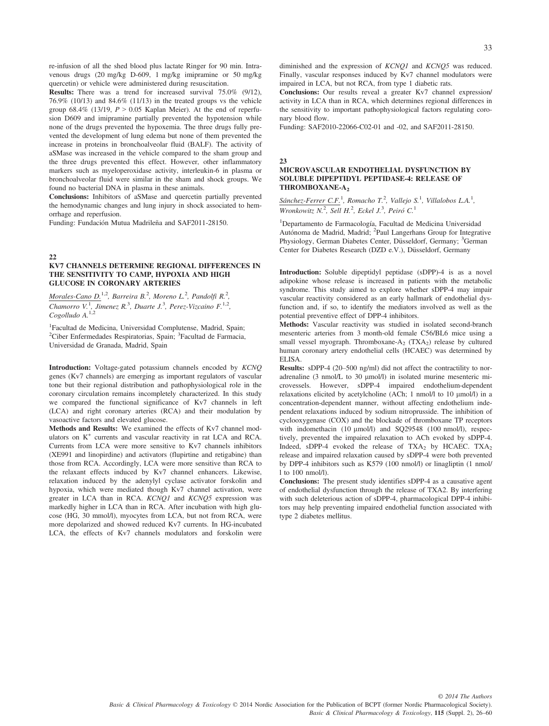re-infusion of all the shed blood plus lactate Ringer for 90 min. Intravenous drugs (20 mg/kg D-609, 1 mg/kg imipramine or 50 mg/kg quercetin) or vehicle were administered during resuscitation.

Results: There was a trend for increased survival 75.0% (9/12), 76.9% (10/13) and 84.6% (11/13) in the treated groups vs the vehicle group 68.4% (13/19,  $P > 0.05$  Kaplan Meier). At the end of reperfusion D609 and imipramine partially prevented the hypotension while none of the drugs prevented the hypoxemia. The three drugs fully prevented the development of lung edema but none of them prevented the increase in proteins in bronchoalveolar fluid (BALF). The activity of aSMase was increased in the vehicle compared to the sham group and the three drugs prevented this effect. However, other inflammatory markers such as myeloperoxidase activity, interleukin-6 in plasma or bronchoalveolar fluid were similar in the sham and shock groups. We found no bacterial DNA in plasma in these animals.

Conclusions: Inhibitors of aSMase and quercetin partially prevented the hemodynamic changes and lung injury in shock associated to hemorrhage and reperfusion.

Funding: Fundación Mutua Madrileña and SAF2011-28150.

#### 22

#### KV7 CHANNELS DETERMINE REGIONAL DIFFERENCES IN THE SENSITIVITY TO CAMP, HYPOXIA AND HIGH GLUCOSE IN CORONARY ARTERIES

Morales-Cano D.<sup>1,2</sup>, Barreira B.<sup>2</sup>, Moreno L.<sup>2</sup>, Pandolfi R.<sup>2</sup>, Chamorro V.<sup>1</sup>, Jimenez R.<sup>3</sup>, Duarte J.<sup>3</sup>, Perez-Vizcaino F.<sup>1,2</sup>, Cogolludo A.<sup>1,2</sup>

1 Facultad de Medicina, Universidad Complutense, Madrid, Spain; <sup>2</sup>Ciber Enfermedades Respiratorias, Spain; <sup>3</sup>Facultad de Farmacia, Universidad de Granada, Madrid, Spain

Introduction: Voltage-gated potassium channels encoded by KCNQ genes (Kv7 channels) are emerging as important regulators of vascular tone but their regional distribution and pathophysiological role in the coronary circulation remains incompletely characterized. In this study we compared the functional significance of Kv7 channels in left (LCA) and right coronary arteries (RCA) and their modulation by vasoactive factors and elevated glucose.

Methods and Results: We examined the effects of Kv7 channel modulators on K<sup>+</sup> currents and vascular reactivity in rat LCA and RCA. Currents from LCA were more sensitive to Kv7 channels inhibitors (XE991 and linopirdine) and activators (flupirtine and retigabine) than those from RCA. Accordingly, LCA were more sensitive than RCA to the relaxant effects induced by Kv7 channel enhancers. Likewise, relaxation induced by the adenylyl cyclase activator forskolin and hypoxia, which were mediated though Kv7 channel activation, were greater in LCA than in RCA. KCNQ1 and KCNQ5 expression was markedly higher in LCA than in RCA. After incubation with high glucose (HG, 30 mmol/l), myocytes from LCA, but not from RCA, were more depolarized and showed reduced Kv7 currents. In HG-incubated LCA, the effects of Kv7 channels modulators and forskolin were

diminished and the expression of KCNQ1 and KCNQ5 was reduced. Finally, vascular responses induced by Kv7 channel modulators were impaired in LCA, but not RCA, from type 1 diabetic rats.

Conclusions: Our results reveal a greater Kv7 channel expression/ activity in LCA than in RCA, which determines regional differences in the sensitivity to important pathophysiological factors regulating coronary blood flow.

Funding: SAF2010-22066-C02-01 and -02, and SAF2011-28150.

#### 23

#### MICROVASCULAR ENDOTHELIAL DYSFUNCTION BY SOLUBLE DIPEPTIDYL PEPTIDASE-4: RELEASE OF THROMBOXANE-A<sub>2</sub>

 $Sánchez-Ferrer C.F.<sup>1</sup>$ , Romacho T.<sup>2</sup>, Vallejo S.<sup>1</sup>, Villalobos L.A.<sup>1</sup>, Wronkowitz  $N^2$ , Sell H.<sup>2</sup>, Eckel J.<sup>3</sup>, Peiró C.<sup>1</sup>

<sup>1</sup>Departamento de Farmacología, Facultad de Medicina Universidad Autónoma de Madrid, Madrid; <sup>2</sup>Paul Langerhans Group for Integrative Physiology, German Diabetes Center, Düsseldorf, Germany; <sup>3</sup>German Center for Diabetes Research (DZD e.V.), Düsseldorf, Germany

Introduction: Soluble dipeptidyl peptidase (sDPP)-4 is as a novel adipokine whose release is increased in patients with the metabolic syndrome. This study aimed to explore whether sDPP-4 may impair vascular reactivity considered as an early hallmark of endothelial dysfunction and, if so, to identify the mediators involved as well as the potential preventive effect of DPP-4 inhibitors.

Methods: Vascular reactivity was studied in isolated second-branch mesenteric arteries from 3 month-old female C56/BL6 mice using a small vessel myograph. Thromboxane- $A_2$  (TX $A_2$ ) release by cultured human coronary artery endothelial cells (HCAEC) was determined by ELISA.

Results: sDPP-4 (20–500 ng/ml) did not affect the contractility to noradrenaline (3 nmol/L to 30  $\mu$ mol/l) in isolated murine mesenteric microvessels. However, sDPP-4 impaired endothelium-dependent relaxations elicited by acetylcholine (ACh; 1 nmol/l to 10 µmol/l) in a concentration-dependent manner, without affecting endothelium independent relaxations induced by sodium nitroprusside. The inhibition of cyclooxygenase (COX) and the blockade of thromboxane TP receptors with indomethacin (10 µmol/l) and SQ29548 (100 nmol/l), respectively, prevented the impaired relaxation to ACh evoked by sDPP-4. Indeed, sDPP-4 evoked the release of  $TXA_2$  by HCAEC.  $TXA_2$ release and impaired relaxation caused by sDPP-4 were both prevented by DPP-4 inhibitors such as K579 (100 nmol/l) or linagliptin (1 nmol/ l to 100 nmol/l).

Conclusions: The present study identifies sDPP-4 as a causative agent of endothelial dysfunction through the release of TXA2. By interfering with such deleterious action of sDPP-4, pharmacological DPP-4 inhibitors may help preventing impaired endothelial function associated with type 2 diabetes mellitus.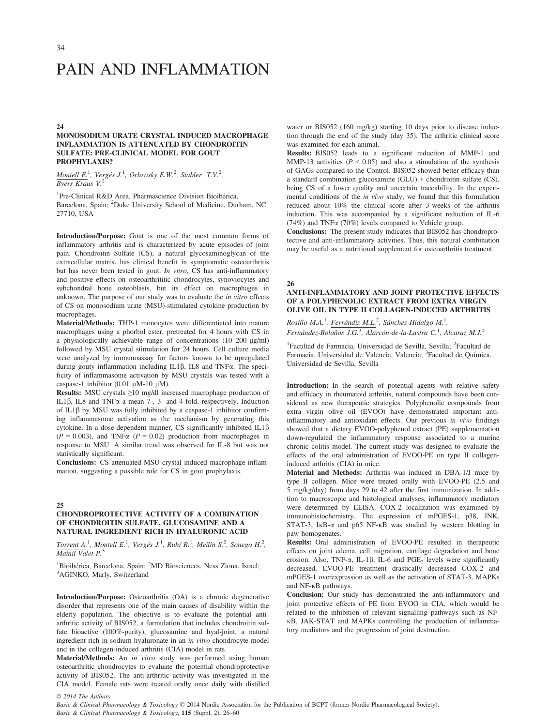# PAIN AND INFLAMMATION

#### 24

#### MONOSODIUM URATE CRYSTAL INDUCED MACROPHAGE INFLAMMATION IS ATTENUATED BY CHONDROITIN SULFATE: PRE-CLINICAL MODEL FOR GOUT PROPHYLAXIS?

Montell E.<sup>1</sup>, Vergés J.<sup>1</sup>, Orlowsky E.W.<sup>2</sup>, Stabler T.V.<sup>2</sup>, Byers Kraus V.

<sup>1</sup>Pre-Clinical R&D Area, Pharmascience Division Bioibérica, Barcelona, Spain; <sup>2</sup>Duke University School of Medicine, Durham, NC 27710, USA

Introduction/Purpose: Gout is one of the most common forms of inflammatory arthritis and is characterized by acute episodes of joint pain. Chondroitin Sulfate (CS), a natural glycosaminoglycan of the extracellular matrix, has clinical benefit in symptomatic osteoarthritis but has never been tested in gout. In vitro, CS has anti-inflammatory and positive effects on osteoarthrititic chondrocytes, synoviocytes and subchondral bone osteoblasts, but its effect on macrophages in unknown. The purpose of our study was to evaluate the *in vitro* effects of CS on monosodium urate (MSU)-stimulated cytokine production by macrophages.

Material/Methods: THP-1 monocytes were differentiated into mature macrophages using a phorbol ester, pretreated for 4 hours with CS in a physiologically achievable range of concentrations  $(10-200 \text{ µg/ml})$ followed by MSU crystal stimulation for 24 hours. Cell culture media were analyzed by immunoassay for factors known to be upregulated during gouty inflammation including  $IL1\beta$ ,  $IL8$  and TNF $\alpha$ . The specificity of inflammasome activation by MSU crystals was tested with a caspase-1 inhibitor (0.01  $\mu$ M-10  $\mu$ M).

Results: MSU crystals ≥10 mg/dl increased macrophage production of IL1 $\beta$ , IL8 and TNF $\alpha$  a mean 7-, 3- and 4-fold, respectively. Induction of  $IL1\beta$  by MSU was fully inhibited by a caspase-1 inhibitor confirming inflammasome activation as the mechanism by generating this cytokine. In a dose-dependent manner, CS significantly inhibited IL1 $\beta$  $(P = 0.003)$ , and TNF $\alpha$   $(P = 0.02)$  production from macrophages in response to MSU. A similar trend was observed for IL-8 but was not statistically significant.

Conclusions: CS attenuated MSU crystal induced macrophage inflammation, suggesting a possible role for CS in gout prophylaxis.

#### 25

# CHONDROPROTECTIVE ACTIVITY OF A COMBINATION OF CHONDROITIN SULFATE, GLUCOSAMINE AND A NATURAL INGREDIENT RICH IN HYALURONIC ACID

Torrent A.<sup>1</sup>, Montell E.<sup>1</sup>, Vergés J.<sup>1</sup>, Ruhí R.<sup>1</sup>, Meilin S.<sup>2</sup>, Sonego H.<sup>2</sup>, Mainil-Valet P.<sup>3</sup>

<sup>1</sup>Bioibérica, Barcelona, Spain; <sup>2</sup>MD Biosciences, Ness Ziona, Israel;<br><sup>3</sup>AGINKO, Marly, Switzerland <sup>3</sup>AGINKO, Marly, Switzerland

Introduction/Purpose: Osteoarthritis (OA) is a chronic degenerative disorder that represents one of the main causes of disability within the elderly population. The objective is to evaluate the potential antiarthritic activity of BIS052, a formulation that includes chondroitin sulfate bioactive (100%-purity), glucosamine and hyal-joint, a natural ingredient rich in sodium hyaluronate in an in vitro chondrocyte model and in the collagen-induced arthritis (CIA) model in rats.

Material/Methods: An in vitro study was performed using human osteoarthritic chondrocytes to evaluate the potential chondroprotective activity of BIS052. The anti-arthritic activity was investigated in the CIA model. Female rats were treated orally once daily with distilled water or BIS052 (160 mg/kg) starting 10 days prior to disease induction through the end of the study (day 35). The arthritic clinical score was examined for each animal.

Results: BIS052 leads to a significant reduction of MMP-1 and MMP-13 activities ( $P < 0.05$ ) and also a stimulation of the synthesis of GAGs compared to the Control. BIS052 showed better efficacy than a standard combination glucosamine  $(GLU)$  + chondroitin sulfate  $(CS)$ , being CS of a lower quality and uncertain traceability. In the experimental conditions of the in vivo study, we found that this formulation reduced about 10% the clinical score after 3 weeks of the arthritis induction. This was accompanied by a significant reduction of IL-6 (74%) and TNFa (70%) levels compared to Vehicle group.

Conclusions: The present study indicates that BIS052 has chondroprotective and anti-inflammatory activities. Thus, this natural combination may be useful as a nutritional supplement for osteoarthritis treatment.

#### 26

#### ANTI-INFLAMMATORY AND JOINT PROTECTIVE EFFECTS OF A POLYPHENOLIC EXTRACT FROM EXTRA VIRGIN OLIVE OIL IN TYPE II COLLAGEN-INDUCED ARTHRITIS

Rosillo M.A.<sup>1</sup>, Ferrándiz M.L.<sup>2</sup>, Sánchez-Hidalgo M.<sup>1</sup>, Fernández-Bolaños J.G.<sup>3</sup>, Alarcón-de-la-Lastra C.<sup>1</sup>, Alcaraz M.J.<sup>2</sup>

<sup>1</sup>Facultad de Farmacia, Universidad de Sevilla, Sevilla; <sup>2</sup>Facultad de Farmacia. Universidad de Valencia, Valencia; <sup>3</sup>Facultad de Química. Universidad de Sevilla, Sevilla

Introduction: In the search of potential agents with relative safety and efficacy in rheumatoid arthritis, natural compounds have been considered as new therapeutic strategies. Polyphenolic compounds from extra virgin olive oil (EVOO) have demonstrated important antiinflammatory and antioxidant effects. Our previous in vivo findings showed that a dietary EVOO-polyphenol extract (PE) supplementation down-regulated the inflammatory response associated to a murine chronic colitis model. The current study was designed to evaluate the effects of the oral administration of EVOO-PE on type II collageninduced arthritis (CIA) in mice.

Material and Methods: Arthritis was induced in DBA-1/J mice by type II collagen. Mice were treated orally with EVOO-PE (2.5 and 5 mg/kg/day) from days 29 to 42 after the first immunization. In addition to macroscopic and histological analyses, inflammatory mediators were determined by ELISA. COX-2 localization was examined by immunohistochemistry. The expression of mPGES-1, p38, JNK, STAT-3, IKB- $\alpha$  and p65 NF-KB was studied by western blotting in paw homogenates.

Results: Oral administration of EVOO-PE resulted in therapeutic effects on joint edema, cell migration, cartilage degradation and bone erosion. Also, TNF- $\alpha$ , IL-1 $\beta$ , IL-6 and PGE<sub>2</sub> levels were significantly decreased. EVOO-PE treatment drastically decreased COX-2 and mPGES-1 overexpression as well as the activation of STAT-3, MAPKs and NF-KB pathways.

Conclusion: Our study has demonstrated the anti-inflammatory and joint protective effects of PE from EVOO in CIA, which would be related to the inhibition of relevant signalling pathways such as NF-KB, JAK-STAT and MAPKs controlling the production of inflammatory mediators and the progression of joint destruction.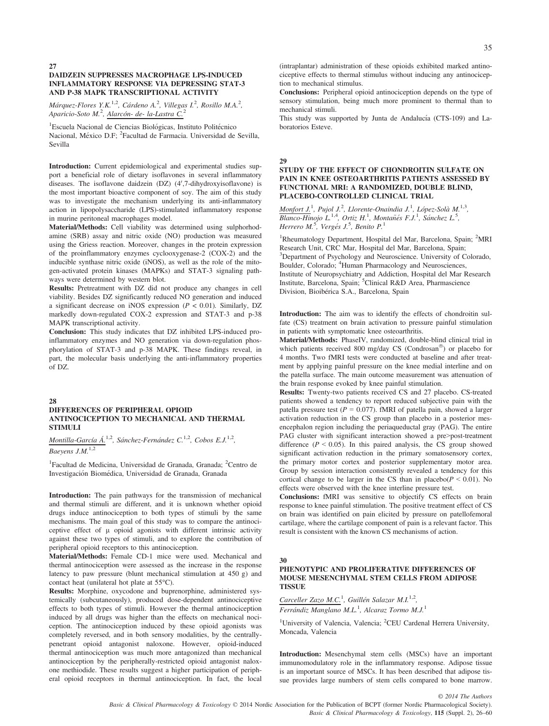#### DAIDZEIN SUPPRESSES MACROPHAGE LPS-INDUCED INFLAMMATORY RESPONSE VIA DEPRESSING STAT-3 AND P-38 MAPK TRANSCRIPTIONAL ACTIVITY

Márquez-Flores Y.K.<sup>1,2</sup>, Cárdeno A.<sup>2</sup>, Villegas I.<sup>2</sup>, Rosillo M.A.<sup>2</sup>, Aparicio-Soto M.<sup>2</sup>, <u>Alarcón- de- la-Lastra C.<sup>2</sup></u>

<sup>1</sup>Escuela Nacional de Ciencias Biológicas, Instituto Politécnico Nacional, México D.F; <sup>2</sup> Facultad de Farmacia. Universidad de Sevilla, Sevilla

Introduction: Current epidemiological and experimental studies support a beneficial role of dietary isoflavones in several inflammatory diseases. The isoflavone daidzein (DZ) (4',7-dihydroxyisoflavone) is the most important bioactive component of soy. The aim of this study was to investigate the mechanism underlying its anti-inflammatory action in lipopolysaccharide (LPS)-stimulated inflammatory response in murine peritoneal macrophages model.

Material/Methods: Cell viability was determined using sulphorhodamine (SRB) assay and nitric oxide (NO) production was measured using the Griess reaction. Moreover, changes in the protein expression of the proinflammatory enzymes cyclooxygenase-2 (COX-2) and the inducible synthase nitric oxide (iNOS), as well as the role of the mitogen-activated protein kinases (MAPKs) and STAT-3 signaling pathways were determined by western blot.

Results: Pretreatment with DZ did not produce any changes in cell viability. Besides DZ significantly reduced NO generation and induced a significant decrease on iNOS expression ( $P < 0.01$ ). Similarly, DZ markedly down-regulated COX-2 expression and STAT-3 and p-38 MAPK transcriptional activity.

Conclusion: This study indicates that DZ inhibited LPS-induced proinflammatory enzymes and NO generation via down-regulation phosphorylation of STAT-3 and p-38 MAPK. These findings reveal, in part, the molecular basis underlying the anti-inflammatory properties of DZ.

 $28$ 

#### DIFFERENCES OF PERIPHERAL OPIOID ANTINOCICEPTION TO MECHANICAL AND THERMAL STIMULI

Montilla-García Á.<sup>1,2</sup>, Sánchez-Fernández C.<sup>1,2</sup>, Cobos E.J.<sup>1,2</sup>, Baeyens  $J.M.^{1,2}$ 

<sup>1</sup>Facultad de Medicina, Universidad de Granada, Granada; <sup>2</sup>Centro de Investigacion Biomedica, Universidad de Granada, Granada

Introduction: The pain pathways for the transmission of mechanical and thermal stimuli are different, and it is unknown whether opioid drugs induce antinociception to both types of stimuli by the same mechanisms. The main goal of this study was to compare the antinociceptive effect of  $\mu$  opioid agonists with different intrinsic activity against these two types of stimuli, and to explore the contribution of peripheral opioid receptors to this antinociception.

Material/Methods: Female CD-1 mice were used. Mechanical and thermal antinociception were assessed as the increase in the response latency to paw pressure (blunt mechanical stimulation at 450 g) and contact heat (unilateral hot plate at 55°C).

Results: Morphine, oxycodone and buprenorphine, administered systemically (subcutaneously), produced dose-dependent antinociceptive effects to both types of stimuli. However the thermal antinociception induced by all drugs was higher than the effects on mechanical nociception. The antinociception induced by these opioid agonists was completely reversed, and in both sensory modalities, by the centrallypenetrant opioid antagonist naloxone. However, opioid-induced thermal antinociception was much more antagonized than mechanical antinociception by the peripherally-restricted opioid antagonist naloxone methiodide. These results suggest a higher participation of peripheral opioid receptors in thermal antinociception. In fact, the local (intraplantar) administration of these opioids exhibited marked antinociceptive effects to thermal stimulus without inducing any antinociception to mechanical stimulus.

Conclusions: Peripheral opioid antinociception depends on the type of sensory stimulation, being much more prominent to thermal than to mechanical stimuli.

This study was supported by Junta de Andalucía (CTS-109) and Laboratorios Esteve.

#### 29

# STUDY OF THE EFFECT OF CHONDROITIN SULFATE ON PAIN IN KNEE OSTEOARTHRITIS PATIENTS ASSESSED BY FUNCTIONAL MRI: A RANDOMIZED, DOUBLE BLIND, PLACEBO-CONTROLLED CLINICAL TRIAL

Monfort J.<sup>1</sup>, Pujol J.<sup>2</sup>, Llorente-Onaindia J.<sup>1</sup>, López-Solà M.<sup>1,3</sup>, Blanco-Hinojo L.<sup>1,4</sup>, Ortiz H.<sup>1</sup>, Montañés F.J.<sup>1</sup>, Sánchez L.<sup>5</sup>,<br>Herrero M.<sup>5</sup>, Vergés J.<sup>5</sup>, Benito P.<sup>1</sup>

<sup>1</sup>Rheumatology Department, Hospital del Mar, Barcelona, Spain; <sup>2</sup>MRI Research Unit, CRC Mar, Hospital del Mar, Barcelona, Spain; 3 Department of Psychology and Neuroscience. University of Colorado, Boulder, Colorado; <sup>4</sup>Human Pharmacology and Neurosciences, Institute of Neuropsychiatry and Addiction, Hospital del Mar Research Institute, Barcelona, Spain; <sup>5</sup>Clinical R&D Area, Pharmascience Division, Bioibérica S.A., Barcelona, Spain

Introduction: The aim was to identify the effects of chondroitin sulfate (CS) treatment on brain activation to pressure painful stimulation in patients with symptomatic knee osteoarthritis.

Material/Methods: PhaseIV, randomized, double-blind clinical trial in which patients received 800 mg/day CS (Condrosan<sup>®</sup>) or placebo for 4 months. Two fMRI tests were conducted at baseline and after treatment by applying painful pressure on the knee medial interline and on the patella surface. The main outcome measurement was attenuation of the brain response evoked by knee painful stimulation.

Results: Twenty-two patients received CS and 27 placebo. CS-treated patients showed a tendency to report reduced subjective pain with the patella pressure test ( $P = 0.077$ ). fMRI of patella pain, showed a larger activation reduction in the CS group than placebo in a posterior mesencephalon region including the periaqueductal gray (PAG). The entire PAG cluster with significant interaction showed a pre>post-treatment difference ( $P < 0.05$ ). In this paired analysis, the CS group showed significant activation reduction in the primary somatosensory cortex, the primary motor cortex and posterior supplementary motor area. Group by session interaction consistently revealed a tendency for this cortical change to be larger in the CS than in placebo( $P < 0.01$ ). No effects were observed with the knee interline pressure test.

Conclusions: fMRI was sensitive to objectify CS effects on brain response to knee painful stimulation. The positive treatment effect of CS on brain was identified on pain elicited by pressure on patellofemoral cartilage, where the cartilage component of pain is a relevant factor. This result is consistent with the known CS mechanisms of action.

30

#### PHENOTYPIC AND PROLIFERATIVE DIFFERENCES OF MOUSE MESENCHYMAL STEM CELLS FROM ADIPOSE **TISSUE**

Carceller Zazo M.C.<sup>1</sup>, Guillén Salazar M.I.<sup>1,2</sup>, Ferrándiz Manglano M.L.<sup>1</sup>, Alcaraz Tormo M.J.<sup>1</sup>

<sup>1</sup>University of Valencia, Valencia; <sup>2</sup>CEU Cardenal Herrera University, Moncada, Valencia

Introduction: Mesenchymal stem cells (MSCs) have an important immunomodulatory role in the inflammatory response. Adipose tissue is an important source of MSCs. It has been described that adipose tissue provides large numbers of stem cells compared to bone marrow.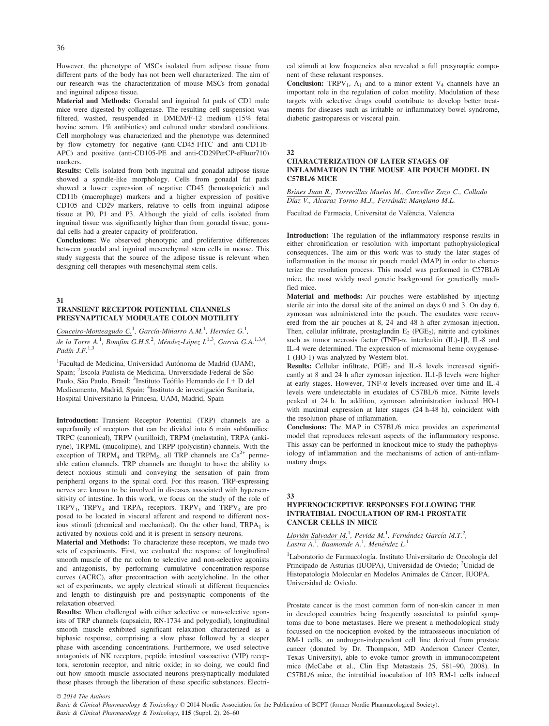However, the phenotype of MSCs isolated from adipose tissue from different parts of the body has not been well characterized. The aim of our research was the characterization of mouse MSCs from gonadal and inguinal adipose tissue.

Material and Methods: Gonadal and inguinal fat pads of CD1 male mice were digested by collagenase. The resulting cell suspension was filtered, washed, resuspended in DMEM/F-12 medium (15% fetal bovine serum, 1% antibiotics) and cultured under standard conditions. Cell morphology was characterized and the phenotype was determined by flow cytometry for negative (anti-CD45-FITC and anti-CD11b-APC) and positive (anti-CD105-PE and anti-CD29PerCP-eFluor710) markers.

Results: Cells isolated from both inguinal and gonadal adipose tissue showed a spindle-like morphology. Cells from gonadal fat pads showed a lower expression of negative CD45 (hematopoietic) and CD11b (macrophage) markers and a higher expression of positive CD105 and CD29 markers, relative to cells from inguinal adipose tissue at P0, P1 and P3. Although the yield of cells isolated from inguinal tissue was significantly higher than from gonadal tissue, gonadal cells had a greater capacity of proliferation.

Conclusions: We observed phenotypic and proliferative differences between gonadal and inguinal mesenchymal stem cells in mouse. This study suggests that the source of the adipose tissue is relevant when designing cell therapies with mesenchymal stem cells.

31

# TRANSIENT RECEPTOR POTENTIAL CHANNELS PRESYNAPTICALY MODULATE COLON MOTILITY

Couceiro-Monteagudo C.<sup>1</sup>, García-Miñarro A.M.<sup>1</sup>, Hernáez G.<sup>1</sup>, de la Torre A.<sup>1</sup>, Bomfim G.H.S.<sup>2</sup>, Méndez-López I.<sup>1,3</sup>, García G.A.<sup>1,3,4</sup>, Padín J.F. $^{1,3}$ 

<sup>1</sup>Facultad de Medicina, Universidad Autónoma de Madrid (UAM), Spain; <sup>2</sup>Escola Paulista de Medicina, Universidade Federal de São Paulo, São Paulo, Brasil; <sup>3</sup>Instituto Teófilo Hernando de I + D del Medicamento, Madrid, Spain; <sup>4</sup>Instituto de investigación Sanitaria, Hospital Universitario la Princesa, UAM, Madrid, Spain

Introduction: Transient Receptor Potential (TRP) channels are a superfamily of receptors that can be divided into 6 main subfamilies: TRPC (canonical), TRPV (vanilloid), TRPM (melastatin), TRPA (ankiryne), TRPML (mucolipine), and TRPP (polycistin) channels. With the exception of TRPM<sub>4</sub> and TRPM<sub>5</sub>, all TRP channels are  $Ca^{2+}$  permeable cation channels. TRP channels are thought to have the ability to detect noxious stimuli and conveying the sensation of pain from peripheral organs to the spinal cord. For this reason, TRP-expressing nerves are known to be involved in diseases associated with hypersensitivity of intestine. In this work, we focus on the study of the role of TRPV<sub>1</sub>, TRPV<sub>4</sub> and TRPA<sub>1</sub> receptors. TRPV<sub>1</sub> and TRPV<sub>4</sub> are proposed to be located in visceral afferent and respond to different noxious stimuli (chemical and mechanical). On the other hand,  $TRPA<sub>1</sub>$  is activated by noxious cold and it is present in sensory neurons.

Material and Methods: To characterize these receptors, we made two sets of experiments. First, we evaluated the response of longitudinal smooth muscle of the rat colon to selective and non-selective agonists and antagonists, by performing cumulative concentration-response curves (ACRC), after precontraction with acetylcholine. In the other set of experiments, we apply electrical stimuli at different frequencies and length to distinguish pre and postsynaptic components of the relaxation observed.

Results: When challenged with either selective or non-selective agonists of TRP channels (capsaicin, RN-1734 and polygodial), longitudinal smooth muscle exhibited significant relaxation characterized as a biphasic response, comprising a slow phase followed by a steeper phase with ascending concentrations. Furthermore, we used selective antagonists of NK receptors, peptide intestinal vasoactive (VIP) receptors, serotonin receptor, and nitric oxide; in so doing, we could find out how smooth muscle associated neurons presynaptically modulated these phases through the liberation of these specific substances. Electrical stimuli at low frequencies also revealed a full presynaptic component of these relaxant responses.

**Conclusion:** TRPV<sub>1</sub>,  $A_1$  and to a minor extent V<sub>4</sub> channels have an important role in the regulation of colon motility. Modulation of these targets with selective drugs could contribute to develop better treatments for diseases such as irritable or inflammatory bowel syndrome, diabetic gastroparesis or visceral pain.

32

#### CHARACTERIZATION OF LATER STAGES OF INFLAMMATION IN THE MOUSE AIR POUCH MODEL IN C57BL/6 MICE

Brines Juan R., Torrecillas Muelas M., Carceller Zazo C., Collado Díaz V., Alcaraz Tormo M.J., Ferrándiz Manglano M.L.

Facultad de Farmacia, Universitat de Valencia, Valencia

Introduction: The regulation of the inflammatory response results in either chronification or resolution with important pathophysiological consequences. The aim or this work was to study the later stages of inflammation in the mouse air pouch model (MAP) in order to characterize the resolution process. This model was performed in C57BL/6 mice, the most widely used genetic background for genetically modified mice.

Material and methods: Air pouches were established by injecting sterile air into the dorsal site of the animal on days 0 and 3. On day 6, zymosan was administered into the pouch. The exudates were recovered from the air pouches at 8, 24 and 48 h after zymosan injection. Then, cellular infiltrate, prostaglandin  $E_2$  (PGE<sub>2</sub>), nitrite and cytokines such as tumor necrosis factor (TNF)- $\alpha$ , interleukin (IL)-1 $\beta$ , IL-8 and IL-4 were determined. The expression of microsomal heme oxygenase-1 (HO-1) was analyzed by Western blot.

**Results:** Cellular infiltrate,  $PGE_2$  and IL-8 levels increased significantly at 8 and 24 h after zymosan injection. IL1- $\beta$  levels were higher at early stages. However, TNF-a levels increased over time and IL-4 levels were undetectable in exudates of C57BL/6 mice. Nitrite levels peaked at 24 h. In addition, zymosan administration induced HO-1 with maximal expression at later stages (24 h-48 h), coincident with the resolution phase of inflammation.

Conclusions: The MAP in C57BL/6 mice provides an experimental model that reproduces relevant aspects of the inflammatory response. This assay can be performed in knockout mice to study the pathophysiology of inflammation and the mechanisms of action of anti-inflammatory drugs.

# 33

#### HYPERNOCICEPTIVE RESPONSES FOLLOWING THE INTRATIBIAL INOCULATION OF RM-1 PROSTATE CANCER CELLS IN MICE

Llorián Salvador M.<sup>1</sup>, Pevida M.<sup>1</sup>, Fernández García M.T.<sup>2</sup>, Lastra A.<sup>1</sup>, Baamonde A.<sup>1</sup>, Menéndez L.<sup>1</sup>

<sup>1</sup>Laboratorio de Farmacología. Instituto Universitario de Oncología del Principado de Asturias (IUOPA), Universidad de Oviedo; <sup>2</sup>Unidad de Histopatología Molecular en Modelos Animales de Cáncer, IUOPA. Universidad de Oviedo.

Prostate cancer is the most common form of non-skin cancer in men in developed countries being frequently associated to painful symptoms due to bone metastases. Here we present a methodological study focussed on the nociception evoked by the intraosseous inoculation of RM-1 cells, an androgen-independent cell line derived from prostate cancer (donated by Dr. Thompson, MD Anderson Cancer Center, Texas University), able to evoke tumor growth in immunocompetent mice (McCabe et al., Clin Exp Metastasis 25, 581–90, 2008). In C57BL/6 mice, the intratibial inoculation of 103 RM-1 cells induced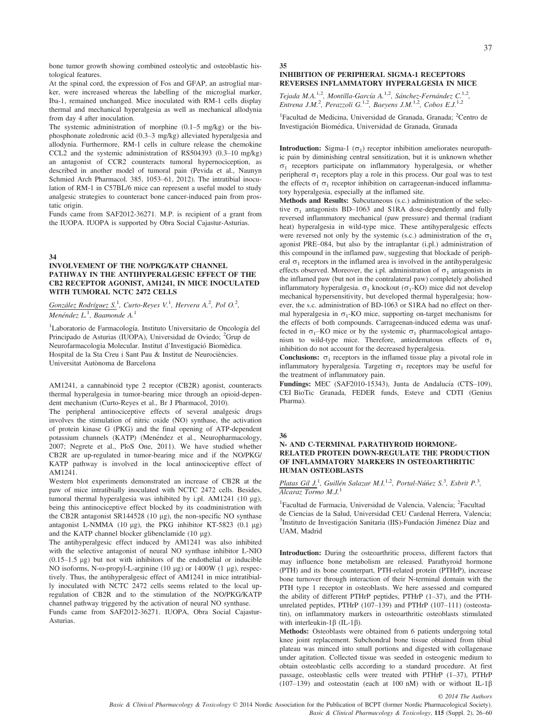bone tumor growth showing combined osteolytic and osteoblastic histological features.

At the spinal cord, the expression of Fos and GFAP, an astroglial marker, were increased whereas the labelling of the microglial marker, Iba-1, remained unchanged. Mice inoculated with RM-1 cells display thermal and mechanical hyperalgesia as well as mechanical allodynia from day 4 after inoculation.

The systemic administration of morphine (0.1–5 mg/kg) or the bisphosphonate zoledronic acid (0.3–3 mg/kg) alleviated hyperalgesia and allodynia. Furthermore, RM-1 cells in culture release the chemokine CCL2 and the systemic administration of RS504393 (0.3–10 mg/kg) an antagonist of CCR2 counteracts tumoral hypernociception, as described in another model of tumoral pain (Pevida et al., Naunyn Schmied Arch Pharmacol. 385, 1053–61, 2012). The intratibial inoculation of RM-1 in C57BL/6 mice can represent a useful model to study analgesic strategies to counteract bone cancer-induced pain from prostatic origin.

Funds came from SAF2012-36271. M.P. is recipient of a grant from the IUOPA. IUOPA is supported by Obra Social Cajastur-Asturias.

#### 34

#### INVOLVEMENT OF THE NO/PKG/KATP CHANNEL PATHWAY IN THE ANTIHYPERALGESIC EFFECT OF THE CB2 RECEPTOR AGONIST, AM1241, IN MICE INOCULATED WITH TUMORAL NCTC 2472 CELLS

 $G$ onzález Rodríguez S.<sup>1</sup>, Curto-Reyes V.<sup>1</sup>, Hervera A.<sup>2</sup>, Pol O.<sup>2</sup>,  $Menéndez L.<sup>1</sup>$ , Baamonde A.<sup>1</sup>

<sup>1</sup>Laboratorio de Farmacología. Instituto Universitario de Oncología del Principado de Asturias (IUOPA), Universidad de Oviedo; <sup>2</sup>Grup de Neurofarmacologia Molecular. Institut d'Investigacio Biomedica. Hospital de la Sta Creu i Sant Pau & Institut de Neurociències. Universitat Autònoma de Barcelona

AM1241, a cannabinoid type 2 receptor (CB2R) agonist, counteracts thermal hyperalgesia in tumor-bearing mice through an opioid-dependent mechanism (Curto-Reyes et al., Br J Pharmacol, 2010).

The peripheral antinociceptive effects of several analgesic drugs involves the stimulation of nitric oxide (NO) synthase, the activation of protein kinase G (PKG) and the final opening of ATP-dependent potassium channels (KATP) (Menéndez et al., Neuropharmacology, 2007; Negrete et al., PloS One, 2011). We have studied whether CB2R are up-regulated in tumor-bearing mice and if the NO/PKG/ KATP pathway is involved in the local antinociceptive effect of AM1241.

Western blot experiments demonstrated an increase of CB2R at the paw of mice intratibially inoculated with NCTC 2472 cells. Besides, tumoral thermal hyperalgesia was inhibited by i.pl.  $AM1241$  (10 µg), being this antinociceptive effect blocked by its coadministration with the CB2R antagonist SR144528 (10  $\mu$ g), the non-specific NO synthase antagonist L-NMMA (10  $\mu$ g), the PKG inhibitor KT-5823 (0.1  $\mu$ g) and the KATP channel blocker glibenclamide  $(10 \mu g)$ .

The antihyperalgesic effect induced by AM1241 was also inhibited with the selective antagonist of neural NO synthase inhibitor L-NIO  $(0.15-1.5 \text{ µg})$  but not with inhibitors of the endothelial or inducible NO isoforms, N- $\omega$ -propyl-L-arginine (10 µg) or 1400W (1 µg), respectively. Thus, the antihyperalgesic effect of AM1241 in mice intratibially inoculated with NCTC 2472 cells seems related to the local upregulation of CB2R and to the stimulation of the NO/PKG/KATP channel pathway triggered by the activation of neural NO synthase.

Funds came from SAF2012-36271. IUOPA, Obra Social Cajastur-Asturias.

# 35 INHIBITION OF PERIPHERAL SIGMA-1 RECEPTORS REVERSES INFLAMMATORY HYPERALGESIA IN MICE

Tejada M.A.<sup>1,2</sup>, Montilla-García A.<sup>1,2</sup>, Sánchez-Fernández C.<sup>1,2</sup> Entrena J.M.<sup>2</sup>, Perazzoli G.<sup>1,2</sup>, Baeyens J.M.<sup>1,2</sup>, Cobos E.J.<sup>1,2</sup>

<sup>1</sup>Facultad de Medicina, Universidad de Granada, Granada; <sup>2</sup>Centro de Investigacion Biomedica, Universidad de Granada, Granada

**Introduction:** Sigma-1 ( $\sigma_1$ ) receptor inhibition ameliorates neuropathic pain by diminishing central sensitization, but it is unknown whether  $\sigma_1$  receptors participate on inflammatory hyperalgesia, or whether peripheral  $\sigma_1$  receptors play a role in this process. Our goal was to test the effects of  $\sigma_1$  receptor inhibition on carrageenan-induced inflammatory hyperalgesia, especially at the inflamed site.

Methods and Results: Subcutaneous (s.c.) administration of the selective  $\sigma_1$  antagonists BD–1063 and S1RA dose-dependently and fully reversed inflammatory mechanical (paw pressure) and thermal (radiant heat) hyperalgesia in wild-type mice. These antihyperalgesic effects were reversed not only by the systemic (s.c.) administration of the  $\sigma_1$ agonist PRE–084, but also by the intraplantar (i.pl.) administration of this compound in the inflamed paw, suggesting that blockade of peripheral  $\sigma_1$  receptors in the inflamed area is involved in the antihyperalgesic effects observed. Moreover, the i.pl. administration of  $\sigma_1$  antagonists in the inflamed paw (but not in the contralateral paw) completely abolished inflammatory hyperalgesia.  $\sigma_1$  knockout ( $\sigma_1$ -KO) mice did not develop mechanical hypersensitivity, but developed thermal hyperalgesia; however, the s.c. administration of BD-1063 or S1RA had no effect on thermal hyperalgesia in  $\sigma_1$ -KO mice, supporting on-target mechanisms for the effects of both compounds. Carrageenan-induced edema was unaffected in  $\sigma_1$ –KO mice or by the systemic  $\sigma_1$  pharmacological antagonism to wild-type mice. Therefore, antiedematous effects of  $\sigma_1$ inhibition do not account for the decreased hyperalgesia.

**Conclusions:**  $\sigma_1$  receptors in the inflamed tissue play a pivotal role in inflammatory hyperalgesia. Targeting  $\sigma_1$  receptors may be useful for the treatment of inflammatory pain.

Fundings: MEC (SAF2010-15343), Junta de Andalucía (CTS-109), CEI BioTic Granada, FEDER funds, Esteve and CDTI (Genius Pharma).

#### 36

#### N- AND C-TERMINAL PARATHYROID HORMONE-RELATED PROTEIN DOWN-REGULATE THE PRODUCTION OF INFLAMMATORY MARKERS IN OSTEOARTHRITIC HUMAN OSTEOBLASTS

Platas Gil J.<sup>1</sup>, Guillén Salazar M.I.<sup>1,2</sup>, Portal-Núñez S.<sup>3</sup>, Esbrit P.<sup>3</sup>, Alcaraz Tormo M.J.<sup>1</sup>

<sup>1</sup>Facultad de Farmacia, Universidad de Valencia, Valencia; <sup>2</sup>Facultad de Ciencias de la Salud, Universidad CEU Cardenal Herrera, Valencia; <sup>3</sup>Instituto de Investigación Sanitaria (IIS)-Fundación Jiménez Díaz and UAM, Madrid

Introduction: During the osteoarthritic process, different factors that may influence bone metabolism are released. Parathyroid hormone (PTH) and its bone counterpart, PTH-related protein (PTHrP), increase bone turnover through interaction of their N-terminal domain with the PTH type 1 receptor in osteoblasts. We here assessed and compared the ability of different PTHrP peptides, PTHrP (1–37), and the PTHunrelated peptides, PTHrP (107–139) and PTHrP (107–111) (osteostatin), on inflammatory markers in osteoarthritic osteoblasts stimulated with interleukin-1 $\beta$  (IL-1 $\beta$ ).

Methods: Osteoblasts were obtained from 6 patients undergoing total knee joint replacement. Subchondral bone tissue obtained from tibial plateau was minced into small portions and digested with collagenase under agitation. Collected tissue was seeded in osteogenic medium to obtain osteoblastic cells according to a standard procedure. At first passage, osteoblastic cells were treated with PTHrP (1–37), PTHrP (107–139) and osteostatin (each at 100 nM) with or without IL-1 $\beta$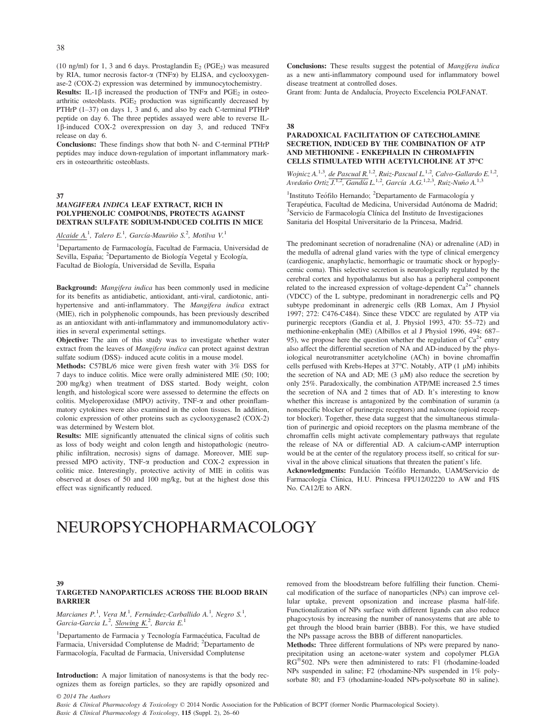(10 ng/ml) for 1, 3 and 6 days. Prostaglandin  $E_2$  (PGE<sub>2</sub>) was measured by RIA, tumor necrosis factor- $\alpha$  (TNF $\alpha$ ) by ELISA, and cyclooxygenase-2 (COX-2) expression was determined by immunocytochemistry.

**Results:** IL-1 $\beta$  increased the production of TNF $\alpha$  and PGE<sub>2</sub> in osteoarthritic osteoblasts.  $PGE_2$  production was significantly decreased by PTHrP (1–37) on days 1, 3 and 6, and also by each C-terminal PTHrP peptide on day 6. The three peptides assayed were able to reverse IL-1 $\beta$ -induced COX-2 overexpression on day 3, and reduced TNF $\alpha$ release on day 6.

Conclusions: These findings show that both N- and C-terminal PTHrP peptides may induce down-regulation of important inflammatory markers in osteoarthritic osteoblasts.

37

#### MANGIFERA INDICA LEAF EXTRACT, RICH IN POLYPHENOLIC COMPOUNDS, PROTECTS AGAINST DEXTRAN SULFATE SODIUM-INDUCED COLITIS IN MICE

Alcaide A.<sup>1</sup>, Talero E.<sup>1</sup>, García-Mauriño S.<sup>2</sup>, Motilva V.<sup>1</sup>

<sup>1</sup>Departamento de Farmacología, Facultad de Farmacia, Universidad de Sevilla, España; <sup>2</sup>Departamento de Biología Vegetal y Ecología, Facultad de Biología, Universidad de Sevilla, España

Background: Mangifera indica has been commonly used in medicine for its benefits as antidiabetic, antioxidant, anti-viral, cardiotonic, antihypertensive and anti-inflammatory. The *Mangifera indica* extract (MIE), rich in polyphenolic compounds, has been previously described as an antioxidant with anti-inflammatory and immunomodulatory activities in several experimental settings.

Objective: The aim of this study was to investigate whether water extract from the leaves of Mangifera indica can protect against dextran sulfate sodium (DSS)- induced acute colitis in a mouse model.

Methods: C57BL/6 mice were given fresh water with 3% DSS for 7 days to induce colitis. Mice were orally administered MIE (50; 100; 200 mg/kg) when treatment of DSS started. Body weight, colon length, and histological score were assessed to determine the effects on colitis. Myeloperoxidase (MPO) activity,  $TNF-\alpha$  and other proinflammatory cytokines were also examined in the colon tissues. In addition, colonic expression of other proteins such as cyclooxygenase2 (COX-2) was determined by Western blot.

Results: MIE significantly attenuated the clinical signs of colitis such as loss of body weight and colon length and histopathologic (neutrophilic infiltration, necrosis) signs of damage. Moreover, MIE suppressed MPO activity, TNF-a production and COX-2 expression in colitic mice. Interestingly, protective activity of MIE in colitis was observed at doses of 50 and 100 mg/kg, but at the highest dose this effect was significantly reduced.

Conclusions: These results suggest the potential of *Mangifera indica* as a new anti-inflammatory compound used for inflammatory bowel disease treatment at controlled doses.

Grant from: Junta de Andalucía, Proyecto Excelencia POLFANAT.

#### 38

#### PARADOXICAL FACILITATION OF CATECHOLAMINE SECRETION, INDUCED BY THE COMBINATION OF ATP AND METHIONINE - ENKEPHALIN IN CHROMAFFIN CELLS STIMULATED WITH ACETYLCHOLINE AT 37°C

Wojnicz A.<sup>1,3</sup>, de Pascual R.<sup>1,2</sup>, Ruiz-Pascual L.<sup>1,2</sup>, Calvo-Gallardo E.<sup>1,2</sup>, Avedaño Ortiz J.<sup>1,2</sup>, Gandía L.<sup>1,2</sup>, García A.G.<sup>1,2,3</sup>, Ruiz-Nuño A.<sup>1,3</sup>

<sup>1</sup>Instituto Teófilo Hernando; <sup>2</sup>Departamento de Farmacología y Terapéutica, Facultad de Medicina, Universidad Autónoma de Madrid; <sup>3</sup>Servicio de Farmacología Clínica del Instituto de Investigaciones Sanitaria del Hospital Universitario de la Princesa, Madrid.

The predominant secretion of noradrenaline (NA) or adrenaline (AD) in the medulla of adrenal gland varies with the type of clinical emergency (cardiogenic, anaphylactic, hemorrhagic or traumatic shock or hypoglycemic coma). This selective secretion is neurologically regulated by the cerebral cortex and hypothalamus but also has a peripheral component related to the increased expression of voltage-dependent  $Ca<sup>2+</sup>$  channels (VDCC) of the L subtype, predominant in noradrenergic cells and PQ subtype predominant in adrenergic cells (RB Lomax, Am J Physiol 1997; 272: C476-C484). Since these VDCC are regulated by ATP via purinergic receptors (Gandia et al, J. Physiol 1993, 470: 55–72) and methionine-enkephalin (ME) (Albillos et al J Physiol 1996, 494: 687– 95), we propose here the question whether the regulation of  $Ca^{2+}$  entry also affect the differential secretion of NA and AD-induced by the physiological neurotransmitter acetylcholine (ACh) in bovine chromaffin cells perfused with Krebs-Hepes at  $37^{\circ}$ C. Notably, ATP (1 µM) inhibits the secretion of NA and AD; ME  $(3 \mu M)$  also reduce the secretion by only 25%. Paradoxically, the combination ATP/ME increased 2.5 times the secretion of NA and 2 times that of AD. It's interesting to know whether this increase is antagonized by the combination of suramin (a nonspecific blocker of purinergic receptors) and naloxone (opioid receptor blocker). Together, these data suggest that the simultaneous stimulation of purinergic and opioid receptors on the plasma membrane of the chromaffin cells might activate complementary pathways that regulate the release of NA or differential AD. A calcium-cAMP interruption would be at the center of the regulatory process itself, so critical for survival in the above clinical situations that threaten the patient's life.

Acknowledgments: Fundación Teófilo Hernando, UAM/Servicio de Farmacología Clínica, H.U. Princesa FPU12/02220 to AW and FIS No. CA12/E to ARN.

# NEUROPSYCHOPHARMACOLOGY

# 39

#### TARGETED NANOPARTICLES ACROSS THE BLOOD BRAIN BARRIER

Marcianes P.<sup>1</sup>, Vera M.<sup>1</sup>, Fernández-Carballido A.<sup>1</sup>, Negro S.<sup>1</sup>, Garcia-Garcia L.<sup>2</sup>, Slowing K.<sup>2</sup>, Barcia E.<sup>1</sup>

<sup>1</sup>Departamento de Farmacia y Tecnología Farmacéutica, Facultad de Farmacia, Universidad Complutense de Madrid; <sup>2</sup>Departamento de Farmacología, Facultad de Farmacia, Universidad Complutense

Introduction: A major limitation of nanosystems is that the body recognizes them as foreign particles, so they are rapidly opsonized and removed from the bloodstream before fulfilling their function. Chemical modification of the surface of nanoparticles (NPs) can improve cellular uptake, prevent opsonization and increase plasma half-life. Functionalization of NPs surface with different ligands can also reduce phagocytosis by increasing the number of nanosystems that are able to get through the blood brain barrier (BBB). For this, we have studied the NPs passage across the BBB of different nanoparticles.

Methods: Three different formulations of NPs were prepared by nanoprecipitation using an acetone-water system and copolymer PLGA  $RG^{\circledast}$ 502. NPs were then administered to rats: F1 (rhodamine-loaded NPs suspended in saline; F2 (rhodamine-NPs suspended in 1% polysorbate 80; and F3 (rhodamine-loaded NPs-polysorbate 80 in saline).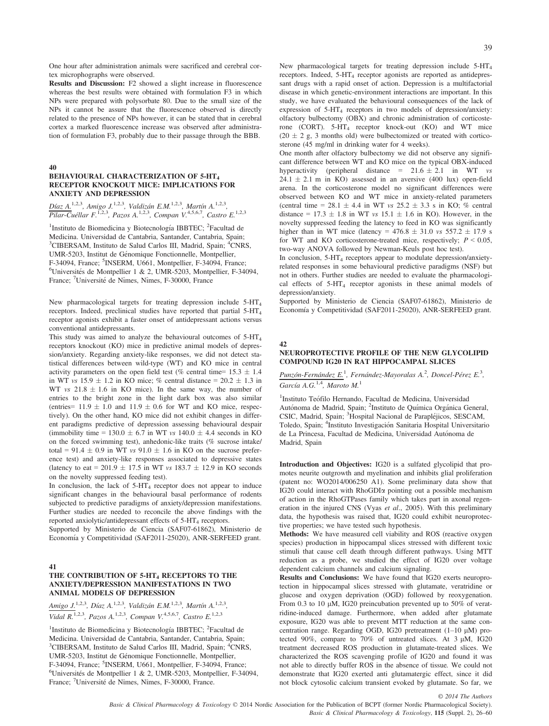One hour after administration animals were sacrificed and cerebral cortex microphographs were observed.

Results and Discussion: F2 showed a slight increase in fluorescence whereas the best results were obtained with formulation F3 in which NPs were prepared with polysorbate 80. Due to the small size of the NPs it cannot be assure that the fluorescence observed is directly related to the presence of NPs however, it can be stated that in cerebral cortex a marked fluorescence increase was observed after administration of formulation F3, probably due to their passage through the BBB.

#### 40

#### BEHAVIOURAL CHARACTERIZATION OF 5-HT4 RECEPTOR KNOCKOUT MICE: IMPLICATIONS FOR ANXIETY AND DEPRESSION

Díaz A.<sup>1,2,3</sup>, Amigo J.<sup>1,2,3</sup>, Valdizán E.M.<sup>1,2,3</sup>, Martín A.<sup>1,2,3</sup>, Pilar-Cuéllar F.<sup>1,2,3</sup>, Pazos A.<sup>1,2,3</sup>, Compan V.<sup>4,5,6,7</sup>, Castro E.<sup>1,2,3</sup>

<sup>1</sup>Instituto de Biomedicina y Biotecnología IBBTEC; <sup>2</sup>Facultad de Medicina. Universidad de Cantabria, Santander, Cantabria, Spain; <sup>3</sup>CIBERSAM, Instituto de Salud Carlos III, Madrid, Spain; <sup>4</sup>CNRS, UMR-5203, Institut de Genomique Fonctionnelle, Montpellier, F-34094, France; <sup>5</sup>INSERM, U661, Montpellier, F-34094, France;<br><sup>6</sup>Universités de Montpellier 1 & 2 UMR-5203, Montpellier, F-34  ${}^{6}$ Universités de Montpellier 1 & 2, UMR-5203, Montpellier, F-34094, France; <sup>7</sup>Université de Nîmes, Nîmes, F-30000, France

New pharmacological targets for treating depression include 5-HT4 receptors. Indeed, preclinical studies have reported that partial 5-HT4 receptor agonists exhibit a faster onset of antidepressant actions versus conventional antidepressants.

This study was aimed to analyze the behavioural outcomes of  $5-HT<sub>4</sub>$ receptors knockout (KO) mice in predictive animal models of depression/anxiety. Regarding anxiety-like responses, we did not detect statistical differences between wild-type (WT) and KO mice in central activity parameters on the open field test (% central time=  $15.3 \pm 1.4$ ) in WT vs 15.9  $\pm$  1.2 in KO mice; % central distance = 20.2  $\pm$  1.3 in WT vs  $21.8 \pm 1.6$  in KO mice). In the same way, the number of entries to the bright zone in the light dark box was also similar (entries=  $11.9 \pm 1.0$  and  $11.9 \pm 0.6$  for WT and KO mice, respectively). On the other hand, KO mice did not exhibit changes in different paradigms predictive of depression assessing behavioural despair (immobility time = 130.0  $\pm$  6.7 in WT vs 140.0  $\pm$  4.4 seconds in KO on the forced swimming test), anhedonic-like traits (% sucrose intake/ total =  $91.4 \pm 0.9$  in WT vs  $91.0 \pm 1.6$  in KO on the sucrose preference test) and anxiety-like responses associated to depressive states (latency to eat = 201.9  $\pm$  17.5 in WT vs 183.7  $\pm$  12.9 in KO seconds on the novelty suppressed feeding test).

In conclusion, the lack of  $5-HT<sub>4</sub>$  receptor does not appear to induce significant changes in the behavioural basal performance of rodents subjected to predictive paradigms of anxiety/depression manifestations. Further studies are needed to reconcile the above findings with the reported anxiolytic/antidepressant effects of 5-HT<sub>4</sub> receptors.

Supported by Ministerio de Ciencia (SAF07-61862), Ministerio de Economía y Competitividad (SAF2011-25020), ANR-SERFEED grant.

#### 41

# THE CONTRIBUTION OF 5-HT4 RECEPTORS TO THE ANXIETY/DEPRESSION MANIFESTATIONS IN TWO ANIMAL MODELS OF DEPRESSION

Amigo J.<sup>1,2,3</sup>, Díaz A.<sup>1,2,3</sup>, Valdizán E.M.<sup>1,2,3</sup>, Martín A.<sup>1,2,3</sup>, Vidal R.<sup>1,2,3</sup>, Pazos A.<sup>1,2,3</sup>, Compan V.<sup>4,5,6,7</sup>, Castro E.<sup>1,2,3</sup>

<sup>1</sup>Instituto de Biomedicina y Biotecnología IBBTEC; <sup>2</sup>Facultad de Medicina. Universidad de Cantabria, Santander, Cantabria, Spain; <sup>3</sup>CIBERSAM, Instituto de Salud Carlos III, Madrid, Spain; <sup>4</sup>CNRS, UMR-5203, Institut de Genomique Fonctionnelle, Montpellier,  $F-34094$ , France; <sup>5</sup>INSERM, U661, Montpellier, F-34094, France;<br><sup>6</sup>Universités de Montpellier, 1, & 2, UMP, 5203, Montpellier, E-34  ${}^{6}$ Universités de Montpellier 1 & 2, UMR-5203, Montpellier, F-34094, France; <sup>7</sup>Université de Nîmes, Nîmes, F-30000, France.

New pharmacological targets for treating depression include 5-HT4 receptors. Indeed,  $5-HT<sub>4</sub>$  receptor agonists are reported as antidepressant drugs with a rapid onset of action. Depression is a multifactorial disease in which genetic-environment interactions are important. In this study, we have evaluated the behavioural consequences of the lack of expression of  $5-HT_4$  receptors in two models of depression/anxiety: olfactory bulbectomy (OBX) and chronic administration of corticosterone (CORT). 5-HT4 receptor knock-out (KO) and WT mice  $(20 \pm 2$  g, 3 months old) were bulbectomized or treated with corticosterone (45 mg/ml in drinking water for 4 weeks).

One month after olfactory bulbectomy we did not observe any significant difference between WT and KO mice on the typical OBX-induced hyperactivity (peripheral distance =  $21.6 \pm 2.1$  in WT vs  $24.1 \pm 2.1$  m in KO) assessed in an aversive (400 lux) open-field arena. In the corticosterone model no significant differences were observed between KO and WT mice in anxiety-related parameters (central time = 28.1  $\pm$  4.4 in WT vs 25.2  $\pm$  3.3 s in KO; % central distance =  $17.3 \pm 1.8$  in WT vs  $15.1 \pm 1.6$  in KO). However, in the novelty suppressed feeding the latency to feed in KO was significantly higher than in WT mice (latency =  $476.8 \pm 31.0$  vs  $557.2 \pm 17.9$  s for WT and KO corticosterone-treated mice, respectively;  $P \le 0.05$ , two-way ANOVA followed by Newman-Keuls post hoc test).

In conclusion, 5-HT<sub>4</sub> receptors appear to modulate depression/anxietyrelated responses in some behavioural predictive paradigms (NSF) but not in others. Further studies are needed to evaluate the pharmacological effects of  $5-HT<sub>4</sub>$  receptor agonists in these animal models of depression/anxiety.

Supported by Ministerio de Ciencia (SAF07-61862), Ministerio de Economía y Competitividad (SAF2011-25020), ANR-SERFEED grant.

#### 42

#### NEUROPROTECTIVE PROFILE OF THE NEW GLYCOLIPID COMPOUND IG20 IN RAT HIPPOCAMPAL SLICES

Punzón-Fernández E.<sup>1</sup>, Fernández-Mayoralas A.<sup>2</sup>, Doncel-Pérez E.<sup>3</sup>, García A.G.<sup>1,4</sup>, Maroto M.<sup>1</sup>

<sup>1</sup>Instituto Teófilo Hernando, Facultad de Medicina, Universidad Autónoma de Madrid, Spain; <sup>2</sup>Instituto de Química Orgánica General, CSIC, Madrid, Spain; <sup>3</sup>Hospital Nacional de Parapléjicos, SESCAM, Toledo, Spain; <sup>4</sup>Instituto Investigación Sanitaria Hospital Universitario de La Princesa, Facultad de Medicina, Universidad Autónoma de Madrid, Spain

Introduction and Objectives: IG20 is a sulfated glycolipid that promotes neurite outgrowth and myelination and inhibits glial proliferation (patent no: WO2014/006250 A1). Some preliminary data show that IG20 could interact with RhoGDIa pointing out a possible mechanism of action in the RhoGTPases family which takes part in axonal regeneration in the injured CNS (Vyas et al., 2005). With this preliminary data, the hypothesis was raised that, IG20 could exhibit neuroprotective properties; we have tested such hypothesis.

Methods: We have measured cell viability and ROS (reactive oxygen species) production in hippocampal slices stressed with different toxic stimuli that cause cell death through different pathways. Using MTT reduction as a probe, we studied the effect of IG20 over voltage dependent calcium channels and calcium signaling.

Results and Conclusions: We have found that IG20 exerts neuroprotection in hippocampal slices stressed with glutamate, veratridine or glucose and oxygen deprivation (OGD) followed by reoxygenation. From 0.3 to 10  $\mu$ M, IG20 preincubation prevented up to 50% of veratridine-induced damage. Furthermore, when added after glutamate exposure, IG20 was able to prevent MTT reduction at the same concentration range. Regarding OGD, IG20 pretreatment  $(1-10 \mu M)$  protected 90%, compare to  $70\%$  of untreated slices. At 3  $\mu$ M, IG20 treatment decreased ROS production in glutamate-treated slices. We characterized the ROS scavenging profile of IG20 and found it was not able to directly buffer ROS in the absence of tissue. We could not demonstrate that IG20 exerted anti glutamatergic effect, since it did not block cytosolic calcium transient evoked by glutamate. So far, we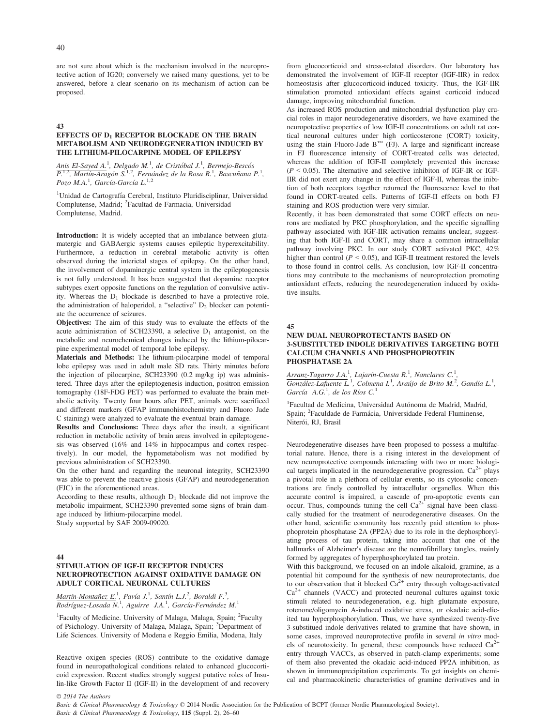are not sure about which is the mechanism involved in the neuroprotective action of IG20; conversely we raised many questions, yet to be answered, before a clear scenario on its mechanism of action can be proposed.

43

#### EFFECTS OF  $D_1$  RECEPTOR BLOCKADE ON THE BRAIN METABOLISM AND NEURODEGENERATION INDUCED BY THE LITHIUM-PILOCARPINE MODEL OF EPILEPSY

Anis El-Sayed A.<sup>1</sup>, Delgado M.<sup>1</sup>, de Cristóbal J.<sup>1</sup>, Bermejo-Bescós<br>P.<sup>1,2</sup>, Martín-Aragón S.<sup>1,2</sup>, Fernández de la Rosa R.<sup>1</sup>, Bascuñana P.<sup>1</sup>, Pozo M.A.<sup>1</sup>, García-García L.<sup>1,2</sup>

<sup>1</sup>Unidad de Cartografía Cerebral, Instituto Pluridisciplinar, Universidad Complutense, Madrid; <sup>2</sup> Facultad de Farmacia, Universidad Complutense, Madrid.

Introduction: It is widely accepted that an imbalance between glutamatergic and GABAergic systems causes epileptic hyperexcitability. Furthermore, a reduction in cerebral metabolic activity is often observed during the interictal stages of epilepsy. On the other hand, the involvement of dopaminergic central system in the epileptogenesis is not fully understood. It has been suggested that dopamine receptor subtypes exert opposite functions on the regulation of convulsive activity. Whereas the  $D_1$  blockade is described to have a protective role, the administration of haloperidol, a "selective"  $D_2$  blocker can potentiate the occurrence of seizures.

Objectives: The aim of this study was to evaluate the effects of the acute administration of SCH23390, a selective  $D_1$  antagonist, on the metabolic and neurochemical changes induced by the lithium-pilocarpine experimental model of temporal lobe epilepsy.

Materials and Methods: The lithium-pilocarpine model of temporal lobe epilepsy was used in adult male SD rats. Thirty minutes before the injection of pilocarpine, SCH23390 (0.2 mg/kg ip) was administered. Three days after the epileptogenesis induction, positron emission tomography (18F-FDG PET) was performed to evaluate the brain metabolic activity. Twenty four hours after PET, animals were sacrificed and different markers (GFAP immunohistochemistry and Fluoro Jade C staining) were analyzed to evaluate the eventual brain damage.

Results and Conclusions: Three days after the insult, a significant reduction in metabolic activity of brain areas involved in epileptogenesis was observed (16% and 14% in hippocampus and cortex respectively). In our model, the hypometabolism was not modified by previous administration of SCH23390.

On the other hand and regarding the neuronal integrity, SCH23390 was able to prevent the reactive gliosis (GFAP) and neurodegeneration (FJC) in the aforementioned areas.

According to these results, although  $D_1$  blockade did not improve the metabolic impairment, SCH23390 prevented some signs of brain damage induced by lithium-pilocarpine model. Study supported by SAF 2009-09020.

#### 44

# STIMULATION OF IGF-II RECEPTOR INDUCES NEUROPROTECTION AGAINST OXIDATIVE DAMAGE ON ADULT CORTICAL NEURONAL CULTURES

Martín-Montañez E.<sup>1</sup>, Pavía J.<sup>1</sup>, Santín L.J.<sup>2</sup>, Boraldi F.<sup>3</sup>,<br>Rodríguez-Losada N.<sup>1</sup>, Aguirre J.A.<sup>1</sup>, García-Fernández M.<sup>1</sup>

<sup>1</sup>Faculty of Medicine. University of Malaga, Malaga, Spain; <sup>2</sup>Faculty of Psichology. University of Malaga, Malaga, Spain; <sup>3</sup>Department of Life Sciences. University of Modena e Reggio Emilia, Modena, Italy

Reactive oxigen species (ROS) contribute to the oxidative damage found in neuropathological conditions related to enhanced glucocorticoid expression. Recent studies strongly suggest putative roles of Insulin-like Growth Factor II (IGF-II) in the development of and recovery from glucocorticoid and stress-related disorders. Our laboratory has demonstrated the involvement of IGF-II receptor (IGF-IIR) in redox homeostasis after glucocorticoid-induced toxicity. Thus, the IGF-IIR stimulation promoted antioxidant effects against corticoid induced damage, improving mitochondrial function.

As increased ROS production and mitochondrial dysfunction play crucial roles in major neurodegenerative disorders, we have examined the neuropotective properties of low IGF-II concentrations on adult rat cortical neuronal cultures under high corticosterone (CORT) toxicity, using the stain Fluoro-Jade  $B^{TM}$  (FJ). A large and significant increase in FJ fluorescence intensity of CORT-treated cells was detected, whereas the addition of IGF-II completely prevented this increase  $(P < 0.05)$ . The alternative and selective inhibiton of IGF-IR or IGF-IIR did not exert any change in the effect of IGF-II, whereas the inibition of both receptors together returned the fluorescence level to that found in CORT-treated cells. Patterns of IGF-II effects on both FJ staining and ROS production were very similar.

Recently, it has been demonstrated that some CORT effects on neurons are mediated by PKC phosphorylation, and the specific signalling pathway associated with IGF-IIR activation remains unclear, suggesting that both IGF-II and CORT, may share a common intracellular pathway involving PKC. In our study CORT activated PKC, 42% higher than control ( $P < 0.05$ ), and IGF-II treatment restored the levels to those found in control cells. As conclusion, low IGF-II concentrations may contribute to the mechanisms of neuroprotection promoting antioxidant effects, reducing the neurodegeneration induced by oxidative insults.

#### 45

#### NEW DUAL NEUROPROTECTANTS BASED ON 3-SUBSTITUTED INDOLE DERIVATIVES TARGETING BOTH CALCIUM CHANNELS AND PHOSPHOPROTEIN PHOSPHATASE 2A

Arranz-Tagarro J.A.<sup>1</sup>, Lajarín-Cuesta R.<sup>1</sup>, Nanclares C.<sup>1</sup>,  $G$ onzález-Lafuente  $\overline{L}^1$ , Colmena I.<sup>1</sup>, Araújo de Brito M.<sup>2</sup>, Gandía L.<sup>1</sup>, García  $A.G.^1$ , de los Ríos  $C.^1$ 

<sup>1</sup>Facultad de Medicina, Universidad Autónoma de Madrid, Madrid, Spain; <sup>2</sup>Faculdade de Farmácia, Universidade Federal Fluminense, Niterói, RJ, Brasil

Neurodegenerative diseases have been proposed to possess a multifactorial nature. Hence, there is a rising interest in the development of new neuroprotective compounds interacting with two or more biological targets implicated in the neurodegenerative progression.  $Ca<sup>2+</sup>$  plays a pivotal role in a plethora of cellular events, so its cytosolic concentrations are finely controlled by intracellular organelles. When this accurate control is impaired, a cascade of pro-apoptotic events can occur. Thus, compounds tuning the cell  $Ca^{2+}$  signal have been classically studied for the treatment of neurodegenerative diseases. On the other hand, scientific community has recently paid attention to phosphoprotein phosphatase 2A (PP2A) due to its role in the dephosphorylating process of tau protein, taking into account that one of the hallmarks of Alzheimer's disease are the neurofibrillary tangles, mainly formed by aggregates of hyperphosphorylated tau protein.

With this background, we focused on an indole alkaloid, gramine, as a potential hit compound for the synthesis of new neuroprotectants, due to our observation that it blocked  $Ca^{2+}$  entry through voltage-activated  $Ca<sup>2+</sup>$  channels (VACC) and protected neuronal cultures against toxic stimuli related to neurodegeneration, e.g. high glutamate exposure, rotenone/oligomycin A-induced oxidative stress, or okadaic acid-elicited tau hyperphosphorylation. Thus, we have synthesized twenty-five 3-substitued indole derivatives related to gramine that have shown, in some cases, improved neuroprotective profile in several in vitro models of neurotoxicity. In general, these compounds have reduced  $Ca^{2+}$ entry through VACCs, as observed in patch-clamp experiments; some of them also prevented the okadaic acid-induced PP2A inhibition, as shown in immunoprecipitation experiments. To get insights on chemical and pharmacokinetic characteristics of gramine derivatives and in

© 2014 The Authors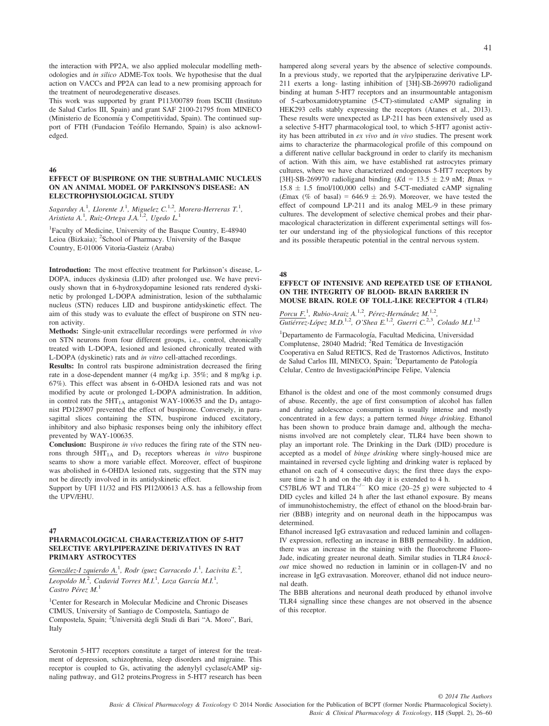the interaction with PP2A, we also applied molecular modelling methodologies and in silico ADME-Tox tools. We hypothesise that the dual action on VACCs and PP2A can lead to a new promising approach for the treatment of neurodegenerative diseases.

This work was supported by grant P113/00789 from ISCIII (Instituto de Salud Carlos III, Spain) and grant SAF 2100-21795 from MINECO (Ministerio de Economía y Competitividad, Spain). The continued support of FTH (Fundacion Teófilo Hernando, Spain) is also acknowledged.

46

#### EFFECT OF BUSPIRONE ON THE SUBTHALAMIC NUCLEUS ON AN ANIMAL MODEL OF PARKINSON'S DISEASE: AN ELECTROPHYSIOLOGICAL STUDY

Sagarduy A.<sup>1</sup>, Llorente J.<sup>1</sup>, Miguelez C.<sup>1.2</sup>, Morera-Herreras T.<sup>1</sup>, Aristieta A.<sup>1</sup>, Ruiz-Ortega J.A.<sup>1.2</sup>, Ugedo L.<sup>1</sup>

1 Faculty of Medicine, University of the Basque Country, E-48940 Leioa (Bizkaia); <sup>2</sup>School of Pharmacy. University of the Basque Country, E-01006 Vitoria-Gasteiz (Araba)

Introduction: The most effective treatment for Parkinson's disease, L-DOPA, induces dyskinesia (LID) after prolonged use. We have previously shown that in 6-hydroxydopamine lesioned rats rendered dyskinetic by prolonged L-DOPA administration, lesion of the subthalamic nucleus (STN) reduces LID and buspirone antidyskinetic effect. The aim of this study was to evaluate the effect of buspirone on STN neuron activity.

Methods: Single-unit extracellular recordings were performed in vivo on STN neurons from four different groups, i.e., control, chronically treated with L-DOPA, lesioned and lesioned chronically treated with L-DOPA (dyskinetic) rats and in vitro cell-attached recordings.

Results: In control rats buspirone administration decreased the firing rate in a dose-dependent manner (4 mg/kg i.p. 35%; and 8 mg/kg i.p. 67%). This effect was absent in 6-OHDA lesioned rats and was not modified by acute or prolonged L-DOPA administration. In addition, in control rats the  $5HT<sub>1A</sub>$  antagonist WAY-100635 and the  $D<sub>3</sub>$  antagonist PD128907 prevented the effect of buspirone. Conversely, in parasagittal slices containing the STN, buspirone induced excitatory, inhibitory and also biphasic responses being only the inhibitory effect prevented by WAY-100635.

Conclusion: Buspirone in vivo reduces the firing rate of the STN neurons through  $5HT<sub>1A</sub>$  and  $D<sub>3</sub>$  receptors whereas in vitro buspirone seams to show a more variable effect. Moreover, effect of buspirone was abolished in 6-OHDA lesioned rats, suggesting that the STN may not be directly involved in its antidyskinetic effect.

Support by UFI 11/32 and FIS PI12/00613 A.S. has a fellowship from the UPV/EHU.

#### 47

#### PHARMACOLOGICAL CHARACTERIZATION OF 5-HT7 SELECTIVE ARYLPIPERAZINE DERIVATIVES IN RAT PRIMARY ASTROCYTES

González-I zquierdo A.<sup>1</sup>, Rodr íguez Carracedo J.<sup>1</sup>, Lacivita E.<sup>2</sup>, Leopoldo M.<sup>2</sup>, Cadavid Torres M.I.<sup>1</sup>, Loza García M.I.<sup>1</sup>, Castro Pérez M.<sup>1</sup>

1 Center for Research in Molecular Medicine and Chronic Diseases CIMUS, University of Santiago de Compostela, Santiago de Compostela, Spain; <sup>2</sup>Università degli Studi di Bari "A. Moro", Bari, Italy

Serotonin 5-HT7 receptors constitute a target of interest for the treatment of depression, schizophrenia, sleep disorders and migraine. This receptor is coupled to Gs, activating the adenylyl cyclase/cAMP signaling pathway, and G12 proteins.Progress in 5-HT7 research has been hampered along several years by the absence of selective compounds. In a previous study, we reported that the arylpiperazine derivative LP-211 exerts a long- lasting inhibition of [3H]-SB-269970 radioligand binding at human 5-HT7 receptors and an insurmountable antagonism of 5-carboxamidotryptamine (5-CT)-stimulated cAMP signaling in HEK293 cells stably expressing the receptors (Atanes et al., 2013). These results were unexpected as LP-211 has been extensively used as a selective 5-HT7 pharmacological tool, to which 5-HT7 agonist activity has been attributed in ex vivo and in vivo studies. The present work aims to characterize the pharmacological profile of this compound on a different native cellular background in order to clarify its mechanism of action. With this aim, we have established rat astrocytes primary cultures, where we have characterized endogenous 5-HT7 receptors by [3H]-SB-269970 radioligand binding (Kd = 13.5  $\pm$  2.9 nM; Bmax =  $15.8 \pm 1.5$  fmol/100,000 cells) and 5-CT-mediated cAMP signaling (Emax (% of basal) =  $646.9 \pm 26.9$ ). Moreover, we have tested the effect of compound LP-211 and its analog MEL-9 in these primary cultures. The development of selective chemical probes and their pharmacological characterization in different experimental settings will foster our understand ing of the physiological functions of this receptor and its possible therapeutic potential in the central nervous system.

#### 48

#### EFFECT OF INTENSIVE AND REPEATED USE OF ETHANOL ON THE INTEGRITY OF BLOOD- BRAIN BARRIER IN MOUSE BRAIN. ROLE OF TOLL-LIKE RECEPTOR 4 (TLR4)

Porcu F.<sup>1</sup>, Rubio-Araiz A.<sup>1,2</sup>, Pérez-Hernández M.<sup>1,2</sup>, Gutiérrez-López M.D.<sup>1,2</sup>, O'Shea E.<sup>1,2</sup>, Guerri C.<sup>2,3</sup>, Colado M.I.<sup>1,2</sup>

<sup>1</sup>Departamento de Farmacología, Facultad Medicina, Universidad Complutense, 28040 Madrid; <sup>2</sup>Red Temática de Investigación Cooperativa en Salud RETICS, Red de Trastornos Adictivos, Instituto de Salud Carlos III, MINECO, Spain; 3Departamento de Patología Celular, Centro de InvestigacionPrincipe Felipe, Valencia

Ethanol is the oldest and one of the most commonly consumed drugs of abuse. Recently, the age of first consumption of alcohol has fallen and during adolescence consumption is usually intense and mostly concentrated in a few days; a pattern termed binge drinking. Ethanol has been shown to produce brain damage and, although the mechanisms involved are not completely clear, TLR4 have been shown to play an important role. The Drinking in the Dark (DID) procedure is accepted as a model of binge drinking where singly-housed mice are maintained in reversed cycle lighting and drinking water is replaced by ethanol on each of 4 consecutive days; the first three days the exposure time is 2 h and on the 4th day it is extended to 4 h.

C57BL/6 WT and TLR4<sup> $-/-$ </sup> KO mice (20–25 g) were subjected to 4 DID cycles and killed 24 h after the last ethanol exposure. By means of immunohistochemistry, the effect of ethanol on the blood-brain barrier (BBB) integrity and on neuronal death in the hippocampus was determined.

Ethanol increased IgG extravasation and reduced laminin and collagen-IV expression, reflecting an increase in BBB permeability. In addition, there was an increase in the staining with the fluorochrome Fluoro-Jade, indicating greater neuronal death. Similar studies in TLR4 knockout mice showed no reduction in laminin or in collagen-IV and no increase in IgG extravasation. Moreover, ethanol did not induce neuronal death.

The BBB alterations and neuronal death produced by ethanol involve TLR4 signalling since these changes are not observed in the absence of this receptor.

Basic & Clinical Pharmacology & Toxicology © 2014 Nordic Association for the Publication of BCPT (former Nordic Pharmacological Society). Basic & Clinical Pharmacology & Toxicology, 115 (Suppl. 2), 26–60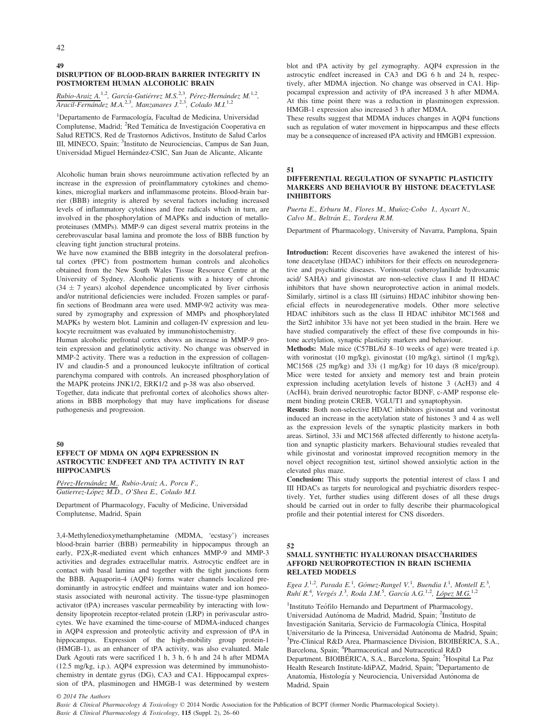#### 49 DISRUPTION OF BLOOD-BRAIN BARRIER INTEGRITY IN POSTMORTEM HUMAN ALCOHOLIC BRAIN

Rubio-Araiz A.<sup>1,2</sup>, García-Gutiérrez M.S.<sup>2,3</sup>, Pérez-Hernández M.<sup>1,2</sup>, Aracil-Fernández M.A.<sup>2,3</sup>, Manzanares J.<sup>2,3</sup>, Colado M.I.<sup>1,2</sup>

<sup>1</sup>Departamento de Farmacología, Facultad de Medicina, Universidad Complutense, Madrid; <sup>2</sup>Red Temática de Investigación Cooperativa en Salud RETICS, Red de Trastornos Adictivos, Instituto de Salud Carlos III, MINECO, Spain; <sup>3</sup>Instituto de Neurociencias, Campus de San Juan, Universidad Miguel Hernández-CSIC, San Juan de Alicante, Alicante

Alcoholic human brain shows neuroimmune activation reflected by an increase in the expression of proinflammatory cytokines and chemokines, microglial markers and inflammasome proteins. Blood-brain barrier (BBB) integrity is altered by several factors including increased levels of inflammatory cytokines and free radicals which in turn, are involved in the phosphorylation of MAPKs and induction of metalloproteinases (MMPs). MMP-9 can digest several matrix proteins in the cerebrovascular basal lamina and promote the loss of BBB function by cleaving tight junction structural proteins.

We have now examined the BBB integrity in the dorsolateral prefrontal cortex (PFC) from postmortem human controls and alcoholics obtained from the New South Wales Tissue Resource Centre at the University of Sydney. Alcoholic patients with a history of chronic  $(34 \pm 7 \text{ years})$  alcohol dependence uncomplicated by liver cirrhosis and/or nutritional deficiencies were included. Frozen samples or paraffin sections of Brodmann area were used. MMP-9/2 activity was measured by zymography and expression of MMPs and phosphorylated MAPKs by western blot. Laminin and collagen-IV expression and leukocyte recruitment was evaluated by immunohistochemistry.

Human alcoholic prefrontal cortex shows an increase in MMP-9 protein expression and gelatinolytic activity. No change was observed in MMP-2 activity. There was a reduction in the expression of collagen-IV and claudin-5 and a pronounced leukocyte infiltration of cortical parenchyma compared with controls. An increased phosphorylation of the MAPK proteins JNK1/2, ERK1/2 and p-38 was also observed.

Together, data indicate that prefrontal cortex of alcoholics shows alterations in BBB morphology that may have implications for disease pathogenesis and progression.

#### 50

# EFFECT OF MDMA ON AQP4 EXPRESSION IN ASTROCYTIC ENDFEET AND TPA ACTIVITY IN RAT HIPPOCAMPUS

Pérez-Hernández M., Rubio-Araiz A., Porcu F., Gutierrez-Lopez M.D., O'Shea E., Colado M.I.

Department of Pharmacology, Faculty of Medicine, Universidad Complutense, Madrid, Spain

3,4-Methylenedioxymethamphetamine (MDMA, 'ecstasy') increases blood-brain barrier (BBB) permeability in hippocampus through an early,  $P2X_7R$ -mediated event which enhances MMP-9 and MMP-3 activities and degrades extracellular matrix. Astrocytic endfeet are in contact with basal lamina and together with the tight junctions form the BBB. Aquaporin-4 (AQP4) forms water channels localized predominantly in astrocytic endfeet and maintains water and ion homeostasis associated with neuronal activity. The tissue-type plasminogen activator (tPA) increases vascular permeability by interacting with lowdensity lipoprotein receptor-related protein (LRP) in perivascular astrocytes. We have examined the time-course of MDMA-induced changes in AQP4 expression and proteolytic activity and expression of tPA in hippocampus. Expression of the high-mobility group protein-1 (HMGB-1), as an enhancer of tPA activity, was also evaluated. Male Dark Agouti rats were sacrificed 1 h, 3 h, 6 h and 24 h after MDMA (12.5 mg/kg, i.p.). AQP4 expression was determined by immunohistochemistry in dentate gyrus (DG), CA3 and CA1. Hippocampal expression of tPA, plasminogen and HMGB-1 was determined by western blot and tPA activity by gel zymography. AQP4 expression in the astrocytic endfeet increased in CA3 and DG 6 h and 24 h, respectively, after MDMA injection. No change was observed in CA1. Hippocampal expression and activity of tPA increased 3 h after MDMA. At this time point there was a reduction in plasminogen expression. HMGB-1 expression also increased 3 h after MDMA.

These results suggest that MDMA induces changes in AQP4 functions such as regulation of water movement in hippocampus and these effects may be a consequence of increased tPA activity and HMGB1 expression.

#### 51

# DIFFERENTIAL REGULATION OF SYNAPTIC PLASTICITY MARKERS AND BEHAVIOUR BY HISTONE DEACETYLASE INHIBITORS

Puerta E., Erburu M., Flores M., Muñoz-Cobo I., Aycart N., Calvo M., Beltrán E., Tordera R.M.

Department of Pharmacology, University of Navarra, Pamplona, Spain

Introduction: Recent discoveries have awakened the interest of histone deacetylase (HDAC) inhibitors for their effects on neurodegenerative and psychiatric diseases. Vorinostat (suberoylanilide hydroxamic acid/ SAHA) and givinostat are non-selective class I and II HDAC inhibitors that have shown neuroprotective action in animal models. Similarly, sirtinol is a class III (sirtuins) HDAC inhibitor showing beneficial effects in neurodegenerative models. Other more selective HDAC inhibitors such as the class II HDAC inhibitor MC1568 and the Sirt2 inhibitor 33i have not yet been studied in the brain. Here we have studied comparatively the effect of these five compounds in histone acetylation, synaptic plasticity markers and behaviour.

Methods: Male mice (C57BL/6J 8–10 weeks of age) were treated i.p. with vorinostat (10 mg/kg), givinostat (10 mg/kg), sirtinol (1 mg/kg), MC1568 (25 mg/kg) and 33i (1 mg/kg) for 10 days (8 mice/group). Mice were tested for anxiety and memory test and brain protein expression including acetylation levels of histone 3 (AcH3) and 4 (AcH4), brain derived neurotrophic factor BDNF, c-AMP response element binding protein CREB, VGLUT1 and synaptophysin.

Resuts: Both non-selective HDAC inhibitors givinostat and vorinostat induced an increase in the acetylation state of histones 3 and 4 as well as the expression levels of the synaptic plasticity markers in both areas. Sirtinol, 33i and MC1568 affected differently to histone acetylation and synaptic plasticity markers. Behavioural studies revealed that while givinostat and vorinostat improved recognition memory in the novel object recognition test, sirtinol showed anxiolytic action in the elevated plus maze.

Conclusion: This study supports the potential interest of class I and III HDACs as targets for neurological and psychiatric disorders respectively. Yet, further studies using different doses of all these drugs should be carried out in order to fully describe their pharmacological profile and their potential interest for CNS disorders.

#### 52

#### SMALL SYNTHETIC HYALURONAN DISACCHARIDES AFFORD NEUROPROTECTION IN BRAIN ISCHEMIA RELATED MODELS

Egea J.<sup>1,2</sup>, Parada E.<sup>1</sup>, Gómez-Rangel V.<sup>1</sup>, Buendia I.<sup>1</sup>, Montell E.<sup>3</sup>, Ruhí R.<sup>4</sup>, Vergés J.<sup>3</sup>, Roda J.M.<sup>5</sup>, García A.G.<sup>1,2</sup>, López M.G.<sup>1,2</sup>

<sup>1</sup>Instituto Teófilo Hernando and Department of Pharmacology, Universidad Autónoma de Madrid, Madrid, Spain; <sup>2</sup>Instituto de Investigación Sanitaria, Servicio de Farmacología Clínica, Hospital Universitario de la Princesa, Universidad Autónoma de Madrid, Spain; <sup>3</sup>Pre-Clinical R&D Area, Pharmascience Division, BIOIBÉRICA, S.A., Barcelona, Spain; <sup>4</sup>Pharmaceutical and Nutraceutical R&D Department. BIOIBÉRICA, S.A., Barcelona, Spain; <sup>5</sup>Hospital La Paz Health Research Institute-IdiPAZ, Madrid, Spain; <sup>6</sup>Departamento de Anatomía, Histología y Neurociencia, Universidad Autónoma de Madrid, Spain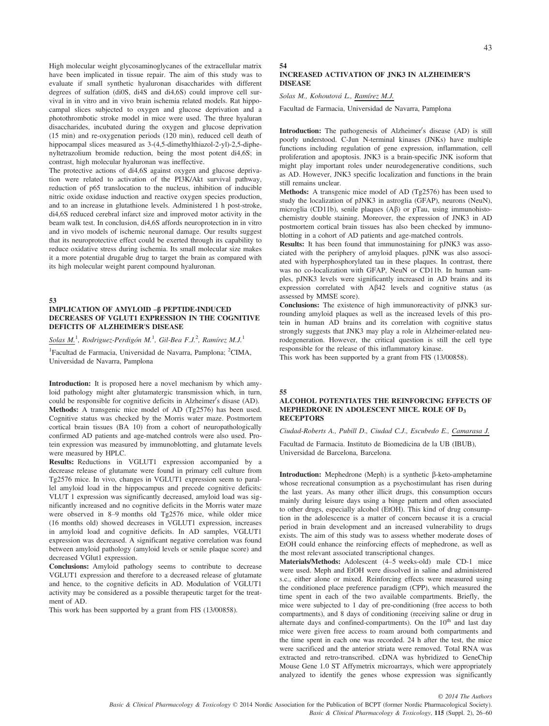High molecular weight glycosaminoglycanes of the extracellular matrix have been implicated in tissue repair. The aim of this study was to evaluate if small synthetic hyaluronan disaccharides with different degrees of sulfation (di0S, di4S and di4,6S) could improve cell survival in in vitro and in vivo brain ischemia related models. Rat hippocampal slices subjected to oxygen and glucose deprivation and a photothrombotic stroke model in mice were used. The three hyaluran disaccharides, incubated during the oxygen and glucose deprivation (15 min) and re-oxygenation periods (120 min), reduced cell death of hippocampal slices measured as 3-(4,5-dimethylthiazol-2-yl)-2,5-diphenyltetrazolium bromide reduction, being the most potent di4,6S; in contrast, high molecular hyaluronan was ineffective.

The protective actions of di4,6S against oxygen and glucose deprivation were related to activation of the PI3K/Akt survival pathway, reduction of p65 translocation to the nucleus, inhibition of inducible nitric oxide oxidase induction and reactive oxygen species production, and to an increase in glutathione levels. Administered 1 h post-stroke, di4,6S reduced cerebral infarct size and improved motor activity in the beam walk test. In conclusion, di4,6S affords neuroprotection in in vitro and in vivo models of ischemic neuronal damage. Our results suggest that its neuroprotective effect could be exerted through its capability to reduce oxidative stress during ischemia. Its small molecular size makes it a more potential drugable drug to target the brain as compared with its high molecular weight parent compound hyaluronan.

#### 53

### IMPLICATION OF AMYLOID -ß PEPTIDE-INDUCED DECREASES OF VGLUT1 EXPRESSION IN THE COGNITIVE DEFICITS OF ALZHEIMER'S DISEASE

Solas M.<sup>1</sup>, Rodriguez-Perdigón M.<sup>1</sup>, Gil-Bea F.J.<sup>2</sup>, Ramírez M.J.<sup>1</sup>

<sup>1</sup>Facultad de Farmacia, Universidad de Navarra, Pamplona; <sup>2</sup>CIMA, Universidad de Navarra, Pamplona

Introduction: It is proposed here a novel mechanism by which amyloid pathology might alter glutamatergic transmission which, in turn, could be responsible for cognitive deficits in Alzheimer's disase (AD). Methods: A transgenic mice model of AD (Tg2576) has been used. Cognitive status was checked by the Morris water maze. Postmortem cortical brain tissues (BA 10) from a cohort of neuropathologically confirmed AD patients and age-matched controls were also used. Protein expression was measured by immunoblotting, and glutamate levels were measured by HPLC.

Results: Reductions in VGLUT1 expression accompanied by a decrease release of glutamate were found in primary cell culture from Tg2576 mice. In vivo, changes in VGLUT1 expression seem to parallel amyloid load in the hippocampus and precede cognitive deficits: VLUT 1 expression was significantly decreased, amyloid load was significantly increased and no cognitive deficits in the Morris water maze were observed in 8–9 months old Tg2576 mice, while older mice (16 months old) showed decreases in VGLUT1 expression, increases in amyloid load and cognitive deficits. In AD samples, VGLUT1 expression was decreased. A significant negative correlation was found between amyloid pathology (amyloid levels or senile plaque score) and decreased VGlut1 expression.

Conclusions: Amyloid pathology seems to contribute to decrease VGLUT1 expression and therefore to a decreased release of glutamate and hence, to the cognitive deficits in AD. Modulation of VGLUT1 activity may be considered as a possible therapeutic target for the treatment of AD.

This work has been supported by a grant from FIS (13/00858).

# 43

# INCREASED ACTIVATION OF JNK3 IN ALZHEIMER'S DISEASE

Solas M., Kohoutová L., Ramírez M.J.

54

Facultad de Farmacia, Universidad de Navarra, Pamplona

**Introduction:** The pathogenesis of Alzheimer's disease (AD) is still poorly understood. C-Jun N-terminal kinases (JNKs) have multiple functions including regulation of gene expression, inflammation, cell proliferation and apoptosis. JNK3 is a brain-specific JNK isoform that might play important roles under neurodegenerative conditions, such as AD. However, JNK3 specific localization and functions in the brain still remains unclear.

Methods: A transgenic mice model of AD (Tg2576) has been used to study the localization of pJNK3 in astroglia (GFAP), neurons (NeuN), microglia (CD11b), senile plaques  $(A\beta)$  or pTau, using immunohistochemistry double staining. Moreover, the expression of JNK3 in AD postmortem cortical brain tissues has also been checked by immunoblotting in a cohort of AD patients and age-matched controls.

Results: It has been found that immunostaining for pJNK3 was associated with the periphery of amyloid plaques. pJNK was also associated with hyperphosphorylated tau in these plaques. In contrast, there was no co-localization with GFAP, NeuN or CD11b. In human samples, pJNK3 levels were significantly increased in AD brains and its expression correlated with  $A\beta42$  levels and cognitive status (as assessed by MMSE score).

Conclusions: The existence of high immunoreactivity of pJNK3 surrounding amyloid plaques as well as the increased levels of this protein in human AD brains and its correlation with cognitive status strongly suggests that JNK3 may play a role in Alzheimer-related neurodegeneration. However, the critical question is still the cell type responsible for the release of this inflammatory kinase.

This work has been supported by a grant from FIS (13/00858).

#### 55

#### ALCOHOL POTENTIATES THE REINFORCING EFFECTS OF MEPHEDRONE IN ADOLESCENT MICE. ROLE OF D3 **RECEPTORS**

Ciudad-Roberts A., Pubill D., Ciudad C.J., Escubedo E., Camarasa J.

Facultad de Farmacia. Instituto de Biomedicina de la UB (IBUB), Universidad de Barcelona, Barcelona.

**Introduction:** Mephedrone (Meph) is a synthetic  $\beta$ -keto-amphetamine whose recreational consumption as a psychostimulant has risen during the last years. As many other illicit drugs, this consumption occurs mainly during leisure days using a binge pattern and often associated to other drugs, especially alcohol (EtOH). This kind of drug consumption in the adolescence is a matter of concern because it is a crucial period in brain development and an increased vulnerability to drugs exists. The aim of this study was to assess whether moderate doses of EtOH could enhance the reinforcing effects of mephedrone, as well as the most relevant associated transcriptional changes.

Materials/Methods: Adolescent (4–5 weeks-old) male CD-1 mice were used. Meph and EtOH were dissolved in saline and administered s.c., either alone or mixed. Reinforcing effects were measured using the conditioned place preference paradigm (CPP), which measured the time spent in each of the two available compartments. Briefly, the mice were subjected to 1 day of pre-conditioning (free access to both compartments), and 8 days of conditioning (receiving saline or drug in alternate days and confined-compartments). On the 10<sup>th</sup> and last day mice were given free access to roam around both compartments and the time spent in each one was recorded. 24 h after the test, the mice were sacrificed and the anterior striata were removed. Total RNA was extracted and retro-transcribed. cDNA was hybridized to GeneChip Mouse Gene 1.0 ST Affymetrix microarrays, which were appropriately analyzed to identify the genes whose expression was significantly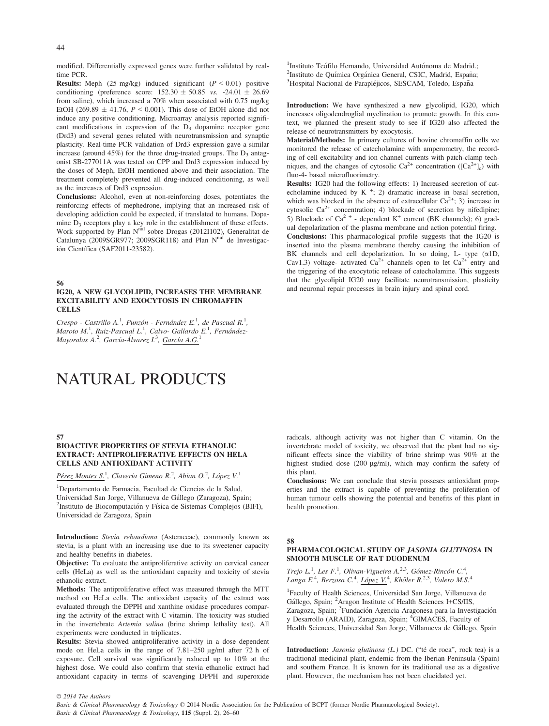modified. Differentially expressed genes were further validated by realtime PCR.

**Results:** Meph (25 mg/kg) induced significant  $(P < 0.01)$  positive conditioning (preference score:  $152.30 \pm 50.85$  vs.  $-24.01 \pm 26.69$ from saline), which increased a 70% when associated with 0.75 mg/kg EtOH (269.89  $\pm$  41.76,  $P \le 0.001$ ). This dose of EtOH alone did not induce any positive conditioning. Microarray analysis reported significant modifications in expression of the D<sub>3</sub> dopamine receptor gene (Drd3) and several genes related with neurotransmission and synaptic plasticity. Real-time PCR validation of Drd3 expression gave a similar increase (around 45%) for the three drug-treated groups. The  $D_3$  antagonist SB-277011A was tested on CPP and Drd3 expression induced by the doses of Meph, EtOH mentioned above and their association. The treatment completely prevented all drug-induced conditioning, as well as the increases of Drd3 expression.

Conclusions: Alcohol, even at non-reinforcing doses, potentiates the reinforcing effects of mephedrone, implying that an increased risk of developing addiction could be expected, if translated to humans. Dopamine D<sub>3</sub> receptors play a key role in the establishment of these effects.<br>Work supported by Plan N<sup>nal</sup> sobre Drogas (2012I102), Generalitat de Catalunya (2009SGR977; 2009SGR118) and Plan  $N<sup>nal</sup>$  de Investigación Científica (SAF2011-23582).

56

#### IG20, A NEW GLYCOLIPID, INCREASES THE MEMBRANE EXCITABILITY AND EXOCYTOSIS IN CHROMAFFIN **CELLS**

 $C$ respo - Castrillo A.<sup>1</sup>, Punzón - Fernández E.<sup>1</sup>, de Pascual R.<sup>1</sup>, Maroto M.<sup>1</sup>, Ruiz-Pascual L.<sup>1</sup>, Calvo- Gallardo E.<sup>1</sup>, Fernández-Mayoralas A.<sup>2</sup>, García-Álvarez I.<sup>3</sup>, <u>García A.G.</u>1

# NATURAL PRODUCTS

#### 57

## BIOACTIVE PROPERTIES OF STEVIA ETHANOLIC EXTRACT: ANTIPROLIFERATIVE EFFECTS ON HELA CELLS AND ANTIOXIDANT ACTIVITY

Pérez Montes S.<sup>1</sup>, Clavería Gimeno R.<sup>2</sup>, Abian O.<sup>2</sup>, López V.<sup>1</sup>

1 Departamento de Farmacia, Facultad de Ciencias de la Salud, Universidad San Jorge, Villanueva de Gallego (Zaragoza), Spain; <sup>2</sup> <sup>2</sup>Instituto de Biocomputación y Física de Sistemas Complejos (BIFI), Universidad de Zaragoza, Spain

Introduction: Stevia rebaudiana (Asteraceae), commonly known as stevia, is a plant with an increasing use due to its sweetener capacity and healthy benefits in diabetes.

Objective: To evaluate the antiproliferative activity on cervical cancer cells (HeLa) as well as the antioxidant capacity and toxicity of stevia ethanolic extract.

Methods: The antiproliferative effect was measured through the MTT method on HeLa cells. The antioxidant capacity of the extract was evaluated through the DPPH and xanthine oxidase procedures comparing the activity of the extract with C vitamin. The toxicity was studied in the invertebrate Artemia salina (brine shrimp lethality test). All experiments were conducted in triplicates.

Results: Stevia showed antiproliferative activity in a dose dependent mode on HeLa cells in the range of 7.81–250 µg/ml after 72 h of exposure. Cell survival was significantly reduced up to 10% at the highest dose. We could also confirm that stevia ethanolic extract had antioxidant capacity in terms of scavenging DPPH and superoxide

<sup>1</sup>Instituto Teófilo Hernando, Universidad Autónoma de Madrid.: <sup>1</sup>Instituto Teófilo Hernando, Universidad Autónoma de Madrid.;<br><sup>2</sup>Instituto de Ouímica Orgánica General, CSIC, Madrid, España; <sup>2</sup>Instituto de Química Orgánica General, CSIC, Madrid, España;<br><sup>3</sup>Hospital Nacional de Parapléjicos, SESCAM, Toledo, España <sup>3</sup>Hospital Nacional de Parapléjicos, SESCAM, Toledo, España

Introduction: We have synthesized a new glycolipid, IG20, which increases oligodendroglial myelination to promote growth. In this context, we planned the present study to see if IG20 also affected the release of neurotransmitters by exocytosis.

Material/Methods: In primary cultures of bovine chromaffin cells we monitored the release of catecholamine with amperometry, the recording of cell excitability and ion channel currents with patch-clamp techniques, and the changes of cytosolic  $Ca^{2+}$  concentration ([ $Ca^{2+}$ ]<sub>c</sub>) with fluo-4- based microfluorimetry.

Results: IG20 had the following effects: 1) Increased secretion of catecholamine induced by  $K^+$ ; 2) dramatic increase in basal secretion, which was blocked in the absence of extracellular  $Ca^{2+}$ ; 3) increase in cytosolic  $Ca^{2+}$  concentration; 4) blockade of secretion by nifedipine; 5) Blockade of Ca<sup>2 +</sup> - dependent K<sup>+</sup> current (BK channels); 6) gradual depolarization of the plasma membrane and action potential firing.

Conclusions: This pharmacological profile suggests that the IG20 is inserted into the plasma membrane thereby causing the inhibition of BK channels and cell depolarization. In so doing, L- type ( $\alpha$ 1D, Cav1.3) voltage- activated  $Ca^{2+}$  channels open to let  $Ca^{2+}$  entry and the triggering of the exocytotic release of catecholamine. This suggests that the glycolipid IG20 may facilitate neurotransmission, plasticity and neuronal repair processes in brain injury and spinal cord.

radicals, although activity was not higher than C vitamin. On the invertebrate model of toxicity, we observed that the plant had no significant effects since the viability of brine shrimp was 90% at the highest studied dose (200 µg/ml), which may confirm the safety of this plant.

Conclusions: We can conclude that stevia posseses antioxidant properties and the extract is capable of preventing the proliferation of human tumour cells showing the potential and benefits of this plant in health promotion.

#### 58

# PHARMACOLOGICAL STUDY OF JASONIA GLUTINOSA IN SMOOTH MUSCLE OF RAT DUODENUM

Trejo L<sup>1</sup>, Les F.<sup>1</sup>, Olivan-Vigueira A.<sup>2,3</sup>, Gómez-Rincón C.<sup>4</sup>,<br>Langa E.<sup>4</sup>, Berzosa C.<sup>4</sup>, López V.<sup>4</sup>, Khöler R.<sup>2,3</sup>, Valero M.S.<sup>4</sup>

1 Faculty of Health Sciences, Universidad San Jorge, Villanueva de Gállego, Spain; <sup>2</sup>Aragon Institute of Health Sciences I+CS/IIS, Zaragoza, Spain; <sup>3</sup>Fundación Agencia Aragonesa para la Investigación y Desarrollo (ARAID), Zaragoza, Spain; <sup>4</sup>GIMACES, Faculty of Health Sciences, Universidad San Jorge, Villanueva de Gállego, Spain

Introduction: *Jasonia glutinosa*  $(L)$  DC. ("té de roca", rock tea) is a traditional medicinal plant, endemic from the Iberian Peninsula (Spain) and southern France. It is known for its traditional use as a digestive plant. However, the mechanism has not been elucidated yet.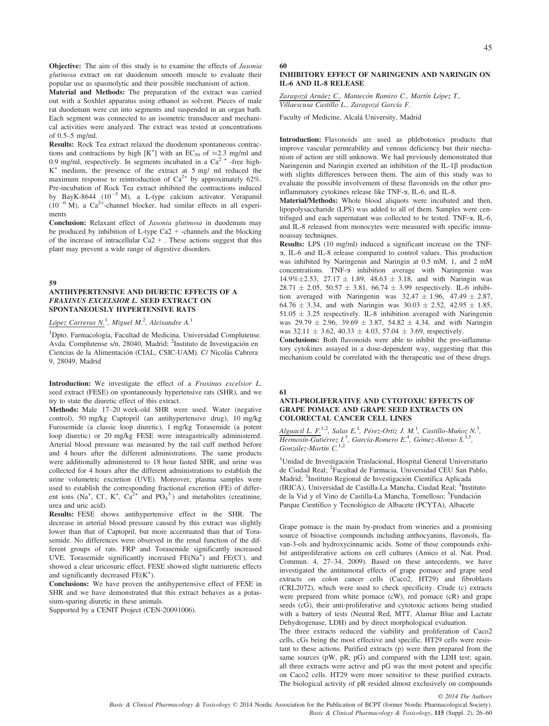Objective: The aim of this study is to examine the effects of *Jasonia* glutinosa extract on rat duodenum smooth muscle to evaluate their popular use as spasmolytic and their possible mechanism of action.

Material and Methods: The preparation of the extract was carried out with a Soxhlet apparatus using ethanol as solvent. Pieces of male rat duodenum were cut into segments and suspended in an organ bath. Each segment was connected to an isometric transducer and mechanical activities were analyzed. The extract was tested at concentrations of 0.5–5 mg/ml.

Results: Rock Tea extract relaxed the duodenum spontaneous contractions and contractions by high  $[K^+]$  with an EC<sub>50</sub> of  $\approx 2.3$  mg/ml and 0.9 mg/ml, respectively. In segments incubated in a  $Ca<sup>2+</sup>$  -free high-K<sup>+</sup> medium, the presence of the extract at 5 mg/ ml reduced the maximum response to reintroduction of  $Ca^{2+}$  by approximately 62%. Pre-incubation of Rock Tea extract inhibited the contractions induced by BayK-8644 ( $10^{-5}$  M), a L-type calcium activator. Verapamil  $(10^{-6}$  M), a Ca<sup>2+</sup>-channel blocker, had similar effects in all experiments

Conclusion: Relaxant effect of Jasonia glutinosa in duodenum may be produced by inhibition of L-type Ca2 + -channels and the blocking of the increase of intracellular  $Ca<sup>2</sup> +$ . These actions suggest that this plant may prevent a wide range of digestive disorders.

59

#### ANTIHYPERTENSIVE AND DIURETIC EFFECTS OF A FRAXINUS EXCELSIOR L. SEED EXTRACT ON SPONTANEOUSLY HYPERTENSIVE RATS

López Carreras N.<sup>1</sup>, Miguel M.<sup>2</sup>, Aleixandre A.<sup>1</sup>

<sup>1</sup>Dpto. Farmacología, Facultad de Medicina, Universidad Complutense. Avda. Complutense s/n, 28040, Madrid; <sup>2</sup>Instituto de Investigación en Ciencias de la Alimentación (CIAL, CSIC-UAM). C/ Nicolás Cabrera 9, 28049, Madrid

Introduction: We investigate the effect of a Fraxinus excelsior L. seed extract (FESE) on spontaneously hypertensive rats (SHR), and we try to state the diuretic effect of this extract.

Methods: Male 17–20 week-old SHR were used. Water (negative control), 50 mg/kg Captopril (an antihypertensive drug), 10 mg/kg Furosemide (a classic loop diuretic), 1 mg/kg Torasemide (a potent loop diuretic) or 20 mg/kg FESE were intragastrically administered. Arterial blood pressure was measured by the tail cuff method before and 4 hours after the different administrations. The same products were additionally administered to 18 hour fasted SHR, and urine was collected for 4 hours after the different administrations to establish the urine volumetric excretion (UVE). Moreover, plasma samples were used to establish the corresponding fractional excretion (FE) of different ions (Na<sup>+</sup>, Cl<sup>-</sup>, K<sup>+</sup>, Ca<sup>2+</sup> and PO<sub>4</sub><sup>3-</sup>) and metabolites (creatinine, urea and uric acid).

Results: FESE shows antihypertensive effect in the SHR. The decrease in arterial blood pressure caused by this extract was slightly lower than that of Captopril, but more accentuated than that of Torasemide. No differences were observed in the renal function of the different groups of rats. FRP and Torasemide significantly increased UVE. Torasemide significantly increased FE(Na<sup>+</sup>) and FE(Cl<sup>-</sup>), and showed a clear uricosuric effect. FESE showed slight natriuretic effects and significantly decreased  $FE(K<sup>+</sup>)$ .

Conclusions: We have proven the antihypertensive effect of FESE in SHR and we have demonstrated that this extract behaves as a potassium-sparing diuretic in these animals.

Supported by a CENIT Project (CEN-20091006).

60

# INHIBITORY EFFECT OF NARINGENIN AND NARINGIN ON IL-6 AND IL-8 RELEASE

Zaragozá Arnáez C., Mantecón Ramiro C., Martín López T., Villaescusa Castillo L., Zaragozá García F.

Faculty of Medicine, Alcala University, Madrid

Introduction: Flavonoids are used as phlebotonics products that improve vascular permeability and venous deficiency but their mechanism of action are still unknown. We had previously demonstrated that Naringenin and Naringin exerted an inhibition of the IL-1 $\beta$  production with slights differences between them. The aim of this study was to evaluate the possible involvement of these flavonoids on the other proinflammatory cytokines release like TNF-a, IL-6, and IL-8.

Material/Methods: Whole blood aliquots were incubated and then, lipopolysaccharide (LPS) was added to all of them. Samples were centrifuged and each supernatant was collected to be tested. TNF-a, IL-6, and IL-8 released from monocytes were measured with specific immunoassay techniques.

Results: LPS (10 mg/ml) induced a significant increase on the TNFa, IL-6 and IL-8 release compared to control values. This production was inhibited by Naringenin and Naringin at 0.5 mM, 1, and 2 mM concentrations. TNF-a inhibition average with Naringenin was 14.9% $\pm$ 2.53, 27.17  $\pm$  1.89, 48.63  $\pm$  3.18, and with Naringin was  $28.71 \pm 2.05$ ,  $50.57 \pm 3.81$ ,  $66.74 \pm 3.99$  respectively. IL-6 inhibition averaged with Naringenin was  $32.47 \pm 1.96$ ,  $47.49 \pm 2.87$ , 64.76  $\pm$  3.34, and with Naringin was 30.03  $\pm$  2.52, 42.95  $\pm$  1.85,  $51.05 \pm 3.25$  respectively. IL-8 inhibition averaged with Naringenin was  $29.79 \pm 2.96$ ,  $39.69 \pm 3.87$ ,  $54.82 \pm 4.34$ , and with Naringin was  $32.11 \pm 3.62$ ,  $40.33 \pm 4.03$ ,  $57.04 \pm 3.69$ , respectively.

Conclusions: Both flavonoids were able to inhibit the pro-inflammatory cytokines assayed in a dose-dependent way, suggesting that this mechanism could be correlated with the therapeutic use of these drugs.

#### 61

#### ANTI-PROLIFERATIVE AND CYTOTOXIC EFFECTS OF GRAPE POMACE AND GRAPE SEED EXTRACTS ON COLORECTAL CANCER CELL LINES

Alguacil L. F.<sup>1,2</sup>, Salas E.<sup>1</sup>, Pérez-Ortiz J. M.<sup>1</sup>, Castillo-Muñoz N.<sup>3</sup>, Hermosín-Gutiérrez I.<sup>3</sup>, García-Romero E.<sup>4</sup>, Gómez-Alonso S.<sup>3,5</sup>, González-Martín C.<sup>1,2</sup>

<sup>1</sup>Unidad de Investigación Traslacional, Hospital General Universitario de Ciudad Real; <sup>2</sup> Facultad de Farmacia, Universidad CEU San Pablo, Madrid; <sup>3</sup>Instituto Regional de Investigación Científica Aplicada (IRICA), Universidad de Castilla-La Mancha, Ciudad Real; <sup>4</sup>Instituto de la Vid y el Vino de Castilla-La Mancha, Tomelloso; <sup>5</sup>Fundación Parque Científico y Tecnológico de Albacete (PCYTA), Albacete

Grape pomace is the main by-product from wineries and a promising source of bioactive compounds including anthocyanins, flavonols, flavan-3-ols and hydroxycinnamic acids. Some of these compounds exhibit antiproliferative actions on cell cultures (Amico et al. Nat. Prod. Commun. 4, 27–34, 2009). Based on these antecedents, we have investigated the antitumoral effects of grape pomace and grape seed extracts on colon cancer cells (Caco2, HT29) and fibroblasts (CRL2072), which were used to check specificity. Crude (c) extracts were prepared from white pomace (cW), red pomace (cR) and grape seeds (cG), their anti-proliferative and cytotoxic actions being studied with a battery of tests (Neutral Red, MTT, Alamar Blue and Lactate Dehydrogenase, LDH) and by direct morphological evaluation.

The three extracts reduced the viability and proliferation of Caco2 cells, cGs being the most effective and specific. HT29 cells were resistant to these actions. Purified extracts (p) were then prepared from the same sources (pW, pR, pG) and compared with the LDH test; again, all three extracts were active and pG was the most potent and specific on Caco2 cells. HT29 were more sensitive to these purified extracts. The biological activity of pR resided almost exclusively on compounds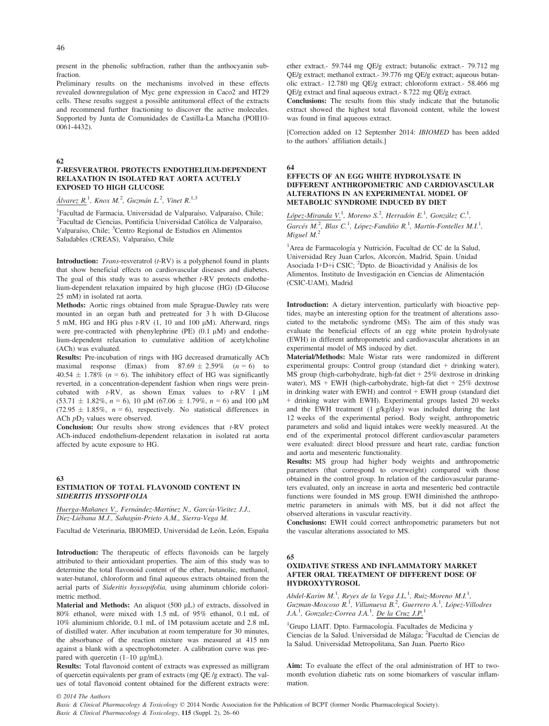present in the phenolic subfraction, rather than the anthocyanin subfraction.

Preliminary results on the mechanisms involved in these effects revealed downregulation of Myc gene expression in Caco2 and HT29 cells. These results suggest a possible antitumoral effect of the extracts and recommend further fractioning to discover the active molecules. Supported by Junta de Comunidades de Castilla-La Mancha (POII10-  $(0.061 - 4432)$ .

#### 62

# T-RESVERATROL PROTECTS ENDOTHELIUM-DEPENDENT RELAXATION IN ISOLATED RAT AORTA ACUTELY EXPOSED TO HIGH GLUCOSE

Álvarez R.<sup>1</sup>, Knox M.<sup>2</sup>, Guzmán L.<sup>2</sup>, Vinet R.<sup>1,3</sup>

<sup>1</sup> Facultad de Farmacia, Universidad de Valparaíso, Valparaíso, Chile; <sup>2</sup> Facultad de Ciencias, Pontificia Universidad Católica de Valparaíso <sup>2</sup>Facultad de Ciencias, Pontificia Universidad Católica de Valparaíso, Valparaíso, Chile; <sup>3</sup>Centro Regional de Estudios en Alimentos Saludables (CREAS), Valparaíso, Chile

**Introduction:** *Trans-resveratrol*  $(t$ -RV $)$  is a polyphenol found in plants that show beneficial effects on cardiovascular diseases and diabetes. The goal of this study was to assess whether  $t$ -RV protects endothelium-dependent relaxation impaired by high glucose (HG) (D-Glucose 25 mM) in isolated rat aorta.

Methods: Aortic rings obtained from male Sprague-Dawley rats were mounted in an organ bath and pretreated for 3 h with D-Glucose 5 mM, HG and HG plus  $t$ -RV (1, 10 and 100  $\mu$ M). Afterward, rings were pre-contracted with phenylephrine (PE)  $(0.1 \mu M)$  and endothelium-dependent relaxation to cumulative addition of acetylcholine (ACh) was evaluated.

Results: Pre-incubation of rings with HG decreased dramatically ACh maximal response (Emax) from  $87.69 \pm 2.59\%$  (n = 6) to  $40.54 \pm 1.78\%$  ( $n = 6$ ). The inhibitory effect of HG was significantly reverted, in a concentration-dependent fashion when rings were preincubated with  $t$ -RV, as shown Emax values to  $t$ -RV 1  $\mu$ M  $(53.71 \pm 1.82\%, n = 6)$ , 10 µM  $(67.06 \pm 1.79\%, n = 6)$  and 100 µM  $(72.95 \pm 1.85\%, n = 6)$ , respectively. No statistical differences in ACh  $pD_2$  values were observed.

**Conclusion:** Our results show strong evidences that  $t$ -RV protect ACh-induced endothelium-dependent relaxation in isolated rat aorta affected by acute exposure to HG.

#### 63 ESTIMATION OF TOTAL FLAVONOID CONTENT IN SIDERITIS HYSSOPIFOLIA

Huerga-Mañanes V., Fernández-Martínez N., García-Vieitez J.J., Diez-Liébana M.J., Sahagún-Prieto A.M., Sierra-Vega M.

Facultad de Veterinaria, IBIOMED, Universidad de León, León, España

Introduction: The therapeutic of effects flavonoids can be largely attributed to their antioxidant properties. The aim of this study was to determine the total flavonoid content of the ether, butanolic, methanol, water-butanol, chloroform and final aqueous extracts obtained from the aerial parts of Sideritis hyssopifolia, using aluminum chloride colorimetric method.

Material and Methods: An aliquot  $(500 \mu L)$  of extracts, dissolved in 80% ethanol, were mixed with 1.5 mL of 95% ethanol, 0.1 mL of 10% aluminium chloride, 0.1 mL of 1M potassium acetate and 2.8 mL of distilled water. After incubation at room temperature for 30 minutes, the absorbance of the reaction mixture was measured at 415 nm against a blank with a spectrophotometer. A calibration curve was prepared with quercetin  $(1-10 \mu g/mL)$ .

Results: Total flavonoid content of extracts was expressed as milligram of quercetin equivalents per gram of extracts (mg QE /g extract). The values of total flavonoid content obtained for the different extracts were: ether extract.- 59.744 mg QE/g extract; butanolic extract.- 79.712 mg QE/g extract; methanol extract.- 39.776 mg QE/g extract; aqueous butanolic extract.- 12.780 mg QE/g extract; chloroform extract.- 58.466 mg QE/g extract and final aqueous extract.- 8.722 mg QE/g extract.

Conclusions: The results from this study indicate that the butanolic extract showed the highest total flavonoid content, while the lowest was found in final aqueous extract.

[Correction added on 12 September 2014: IBIOMED has been added to the authors' affiliation details.]

# 64

#### EFFECTS OF AN EGG WHITE HYDROLYSATE IN DIFFERENT ANTHROPOMETRIC AND CARDIOVASCULAR ALTERATIONS IN AN EXPERIMENTAL MODEL OF METABOLIC SYNDROME INDUCED BY DIET

López-Miranda V.<sup>1</sup>, Moreno S.<sup>2</sup>, Herradón E.<sup>1</sup>, González C.<sup>1</sup>, Garcés M.<sup>2</sup>, Blas C.<sup>1</sup>, López-Fandiño R.<sup>1</sup>, Martín-Fontelles M.I.<sup>1</sup>, Miguel  $M<sup>2</sup>$ 

<sup>1</sup>Area de Farmacología y Nutrición, Facultad de CC de la Salud, Universidad Rey Juan Carlos, Alcorcón, Madrid, Spain. Unidad Asociada I+D+i CSIC; <sup>2</sup>Dpto. de Bioactividad y Análisis de los Alimentos. Instituto de Investigacion en Ciencias de Alimentacion (CSIC-UAM), Madrid

Introduction: A dietary intervention, particularly with bioactive peptides, maybe an interesting option for the treatment of alterations associated to the metabolic syndrome (MS). The aim of this study was evaluate the beneficial effects of an egg white protein hydrolysate (EWH) in different anthropometric and cardiovascular alterations in an experimental model of MS induced by diet.

Material/Methods: Male Wistar rats were randomized in different experimental groups: Control group (standard diet + drinking water), MS group (high-carbohydrate, high-fat diet + 25% dextrose in drinking water), MS + EWH (high-carbohydrate, high-fat diet + 25% dextrose in drinking water with EWH) and control  $+$  EWH group (standard diet + drinking water with EWH). Experimental groups lasted 20 weeks and the EWH treatment (1 g/kg/day) was included during the last 12 weeks of the experimental period. Body weight, anthropometric parameters and solid and liquid intakes were weekly measured. At the end of the experimental protocol different cardiovascular parameters were evaluated: direct blood pressure and heart rate, cardiac function and aorta and mesenteric functionality.

Results: MS group had higher body weights and anthropometric parameters (that correspond to overweight) compared with those obtained in the control group. In relation of the cardiovascular parameters evaluated, only an increase in aorta and mesenteric bed contractile functions were founded in MS group. EWH diminished the anthropometric parameters in animals with MS, but it did not affect the observed alterations in vascular reactivity.

Conclusions: EWH could correct anthropometric parameters but not the vascular alterations associated to MS.

#### 65

#### OXIDATIVE STRESS AND INFLAMMATORY MARKET AFTER ORAL TREATMENT OF DIFFERENT DOSE OF HYDROXYTYROSOL

Abdel-Karim M.<sup>1</sup>, Reyes de la Vega J.L.<sup>1</sup>, Ruiz-Moreno M.I.<sup>1</sup>,<br>Guzman-Moscoso R.<sup>1</sup>, Villanueva B.<sup>2</sup>, Guerrero A.<sup>1</sup>, López-Villodres J.A.<sup>1</sup>, Gonzalez-Correa J.A.<sup>1</sup>, De la Cruz J.P.<sup>1</sup>

<sup>1</sup>Grupo LIAIT. Dpto. Farmacología. Facultades de Medicina y Ciencias de la Salud. Universidad de Málaga; <sup>2</sup> Facultad de Ciencias de la Salud. Universidad Metropolitana, San Juan. Puerto Rico

Aim: To evaluate the effect of the oral administration of HT to twomonth evolution diabetic rats on some biomarkers of vascular inflammation.

© 2014 The Authors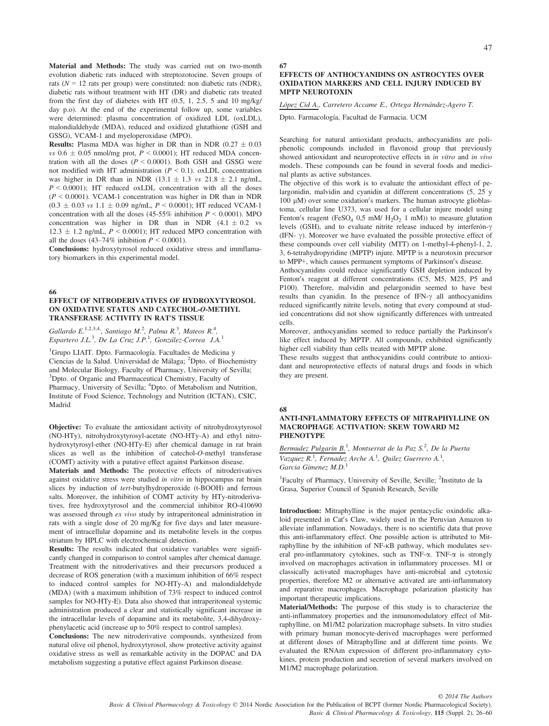Material and Methods: The study was carried out on two-month evolution diabetic rats induced with streptozotocine. Seven groups of rats ( $N = 12$  rats per group) were constituted: non diabetic rats (NDR), diabetic rats without treatment with HT (DR) and diabetic rats treated from the first day of diabetes with HT (0.5, 1, 2.5, 5 and 10 mg/kg/ day p.o). At the end of the experimental follow up, some variables were determined: plasma concentration of oxidized LDL (oxLDL), malondialdehyde (MDA), reduced and oxidized glutathione (GSH and GSSG), VCAM-1 and myeloperoxidase (MPO).

**Results:** Plasma MDA was higher in DR than in NDR  $(0.27 \pm 0.03)$ vs  $0.6 \pm 0.05$  nmol/mg prot,  $P \le 0.0001$ ); HT reduced MDA concentration with all the doses  $(P \le 0.0001)$ . Both GSH and GSSG were not modified with HT administration ( $P \le 0.1$ ). oxLDL concentration was higher in DR than in NDR (13.1  $\pm$  1.3 vs 21.8  $\pm$  2.1 ng/mL,  $P \le 0.0001$ ; HT reduced oxLDL concentration with all the doses  $(P \le 0.0001)$ . VCAM-1 concentration was higher in DR than in NDR  $(0.3 \pm 0.03 \text{ vs } 1.1 \pm 0.09 \text{ ng/mL}, P < 0.0001)$ ; HT reduced VCAM-1 concentration with all the doses (45-55% inhibition  $P \le 0.0001$ ). MPO concentration was higher in DR than in NDR  $(4.1 \pm 0.2 \text{ vs }$  $12.3 \pm 1.2$  ng/mL,  $P \le 0.0001$ ); HT reduced MPO concentration with all the doses  $(43-74\%$  inhibition  $P \le 0.0001$ ).

Conclusions: hydroxytyrosol reduced oxidative stress and immflamatory biomarkers in this experimental model.

66

### EFFECT OF NITRODERIVATIVES OF HYDROXYTYROSOL ON OXIDATIVE STATUS AND CATECHOL-O-METHYL TRANSFERASE ACTIVITY IN RAT'S TISSUE

Gallardo E.<sup>1,2,3,4</sup>, Santiago M.<sup>2</sup>, Palma R.<sup>3</sup>, Mateos R.<sup>4</sup>, Espartero J.L.<sup>3</sup>, De La Cruz J.P.<sup>1</sup>, González-Correa J.A.<sup>1</sup>

<sup>1</sup>Grupo LIAIT. Dpto. Farmacología. Facultades de Medicina y Ciencias de la Salud. Universidad de Málaga; <sup>2</sup>Dpto. of Biochemistry and Molecular Biology, Faculty of Pharmacy, University of Sevilla; <sup>3</sup>Dpto. of Organic and Pharmaceutical Chemistry, Faculty of Pharmacy, University of Sevilla; <sup>4</sup>Dpto. of Metabolism and Nutrition, Institute of Food Science, Technology and Nutrition (ICTAN), CSIC, Madrid

Objective: To evaluate the antioxidant activity of nitrohydroxytyrosol (NO-HTy), nitrohydroxytyrosyl-acetate (NO-HTy-A) and ethyl nitrohydroxytyrosyl-ether (NO-HTy-E) after chemical damage in rat brain slices as well as the inhibition of catechol-O-methyl transferase (COMT) activity with a putative effect against Parkinson disease.

Materials and Methods: The protective effects of nitroderivatives against oxidative stress were studied in vitro in hippocampus rat brain slices by induction of tert-butylhydroperoxide (t-BOOH) and ferrous salts. Moreover, the inhibition of COMT activity by HTy-nitroderivatives, free hydroxytyrosol and the commercial inhibitor RO-410690 was assessed through ex vivo study by intraperitoneal administration in rats with a single dose of 20 mg/Kg for five days and later measurement of intracellular dopamine and its metabolite levels in the corpus striatum by HPLC with electrochemical detection.

Results: The results indicated that oxidative variables were significantly changed in comparison to control samples after chemical damage. Treatment with the nitroderivatives and their precursors produced a decrease of ROS generation (with a maximum inhibition of 66% respect to induced control samples for NO-HTy-A) and malondialdehyde (MDA) (with a maximum inhibition of 73% respect to induced control samples for NO-HTy-E). Data also showed that intraperitoneal systemic administration produced a clear and statistically significant increase in the intracellular levels of dopamine and its metabolite, 3,4-dihydroxyphenylacetic acid (increase up to 50% respect to control samples).

Conclusions: The new nitroderivative compounds, synthesized from natural olive oil phenol, hydroxytyrosol, show protective activity against oxidative stress as well as remarkable activity in the DOPAC and DA metabolism suggesting a putative effect against Parkinson disease.

#### 67 EFFECTS OF ANTHOCYANIDINS ON ASTROCYTES OVER OXIDATION MARKERS AND CELL INJURY INDUCED BY MPTP NEUROTOXIN

López Cid A., Carretero Accame E., Ortega Hernández-Agero T.

Dpto. Farmacología, Facultad de Farmacia. UCM

Searching for natural antioxidant products, anthocyanidins are poliphenolic compounds included in flavonoid group that previously showed antioxidant and neuroprotective effects in *in vitro* and *in vivo* models. These compounds can be found in several foods and medicinal plants as active substances.

The objective of this work is to evaluate the antioxidant effect of pelargonidin, malvidin and cyanidin at different concentrations  $(5, 25, y)$ 100  $\mu$ M) over some oxidation's markers. The human astrocyte glioblastoma, cellular line U373, was used for a cellular injure model using Fenton's reagent (FeSO<sub>4</sub> 0,5 mM/  $H_2O_2$  1 mM)) to measure glutation levels (GSH), and to evaluate nitrite release induced by interferon- $\gamma$ (IFN- $\gamma$ ). Moreover we have evaluated the possible protective effect of these compounds over cell viability (MTT) on 1-methyl-4-phenyl-1, 2, 3, 6-tetrahydropyridine (MPTP) injure. MPTP is a neurotoxin precursor to MPP+, which causes permanent symptoms of Parkinson's disease.

Anthocyanidins could reduce significantly GSH depletion induced by Fenton's reagent at different concentrations (C5, M5, M25, P5 and P100). Therefore, malvidin and pelargonidin seemed to have best results than cyanidin. In the presence of IFN- $\gamma$  all anthocyanidins reduced significantly nitrite levels, noting that every compound at studied concentrations did not show significantly differences with untreated cells.

Moreover, anthocyanidins seemed to reduce partially the Parkinson's like effect induced by MPTP. All compounds, exhibited significantly higher cell viability than cells treated with MPTP alone.

These results suggest that anthocyanidins could contribute to antioxidant and neuroprotective effects of natural drugs and foods in which they are present.

#### 68

#### ANTI-INFLAMMATORY EFFECTS OF MITRAPHYLLINE ON MACROPHAGE ACTIVATION: SKEW TOWARD M2 PHENOTYPE

Bermudez Pulgarin B.<sup>1</sup>, Montserrat de la Paz S.<sup>2</sup>, De la Puerta Vazquez  $R<sup>1</sup>$ , Fernadez Arche A.<sup>1</sup>, Quilez Guerrero A.<sup>1</sup>, Garcia Gimenez  $M.D.<sup>1</sup>$ 

<sup>1</sup>Faculty of Pharmacy, University of Seville, Seville; <sup>2</sup>Instituto de la Grasa, Superior Council of Spanish Research, Seville

Introduction: Mitraphylline is the major pentacyclic oxindolic alkaloid presented in Cat's Claw, widely used in the Peruvian Amazon to alleviate inflammation. Nowadays, there is no scientific data that prove this anti-inflammatory effect. One possible action is attributed to Mitraphylline by the inhibition of NF-KB pathway, which modulates several pro-inflammatory cytokines, such as TNF- $\alpha$ . TNF- $\alpha$  is strongly involved on macrophages activation in inflammatory processes. M1 or classically activated macrophages have anti-microbial and cytotoxic properties, therefore M2 or alternative activated are anti-inflammatory and reparative macrophages. Macrophage polarization plasticity has important therapeutic implications.

Material/Methods: The purpose of this study is to characterize the anti-inflammatory properties and the inmunomodulatory effect of Mitraphylline, on M1/M2 polarization macrophage subsets. In vitro studies with primary human monocyte-derived macrophages were performed at different doses of Mitraphylline and at different time points. We evaluated the RNAm expression of different pro-inflammatory cytokines, protein production and secretion of several markers involved on M1/M2 macrophage polarization.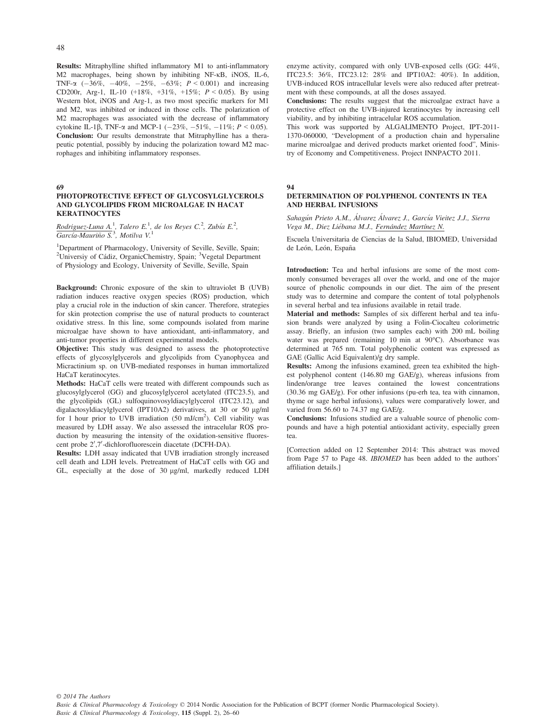Results: Mitraphylline shifted inflammatory M1 to anti-inflammatory M2 macrophages, being shown by inhibiting NF-KB, iNOS, IL-6, TNF- $\alpha$  (-36%, -40%, -25%, -63%; P < 0.001) and increasing CD200r, Arg-1, IL-10 (+18%, +31%, +15%;  $P < 0.05$ ). By using Western blot, iNOS and Arg-1, as two most specific markers for M1 and M2, was inhibited or induced in those cells. The polarization of M2 macrophages was associated with the decrease of inflammatory cytokine IL-1 $\beta$ , TNF- $\alpha$  and MCP-1 (-23%, -51%, -11%;  $P < 0.05$ ). Conclusion: Our results demonstrate that Mitraphylline has a therapeutic potential, possibly by inducing the polarization toward M2 macrophages and inhibiting inflammatory responses.

#### 69

#### PHOTOPROTECTIVE EFFECT OF GLYCOSYLGLYCEROLS AND GLYCOLIPIDS FROM MICROALGAE IN HACAT **KERATINOCYTES**

Rodriguez-Luna A.<sup>1</sup>, Talero E.<sup>1</sup>, de los Reyes C.<sup>2</sup>, Zubía E.<sup>2</sup>,<br>García-Mauriño S.<sup>3</sup>, Motilva V.<sup>1</sup>

<sup>1</sup>Department of Pharmacology, University of Seville, Seville, Spain; <sup>2</sup>Universiy of Cádiz, OrganicChemistry, Spain; <sup>3</sup>Vegetal Department of Physiology and Ecology, University of Seville, Seville, Spain

Background: Chronic exposure of the skin to ultraviolet B (UVB) radiation induces reactive oxygen species (ROS) production, which play a crucial role in the induction of skin cancer. Therefore, strategies for skin protection comprise the use of natural products to counteract oxidative stress. In this line, some compounds isolated from marine microalgae have shown to have antioxidant, anti-inflammatory, and anti-tumor properties in different experimental models.

Objective: This study was designed to assess the photoprotective effects of glycosylglycerols and glycolipids from Cyanophycea and Micractinium sp. on UVB-mediated responses in human immortalized HaCaT keratinocytes.

Methods: HaCaT cells were treated with different compounds such as glucosylglycerol (GG) and glucosylglycerol acetylated (ITC23.5), and the glycolipids (GL) sulfoquinovosyldiacylglycerol (ITC23.12), and digalactosyldiacylglycerol (IPT10A2) derivatives, at 30 or 50 µg/ml for 1 hour prior to UVB irradiation (50 mJ/cm<sup>2</sup>). Cell viability was measured by LDH assay. We also assessed the intracelular ROS production by measuring the intensity of the oxidation-sensitive fluorescent probe 2',7'-dichlorofluorescein diacetate (DCFH-DA).

Results: LDH assay indicated that UVB irradiation strongly increased cell death and LDH levels. Pretreatment of HaCaT cells with GG and GL, especially at the dose of 30 µg/ml, markedly reduced LDH enzyme activity, compared with only UVB-exposed cells (GG: 44%, ITC23.5: 36%, ITC23.12: 28% and IPT10A2: 40%). In addition, UVB-induced ROS intracellular levels were also reduced after pretreatment with these compounds, at all the doses assayed.

Conclusions: The results suggest that the microalgae extract have a protective effect on the UVB-injured keratinocytes by increasing cell viability, and by inhibiting intracelular ROS accumulation.

This work was supported by ALGALIMENTO Project, IPT-2011- 1370-060000, "Development of a production chain and hypersaline marine microalgae and derived products market oriented food", Ministry of Economy and Competitiveness. Project INNPACTO 2011.

#### 94

#### DETERMINATION OF POLYPHENOL CONTENTS IN TEA AND HERBAL INFUSIONS

Sahagún Prieto A.M., Álvarez Álvarez J., García Vieitez J.J., Sierra Vega M., Diez Liebana M.J., Fernández Martínez N.

Escuela Universitaria de Ciencias de la Salud, IBIOMED, Universidad de León, León, España

Introduction: Tea and herbal infusions are some of the most commonly consumed beverages all over the world, and one of the major source of phenolic compounds in our diet. The aim of the present study was to determine and compare the content of total polyphenols in several herbal and tea infusions available in retail trade.

Material and methods: Samples of six different herbal and tea infusion brands were analyzed by using a Folin-Ciocalteu colorimetric assay. Briefly, an infusion (two samples each) with 200 mL boiling water was prepared (remaining 10 min at 90°C). Absorbance was determined at 765 nm. Total polyphenolic content was expressed as GAE (Gallic Acid Equivalent)/g dry sample.

Results: Among the infusions examined, green tea exhibited the highest polyphenol content (146.80 mg GAE/g), whereas infusions from linden/orange tree leaves contained the lowest concentrations (30.36 mg GAE/g). For other infusions (pu-erh tea, tea with cinnamon, thyme or sage herbal infusions), values were comparatively lower, and varied from 56.60 to 74.37 mg GAE/g.

Conclusions: Infusions studied are a valuable source of phenolic compounds and have a high potential antioxidant activity, especially green tea.

[Correction added on 12 September 2014: This abstract was moved from Page 57 to Page 48. IBIOMED has been added to the authors' affiliation details.]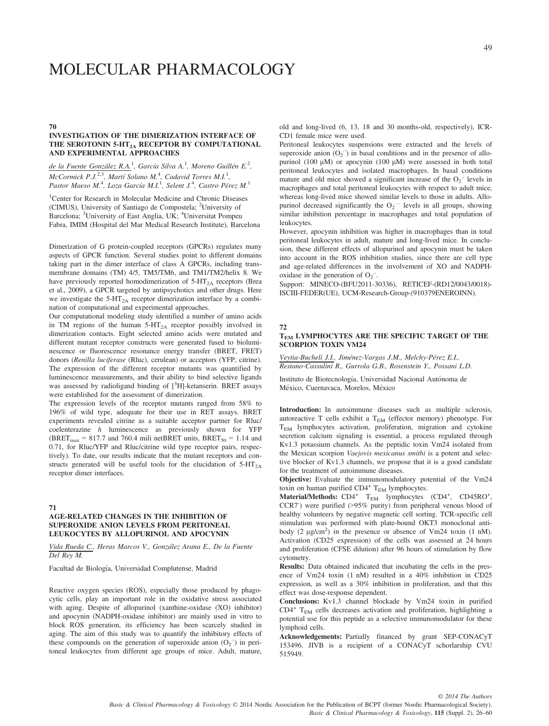# MOLECULAR PHARMACOLOGY

70

### INVESTIGATION OF THE DIMERIZATION INTERFACE OF THE SEROTONIN 5-HT<sub>2A</sub> RECEPTOR BY COMPUTATIONAL AND EXPERIMENTAL APPROACHES

# de la Fuente González R.A.<sup>1</sup>, García Silva A.<sup>1</sup>, Moreno Guillén E.<sup>2</sup>,  $McComick$  P.J.<sup>2,3</sup>, Martí Solano M.<sup>4</sup>, Cadavid Torres M.I.<sup>1</sup>, Pastor Maeso M.<sup>4</sup>, Loza García M.I.<sup>1</sup>, Selent J.<sup>4</sup>, Castro Pérez M.<sup>1</sup>

<sup>1</sup>Center for Research in Molecular Medicine and Chronic Diseases (CIMUS), University of Santiago de Compostela; <sup>2</sup>University of Barcelona; <sup>3</sup>University of East Anglia, UK; <sup>4</sup>Universitat Pompeu Fabra, IMIM (Hospital del Mar Medical Research Institute), Barcelona

Dimerization of G protein-coupled receptors (GPCRs) regulates many aspects of GPCR function. Several studies point to different domains taking part in the dimer interface of class A GPCRs, including transmembrane domains (TM) 4/5, TM5/TM6, and TM1/TM2/helix 8. We have previously reported homodimerization of  $5-HT_{2A}$  receptors (Brea et al., 2009), a GPCR targeted by antipsychotics and other drugs. Here we investigate the  $5-HT_{2A}$  receptor dimerization interface by a combination of computational and experimental approaches.

Our computational modeling study identified a number of amino acids in TM regions of the human  $5-HT_{2A}$  receptor possibly involved in dimerization contacts. Eight selected amino acids were mutated and different mutant receptor constructs were generated fused to bioluminescence or fluorescence resonance energy transfer (BRET, FRET) donors (Renilla luciferase (Rluc), cerulean) or acceptors (YFP, citrine). The expression of the different receptor mutants was quantified by luminescence measurements, and their ability to bind selective ligands was assessed by radioligand binding of [3H]-ketanserin. BRET assays were established for the assessment of dimerization.

The expression levels of the receptor mutants ranged from 58% to 196% of wild type, adequate for their use in RET assays. BRET experiments revealed citrine as a suitable acceptor partner for Rluc/ coelenterazine h luminescence as previously shown for YFP (BRET<sub>max</sub> = 817.7 and 760.4 mili netBRET units, BRET<sub>50</sub> = 1.14 and 0.71, for Rluc/YFP and Rluc/citrine wild type receptor pairs, respectively). To date, our results indicate that the mutant receptors and constructs generated will be useful tools for the elucidation of  $5-HT_{2A}$ receptor dimer interfaces.

71

# AGE-RELATED CHANGES IN THE INHIBITION OF SUPEROXIDE ANION LEVELS FROM PERITONEAL LEUKOCYTES BY ALLOPURINOL AND APOCYNIN

Vida Rueda C., Heras Marcos V., Gonzalez Arana E., De la Fuente Del Rey M.

Facultad de Biología, Universidad Complutense, Madrid

Reactive oxygen species (ROS), especially those produced by phagocytic cells, play an important role in the oxidative stress associated with aging. Despite of allopurinol (xanthine-oxidase (XO) inhibitor) and apocynin (NADPH-oxidase inhibitor) are mainly used in vitro to block ROS generation, its efficiency has been scarcely studied in aging. The aim of this study was to quantify the inhibitory effects of these compounds on the generation of superoxide anion  $(O_2^-)$  in peritoneal leukocytes from different age groups of mice. Adult, mature, old and long-lived (6, 13, 18 and 30 months-old, respectively), ICR-CD1 female mice were used.

Peritoneal leukocytes suspensions were extracted and the levels of superoxide anion  $(O_2^-)$  in basal conditions and in the presence of allopurinol (100  $\mu$ M) or apocynin (100  $\mu$ M) were assessed in both total peritoneal leukocytes and isolated macrophages. In basal conditions mature and old mice showed a significant increase of the  $O_2$ <sup>-</sup> levels in macrophages and total peritoneal leukocytes with respect to adult mice, whereas long-lived mice showed similar levels to those in adults. Allopurinol decreased significantly the  $O_2$ <sup>-</sup> levels in all groups, showing similar inhibition percentage in macrophages and total population of leukocytes.

However, apocynin inhibition was higher in macrophages than in total peritoneal leukocytes in adult, mature and long-lived mice. In conclusion, these different effects of allopurinol and apocynin must be taken into account in the ROS inhibition studies, since there are cell type and age-related differences in the involvement of XO and NADPHoxidase in the generation of  $O_2$ .

Support: MINECO-(BFU2011-30336), RETICEF-(RD12/0043/0018)- ISCIII-FEDER(UE), UCM-Research-Group-(910379ENEROINN).

#### 72

#### TEM LYMPHOCYTES ARE THE SPECIFIC TARGET OF THE SCORPION TOXIN VM24

Veytia-Bucheli J.I., Jiménez-Vargas J.M., Melchy-Pérez E.I., Restano-Cassulini R., Gurrola G.B., Rosenstein Y., Possani L.D.

Instituto de Biotecnología, Universidad Nacional Autónoma de México, Cuernavaca, Morelos, México

Introduction: In autoimmune diseases such as multiple sclerosis, autoreactive T cells exhibit a  $T_{EM}$  (effector memory) phenotype. For TEM lymphocytes activation, proliferation, migration and cytokine secretion calcium signaling is essential, a process regulated through Kv1.3 potassium channels. As the peptidic toxin Vm24 isolated from the Mexican scorpion Vaejovis mexicanus smithi is a potent and selective blocker of Kv1.3 channels, we propose that it is a good candidate for the treatment of autoimmune diseases.

Objective: Evaluate the immunomodulatory potential of the Vm24 toxin on human purified  $CD4^+$  T<sub>EM</sub> lymphocytes.

Material/Methods:  $CD4^+$  T<sub>EM</sub> lymphocytes  $(CD4^+, CD45RO^+)$ CCR7- ) were purified (>95% purity) from peripheral venous blood of healthy volunteers by negative magnetic cell sorting. TCR-specific cell stimulation was performed with plate-bound OKT3 monoclonal antibody (2  $\mu$ g/cm<sup>2</sup>) in the presence or absence of Vm24 toxin (1 nM). Activation (CD25 expression) of the cells was assessed at 24 hours and proliferation (CFSE dilution) after 96 hours of stimulation by flow cytometry.

Results: Data obtained indicated that incubating the cells in the presence of Vm24 toxin (1 nM) resulted in a 40% inhibition in CD25 expression, as well as a 30% inhibition in proliferation, and that this effect was dose-response dependent.

Conclusions: Kv1.3 channel blockade by Vm24 toxin in purified  $CD4^+$  T<sub>EM</sub> cells decreases activation and proliferation, highlighting a potential use for this peptide as a selective immunomodulator for these lymphoid cells.

Acknowledgements: Partially financed by grant SEP-CONACyT 153496. JIVB is a recipient of a CONACyT schorlarship CVU 515949.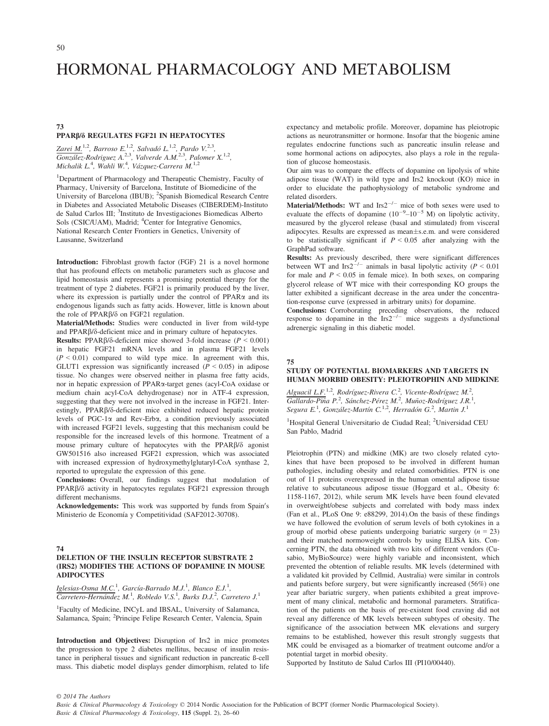# HORMONAL PHARMACOLOGY AND METABOLISM

#### 73 PPARb/d REGULATES FGF21 IN HEPATOCYTES

Zarei M.<sup>1,2</sup>, Barroso E.<sup>1,2</sup>, Salvadó L.<sup>1,2</sup>, Pardo V.<sup>2,3</sup>,  $G$ onzález-Rodriguez A.<sup>2,3</sup>, Valverde A.M.<sup>2,3</sup>, Palomer X.<sup>1,2</sup>, Michalik L.<sup>4</sup>, Wahli W.<sup>4</sup>, Vázquez-Carrera M.<sup>1,2</sup>

1 Department of Pharmacology and Therapeutic Chemistry, Faculty of Pharmacy, University of Barcelona, Institute of Biomedicine of the University of Barcelona (IBUB); <sup>2</sup>Spanish Biomedical Research Centre in Diabetes and Associated Metabolic Diseases (CIBERDEM)-Instituto de Salud Carlos III; <sup>3</sup>Instituto de Investigaciones Biomedicas Alberto Sols (CSIC/UAM), Madrid; <sup>4</sup>Center for Integrative Genomics, National Research Center Frontiers in Genetics, University of Lausanne, Switzerland

Introduction: Fibroblast growth factor (FGF) 21 is a novel hormone that has profound effects on metabolic parameters such as glucose and lipid homeostasis and represents a promising potential therapy for the treatment of type 2 diabetes. FGF21 is primarily produced by the liver, where its expression is partially under the control of  $PPAR\alpha$  and its endogenous ligands such as fatty acids. However, little is known about the role of PPAR $\beta/\delta$  on FGF21 regulation.

Material/Methods: Studies were conducted in liver from wild-type and PPAR $\beta$ / $\delta$ -deficient mice and in primary culture of hepatocytes.

Results: PPAR $\beta/\delta$ -deficient mice showed 3-fold increase ( $P < 0.001$ ) in hepatic FGF21 mRNA levels and in plasma FGF21 levels  $(P < 0.01)$  compared to wild type mice. In agreement with this, GLUT1 expression was significantly increased  $(P < 0.05)$  in adipose tissue. No changes were observed neither in plasma free fatty acids, nor in hepatic expression of PPARa-target genes (acyl-CoA oxidase or medium chain acyl-CoA dehydrogenase) nor in ATF-4 expression, suggesting that they were not involved in the increase in FGF21. Interestingly, PPAR $\beta$ / $\delta$ -deficient mice exhibited reduced hepatic protein levels of PGC-1 $\alpha$  and Rev-Erb $\alpha$ , a condition previously associated with increased FGF21 levels, suggesting that this mechanism could be responsible for the increased levels of this hormone. Treatment of a mouse primary culture of hepatocytes with the PPAR $\beta/\delta$  agonist GW501516 also increased FGF21 expression, which was associated with increased expression of hydroxymethylglutaryl-CoA synthase 2, reported to upregulate the expression of this gene.

Conclusions: Overall, our findings suggest that modulation of PPAR $\beta/\delta$  activity in hepatocytes regulates FGF21 expression through different mechanisms.

Acknowledgements: This work was supported by funds from Spain's Ministerio de Economía y Competitividad (SAF2012-30708).

74

#### DELETION OF THE INSULIN RECEPTOR SUBSTRATE 2 (IRS2) MODIFIES THE ACTIONS OF DOPAMINE IN MOUSE ADIPOCYTES

Iglesias-Osma M.C.<sup>1</sup>, García-Barrado M.J.<sup>1</sup>, Blanco E.J.<sup>1</sup>, Carretero-Hernández M.<sup>1</sup>, Robledo V.S.<sup>1</sup>, Burks D.J.<sup>2</sup>, Carretero J.<sup>1</sup>

1 Faculty of Medicine, INCyL and IBSAL, University of Salamanca, Salamanca, Spain; <sup>2</sup>Principe Felipe Research Center, Valencia, Spain

Introduction and Objectives: Disruption of Irs2 in mice promotes the progression to type 2 diabetes mellitus, because of insulin resistance in peripheral tissues and significant reduction in pancreatic ß-cell mass. This diabetic model displays gender dimorphism, related to life expectancy and metabolic profile. Moreover, dopamine has pleiotropic actions as neurotransmitter or hormone. Insofar that the biogenic amine regulates endocrine functions such as pancreatic insulin release and some hormonal actions on adipocytes, also plays a role in the regulation of glucose homeostasis.

Our aim was to compare the effects of dopamine on lipolysis of white adipose tissue (WAT) in wild type and Irs2 knockout (KO) mice in order to elucidate the pathophysiology of metabolic syndrome and related disorders.

Material/Methods: WT and  $\text{Irs2}^{-/-}$  mice of both sexes were used to evaluate the effects of dopamine  $(10^{-9} - 10^{-5} \text{ M})$  on lipolytic activity, measured by the glycerol release (basal and stimulated) from visceral adipocytes. Results are expressed as mean±s.e.m. and were considered to be statistically significant if  $P \leq 0.05$  after analyzing with the GraphPad software.

**Results:** As previously described, there were significant differences between WT and  $Irs2^{-/-}$  animals in basal lipolytic activity ( $P < 0.01$ ) for male and  $P < 0.05$  in female mice). In both sexes, on comparing glycerol release of WT mice with their corresponding KO groups the latter exhibited a significant decrease in the area under the concentration-response curve (expressed in arbitrary units) for dopamine.

Conclusions: Corroborating preceding observations, the reduced response to dopamine in the  $\text{Irs2}^{-/-}$  mice suggests a dysfunctional adrenergic signaling in this diabetic model.

#### 75 STUDY OF POTENTIAL BIOMARKERS AND TARGETS IN HUMAN MORBID OBESITY: PLEIOTROPHIN AND MIDKINE

Alguacil L.F.<sup>1.2</sup>, Rodríguez-Rivera C.<sup>2</sup>, Vicente-Rodríguez M.<sup>2</sup>,<br>Gallardo-Piña P.<sup>2</sup>, Sánchez-Pérez M.<sup>2</sup>, Muñoz-Rodríguez J.R.<sup>1</sup>,<br>Segura E.<sup>1</sup>, González-Martín C.<sup>1.2</sup>, Herradón G.<sup>2</sup>, Martin J.<sup>1</sup>

<sup>1</sup>Hospital General Universitario de Ciudad Real; <sup>2</sup>Universidad CEU San Pablo, Madrid

Pleiotrophin (PTN) and midkine (MK) are two closely related cytokines that have been proposed to be involved in different human pathologies, including obesity and related comorbidities. PTN is one out of 11 proteins overexpressed in the human omental adipose tissue relative to subcutaneous adipose tissue (Hoggard et al., Obesity 6: 1158-1167, 2012), while serum MK levels have been found elevated in overweight/obese subjects and correlated with body mass index (Fan et al., PLoS One 9: e88299, 2014).On the basis of these findings we have followed the evolution of serum levels of both cytokines in a group of morbid obese patients undergoing bariatric surgery  $(n = 23)$ and their matched normoweight controls by using ELISA kits. Concerning PTN, the data obtained with two kits of different vendors (Cusabio, MyBioSource) were highly variable and inconsistent, which prevented the obtention of reliable results. MK levels (determined with a validated kit provided by Cellmid, Australia) were similar in controls and patients before surgery, but were significantly increased (56%) one year after bariatric surgery, when patients exhibited a great improvement of many clinical, metabolic and hormonal parameters. Stratification of the patients on the basis of pre-existent food craving did not reveal any difference of MK levels between subtypes of obesity. The significance of the association between MK elevations and surgery remains to be established, however this result strongly suggests that MK could be envisaged as a biomarker of treatment outcome and/or a potential target in morbid obesity.

Supported by Instituto de Salud Carlos III (PI10/00440).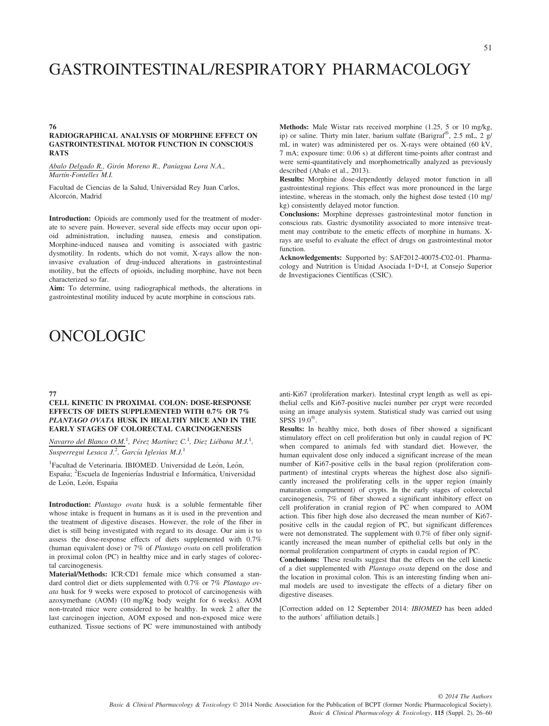# GASTROINTESTINAL/RESPIRATORY PHARMACOLOGY

#### RADIOGRAPHICAL ANALYSIS OF MORPHINE EFFECT ON GASTROINTESTINAL MOTOR FUNCTION IN CONSCIOUS **RATS**

Abalo Delgado R., Girón Moreno R., Paniagua Lora N.A., Martín-Fontelles M.I.

Facultad de Ciencias de la Salud, Universidad Rey Juan Carlos, Alcorcón, Madrid

Introduction: Opioids are commonly used for the treatment of moderate to severe pain. However, several side effects may occur upon opioid administration, including nausea, emesis and constipation. Morphine-induced nausea and vomiting is associated with gastric dysmotility. In rodents, which do not vomit, X-rays allow the noninvasive evaluation of drug-induced alterations in gastrointestinal motility, but the effects of opioids, including morphine, have not been characterized so far.

Aim: To determine, using radiographical methods, the alterations in gastrointestinal motility induced by acute morphine in conscious rats.

# ONCOLOGIC

### 77

#### CELL KINETIC IN PROXIMAL COLON: DOSE-RESPONSE EFFECTS OF DIETS SUPPLEMENTED WITH 0.7% OR 7% PLANTAGO OVATA HUSK IN HEALTHY MICE AND IN THE EARLY STAGES OF COLORECTAL CARCINOGENESIS

Navarro del Blanco O.M.<sup>1</sup>, Pérez Martínez C.<sup>1</sup>, Diez Liébana M.J.<sup>1</sup>, Susperregui Lesaca J.<sup>2</sup>, García Iglesias M.J.<sup>1</sup>

<sup>1</sup>Facultad de Veterinaria. IBIOMED. Universidad de León, León, España; <sup>2</sup>Escuela de Ingenierías Industrial e Informática, Universidad de León, León, España

Introduction: Plantago ovata husk is a soluble fermentable fiber whose intake is frequent in humans as it is used in the prevention and the treatment of digestive diseases. However, the role of the fiber in diet is still being investigated with regard to its dosage. Our aim is to assess the dose-response effects of diets supplemented with 0.7% (human equivalent dose) or 7% of Plantago ovata on cell proliferation in proximal colon (PC) in healthy mice and in early stages of colorectal carcinogenesis.

Material/Methods: ICR:CD1 female mice which consumed a standard control diet or diets supplemented with 0.7% or 7% Plantago ovata husk for 9 weeks were exposed to protocol of carcinogenesis with azoxymethane (AOM) (10 mg/Kg body weight for 6 weeks). AOM non-treated mice were considered to be healthy. In week 2 after the last carcinogen injection, AOM exposed and non-exposed mice were euthanized. Tissue sections of PC were immunostained with antibody

Methods: Male Wistar rats received morphine (1.25, 5 or 10 mg/kg, ip) or saline. Thirty min later, barium sulfate (Barigraf®, 2.5 mL, 2 g/ mL in water) was administered per os. X-rays were obtained (60 kV, 7 mA; exposure time: 0.06 s) at different time-points after contrast and were semi-quantitatively and morphometrically analyzed as previously described (Abalo et al., 2013).

Results: Morphine dose-dependently delayed motor function in all gastrointestinal regions. This effect was more pronounced in the large intestine, whereas in the stomach, only the highest dose tested (10 mg/ kg) consistently delayed motor function.

Conclusions: Morphine depresses gastrointestinal motor function in conscious rats. Gastric dysmotility associated to more intensive treatment may contribute to the emetic effects of morphine in humans. Xrays are useful to evaluate the effect of drugs on gastrointestinal motor function.

Acknowledgements: Supported by: SAF2012-40075-C02-01. Pharmacology and Nutrition is Unidad Asociada I+D+I, at Consejo Superior de Investigaciones Científicas (CSIC).

anti-Ki67 (proliferation marker). Intestinal crypt length as well as epithelial cells and Ki67-positive nuclei number per crypt were recorded using an image analysis system. Statistical study was carried out using SPSS 19.0<sup>®</sup>.

Results: In healthy mice, both doses of fiber showed a significant stimulatory effect on cell proliferation but only in caudal region of PC when compared to animals fed with standard diet. However, the human equivalent dose only induced a significant increase of the mean number of Ki67-positive cells in the basal region (proliferation compartment) of intestinal crypts whereas the highest dose also significantly increased the proliferating cells in the upper region (mainly maturation compartment) of crypts. In the early stages of colorectal carcinogenesis, 7% of fiber showed a significant inhibitory effect on cell proliferation in cranial region of PC when compared to AOM action. This fiber high dose also decreased the mean number of Ki67 positive cells in the caudal region of PC, but significant differences were not demonstrated. The supplement with 0.7% of fiber only significantly increased the mean number of epithelial cells but only in the normal proliferation compartment of crypts in caudal region of PC.

Conclusions: These results suggest that the effects on the cell kinetic of a diet supplemented with Plantago ovata depend on the dose and the location in proximal colon. This is an interesting finding when animal models are used to investigate the effects of a dietary fiber on digestive diseases.

[Correction added on 12 September 2014: IBIOMED has been added to the authors' affiliation details.]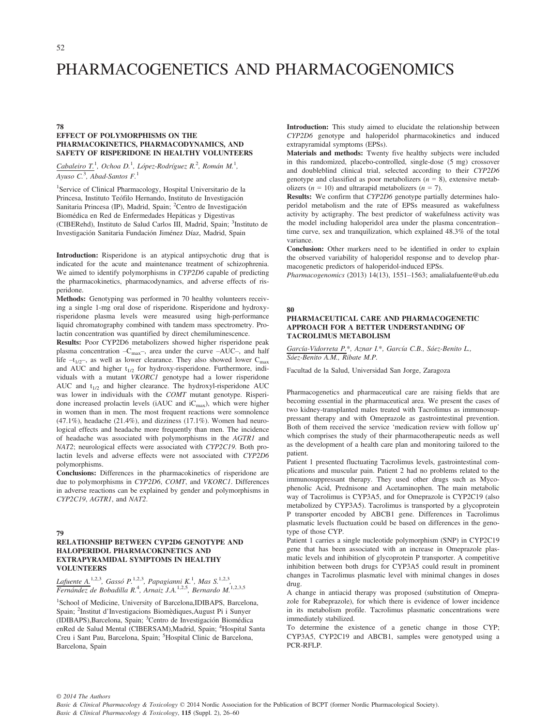# PHARMACOGENETICS AND PHARMACOGENOMICS

#### 78

# EFFECT OF POLYMORPHISMS ON THE PHARMACOKINETICS, PHARMACODYNAMICS, AND SAFETY OF RISPERIDONE IN HEALTHY VOLUNTEERS

Cabaleiro T.<sup>1</sup>, Ochoa D.<sup>1</sup>, López-Rodríguez R.<sup>2</sup>, Román M.<sup>1</sup>, Ayuso  $C^3$ , Abad-Santos  $F^1$ .

1 Service of Clinical Pharmacology, Hospital Universitario de la Princesa, Instituto Teófilo Hernando, Instituto de Investigación Sanitaria Princesa (IP), Madrid, Spain; <sup>2</sup>Centro de Investigación Biomédica en Red de Enfermedades Hepáticas y Digestivas (CIBERehd), Instituto de Salud Carlos III, Madrid, Spain; <sup>3</sup>Instituto de Investigación Sanitaria Fundación Jiménez Díaz, Madrid, Spain

Introduction: Risperidone is an atypical antipsychotic drug that is indicated for the acute and maintenance treatment of schizophrenia. We aimed to identify polymorphisms in CYP2D6 capable of predicting the pharmacokinetics, pharmacodynamics, and adverse effects of risperidone.

Methods: Genotyping was performed in 70 healthy volunteers receiving a single 1-mg oral dose of risperidone. Risperidone and hydroxyrisperidone plasma levels were measured using high-performance liquid chromatography combined with tandem mass spectrometry. Prolactin concentration was quantified by direct chemiluminescence.

Results: Poor CYP2D6 metabolizers showed higher risperidone peak plasma concentration -C<sub>max</sub>-, area under the curve -AUC-, and half life  $-t_{1/2}$ , as well as lower clearance. They also showed lower C<sub>max</sub> and AUC and higher  $t_{1/2}$  for hydroxy-risperidone. Furthermore, individuals with a mutant VKORC1 genotype had a lower risperidone AUC and  $t_{1/2}$  and higher clearance. The hydroxyl-risperidone AUC was lower in individuals with the COMT mutant genotype. Risperidone increased prolactin levels (iAUC and  $iC_{max}$ ), which were higher in women than in men. The most frequent reactions were somnolence  $(47.1\%)$ , headache  $(21.4\%)$ , and dizziness  $(17.1\%)$ . Women had neurological effects and headache more frequently than men. The incidence of headache was associated with polymorphisms in the AGTR1 and NAT2; neurological effects were associated with CYP2C19. Both prolactin levels and adverse effects were not associated with CYP2D6 polymorphisms.

Conclusions: Differences in the pharmacokinetics of risperidone are due to polymorphisms in CYP2D6, COMT, and VKORC1. Differences in adverse reactions can be explained by gender and polymorphisms in CYP2C19, AGTR1, and NAT2.

#### 79

# RELATIONSHIP BETWEEN CYP2D6 GENOTYPE AND HALOPERIDOL PHARMACOKINETICS AND EXTRAPYRAMIDAL SYMPTOMS IN HEALTHY VOLUNTEERS

Lafuente A.<sup>1,2,3</sup>, Gassó P.<sup>1,2,3</sup>, Papagianni K.<sup>1</sup>, Mas S.<sup>1,2,3</sup>, Fernández de Bobadilla R.<sup>4</sup>, Arnaiz J.A.<sup>1,2,5</sup>, Bernardo M.<sup>1,2,3,5</sup>

<sup>1</sup>School of Medicine, University of Barcelona, IDIBAPS, Barcelona, Spain; <sup>2</sup>Institut d'Investigacions Biomèdiques, August Pi i Sunyer (IDIBAPS),Barcelona, Spain; <sup>3</sup> Centro de Investigacion Biomedica enRed de Salud Mental (CIBERSAM),Madrid, Spain; <sup>4</sup>Hospital Santa Creu i Sant Pau, Barcelona, Spain; <sup>5</sup>Hospital Clinic de Barcelona, Barcelona, Spain

Introduction: This study aimed to elucidate the relationship between CYP2D6 genotype and haloperidol pharmacokinetics and induced extrapyramidal symptoms (EPSs).

Materials and methods: Twenty five healthy subjects were included in this randomized, placebo-controlled, single-dose (5 mg) crossover and doubleblind clinical trial, selected according to their CYP2D6 genotype and classified as poor metabolizers  $(n = 8)$ , extensive metabolizers ( $n = 10$ ) and ultrarapid metabolizers ( $n = 7$ ).

Results: We confirm that CYP2D6 genotype partially determines haloperidol metabolism and the rate of EPSs measured as wakefulness activity by actigraphy. The best predictor of wakefulness activity was the model including haloperidol area under the plasma concentration– time curve, sex and tranquilization, which explained 48.3% of the total variance.

Conclusion: Other markers need to be identified in order to explain the observed variability of haloperidol response and to develop pharmacogenetic predictors of haloperidol-induced EPSs.

Pharmacogenomics (2013) 14(13), 1551–1563; amalialafuente@ub.edu

#### 80

### PHARMACEUTICAL CARE AND PHARMACOGENETIC APPROACH FOR A BETTER UNDERSTANDING OF TACROLIMUS METABOLISM

García-Vidorreta P.\*, Aznar I.\*, García C.B., Sáez-Benito L., Sáez-Benito A.M., Ribate M.P.

Facultad de la Salud, Universidad San Jorge, Zaragoza

Pharmacogenetics and pharmaceutical care are raising fields that are becoming essential in the pharmaceutical area. We present the cases of two kidney-transplanted males treated with Tacrolimus as immunosuppressant therapy and with Omeprazole as gastrointestinal prevention. Both of them received the service 'medication review with follow up' which comprises the study of their pharmacotherapeutic needs as well as the development of a health care plan and monitoring tailored to the patient.

Patient 1 presented fluctuating Tacrolimus levels, gastrointestinal complications and muscular pain. Patient 2 had no problems related to the immunosuppressant therapy. They used other drugs such as Mycophenolic Acid, Prednisone and Acetaminophen. The main metabolic way of Tacrolimus is CYP3A5, and for Omeprazole is CYP2C19 (also metabolized by CYP3A5). Tacrolimus is transported by a glycoprotein P transporter encoded by ABCB1 gene. Differences in Tacrolimus plasmatic levels fluctuation could be based on differences in the genotype of those CYP.

Patient 1 carries a single nucleotide polymorphism (SNP) in CYP2C19 gene that has been associated with an increase in Omeprazole plasmatic levels and inhibition of glycoprotein P transporter. A competitive inhibition between both drugs for CYP3A5 could result in prominent changes in Tacrolimus plasmatic level with minimal changes in doses drug.

A change in antiacid therapy was proposed (substitution of Omeprazole for Rabeprazole), for which there is evidence of lower incidence in its metabolism profile. Tacrolimus plasmatic concentrations were immediately stabilized.

To determine the existence of a genetic change in those CYP; CYP3A5, CYP2C19 and ABCB1, samples were genotyped using a PCR-RFLP.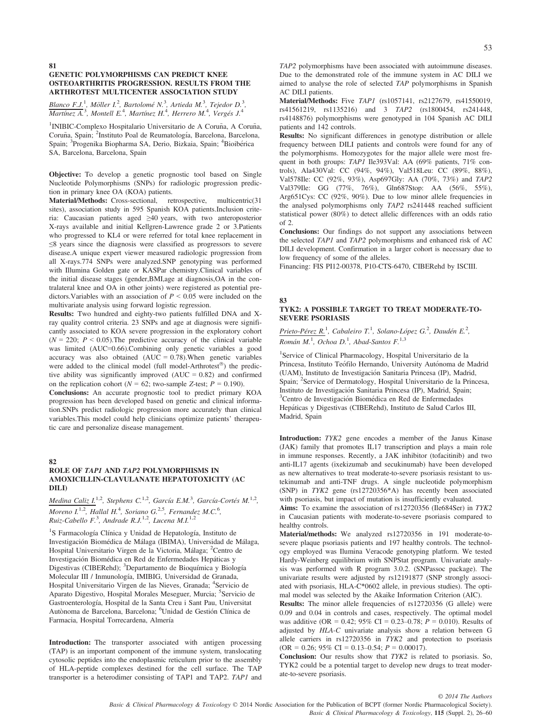#### 81 GENETIC POLYMORPHISMS CAN PREDICT KNEE OSTEOARTHRITIS PROGRESSION. RESULTS FROM THE ARTHROTEST MULTICENTER ASSOCIATION STUDY

Blanco F.J.<sup>1</sup>, Möller I.<sup>2</sup>, Bartolomé N.<sup>3</sup>, Artieda M.<sup>3</sup>, Tejedor D.<sup>3</sup>,  $\overline{Martínez A.}^3$ , Montell E.<sup>4</sup>, Martínez H.<sup>4</sup>, Herrero M.<sup>4</sup>, Vergés J.<sup>4</sup>

<sup>1</sup>INIBIC-Complexo Hospitalario Universitario de A Coruña, A Coruña, Coruña, Spain; <sup>2</sup>Instituto Poal de Reumatología, Barcelona, Barcelona, Spain; <sup>3</sup>Progenika Biopharma SA, Derio, Bizkaia, Spain; <sup>4</sup>Bioibérica SA, Barcelona, Barcelona, Spain

Objective: To develop a genetic prognostic tool based on Single Nucleotide Polymorphisms (SNPs) for radiologic progression prediction in primary knee OA (KOA) patients.

Material/Methods: Cross-sectional, retrospective, multicentric(31 sites), association study in 595 Spanish KOA patients.Inclusion criteria: Caucasian patients aged ≥40 years, with two anteroposterior X-rays available and initial Kellgren-Lawrence grade 2 or 3.Patients who progressed to KL4 or were referred for total knee replacement in ≤8 years since the diagnosis were classified as progressors to severe disease.A unique expert viewer measured radiologic progression from all X-rays.774 SNPs were analyzed.SNP genotyping was performed with Illumina Golden gate or KASPar chemistry.Clinical variables of the initial disease stages (gender,BMI,age at diagnosis,OA in the contralateral knee and OA in other joints) were registered as potential predictors. Variables with an association of  $P \leq 0.05$  were included on the multivariate analysis using forward logistic regression.

Results: Two hundred and eighty-two patients fulfilled DNA and Xray quality control criteria. 23 SNPs and age at diagnosis were significantly associated to KOA severe progression in the exploratory cohort  $(N = 220; P < 0.05)$ . The predictive accuracy of the clinical variable was limited (AUC=0.66).Combining only genetic variables a good accuracy was also obtained  $(AUC = 0.78)$ . When genetic variables were added to the clinical model (full model-Arthrotest $^{\circledR}$ ) the predictive ability was significantly improved  $(AUC = 0.82)$  and confirmed on the replication cohort ( $N = 62$ ; two-sample Z-test;  $P = 0.190$ ).

Conclusions: An accurate prognostic tool to predict primary KOA progression has been developed based on genetic and clinical information.SNPs predict radiologic progression more accurately than clinical variables.This model could help clinicians optimize patients' therapeutic care and personalize disease management.

#### 82

# ROLE OF TAP1 AND TAP2 POLYMORPHISMS IN AMOXICILLIN-CLAVULANATE HEPATOTOXICITY (AC DILI)

Medina Caliz I.<sup>1,2</sup>, Stephens C.<sup>1,2</sup>, García E.M.<sup>3</sup>, García-Cortés M.<sup>1,2</sup>, Moreno I.<sup>1,2</sup>, Hallal H.<sup>4</sup>, Soriano G.<sup>2,5</sup>, Fernandez M.C.<sup>6</sup>, Ruiz-Cabello F.<sup>3</sup>, Andrade R.J.<sup>1,2</sup>, Lucena M.I.<sup>1,2</sup>

<sup>1</sup>S Farmacología Clínica y Unidad de Hepatología, Instituto de Investigacion Biomedica de Malaga (IBIMA), Universidad de Malaga, Hospital Universitario Virgen de la Victoria, Málaga; <sup>2</sup>Centro de Investigación Biomédica en Red de Enfermedades Hepáticas y Digestivas (CIBERehd); <sup>3</sup>Departamento de Bioquímica y Biología Molecular III / Inmunología, IMIBIG, Universidad de Granada, Hospital Universitario Virgen de las Nieves, Granada; 4Servicio de Aparato Digestivo, Hospital Morales Meseguer, Murcia; <sup>5</sup>Servicio de Gastroenterología, Hospital de la Santa Creu i Sant Pau, Universitat Autònoma de Barcelona, Barcelona; <sup>6</sup>Unidad de Gestión Clínica de Farmacia, Hospital Torrecardena, Almería

Introduction: The transporter associated with antigen processing (TAP) is an important component of the immune system, translocating cytosolic peptides into the endoplasmic reticulum prior to the assembly of HLA-peptide complexes destined for the cell surface. The TAP transporter is a heterodimer consisting of TAP1 and TAP2. TAP1 and

TAP2 polymorphisms have been associated with autoimmune diseases. Due to the demonstrated role of the immune system in AC DILI we aimed to analyse the role of selected TAP polymorphisms in Spanish AC DILI patients.

Material/Methods: Five TAP1 (rs1057141, rs2127679, rs41550019, rs41561219, rs1135216) and 3 TAP2 (rs1800454, rs241448, rs4148876) polymorphisms were genotyped in 104 Spanish AC DILI patients and 142 controls.

Results: No significant differences in genotype distribution or allele frequency between DILI patients and controls were found for any of the polymorphisms. Homozygotes for the major allele were most frequent in both groups: TAP1 Ile393Val: AA (69% patients, 71% controls), Ala430Val: CC (94%, 94%), Val518Leu: CC (89%, 88%), Val578Ile: CC (92%, 93%), Asp697Gly: AA (70%, 73%) and TAP2 Val379Ile: GG (77%, 76%), Gln687Stop: AA (56%, 55%), Arg651Cys: CC (92%, 90%). Due to low minor allele frequencies in the analysed polymorphisms only TAP2 rs241448 reached sufficient statistical power (80%) to detect allelic differences with an odds ratio of 2.

Conclusions: Our findings do not support any associations between the selected TAP1 and TAP2 polymorphisms and enhanced risk of AC DILI development. Confirmation in a larger cohort is necessary due to low frequency of some of the alleles.

Financing: FIS PI12-00378, P10-CTS-6470, CIBERehd by ISCIII.

#### 83

#### TYK2: A POSSIBLE TARGET TO TREAT MODERATE-TO-SEVERE PSORIASIS

Prieto-Pérez R.<sup>1</sup>, Cabaleiro T.<sup>1</sup>, Solano-López G.<sup>2</sup>, Daudén E.<sup>2</sup>, Román M.<sup>1</sup>, Ochoa D.<sup>1</sup>, Abad-Santos F.<sup>1,3</sup>

<sup>1</sup>Service of Clinical Pharmacology, Hospital Universitario de la Princesa, Instituto Teófilo Hernando, University Autónoma de Madrid (UAM), Instituto de Investigacion Sanitaria Princesa (IP), Madrid, Spain; <sup>2</sup>Service of Dermatology, Hospital Universitario de la Princesa, Instituto de Investigacion Sanitaria Princesa (IP), Madrid, Spain; <sup>3</sup> <sup>3</sup>Centro de Investigación Biomédica en Red de Enfermedades Hepaticas y Digestivas (CIBERehd), Instituto de Salud Carlos III, Madrid, Spain

Introduction: TYK2 gene encodes a member of the Janus Kinase (JAK) family that promotes IL17 transcription and plays a main role in immune responses. Recently, a JAK inhibitor (tofacitinib) and two anti-IL17 agents (ixekizumab and secukinumab) have been developed as new alternatives to treat moderate-to-severe psoriasis resistant to ustekinumab and anti-TNF drugs. A single nucleotide polymorphism (SNP) in TYK2 gene (rs12720356\*A) has recently been associated with psoriasis, but impact of mutation is insufficiently evaluated.

Aims: To examine the association of rs12720356 (Ile684Ser) in TYK2 in Caucasian patients with moderate-to-severe psoriasis compared to healthy controls.

Material/methods: We analyzed rs12720356 in 191 moderate-tosevere plaque psoriasis patients and 197 healthy controls. The technology employed was Ilumina Veracode genotyping platform. We tested Hardy-Weinberg equilibrium with SNPStat program. Univariate analysis was performed with R program 3.0.2. (SNPassoc package). The univariate results were adjusted by rs12191877 (SNP strongly associated with psoriasis, HLA-C\*0602 allele, in previous studies). The optimal model was selected by the Akaike Information Criterion (AIC).

Results: The minor allele frequencies of rs12720356 (G allele) were 0.09 and 0.04 in controls and cases, respectively. The optimal model was additive (OR = 0.42; 95% CI = 0.23–0.78;  $P = 0.010$ ). Results of adjusted by HLA-C univariate analysis show a relation between G allele carriers in rs12720356 in TYK2 and protection to psoriasis  $(OR = 0.26; 95\% CI = 0.13-0.54; P = 0.00017).$ 

Conclusion: Our results show that TYK2 is related to psoriasis. So, TYK2 could be a potential target to develop new drugs to treat moderate-to-severe psoriasis.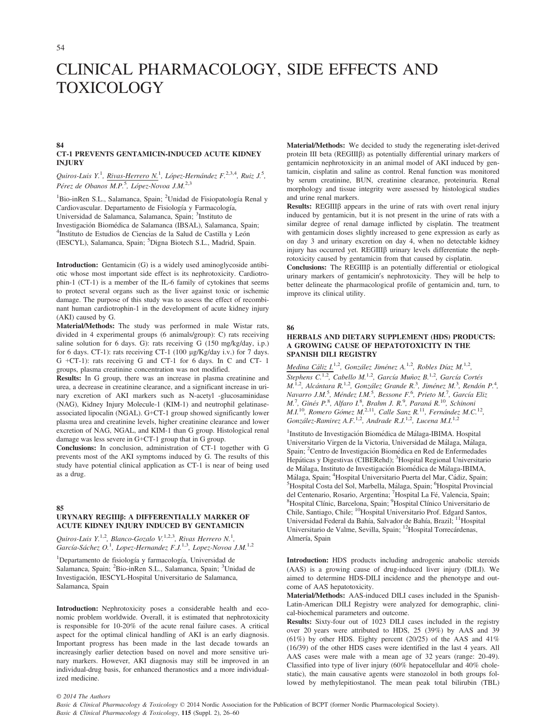# CLINICAL PHARMACOLOGY, SIDE EFFECTS AND TOXICOLOGY

#### 84 CT-1 PREVENTS GENTAMICIN-INDUCED ACUTE KIDNEY **IN HIRY**

Quiros-Luis Y.<sup>1</sup>, Rivas-Herrero N.<sup>1</sup>, López-Hernández F.<sup>2,3,4</sup>, Ruiz J.<sup>5</sup>, Pérez de Obanos M.P.<sup>5</sup>, López-Novoa J.M.<sup>2,3</sup>

<sup>1</sup>Bio-inRen S.L., Salamanca, Spain; <sup>2</sup>Unidad de Fisiopatología Renal y Cardiovascular. Departamento de Fisiología y Farmacología, Universidad de Salamanca, Salamanca, Spain; <sup>3</sup>Instituto de Investigacion Biomedica de Salamanca (IBSAL), Salamanca, Spain; <sup>4</sup> <sup>4</sup>Instituto de Estudios de Ciencias de la Salud de Castilla y León (IESCYL), Salamanca, Spain; <sup>5</sup>Digna Biotech S.L., Madrid, Spain.

Introduction: Gentamicin (G) is a widely used aminoglycoside antibiotic whose most important side effect is its nephrotoxicity. Cardiotrophin-1 (CT-1) is a member of the IL-6 family of cytokines that seems to protect several organs such as the liver against toxic or ischemic damage. The purpose of this study was to assess the effect of recombinant human cardiotrophin-1 in the development of acute kidney injury (AKI) caused by G.

Material/Methods: The study was performed in male Wistar rats, divided in 4 experimental groups (6 animals/group): C) rats receiving saline solution for 6 days. G): rats receiving G (150 mg/kg/day, i.p.) for 6 days. CT-1): rats receiving CT-1 (100 µg/Kg/day i.v.) for 7 days. G +CT-1): rats receiving G and CT-1 for 6 days. In C and CT- 1 groups, plasma creatinine concentration was not modified.

Results: In G group, there was an increase in plasma creatinine and urea, a decrease in creatinine clearance, and a significant increase in urinary excretion of AKI markers such as N-acetyl -glucosaminidase (NAG), Kidney Injury Molecule-1 (KIM-1) and neutrophil gelatinaseassociated lipocalin (NGAL). G+CT-1 group showed significantly lower plasma urea and creatinine levels, higher creatinine clearance and lower excretion of NAG, NGAL, and KIM-1 than G group. Histological renal damage was less severe in G+CT-1 group that in G group.

Conclusions: In conclusion, administration of CT-1 together with G prevents most of the AKI symptoms induced by G. The results of this study have potential clinical application as CT-1 is near of being used as a drug.

85

# URYNARY REGIIIß: A DIFFERENTIALLY MARKER OF ACUTE KIDNEY INJURY INDUCED BY GENTAMICIN

Quiros-Luis Y.<sup>1,2</sup>, Blanco-Gozalo V.<sup>1,2,3</sup>, Rivas Herrero N.<sup>1</sup>,<br>García-Sáchez O.<sup>1</sup>, Lopez-Hernandez F.J.<sup>1,3</sup>, Lopez-Novoa J.M.<sup>1,2</sup>

<sup>1</sup>Departamento de fisiología y farmacología, Universidad de Salamanca, Spain; <sup>2</sup>Bio-inRen S.L., Salamanca, Spain; <sup>3</sup>Unidad de Investigacion, IESCYL-Hospital Universitario de Salamanca, Salamanca, Spain

Introduction: Nephrotoxicity poses a considerable health and economic problem worldwide. Overall, it is estimated that nephrotoxicity is responsible for 10-20% of the acute renal failure cases. A critical aspect for the optimal clinical handling of AKI is an early diagnosis. Important progress has been made in the last decade towards an increasingly earlier detection based on novel and more sensitive urinary markers. However, AKI diagnosis may still be improved in an individual-drug basis, for enhanced theranostics and a more individualized medicine.

Material/Methods: We decided to study the regenerating islet-derived protein III beta (REGIIIß) as potentially differential urinary markers of gentamicin nephrotoxicity in an animal model of AKI induced by gentamicin, cisplatin and saline as control. Renal function was monitored by serum creatinine, BUN, creatinine clearance, proteinuria. Renal morphology and tissue integrity were assessed by histological studies and urine renal markers.

Results: REGIII $\beta$  appears in the urine of rats with overt renal injury induced by gentamicin, but it is not present in the urine of rats with a similar degree of renal damage inflicted by cisplatin. The treatment with gentamicin doses slightly increased to gene expression as early as on day 3 and urinary excretion on day 4, when no detectable kidney injury has occurred yet. REGIII $\beta$  urinary levels differentiate the nephrotoxicity caused by gentamicin from that caused by cisplatin.

Conclusions: The REGIII $\beta$  is an potentially differential or etiological urinary markers of gentamicin's nephrotoxicity. They will be help to better delineate the pharmacological profile of gentamicin and, turn, to improve its clinical utility.

86

#### HERBALS AND DIETARY SUPPLEMENT (HDS) PRODUCTS: A GROWING CAUSE OF HEPATOTOXICITY IN THE SPANISH DILI REGISTRY

Medina Cáliz I.<sup>1,2</sup>, González Jiménez A.<sup>1,2</sup>, Robles Díaz M.<sup>1,2</sup>, Stephens C.<sup>1,2</sup>, Cabello M.<sup>1,2</sup>, García Muñoz B.<sup>1,2</sup>, García Cortés M.<sup>1,2</sup>, Alcántara R.<sup>1,2</sup>, González Grande R.<sup>3</sup>, Jiménez M.<sup>3</sup>, Rendón P.<sup>4</sup>,<br>Navarro J.M.<sup>5</sup>, Méndez I.M.<sup>5</sup>, Bessone F.<sup>6</sup>, Prieto M.<sup>7</sup>, García Eliz M.<sup>7</sup>, Ginés P.<sup>8</sup>, Alfaro I.<sup>8</sup>, Brahm J. R.<sup>9</sup>, Paraná R.<sup>10</sup>, Schinoni  $M.I^{10}$ , Romero Gómez  $M.^{2,11}$ , Calle Sanz  $R.^{11}$ , Fernández M.C.<sup>12</sup>, González-Ramirez A.F.<sup>1,2</sup>, Andrade R.J.<sup>1,2</sup>, Lucena M.I.<sup>1,2</sup>

<sup>1</sup>Instituto de Investigación Biomédica de Málaga-IBIMA. Hospital Universitario Virgen de la Victoria, Universidad de Malaga, Malaga, Spain; <sup>2</sup> Centro de Investigación Biomédica en Red de Enfermedades Hepáticas y Digestivas (CIBERehd); <sup>3</sup>Hospital Regional Universitario de Malaga, Instituto de Investigacion Biomedica de Malaga-IBIMA, Málaga, Spain; <sup>4</sup>Hospital Universitario Puerta del Mar, Cádiz, Spain; <sup>5</sup>Hospital Costa del Sol. Marbella, Málaga, Spain; <sup>6</sup>Hospital Provinci Hospital Costa del Sol, Marbella, Málaga, Spain; <sup>6</sup>Hospital Provincial del Centenario, Rosario, Argentina; <sup>7</sup>Hospital La Fé, Valencia, Spain;<br><sup>8</sup>Hospital Clínic, Barcelona, Spain; <sup>9</sup>Hospital Clínico Universitario de Chile, Santiago, Chile; <sup>10</sup>Hospital Universitario Prof. Edgard Santos, Universidad Federal da Bahía, Salvador de Bahía, Brazil; <sup>11</sup>Hospital Universitario de Valme, Sevilla, Spain; 12Hospital Torrecárdenas, Almería, Spain

Introduction: HDS products including androgenic anabolic steroids (AAS) is a growing cause of drug-induced liver injury (DILI). We aimed to determine HDS-DILI incidence and the phenotype and outcome of AAS hepatotoxicity.

Material/Methods: AAS-induced DILI cases included in the Spanish-Latin-American DILI Registry were analyzed for demographic, clinical-biochemical parameters and outcome.

Results: Sixty-four out of 1023 DILI cases included in the registry over 20 years were attributed to HDS, 25 (39%) by AAS and 39 (61%) by other HDS. Eighty percent (20/25) of the AAS and  $41\%$ (16/39) of the other HDS cases were identified in the last 4 years. All AAS cases were male with a mean age of 32 years (range: 20-49). Classified into type of liver injury (60% hepatocellular and 40% cholestatic), the main causative agents were stanozolol in both groups followed by methylepitiostanol. The mean peak total bilirubin (TBL)

© 2014 The Authors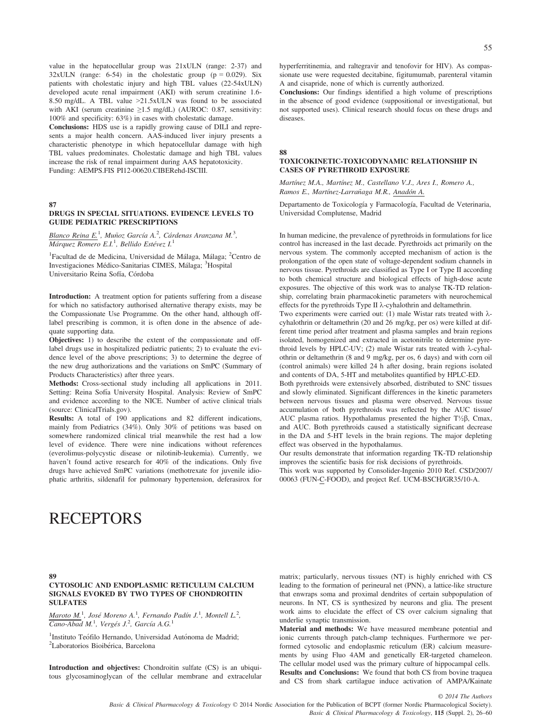value in the hepatocellular group was 21xULN (range: 2-37) and  $32xULN$  (range: 6-54) in the cholestatic group ( $p = 0.029$ ). Six patients with cholestatic injury and high TBL values (22-54xULN) developed acute renal impairment (AKI) with serum creatinine 1.6- 8.50 mg/dL. A TBL value >21.5xULN was found to be associated with AKI (serum creatinine ≥1.5 mg/dL) (AUROC: 0.87, sensitivity: 100% and specificity: 63%) in cases with cholestatic damage.

Conclusions: HDS use is a rapidly growing cause of DILI and represents a major health concern. AAS-induced liver injury presents a characteristic phenotype in which hepatocellular damage with high TBL values predominates. Cholestatic damage and high TBL values increase the risk of renal impairment during AAS hepatotoxicity. Funding: AEMPS.FIS PI12-00620.CIBERehd-ISCIII.

#### 87

# DRUGS IN SPECIAL SITUATIONS. EVIDENCE LEVELS TO GUIDE PEDIATRIC PRESCRIPTIONS

Blanco Reina E.<sup>1</sup>, Muñoz García A.<sup>2</sup>, Cárdenas Aranzana M.<sup>3</sup>, Márquez Romero E.I.<sup>1</sup>, Bellido Estévez I.<sup>1</sup>

<sup>1</sup>Facultad de de Medicina, Universidad de Málaga, Málaga; <sup>2</sup>Centro de Investigaciones Médico-Sanitarias CIMES, Málaga; <sup>3</sup>Hospital Universitario Reina Sofía, Córdoba

Introduction: A treatment option for patients suffering from a disease for which no satisfactory authorised alternative therapy exists, may be the Compassionate Use Programme. On the other hand, although offlabel prescribing is common, it is often done in the absence of adequate supporting data.

Objectives: 1) to describe the extent of the compassionate and offlabel drugs use in hospitalized pediatric patients; 2) to evaluate the evidence level of the above prescriptions; 3) to determine the degree of the new drug authorizations and the variations on SmPC (Summary of Products Characteristics) after three years.

Methods: Cross-sectional study including all applications in 2011. Setting: Reina Sofía University Hospital. Analysis: Review of SmPC and evidence according to the NICE. Number of active clinical trials (source: ClinicalTrials.gov).

Results: A total of 190 applications and 82 different indications, mainly from Pediatrics (34%). Only 30% of petitions was based on somewhere randomized clinical trial meanwhile the rest had a low level of evidence. There were nine indications without references (everolimus-polycystic disease or nilotinib-leukemia). Currently, we haven't found active research for 40% of the indications. Only five drugs have achieved SmPC variations (methotrexate for juvenile idiophatic arthritis, sildenafil for pulmonary hypertension, deferasirox for hyperferritinemia, and raltegravir and tenofovir for HIV). As compassionate use were requested decitabine, figitumumab, parenteral vitamin A and cisapride, none of which is currently authorized.

Conclusions: Our findings identified a high volume of prescriptions in the absence of good evidence (suppositional or investigational, but not supported uses). Clinical research should focus on these drugs and diseases.

# TOXICOKINETIC-TOXICODYNAMIC RELATIONSHIP IN CASES OF PYRETHROID EXPOSURE

Martínez M.A., Martínez M., Castellano V.J., Ares I., Romero A., Ramos E., Martínez-Larrañaga M.R., Anadón A.

88

Departamento de Toxicología y Farmacología, Facultad de Veterinaria, Universidad Complutense, Madrid

In human medicine, the prevalence of pyrethroids in formulations for lice control has increased in the last decade. Pyrethroids act primarily on the nervous system. The commonly accepted mechanism of action is the prolongation of the open state of voltage-dependent sodium channels in nervous tissue. Pyrethroids are classified as Type I or Type II according to both chemical structure and biological effects of high-dose acute exposures. The objective of this work was to analyse TK-TD relationship, correlating brain pharmacokinetic parameters with neurochemical effects for the pyrethroids Type II  $\lambda$ -cyhalothrin and deltamethrin.

Two experiments were carried out: (1) male Wistar rats treated with  $\lambda$ cyhalothrin or deltamethrin (20 and 26 mg/kg, per os) were killed at different time period after treatment and plasma samples and brain regions isolated, homogenized and extracted in acetonitrile to determine pyrethroid levels by HPLC-UV; (2) male Wistar rats treated with  $\lambda$ -cyhalothrin or deltamethrin (8 and 9 mg/kg, per os, 6 days) and with corn oil (control animals) were killed 24 h after dosing, brain regions isolated and contents of DA, 5-HT and metabolites quantified by HPLC-ED.

Both pyrethroids were extensively absorbed, distributed to SNC tissues and slowly eliminated. Significant differences in the kinetic parameters between nervous tissues and plasma were observed. Nervous tissue accumulation of both pyrethroids was reflected by the AUC tissue/ AUC plasma ratios. Hypothalamus presented the higher  $T\frac{1}{2}\beta$ , Cmax, and AUC. Both pyrethroids caused a statistically significant decrease in the DA and 5-HT levels in the brain regions. The major depleting effect was observed in the hypothalamus.

Our results demonstrate that information regarding TK-TD relationship improves the scientific basis for risk decisions of pyrethroids.

This work was supported by Consolider-Ingenio 2010 Ref. CSD/2007/ 00063 (FUN-C-FOOD), and project Ref. UCM-BSCH/GR35/10-A.

# RECEPTORS

#### 89

#### CYTOSOLIC AND ENDOPLASMIC RETICULUM CALCIUM SIGNALS EVOKED BY TWO TYPES OF CHONDROITIN SULFATES

Maroto M.<sup>1</sup>, José Moreno A.<sup>1</sup>, Fernando Padín J.<sup>1</sup>, Montell L.<sup>2</sup>,<br>Cano-Abad M.<sup>1</sup>, Vergés J.<sup>2</sup>, García A.G.<sup>1</sup>

<sup>1</sup>Instituto Teófilo Hernando, Universidad Autónoma de Madrid;<br><sup>2</sup>I aboratorios Biojbérica, Barcelona <sup>2</sup>Laboratorios Bioibérica, Barcelona

Introduction and objectives: Chondroitin sulfate (CS) is an ubiquitous glycosaminoglycan of the cellular membrane and extracelular

matrix; particularly, nervous tissues (NT) is highly enriched with CS leading to the formation of perineural net (PNN), a lattice-like structure that enwraps soma and proximal dendrites of certain subpopulation of neurons. In NT, CS is synthesized by neurons and glia. The present work aims to elucidate the effect of CS over calcium signaling that underlie synaptic transmission.

Material and methods: We have measured membrane potential and ionic currents through patch-clamp techniques. Furthermore we performed cytosolic and endoplasmic reticulum (ER) calcium measurements by using Fluo 4AM and genetically ER-targeted chameleon. The cellular model used was the primary culture of hippocampal cells. Results and Conclusions: We found that both CS from bovine traquea and CS from shark cartilague induce activation of AMPA/Kainate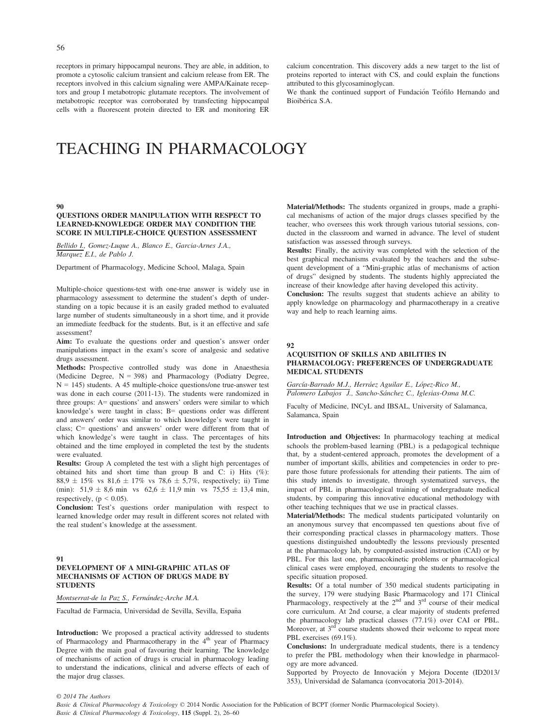receptors in primary hippocampal neurons. They are able, in addition, to promote a cytosolic calcium transient and calcium release from ER. The receptors involved in this calcium signaling were AMPA/Kainate receptors and group I metabotropic glutamate receptors. The involvement of metabotropic receptor was corroborated by transfecting hippocampal cells with a fluorescent protein directed to ER and monitoring ER calcium concentration. This discovery adds a new target to the list of proteins reported to interact with CS, and could explain the functions attributed to this glycosaminoglycan.

We thank the continued support of Fundación Teófilo Hernando and Bioiberica S.A.

# TEACHING IN PHARMACOLOGY

#### 90

# QUESTIONS ORDER MANIPULATION WITH RESPECT TO LEARNED-KNOWLEDGE ORDER MAY CONDITION THE SCORE IN MULTIPLE-CHOICE QUESTION ASSESSMENT

Bellido I., Gomez-Luque A., Blanco E., Garcia-Arnes J.A., Marquez E.I., de Pablo J.

Department of Pharmacology, Medicine School, Malaga, Spain

Multiple-choice questions-test with one-true answer is widely use in pharmacology assessment to determine the student's depth of understanding on a topic because it is an easily graded method to evaluated large number of students simultaneously in a short time, and it provide an immediate feedback for the students. But, is it an effective and safe assessment?

Aim: To evaluate the questions order and question's answer order manipulations impact in the exam's score of analgesic and sedative drugs assessment.

Methods: Prospective controlled study was done in Anaesthesia (Medicine Degree,  $N = 398$ ) and Pharmacology (Podiatry Degree,  $N = 145$ ) students. A 45 multiple-choice questions/one true-answer test was done in each course (2011-13). The students were randomized in three groups: A= questions' and answers' orders were similar to which knowledge's were taught in class; B= questions order was different and answers' order was similar to which knowledge's were taught in class; C= questions' and answers' order were different from that of which knowledge's were taught in class. The percentages of hits obtained and the time employed in completed the test by the students were evaluated.

Results: Group A completed the test with a slight high percentages of obtained hits and short time than group B and C: i) Hits (%): 88,9  $\pm$  15% vs 81,6  $\pm$  17% vs 78,6  $\pm$  5,7%, respectively; ii) Time (min):  $51.9 \pm 8.6$  min vs  $62.6 \pm 11.9$  min vs  $75.55 \pm 13.4$  min, respectively,  $(p < 0.05)$ .

Conclusion: Test's questions order manipulation with respect to learned knowledge order may result in different scores not related with the real student's knowledge at the assessment.

#### 91 DEVELOPMENT OF A MINI-GRAPHIC ATLAS OF MECHANISMS OF ACTION OF DRUGS MADE BY **STUDENTS**

Montserrat-de la Paz S., Fernández-Arche M.A.

Facultad de Farmacia, Universidad de Sevilla, Sevilla, España

Introduction: We proposed a practical activity addressed to students of Pharmacology and Pharmacotherapy in the  $4<sup>th</sup>$  year of Pharmacy Degree with the main goal of favouring their learning. The knowledge of mechanisms of action of drugs is crucial in pharmacology leading to understand the indications, clinical and adverse effects of each of the major drug classes.

Material/Methods: The students organized in groups, made a graphical mechanisms of action of the major drugs classes specified by the teacher, who oversees this work through various tutorial sessions, conducted in the classroom and warned in advance. The level of student satisfaction was assessed through surveys.

Results: Finally, the activity was completed with the selection of the best graphical mechanisms evaluated by the teachers and the subsequent development of a "Mini-graphic atlas of mechanisms of action of drugs" designed by students. The students highly appreciated the increase of their knowledge after having developed this activity.

Conclusion: The results suggest that students achieve an ability to apply knowledge on pharmacology and pharmacotherapy in a creative way and help to reach learning aims.

#### 92

#### ACQUISITION OF SKILLS AND ABILITIES IN PHARMACOLOGY: PREFERENCES OF UNDERGRADUATE MEDICAL STUDENTS

García-Barrado M.J., Herráez Aguilar E., López-Rico M., Palomero Labajos J., Sancho-Sánchez C., Iglesias-Osma M.C.

Faculty of Medicine, INCyL and IBSAL, University of Salamanca, Salamanca, Spain

Introduction and Objectives: In pharmacology teaching at medical schools the problem-based learning (PBL) is a pedagogical technique that, by a student-centered approach, promotes the development of a number of important skills, abilities and competencies in order to prepare those future professionals for attending their patients. The aim of this study intends to investigate, through systematized surveys, the impact of PBL in pharmacological training of undergraduate medical students, by comparing this innovative educational methodology with other teaching techniques that we use in practical classes.

Material/Methods: The medical students participated voluntarily on an anonymous survey that encompassed ten questions about five of their corresponding practical classes in pharmacology matters. Those questions distinguished undoubtedly the lessons previously presented at the pharmacology lab, by computed-assisted instruction (CAI) or by PBL. For this last one, pharmacokinetic problems or pharmacological clinical cases were employed, encouraging the students to resolve the specific situation proposed.

Results: Of a total number of 350 medical students participating in the survey, 179 were studying Basic Pharmacology and 171 Clinical Pharmacology, respectively at the  $2<sup>nd</sup>$  and  $3<sup>rd</sup>$  course of their medical core curriculum. At 2nd course, a clear majority of students preferred the pharmacology lab practical classes (77.1%) over CAI or PBL. Moreover, at  $3^{rd}$  course students showed their welcome to repeat more PBL exercises (69.1%).

Conclusions: In undergraduate medical students, there is a tendency to prefer the PBL methodology when their knowledge in pharmacology are more advanced.

Supported by Proyecto de Innovación y Mejora Docente (ID2013/ 353), Universidad de Salamanca (convocatoria 2013-2014).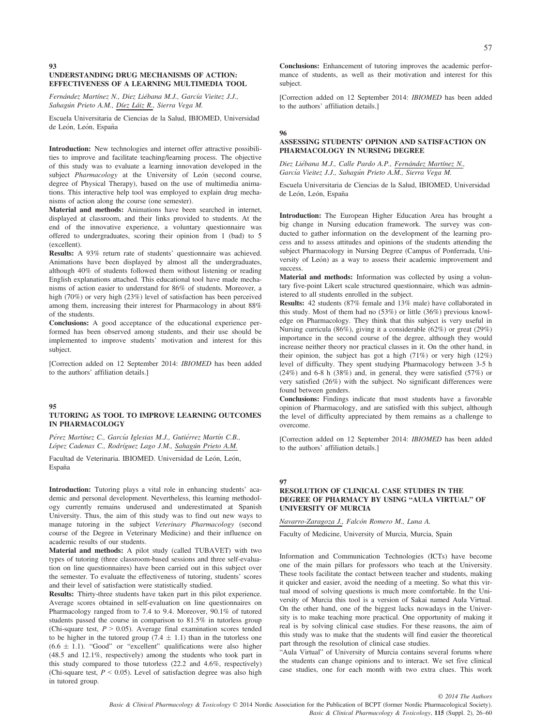#### 93 UNDERSTANDING DRUG MECHANISMS OF ACTION: EFFECTIVENESS OF A LEARNING MULTIMEDIA TOOL

Fernández Martínez N., Diez Liébana M.J., García Vieitez J.J., Sahagún Prieto A.M., Díez Láiz R., Sierra Vega M.

Escuela Universitaria de Ciencias de la Salud, IBIOMED, Universidad de León, León, España

Introduction: New technologies and internet offer attractive possibilities to improve and facilitate teaching/learning process. The objective of this study was to evaluate a learning innovation developed in the subject Pharmacology at the University of León (second course, degree of Physical Therapy), based on the use of multimedia animations. This interactive help tool was employed to explain drug mechanisms of action along the course (one semester).

Material and methods: Animations have been searched in internet, displayed at classroom, and their links provided to students. At the end of the innovative experience, a voluntary questionnaire was offered to undergraduates, scoring their opinion from 1 (bad) to 5 (excellent).

Results: A 93% return rate of students' questionnaire was achieved. Animations have been displayed by almost all the undergraduates, although 40% of students followed them without listening or reading English explanations attached. This educational tool have made mechanisms of action easier to understand for 86% of students. Moreover, a high (70%) or very high (23%) level of satisfaction has been perceived among them, increasing their interest for Pharmacology in about 88% of the students.

Conclusions: A good acceptance of the educational experience performed has been observed among students, and their use should be implemented to improve students' motivation and interest for this subject.

[Correction added on 12 September 2014: IBIOMED has been added to the authors' affiliation details.]

#### 95

#### TUTORING AS TOOL TO IMPROVE LEARNING OUTCOMES IN PHARMACOLOGY

Pérez Martínez C., García Iglesias M.J., Gutiérrez Martín C.B., López Cadenas C., Rodríguez Lago J.M., Sahagún Prieto A.M.

Facultad de Veterinaria. IBIOMED. Universidad de León. León. España

Introduction: Tutoring plays a vital role in enhancing students' academic and personal development. Nevertheless, this learning methodology currently remains underused and underestimated at Spanish University. Thus, the aim of this study was to find out new ways to manage tutoring in the subject Veterinary Pharmacology (second course of the Degree in Veterinary Medicine) and their influence on academic results of our students.

Material and methods: A pilot study (called TUBAVET) with two types of tutoring (three classroom-based sessions and three self-evaluation on line questionnaires) have been carried out in this subject over the semester. To evaluate the effectiveness of tutoring, students' scores and their level of satisfaction were statistically studied.

Results: Thirty-three students have taken part in this pilot experience. Average scores obtained in self-evaluation on line questionnaires on Pharmacology ranged from to 7.4 to 9.4. Moreover, 90.1% of tutored students passed the course in comparison to 81.5% in tutorless group (Chi-square test,  $P > 0.05$ ). Average final examination scores tended to be higher in the tutored group  $(7.4 \pm 1.1)$  than in the tutorless one  $(6.6 \pm 1.1)$ . "Good" or "excellent" qualifications were also higher (48.5 and 12.1%, respectively) among the students who took part in this study compared to those tutorless (22.2 and 4.6%, respectively) (Chi-square test,  $P < 0.05$ ). Level of satisfaction degree was also high in tutored group.

Conclusions: Enhancement of tutoring improves the academic performance of students, as well as their motivation and interest for this subject.

[Correction added on 12 September 2014: IBIOMED has been added to the authors' affiliation details.]

# 96

# ASSESSING STUDENTS' OPINION AND SATISFACTION ON PHARMACOLOGY IN NURSING DEGREE

Diez Liébana M.J., Calle Pardo A.P., Fernández Martínez N., García Vieitez J.J., Sahagún Prieto A.M., Sierra Vega M.

Escuela Universitaria de Ciencias de la Salud, IBIOMED, Universidad de León, León, España

Introduction: The European Higher Education Area has brought a big change in Nursing education framework. The survey was conducted to gather information on the development of the learning process and to assess attitudes and opinions of the students attending the subject Pharmacology in Nursing Degree (Campus of Ponferrada, University of León) as a way to assess their academic improvement and success.

Material and methods: Information was collected by using a voluntary five-point Likert scale structured questionnaire, which was administered to all students enrolled in the subject.

Results: 42 students (87% female and 13% male) have collaborated in this study. Most of them had no (53%) or little (36%) previous knowledge on Pharmacology. They think that this subject is very useful in Nursing curricula (86%), giving it a considerable (62%) or great (29%) importance in the second course of the degree, although they would increase neither theory nor practical classes in it. On the other hand, in their opinion, the subject has got a high (71%) or very high (12%) level of difficulty. They spent studying Pharmacology between 3-5 h  $(24%)$  and 6-8 h  $(38%)$  and, in general, they were satisfied  $(57%)$  or very satisfied (26%) with the subject. No significant differences were found between genders.

Conclusions: Findings indicate that most students have a favorable opinion of Pharmacology, and are satisfied with this subject, although the level of difficulty appreciated by them remains as a challenge to overcome.

[Correction added on 12 September 2014: IBIOMED has been added to the authors' affiliation details.]

#### 97

#### RESOLUTION OF CLINICAL CASE STUDIES IN THE DEGREE OF PHARMACY BY USING "AULA VIRTUAL" OF UNIVERSITY OF MURCIA

Navarro-Zaragoza J., Falcón Romero M., Luna A.

Faculty of Medicine, University of Murcia, Murcia, Spain

Information and Communication Technologies (ICTs) have become one of the main pillars for professors who teach at the University. These tools facilitate the contact between teacher and students, making it quicker and easier, avoid the needing of a meeting. So what this virtual mood of solving questions is much more comfortable. In the University of Murcia this tool is a version of Sakai named Aula Virtual. On the other hand, one of the biggest lacks nowadays in the University is to make teaching more practical. One opportunity of making it real is by solving clinical case studies. For these reasons, the aim of this study was to make that the students will find easier the theoretical part through the resolution of clinical case studies.

"Aula Virtual" of University of Murcia contains several forums where the students can change opinions and to interact. We set five clinical case studies, one for each month with two extra clues. This work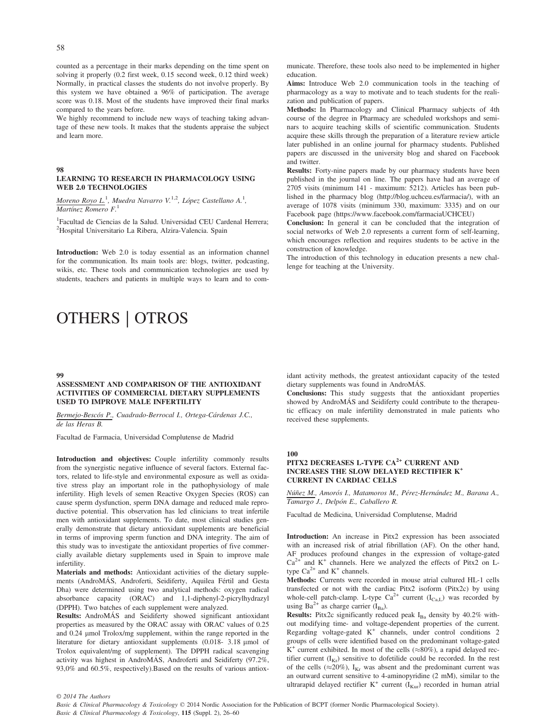counted as a percentage in their marks depending on the time spent on solving it properly (0.2 first week, 0.15 second week, 0.12 third week) Normally, in practical classes the students do not involve properly. By this system we have obtained a 96% of participation. The average score was 0.18. Most of the students have improved their final marks compared to the years before.

We highly recommend to include new ways of teaching taking advantage of these new tools. It makes that the students appraise the subject and learn more.

#### 98

#### LEARNING TO RESEARCH IN PHARMACOLOGY USING WEB 2.0 TECHNOLOGIES

Moreno Royo L.<sup>1</sup>, Muedra Navarro V.<sup>1,2</sup>, López Castellano A.<sup>1</sup>, Martínez Romero  $F<sup>1</sup>$ 

<sup>1</sup>Facultad de Ciencias de la Salud. Universidad CEU Cardenal Herrera; 2 Hospital Universitario La Ribera, Alzira-Valencia. Spain

Introduction: Web 2.0 is today essential as an information channel for the communication. Its main tools are: blogs, twitter, podcasting, wikis, etc. These tools and communication technologies are used by students, teachers and patients in multiple ways to learn and to com-

# OTHERS | OTROS

#### 99

#### ASSESSMENT AND COMPARISON OF THE ANTIOXIDANT ACTIVITIES OF COMMERCIAL DIETARY SUPPLEMENTS USED TO IMPROVE MALE INFERTILITY

Bermejo-Bescós P., Cuadrado-Berrocal I., Ortega-Cárdenas J.C., de las Heras B.

Facultad de Farmacia, Universidad Complutense de Madrid

Introduction and objectives: Couple infertility commonly results from the synergistic negative influence of several factors. External factors, related to life-style and environmental exposure as well as oxidative stress play an important role in the pathophysiology of male infertility. High levels of semen Reactive Oxygen Species (ROS) can cause sperm dysfunction, sperm DNA damage and reduced male reproductive potential. This observation has led clinicians to treat infertile men with antioxidant supplements. To date, most clinical studies generally demonstrate that dietary antioxidant supplements are beneficial in terms of improving sperm function and DNA integrity. The aim of this study was to investigate the antioxidant properties of five commercially available dietary supplements used in Spain to improve male infertility.

Materials and methods: Antioxidant activities of the dietary supplements (AndroMÁS, Androferti, Seidiferty, Aquilea Fértil and Gesta Dha) were determined using two analytical methods: oxygen radical absorbance capacity (ORAC) and 1,1-diphenyl-2-picrylhydrazyl (DPPH). Two batches of each supplement were analyzed.

Results: AndroMAS and Seidiferty showed significant antioxidant properties as measured by the ORAC assay with ORAC values of 0.25 and 0.24 µmol Trolox/mg supplement, within the range reported in the literature for dietary antioxidant supplements (0.018- 3.18 µmol of Trolox equivalent/mg of supplement). The DPPH radical scavenging activity was highest in AndroMAS, Androferti and Seidiferty (97.2%, 93,0% and 60.5%, respectively).Based on the results of various antioxmunicate. Therefore, these tools also need to be implemented in higher education.

Aims: Introduce Web 2.0 communication tools in the teaching of pharmacology as a way to motivate and to teach students for the realization and publication of papers.

Methods: In Pharmacology and Clinical Pharmacy subjects of 4th course of the degree in Pharmacy are scheduled workshops and seminars to acquire teaching skills of scientific communication. Students acquire these skills through the preparation of a literature review article later published in an online journal for pharmacy students. Published papers are discussed in the university blog and shared on Facebook and twitter.

Results: Forty-nine papers made by our pharmacy students have been published in the journal on line. The papers have had an average of 2705 visits (minimum 141 - maximum: 5212). Articles has been published in the pharmacy blog (http://blog.uchceu.es/farmacia/), with an average of 1078 visits (minimum 330, maximum: 3335) and on our Facebook page (https://www.facebook.com/farmaciaUCHCEU)

Conclusion: In general it can be concluded that the integration of social networks of Web 2.0 represents a current form of self-learning, which encourages reflection and requires students to be active in the construction of knowledge.

The introduction of this technology in education presents a new challenge for teaching at the University.

idant activity methods, the greatest antioxidant capacity of the tested dietary supplements was found in AndroMÁS.

Conclusions: This study suggests that the antioxidant properties showed by AndroMAS and Seidiferty could contribute to the therapeu tic efficacy on male infertility demonstrated in male patients who received these supplements.

# 100

# PITX2 DECREASES L-TYPE CA<sup>2+</sup> CURRENT AND INCREASES THE SLOW DELAYED RECTIFIER K+ CURRENT IN CARDIAC CELLS

Núñez M., Amorós I., Matamoros M., Pérez-Hernández M., Barana A., Tamargo J., Delpón E., Caballero R.

Facultad de Medicina, Universidad Complutense, Madrid

Introduction: An increase in Pitx2 expression has been associated with an increased risk of atrial fibrillation (AF). On the other hand, AF produces profound changes in the expression of voltage-gated  $Ca^{2+}$  and K<sup>+</sup> channels. Here we analyzed the effects of Pitx2 on Ltype  $Ca^{2+}$  and  $K^+$  channels.

Methods: Currents were recorded in mouse atrial cultured HL-1 cells transfected or not with the cardiac Pitx2 isoform (Pitx2c) by using whole-cell patch-clamp. L-type  $Ca^{2+}$  current  $(I_{Ca,L})$  was recorded by using  $Ba^{2+}$  as charge carrier  $(I_{Ba})$ .

Results: Pitx2c significantly reduced peak I<sub>Ba</sub> density by 40.2% without modifying time- and voltage-dependent properties of the current. Regarding voltage-gated K<sup>+</sup> channels, under control conditions 2 groups of cells were identified based on the predominant voltage-gated  $K^+$  current exhibited. In most of the cells ( $\approx 80\%$ ), a rapid delayed rectifier current  $(I_{Kr})$  sensitive to dofetilide could be recorded. In the rest of the cells ( $\approx$ 20%), I<sub>Kr</sub> was absent and the predominant current was an outward current sensitive to 4-aminopyridine (2 mM), similar to the ultrarapid delayed rectifier  $K^+$  current ( $I_{Kur}$ ) recorded in human atrial

© 2014 The Authors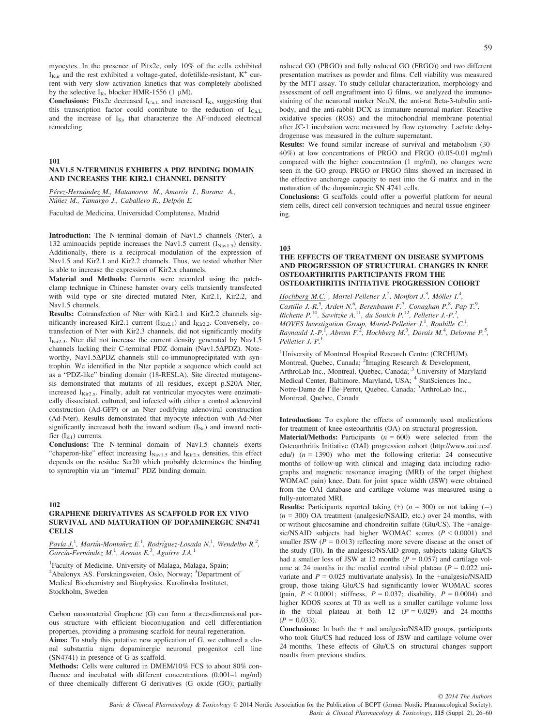myocytes. In the presence of Pitx2c, only 10% of the cells exhibited  $I_{Kur}$  and the rest exhibited a voltage-gated, dofetilide-resistant,  $K^+$  current with very slow activation kinetics that was completely abolished by the selective  $I_{Ks}$  blocker HMR-1556 (1 µM).

**Conclusions:** Pitx2c decreased  $I_{Ca,L}$  and increased  $I_{Ks}$  suggesting that this transcription factor could contribute to the reduction of  $I_{C_8L}$ and the increase of  $I_{Ks}$  that characterize the AF-induced electrical remodeling.

101

# NAV1.5 N-TERMINUS EXHIBITS A PDZ BINDING DOMAIN AND INCREASES THE KIR2.1 CHANNEL DENSITY

Pérez-Hernández M., Matamoros M., Amorós I., Barana A., Núñez M., Tamargo J., Caballero R., Delpón E.

Facultad de Medicina, Universidad Complutense, Madrid

Introduction: The N-terminal domain of Nav1.5 channels (Nter), a 132 aminoacids peptide increases the Nav1.5 current  $(I_{\text{Nav1.5}})$  density. Additionally, there is a reciprocal modulation of the expression of Nav1.5 and Kir2.1 and Kir2.2 channels. Thus, we tested whether Nter is able to increase the expression of Kir2.x channels.

Material and Methods: Currents were recorded using the patchclamp technique in Chinese hamster ovary cells transiently transfected with wild type or site directed mutated Nter, Kir2.1, Kir2.2, and Nav1.5 channels.

Results: Cotransfection of Nter with Kir2.1 and Kir2.2 channels significantly increased Kir2.1 current  $(I_{\text{Kir2.1}})$  and  $I_{\text{Kir2.2}}$ . Conversely, cotransfection of Nter with Kir2.3 channels, did not significantly modify I<sub>Kir2.3</sub>. Nter did not increase the current density generated by Nav1.5 channels lacking their C-terminal PDZ domain (Nav1.5 $\Delta$ PDZ). Noteworthy, Nav1.5 $\Delta$ PDZ channels still co-immunoprecipitated with syntrophin. We identified in the Nter peptide a sequence which could act as a "PDZ-like" binding domain (18-RESLA). Site directed mutagenesis demonstrated that mutants of all residues, except p.S20A Nter, increased  $I_{\text{Kir2x}}$ . Finally, adult rat ventricular myocytes were enzimatically dissociated, cultured, and infected with either a control adenoviral construction (Ad-GFP) or an Nter codifying adenoviral construction (Ad-Nter). Results demonstrated that myocyte infection with Ad-Nter significantly increased both the inward sodium  $(I_{Na})$  and inward rectifier  $(I_{K1})$  currents.

Conclusions: The N-terminal domain of Nav1.5 channels exerts "chaperon-like" effect increasing  $I_{\text{Nav1.5}}$  and  $I_{\text{Kir2.x}}$  densities, this effect depends on the residue Ser20 which probably determines the binding to syntrophin via an "internal" PDZ binding domain.

#### 102

#### GRAPHENE DERIVATIVES AS SCAFFOLD FOR EX VIVO SURVIVAL AND MATURATION OF DOPAMINERGIC SN4741 **CELLS**

Pavía J.<sup>1</sup>, Martín-Montañez E.<sup>1</sup>, Rodríguez-Losada N.<sup>1</sup>, Wendelbo R.<sup>2</sup>,  $\overline{Garcia}$ -Fernández M.<sup>1</sup>, Arenas E.<sup>3</sup>, Aguirre J.A.<sup>1</sup>

<sup>1</sup>Faculty of Medicine. University of Malaga, Malaga, Spain; <sup>2</sup>Abalonyx AS. Forskningsveien, Oslo, Norway; <sup>3</sup>Department of Medical Biochemistry and Biophysics. Karolinska Institutet, Stockholm, Sweden

Carbon nanomaterial Graphene (G) can form a three-dimensional porous structure with efficient bioconjugation and cell differentiation properties, providing a promising scaffold for neural regeneration.

Aims: To study this putative new application of G, we cultured a clonal substantia nigra dopaminergic neuronal progenitor cell line (SN4741) in presence of G as scaffold.

Methods: Cells were cultured in DMEM/10% FCS to about 80% confluence and incubated with different concentrations (0.001–1 mg/ml) of three chemically different G derivatives (G oxide (GO); partially reduced GO (PRGO) and fully reduced GO (FRGO)) and two different presentation matrixes as powder and films. Cell viability was measured by the MTT assay. To study cellular characterization, morphology and assessment of cell engraftment into G films, we analyzed the immunostaining of the neuronal marker NeuN, the anti-rat Beta-3-tubulin antibody, and the anti-rabbit DCX as immature neuronal marker. Reactive oxidative species (ROS) and the mitochondrial membrane potential after JC-1 incubation were measured by flow cytometry. Lactate dehydrogenase was measured in the culture supernatant.

Results: We found similar increase of survival and metabolism (30- 40%) at low concentrations of PRGO and FRGO (0.05-0.01 mg/ml) compared with the higher concentration (1 mg/ml), no changes were seen in the GO group. PRGO or FRGO films showed an increased in the effective anchorage capacity to nest into the G matrix and in the maturation of the dopaminergic SN 4741 cells.

Conclusions: G scaffolds could offer a powerful platform for neural stem cells, direct cell conversion techniques and neural tissue engineering.

103

#### THE EFFECTS OF TREATMENT ON DISEASE SYMPTOMS AND PROGRESSION OF STRUCTURAL CHANGES IN KNEE OSTEOARTHRITIS PARTICIPANTS FROM THE OSTEOARTHRITIS INITIATIVE PROGRESSION COHORT

Hochberg M.C.<sup>1</sup>, Martel-Pelletier J.<sup>2</sup>, Monfort J.<sup>3</sup>, Möller I.<sup>4</sup>, Castillo J.-R.<sup>5</sup>, Arden N.<sup>6</sup>, Berenbaum F.<sup>7</sup>, Conaghan P.<sup>8</sup>, Pap T.<sup>9</sup>, Richette P.<sup>10</sup>, Sawitzke A.<sup>11</sup>, du Souich P.<sup>12</sup>, Pelletier J.-P.<sup>2</sup>, MOVES Investigation Group, Martel-Pelletier J.<sup>1</sup>, Roubille C.<sup>1</sup> MOVES Investigation Group, Martel-Pelletier J.<sup>1</sup>, Roubille C.<sup>1</sup>,<br>Raynauld J.-P.<sup>1</sup>, Abram F.<sup>2</sup>, Hochberg M.<sup>3</sup>, Dorais M.<sup>4</sup>, Delorme P.<sup>5</sup>, Pelletier J.-P. $^1$ 

<sup>1</sup>University of Montreal Hospital Research Centre (CRCHUM), Montreal, Quebec, Canada; <sup>2</sup>Imaging Research & Development, ArthroLab Inc., Montreal, Quebec, Canada; <sup>3</sup> University of Maryland Medical Center, Baltimore, Maryland, USA; <sup>4</sup> StatSciences Inc., Notre-Dame de l'Île–Perrot, Quebec, Canada; <sup>5</sup>ArthroLab Inc., Montreal, Quebec, Canada

Introduction: To explore the effects of commonly used medications for treatment of knee osteoarthritis (OA) on structural progression.

**Material/Methods:** Participants  $(n = 600)$  were selected from the Osteoarthritis Initiative (OAI) progression cohort (http://www.oai.ucsf. edu/)  $(n = 1390)$  who met the following criteria: 24 consecutive months of follow-up with clinical and imaging data including radiographs and magnetic resonance imaging (MRI) of the target (highest WOMAC pain) knee. Data for joint space width (JSW) were obtained from the OAI database and cartilage volume was measured using a fully-automated MRI.

**Results:** Participants reported taking  $(+)$  ( $n = 300$ ) or not taking  $(-)$  $(n = 300)$  OA treatment (analgesic/NSAID, etc.) over 24 months, with or without glucosamine and chondroitin sulfate (Glu/CS). The +analgesic/NSAID subjects had higher WOMAC scores  $(P < 0.0001)$  and smaller JSW ( $P = 0.013$ ) reflecting more severe disease at the onset of the study (T0). In the analgesic/NSAID group, subjects taking Glu/CS had a smaller loss of JSW at 12 months ( $P = 0.057$ ) and cartilage volume at 24 months in the medial central tibial plateau ( $P = 0.022$  univariate and  $P = 0.025$  multivariate analysis). In the +analgesic/NSAID group, those taking Glu/CS had significantly lower WOMAC scores (pain,  $P < 0.0001$ ; stiffness,  $P = 0.037$ ; disability,  $P = 0.0004$ ) and higher KOOS scores at T0 as well as a smaller cartilage volume loss in the tibial plateau at both 12  $(P = 0.029)$  and 24 months  $(P = 0.033)$ .

**Conclusions:** In both the  $+$  and analgesic/NSAID groups, participants who took Glu/CS had reduced loss of JSW and cartilage volume over 24 months. These effects of Glu/CS on structural changes support results from previous studies.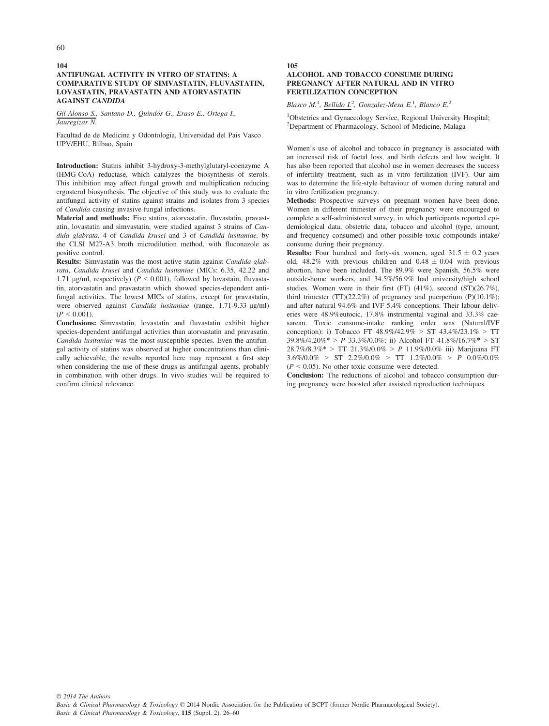#### 104 ANTIFUNGAL ACTIVITY IN VITRO OF STATINS: A COMPARATIVE STUDY OF SIMVASTATIN, FLUVASTATIN, LOVASTATIN, PRAVASTATIN AND ATORVASTATIN AGAINST CANDIDA

Gil-Alonso S., Santano D., Quindós G., Eraso E., Ortega I., Jauregizar N.

Facultad de de Medicina y Odontología, Universidad del País Vasco UPV/EHU, Bilbao, Spain

Introduction: Statins inhibit 3-hydroxy-3-methylglutaryl-coenzyme A (HMG-CoA) reductase, which catalyzes the biosynthesis of sterols. This inhibition may affect fungal growth and multiplication reducing ergosterol biosynthesis. The objective of this study was to evaluate the antifungal activity of statins against strains and isolates from 3 species of Candida causing invasive fungal infections.

Material and methods: Five statins, atorvastatin, fluvastatin, pravastatin, lovastatin and simvastatin, were studied against 3 strains of Candida glabrata, 4 of Candida krusei and 3 of Candida lusitaniae, by the CLSI M27-A3 broth microdilution method, with fluconazole as positive control.

Results: Simvastatin was the most active statin against Candida glabrata, Candida krusei and Candida lusitaniae (MICs: 6.35, 42.22 and 1.71 µg/ml, respectively) ( $P < 0.001$ ), followed by lovastain, fluvastatin, atorvastatin and pravastatin which showed species-dependent antifungal activities. The lowest MICs of statins, except for pravastatin, were observed against Candida lusitaniae (range, 1.71-9.33 µg/ml)  $(P < 0.001)$ .

Conclusions: Simvastatin, lovastatin and fluvastatin exhibit higher species-dependent antifungal activities than atorvastatin and pravasatin. Candida lusitaniae was the most susceptible species. Even the antifungal activity of statins was observed at higher concentrations than clinically achievable, the results reported here may represent a first step when considering the use of these drugs as antifungal agents, probably in combination with other drugs. In vivo studies will be required to confirm clinical relevance.

105

### ALCOHOL AND TOBACCO CONSUME DURING PREGNANCY AFTER NATURAL AND IN VITRO FERTILIZATION CONCEPTION

Blasco M.<sup>1</sup>, Bellido I.<sup>2</sup>, Gonzalez-Mesa E.<sup>1</sup>, Blanco E.<sup>2</sup>

<sup>1</sup>Obstetrics and Gynaecology Service, Regional University Hospital; <sup>2</sup>Department of Pharmacology. School of Medicine, Malaga

Women's use of alcohol and tobacco in pregnancy is associated with an increased risk of foetal loss, and birth defects and low weight. It has also been reported that alcohol use in women decreases the success of infertility treatment, such as in vitro fertilization (IVF). Our aim was to determine the life-style behaviour of women during natural and in vitro fertilization pregnancy.

Methods: Prospective surveys on pregnant women have been done. Women in different trimester of their pregnancy were encouraged to complete a self-administered survey, in which participants reported epidemiological data, obstetric data, tobacco and alcohol (type, amount, and frequency consumed) and other possible toxic compounds intake/ consume during their pregnancy.

**Results:** Four hundred and forty-six women, aged  $31.5 \pm 0.2$  years old, 48.2% with previous children and  $0.48 \pm 0.04$  with previous abortion, have been included. The 89.9% were Spanish, 56.5% were outside-home workers, and 34.5%/56.9% had university/high school studies. Women were in their first (FT) (41%), second (ST)(26.7%), third trimester (TT)(22.2%) of pregnancy and puerperium (P)(10.1%); and after natural 94.6% and IVF 5.4% conceptions. Their labour deliveries were 48.9%eutocic, 17.8% instrumental vaginal and 33.3% caesarean. Toxic consume-intake ranking order was (Natural/IVF conception): i) Tobacco FT 48.9%/42.9% > ST 43.4%/23.1% > TT 39.8%/4.20%\* > P 33.3%/0.0%; ii) Alcohol FT 41.8%/16.7%\* > ST  $28.7\%/8.3\%$  > TT  $21.3\%/0.0\%$  > P  $11.9\%/0.0\%$  iii) Marijuana FT  $3.6\%/0.0\% > ST$  2.2%/0.0% > TT 1.2%/0.0% > P 0.0%/0.0%  $(P \le 0.05)$ . No other toxic consume were detected.

Conclusion: The reductions of alcohol and tobacco consumption during pregnancy were boosted after assisted reproduction techniques.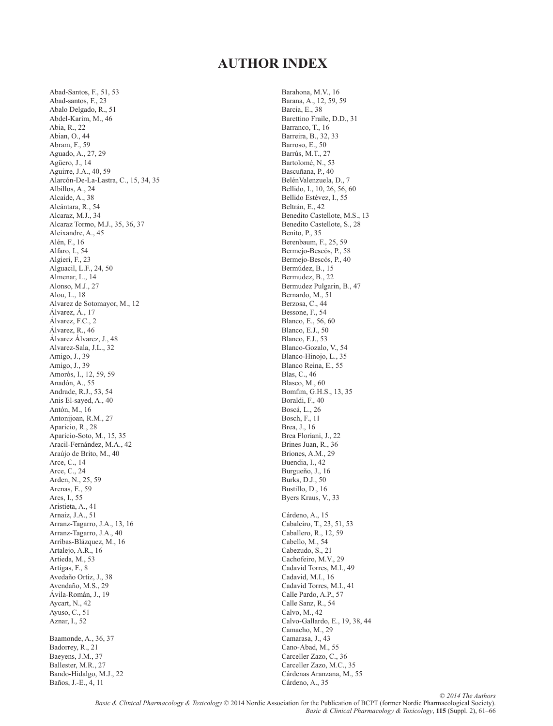# **AUTHOR INDEX**

 Abad-Santos, F., 51, 53 Abad-santos, F., 23 Abalo Delgado, R., 51 Abdel-Karim, M., 46 Abia, R., 22 Abian, O., 44 Abram, F., 59 Aguado, A., 27, 29 Agüero, J., 14 Aguirre, J.A., 40, 59 Alarcón-De-La-Lastra, C., 15, 34, 35 Albillos, A., 24 Alcaide, A., 38 Alcántara, R., 54 Alcaraz, M.J., 34 Alcaraz Tormo, M.J., 35, 36, 37 Aleixandre, A., 45 Alén, F., 16 Alfaro, I., 54 Algieri, F., 23 Alguacil, L.F., 24, 50 Almenar, L., 14 Alonso, M.J., 27 Alou, L., 18 Alvarez de Sotomayor, M., 12 Álvarez, Á., 17 Álvarez, F.C., 2 Álvarez, R., 46 Álvarez Álvarez, J., 48 Alvarez-Sala, J.L., 32 Amigo, J., 39 Amigo, J., 39 Amorós, I., 12, 59, 59 Anadón, A., 55 Andrade, R.J., 53, 54 Anis El-sayed, A., 40 Antón, M., 16 Antonijoan, R.M., 27 Aparicio, R., 28 Aparicio-Soto, M., 15, 35 Aracil-Fernández, M.A., 42 Araújo de Brito, M., 40 Arce, C., 14 Arce, C., 24 Arden, N., 25, 59 Arenas, E., 59 Ares, I., 55 Aristieta, A., 41 Arnaiz, J.A., 51 Arranz-Tagarro, J.A., 13, 16 Arranz-Tagarro, J.A., 40 Arribas-Blázquez, M., 16 Artalejo, A.R., 16 Artieda, M., 53 Artigas, F., 8 Avedaño Ortiz, J., 38 Avendaño, M.S., 29 Ávila-Román, J., 19 Aycart, N., 42 Ayuso, C., 51 Aznar, I., 52 Baamonde, A., 36, 37 Badorrey, R., 21 Baeyens, J.M., 37 Ballester, M.R., 27 Bando-Hidalgo, M.J., 22

Baños, J.-E., 4, 11

 Barahona, M.V., 16 Barana, A., 12, 59, 59 Barcia, E., 38 Barettino Fraile, D.D., 31 Barranco, T., 16 Barreira, B., 32, 33 Barroso, E., 50 Barrús, M.T., 27 Bartolomé, N., 53 Bascuñana, P., 40 BelénValenzuela, D., 7 Bellido, I., 10, 26, 56, 60 Bellido Estévez, I., 55 Beltrán, E., 42 Benedito Castellote, M.S., 13 Benedito Castellote, S., 28 Benito, P., 35 Berenbaum, F., 25, 59 Bermejo-Bescós, P., 58 Bermejo-Bescós, P., 40 Bermúdez, B., 15 Bermudez, B., 22 Bermudez Pulgarin, B., 47 Bernardo, M., 51 Berzosa, C., 44 Bessone, F., 54 Blanco, E., 56, 60 Blanco, E.J., 50 Blanco, F.J., 53 Blanco-Gozalo, V., 54 Blanco-Hinojo, L., 35 Blanco Reina, E., 55 Blas, C., 46 Blasco, M., 60 Bomfim, G.H.S., 13, 35 Boraldi, F., 40 Boscá, L., 26 Bosch, F., 11 Brea, J., 16 Brea Floriani, J., 22 Brines Juan, R., 36 Briones, A.M., 29 Buendia, I., 42 Burgueño, J., 16 Burks, D.J., 50 Bustillo, D., 16 Byers Kraus, V., 33 Cárdeno, A., 15 Cabaleiro, T., 23, 51, 53 Caballero, R., 12, 59 Cabello, M., 54 Cabezudo, S., 21 Cachofeiro, M.V., 29 Cadavid Torres, M.I., 49 Cadavid, M.I., 16 Cadavid Torres, M.I., 41 Calle Pardo, A.P., 57 Calle Sanz, R., 54 Calvo, M., 42 Calvo-Gallardo, E., 19, 38, 44 Camacho, M., 29 Camarasa, J., 43 Cano-Abad, M., 55 Carceller Zazo, C., 36 Carceller Zazo, M.C., 35 Cárdenas Aranzana, M., 55 Cárdeno, A., 35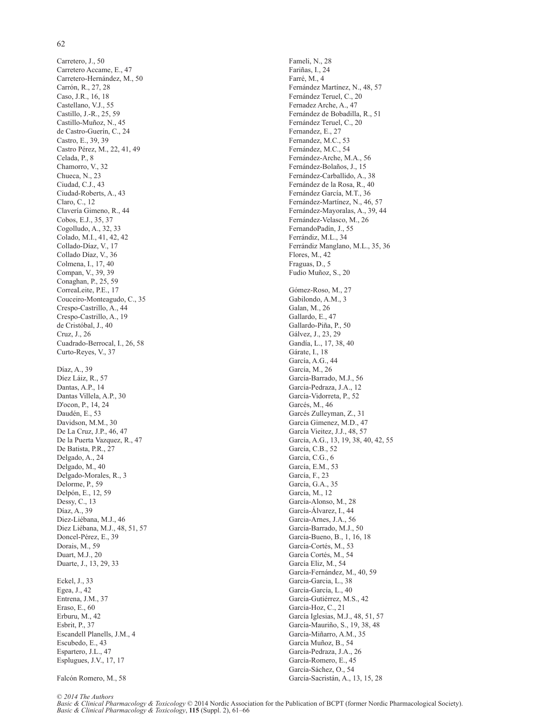# 62

 Carretero, J., 50 Carretero Accame, E., 47 Carretero-Hernández, M., 50 Carrón, R., 27, 28 Caso, J.R., 16, 18 Castellano, V.J., 55 Castillo, J.-R., 25, 59 Castillo-Muñoz, N., 45 de Castro-Guerín, C., 24 Castro, E., 39, 39 Castro Pérez, M., 22, 41, 49 Celada, P., 8 Chamorro, V., 32 Chueca, N., 23 Ciudad, C.J., 43 Ciudad-Roberts, A., 43 Claro, C., 12 Clavería Gimeno, R., 44 Cobos, E.J., 35, 37 Cogolludo, A., 32, 33 Colado, M.I., 41, 42, 42 Collado-Díaz, V., 17 Collado Díaz, V., 36 Colmena, I., 17, 40 Compan, V., 39, 39 Conaghan, P., 25, 59 CorreaLeite, P.E., 17 Couceiro-Monteagudo, C., 35 Crespo-Castrillo, A., 44 Crespo-Castrillo, A., 19 de Cristóbal, J., 40 Cruz, J., 26 Cuadrado-Berrocal, I., 26, 58 Curto-Reyes, V., 37 Díaz, A., 39 Díez Láiz, R., 57 Dantas, A.P., 14 Dantas Villela, A.P., 30 D'ocon, P., 14, 24 Daudén, E., 53 Davidson, M.M., 30 De La Cruz, J.P., 46, 47 De la Puerta Vazquez, R., 47 De Batista, P.R., 27 Delgado, A., 24 Delgado, M., 40 Delgado-Morales, R., 3 Delorme, P., 59 Delpón, E., 12, 59 Dessy, C., 13 Díaz, A., 39 Diez-Liébana, M.J., 46 Diez Liébana, M.J., 48, 51, 57 Doncel-Pérez, E., 39 Dorais, M., 59 Duart, M.J., 20 Duarte, J., 13, 29, 33 Eckel, J., 33 Egea, J., 42 Entrena, J.M., 37 Eraso, E., 60 Erburu, M., 42 Esbrit, P., 37 Escandell Planells, J.M., 4 Escubedo, E., 43 Espartero, J.L., 47 Esplugues, J.V., 17, 17

Falcón Romero, M., 58

 Fameli, N., 28 Fariñas, I., 24 Farré, M., 4 Fernández Martínez, N., 48, 57 Fernández Teruel, C., 20 Fernadez Arche, A., 47 Fernández de Bobadilla, R., 51 Fernández Teruel, C., 20 Fernandez, E., 27 Fernandez, M.C., 53 Fernández, M.C., 54 Fernández-Arche, M.A., 56 Fernández-Bolaños, J., 15 Fernández-Carballido, A., 38 Fernández de la Rosa, R., 40 Fernández García, M.T., 36 Fernández-Martínez, N., 46, 57 Fernández-Mayoralas, A., 39, 44 Fernández-Velasco, M., 26 FernandoPadín, J., 55 Ferrándiz, M.L., 34 Ferrándiz Manglano, M.L., 35, 36 Flores, M., 42 Fraguas, D., 5 Fudio Muñoz, S., 20 Gómez-Roso, M., 27 Gabilondo, A.M., 3 Galan, M., 26 Gallardo, E., 47 Gallardo-Piña, P., 50 Gálvez, J., 23, 29 Gandía, L., 17, 38, 40 Gárate, I., 18 García, A.G., 44 García, M., 26 García-Barrado, M.J., 56 García-Pedraza, J.A., 12 García-Vidorreta, P., 52 Garcés, M., 46 Garcés Zulleyman, Z., 31 Garcia Gimenez, M.D., 47 García Vieitez, J.J., 48, 57 García, A.G., 13, 19, 38, 40, 42, 55 García, C.B., 52 García, C.G., 6 García, E.M., 53 García, F., 23 García, G.A., 35 García, M., 12 García-Alonso, M., 28 García-Álvarez, I., 44 Garcia-Arnes, J.A., 56 García-Barrado, M.J., 50 García-Bueno, B., 1, 16, 18 García-Cortés, M., 53 García Cortés, M., 54 García Eliz, M., 54 García-Fernández, M., 40, 59 Garcia-Garcia, L., 38 García-García, L., 40 García-Gutiérrez, M.S., 42 García-Hoz, C., 21 García Iglesias, M.J., 48, 51, 57 García-Mauriño, S., 19, 38, 48 García-Miñarro, A.M., 35 García Muñoz, B., 54 García-Pedraza, J.A., 26 García-Romero, E., 45 García-Sáchez, O., 54

García-Sacristán, A., 13, 15, 28

© *2014 The Authors*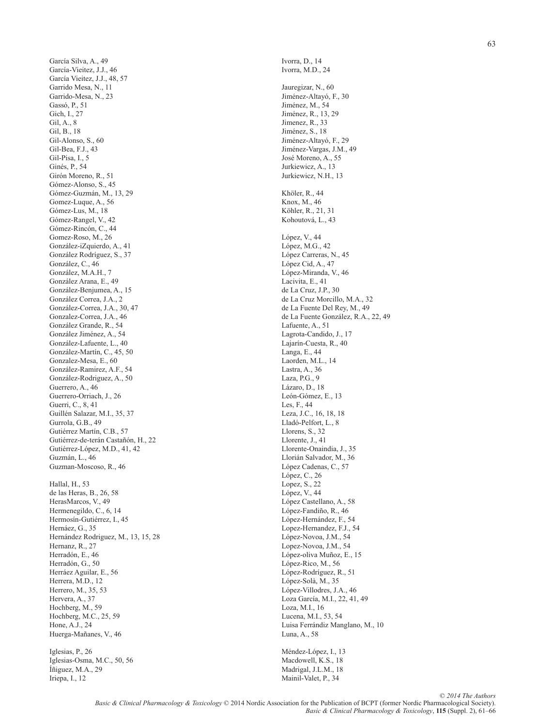García Silva, A., 49 García-Vieitez, J.J., 46 García Vieitez, J.J., 48, 57 Garrido Mesa, N., 11 Garrido-Mesa, N., 23 Gassó, P., 51 Gich, I., 27 Gil, A., 8 Gil, B., 18 Gil-Alonso, S., 60 Gil-Bea, F.J., 43 Gil-Pisa, I., 5 Ginés, P., 54 Girón Moreno, R., 51 Gómez-Alonso, S., 45 Gómez-Guzmán, M., 13, 29 Gomez-Luque, A., 56 Gómez-Lus, M., 18 Gómez-Rangel, V., 42 Gómez-Rincón, C., 44 Gomez-Roso, M., 26 González-iZquierdo, A., 41 González Rodríguez, S., 37 González, C., 46 González, M.A.H., 7 González Arana, E., 49 González-Benjumea, A., 15 González Correa, J.A., 2 González-Correa, J.A., 30, 47 Gonzalez-Correa, J.A., 46 González Grande, R., 54 González Jiménez, A., 54 González-Lafuente, L., 40 González-Martín, C., 45, 50 Gonzalez-Mesa, E., 60 González-Ramirez, A.F., 54 González-Rodriguez, A., 50 Guerrero, A., 46 Guerrero-Orriach, J., 26 Guerri, C., 8, 41 Guillén Salazar, M.I., 35, 37 Gurrola, G.B., 49 Gutiérrez Martín, C.B., 57 Gutiérrez-de-terán Castañón, H., 22 Gutiérrez-López, M.D., 41, 42 Guzmán, L., 46 Guzman-Moscoso, R., 46 Hallal, H., 53 de las Heras, B., 26, 58 HerasMarcos, V., 49 Hermenegildo, C., 6, 14 Hermosín-Gutiérrez, I., 45 Hernáez, G., 35 Hernández Rodriguez, M., 13, 15, 28 Hernanz, R., 27 Herradón, E., 46 Herradón, G., 50 Herráez Aguilar, E., 56 Herrera, M.D., 12 Herrero, M., 35, 53 Hervera, A., 37 Hochberg, M., 59 Hochberg, M.C., 25, 59 Hone, A.J., 24 Huerga-Mañanes, V., 46 Iglesias, P., 26 Iglesias-Osma, M.C., 50, 56 Íñiguez, M.A., 29

Iriepa, I., 12

 Ivorra, D., 14 Ivorra, M.D., 24 Jauregizar, N., 60 Jiménez-Altayó, F., 30 Jiménez, M., 54 Jiménez, R., 13, 29 Jimenez, R., 33 Jiménez, S., 18 Jiménez-Altayó, F., 29 Jiménez-Vargas, J.M., 49 José Moreno, A., 55 Jurkiewicz, A., 13 Jurkiewicz, N.H., 13 Khöler, R., 44 Knox, M., 46 Köhler, R., 21, 31 Kohoutová, L., 43 López, V., 44 López, M.G., 42 López Carreras, N., 45 López Cid, A., 47 López-Miranda, V., 46 Lacivita, E., 41 de La Cruz, J.P., 30 de La Cruz Morcillo, M.A., 32 de La Fuente Del Rey, M., 49 de La Fuente González, R.A., 22, 49 Lafuente, A., 51 Lagrota-Candido, J., 17 Lajarín-Cuesta, R., 40 Langa, E., 44 Laorden, M.L., 14 Lastra, A., 36 Laza, P.G., 9 Lázaro, D., 18 León-Gómez, E., 13 Les, F., 44 Leza, J.C., 16, 18, 18 Lladó-Pelfort, L., 8 Llorens, S., 32 Llorente, J., 41 Llorente-Onaindia, J., 35 Llorián Salvador, M., 36 López Cadenas, C., 57 López, C., 26 Lopez, S., 22 López, V., 44 López Castellano, A., 58 López-Fandiño, R., 46 López-Hernández, F., 54 Lopez-Hernandez, F.J., 54 López-Novoa, J.M., 54 Lopez-Novoa, J.M., 54 López-oliva Muñoz, E., 15 López-Rico, M., 56 López-Rodríguez, R., 51 López-Solà, M., 35 López-Villodres, J.A., 46 Loza García, M.I., 22, 41, 49 Loza, M.I., 16 Lucena, M.I., 53, 54 Luisa Ferrándiz Manglano, M., 10 Luna, A., 58

 Méndez-López, I., 13 Macdowell, K.S., 18 Madrigal, J.L.M., 18 Mainil-Valet, P., 34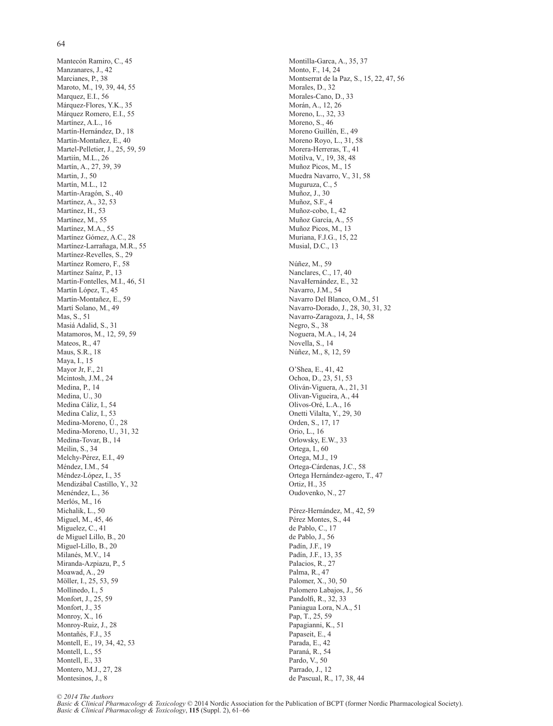# 64

 Mantecón Ramiro, C., 45 Manzanares, J., 42 Marcianes, P., 38 Maroto, M., 19, 39, 44, 55 Marquez, E.I., 56 Márquez-Flores, Y.K., 35 Márquez Romero, E.I., 55 Martínez, A.L., 16 Martín-Hernández, D., 18 Martín-Montañez, E., 40 Martel-Pelletier, J., 25, 59, 59 Martiín, M.L., 26 Martín, A., 27, 39, 39 Martin, J., 50 Martín, M.L., 12 Martín-Aragón, S., 40 Martínez, A., 32, 53 Martínez, H., 53 Martínez, M., 55 Martínez, M.A., 55 Martínez Gómez, A.C., 28 Martínez-Larrañaga, M.R., 55 Martínez-Revelles, S., 29 Martínez Romero, F., 58 Martínez Saínz, P., 13 Martín-Fontelles, M.I., 46, 51 Martín López, T., 45 Martín-Montañez, E., 59 Martí Solano, M., 49 Mas, S., 51 Masiá Adalid, S., 31 Matamoros, M., 12, 59, 59 Mateos, R., 47 Maus, S.R., 18 Maya, I., 15 Mayor Jr, F., 21 Mcintosh, J.M., 24 Medina, P., 14 Medina, U., 30 Medina Cáliz, I., 54 Medina Caliz, I., 53 Medina-Moreno, Ú., 28 Medina-Moreno, U., 31, 32 Medina-Tovar, B., 14 Meilin, S., 34 Melchy-Pérez, E.I., 49 Méndez, I.M., 54 Méndez-López, I., 35 Mendizábal Castillo, Y., 32 Menéndez, L., 36 Merlós, M., 16 Michalik, L., 50 Miguel, M., 45, 46 Miguelez, C., 41 de Miguel Lillo, B., 20 Miguel-Lillo, B., 20 Milanés, M.V., 14 Miranda-Azpiazu, P., 5 Moawad, A., 29 Möller, I., 25, 53, 59 Mollinedo, I., 5 Monfort, J., 25, 59 Monfort, J., 35 Monroy, X., 16 Monroy-Ruiz, J., 28 Montañés, F.J., 35 Montell, E., 19, 34, 42, 53 Montell, L., 55 Montell, E., 33 Montero, M.J., 27, 28 Montesinos, J., 8

 Montilla-Garca, A., 35, 37 Monto, F., 14, 24 Montserrat de la Paz, S., 15, 22, 47, 56 Morales, D., 32 Morales-Cano, D., 33 Morán, A., 12, 26 Moreno, L., 32, 33 Moreno, S., 46 Moreno Guillén, E., 49 Moreno Royo, L., 31, 58 Morera-Herreras, T., 41 Motilva, V., 19, 38, 48 Muñoz Picos, M., 15 Muedra Navarro, V., 31, 58 Muguruza, C., 5 Muñoz, J., 30 Muñoz, S.F., 4 Muñoz-cobo, I., 42 Muñoz García, A., 55 Muñoz Picos, M., 13 Muriana, F.J.G., 15, 22 Musial, D.C., 13 Núñez, M., 59 Nanclares, C., 17, 40 NavaHernández, E., 32 Navarro, J.M., 54 Navarro Del Blanco, O.M., 51 Navarro-Dorado, J., 28, 30, 31, 32 Navarro-Zaragoza, J., 14, 58 Negro, S., 38 Noguera, M.A., 14, 24 Novella, S., 14 Núñez, M., 8, 12, 59 O'Shea, E., 41, 42 Ochoa, D., 23, 51, 53 Oliván-Viguera, A., 21, 31 Olivan-Vigueira, A., 44 Olivos-Oré, L.A., 16 Onetti Vilalta, Y., 29, 30 Orden, S., 17, 17 Orio, L., 16 Orlowsky, E.W., 33 Ortega, I., 60 Ortega, M.J., 19 Ortega-Cárdenas, J.C., 58 Ortega Hernández-agero, T., 47 Ortiz, H., 35 Oudovenko, N., 27 Pérez-Hernández, M., 42, 59 Pérez Montes, S., 44 de Pablo, C., 17 de Pablo, J., 56 Padín, J.F., 19 Padín, J.F., 13, 35 Palacios, R., 27 Palma, R., 47 Palomer, X., 30, 50 Palomero Labajos, J., 56 Pandolfi, R., 32, 33 Paniagua Lora, N.A., 51 Pap, T., 25, 59 Papagianni, K., 51 Papaseit, E., 4 Parada, E., 42 Paraná, R., 54 Pardo, V., 50 Parrado, J., 12 de Pascual, R., 17, 38, 44

© *2014 The Authors*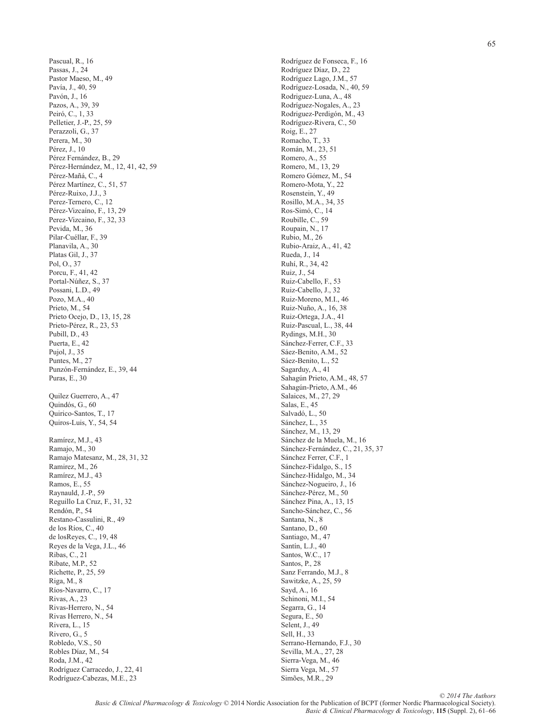Pascual, R., 16 Passas, J., 24 Pastor Maeso, M., 49 Pavía, J., 40, 59 Pavón, J., 16 Pazos, A., 39, 39 Peiró, C., 1, 33 Pelletier, J.-P., 25, 59 Perazzoli, G., 37 Perera, M., 30 Pérez, J., 10 Pérez Fernández, B., 29 Pérez-Hernández, M., 12, 41, 42, 59 Pérez-Mañá, C., 4 Pérez Martínez, C., 51, 57 Pérez-Ruixo, J.J., 3 Perez-Ternero, C., 12 Pérez-Vizcaíno, F., 13, 29 Perez-Vizcaino, F., 32, 33 Pevida, M., 36 Pilar-Cuéllar, F., 39 Planavila, A., 30 Platas Gil, J., 37 Pol, O., 37 Porcu, F., 41, 42 Portal-Núñez, S., 37 Possani, L.D., 49 Pozo, M.A., 40 Prieto, M., 54 Prieto Ocejo, D., 13, 15, 28 Prieto-Pérez, R., 23, 53 Pubill, D., 43 Puerta, E., 42 Pujol, J., 35 Puntes, M., 27 Punzón-Fernández, E., 39, 44 Puras, E., 30 Quilez Guerrero, A., 47 Quindós, G., 60 Quirico-Santos, T., 17 Quiros-Luis, Y., 54, 54 Ramírez, M.J., 43 Ramajo, M., 30 Ramajo Matesanz, M., 28, 31, 32 Ramirez, M., 26 Ramírez, M.J., 43 Ramos, E., 55 Raynauld, J.-P., 59 Reguillo La Cruz, F., 31, 32 Rendón, P., 54 Restano-Cassulini, R., 49 de los Ríos, C., 40 de losReyes, C., 19, 48 Reyes de la Vega, J.L., 46 Ribas, C., 21 Ribate, M.P., 52 Richette, P., 25, 59 Riga, M., 8 Ríos-Navarro, C., 17 Rivas, A., 23 Rivas-Herrero, N., 54 Rivas Herrero, N., 54 Rivera, L., 15 Rivero, G., 5 Robledo, V.S., 50 Robles Díaz, M., 54 Roda, J.M., 42 Rodríguez Carracedo, J., 22, 41 Rodríguez-Cabezas, M.E., 23

 Rodríguez de Fonseca, F., 16 Rodríguez Díaz, D., 22 Rodríguez Lago, J.M., 57 Rodríguez-Losada, N., 40, 59 Rodriguez-Luna, A., 48 Rodríguez-Nogales, A., 23 Rodriguez-Perdigón, M., 43 Rodríguez-Rivera, C., 50 Roig, E., 27 Romacho, T., 33 Román, M., 23, 51 Romero, A., 55 Romero, M., 13, 29 Romero Gómez, M., 54 Romero-Mota, Y., 22 Rosenstein, Y., 49 Rosillo, M.A., 34, 35 Ros-Simó, C., 14 Roubille, C., 59 Roupain, N., 17 Rubio, M., 26 Rubio-Araiz, A., 41, 42 Rueda, J., 14 Ruhí, R., 34, 42 Ruiz, J., 54 Ruiz-Cabello, F., 53 Ruiz-Cabello, J., 32 Ruiz-Moreno, M.I., 46 Ruiz-Nuño, A., 16, 38 Ruiz-Ortega, J.A., 41 Ruiz-Pascual, L., 38, 44 Rydings, M.H., 30 Sánchez-Ferrer, C.F., 33 Sáez-Benito, A.M., 52 Sáez-Benito, L., 52 Sagarduy, A., 41 Sahagún Prieto, A.M., 48, 57 Sahagún-Prieto, A.M., 46 Salaices, M., 27, 29 Salas, E., 45 Salvadó, L., 50 Sánchez, L., 35 Sánchez, M., 13, 29 Sánchez de la Muela, M., 16 Sánchez-Fernández, C., 21, 35, 37 Sánchez Ferrer, C.F., 1 Sánchez-Fidalgo, S., 15 Sánchez-Hidalgo, M., 34 Sánchez-Nogueiro, J., 16 Sánchez-Pérez, M., 50 Sánchez Pina, A., 13, 15 Sancho-Sánchez, C., 56 Santana, N., 8 Santano, D., 60 Santiago, M., 47 Santín, L.J., 40 Santos, W.C., 17 Santos, P., 28 Sanz Ferrando, M.J., 8 Sawitzke, A., 25, 59 Sayd, A., 16 Schinoni, M.I., 54 Segarra, G., 14 Segura, E., 50 Selent, J., 49 Sell, H., 33 Serrano-Hernando, F.J., 30 Sevilla, M.A., 27, 28 Sierra-Vega, M., 46 Sierra Vega, M., 57 Simões, M.R., 29